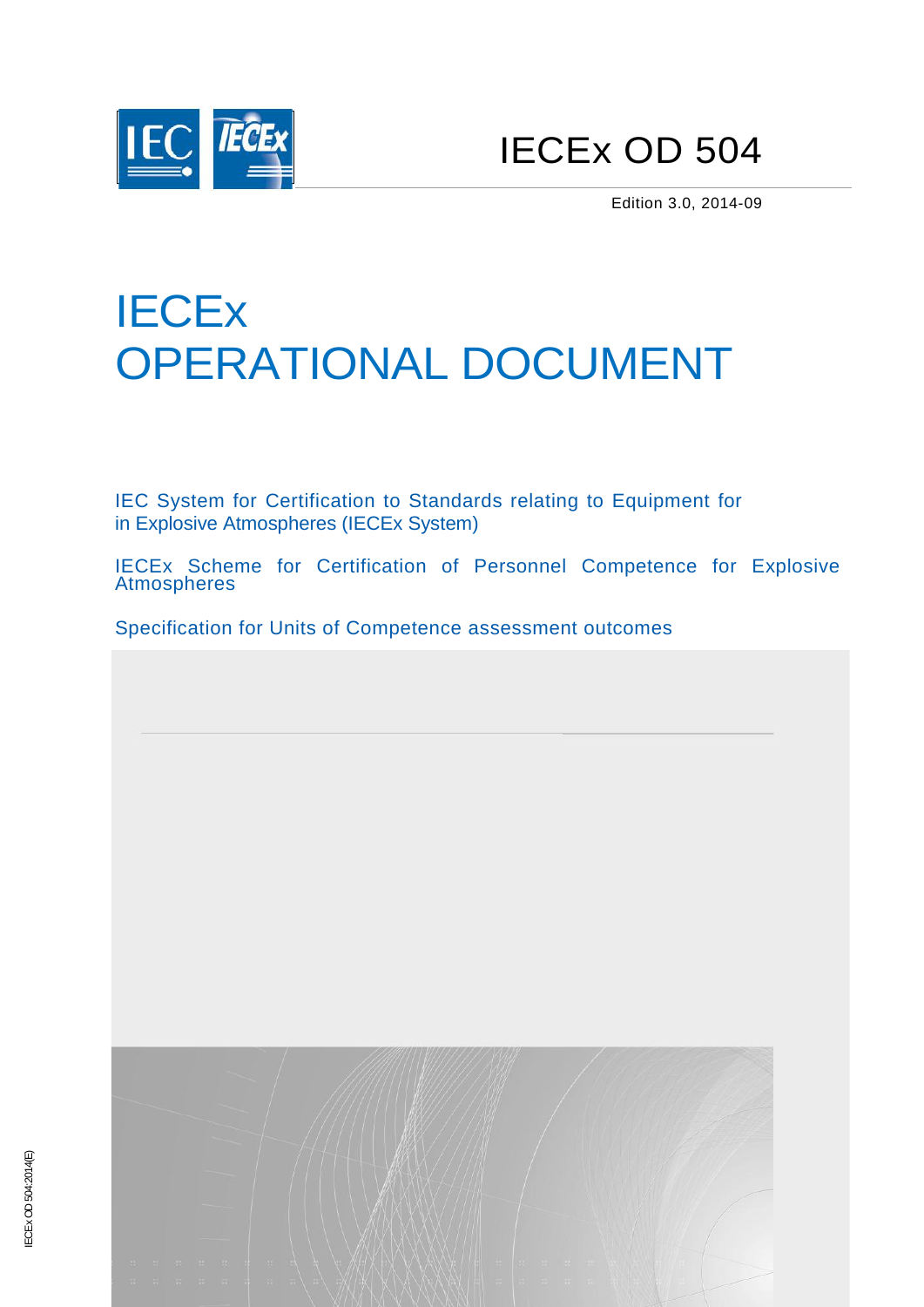

IECEx OD 504

Edition 3.0, 2014-09

# **IECEx** OPERATIONAL DOCUMENT

IEC System for Certification to Standards relating to Equipment for in Explosive Atmospheres (IECEx System)

IECEx Scheme for Certification of Personnel Competence for Explosive Atmospheres

Specification for Units of Competence assessment outcomes

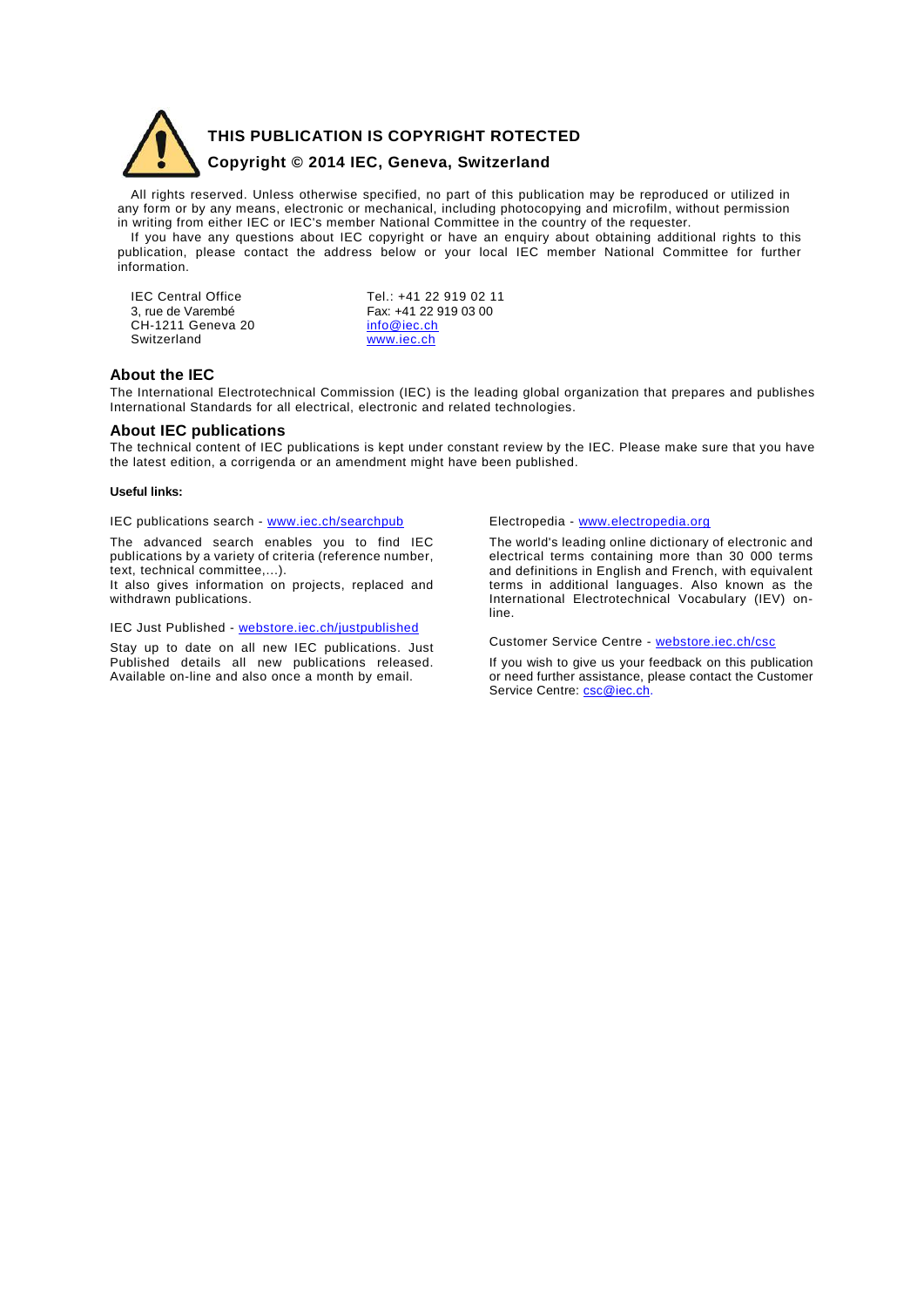

**THIS PUBLICATION IS COPYRIGHT ROTECTED** 

### **Copyright © 2014 IEC, Geneva, Switzerland**

All rights reserved. Unless otherwise specified, no part of this publication may be reproduced or utilized in any form or by any means, electronic or mechanical, including photocopying and microfilm, without permission in writing from either IEC or IEC's member National Committee in the country of the requester.

If you have any questions about IEC copyright or have an enquiry about obtaining additional rights to this publication, please contact the address below or your local IEC member National Committee for further information.

CH-1211 Geneva 20 **[info@iec.ch](mailto:info@iec.ch)**<br>Switzerland www.iec.ch Switzerland

IEC Central Office<br>
3, rue de Varembé<br>
Tex: +41 22 919 03 00 Fax: +41 22 919 03 00<br>
info@iec.ch

### **About the IEC**

The International Electrotechnical Commission (IEC) is the leading global organization that prepares and publishes International Standards for all electrical, electronic and related technologies.

### **About IEC publications**

The technical content of IEC publications is kept under constant review by the IEC. Please make sure that you have the latest edition, a corrigenda or an amendment might have been published.

### **Useful links:**

IEC publications search - [www.iec.ch/searchpub](http://www.iec.ch/searchpub)

The advanced search enables you to find IEC publications by a variety of criteria (reference number, text, technical committee,...).

It also gives information on projects, replaced and withdrawn publications.

IEC Just Published - [webstore.iec.ch/justpublished](http://webstore.iec.ch/justpublished)

Stay up to date on all new IEC publications. Just Published details all new publications released. Available on-line and also once a month by email.

Electropedia - [www.electropedia.org](http://www.electropedia.org/)

The world's leading online dictionary of electronic and electrical terms containing more than 30 000 terms and definitions in English and French, with equivalent terms in additional languages. Also known as the International Electrotechnical Vocabulary (IEV) online.

Customer Service Centre - [webstore.iec.ch/csc](http://webstore.iec.ch/csc)

If you wish to give us your feedback on this publication or need further assistance, please contact the Customer Service Centre: [csc@iec.ch.](mailto:csc@iec.ch)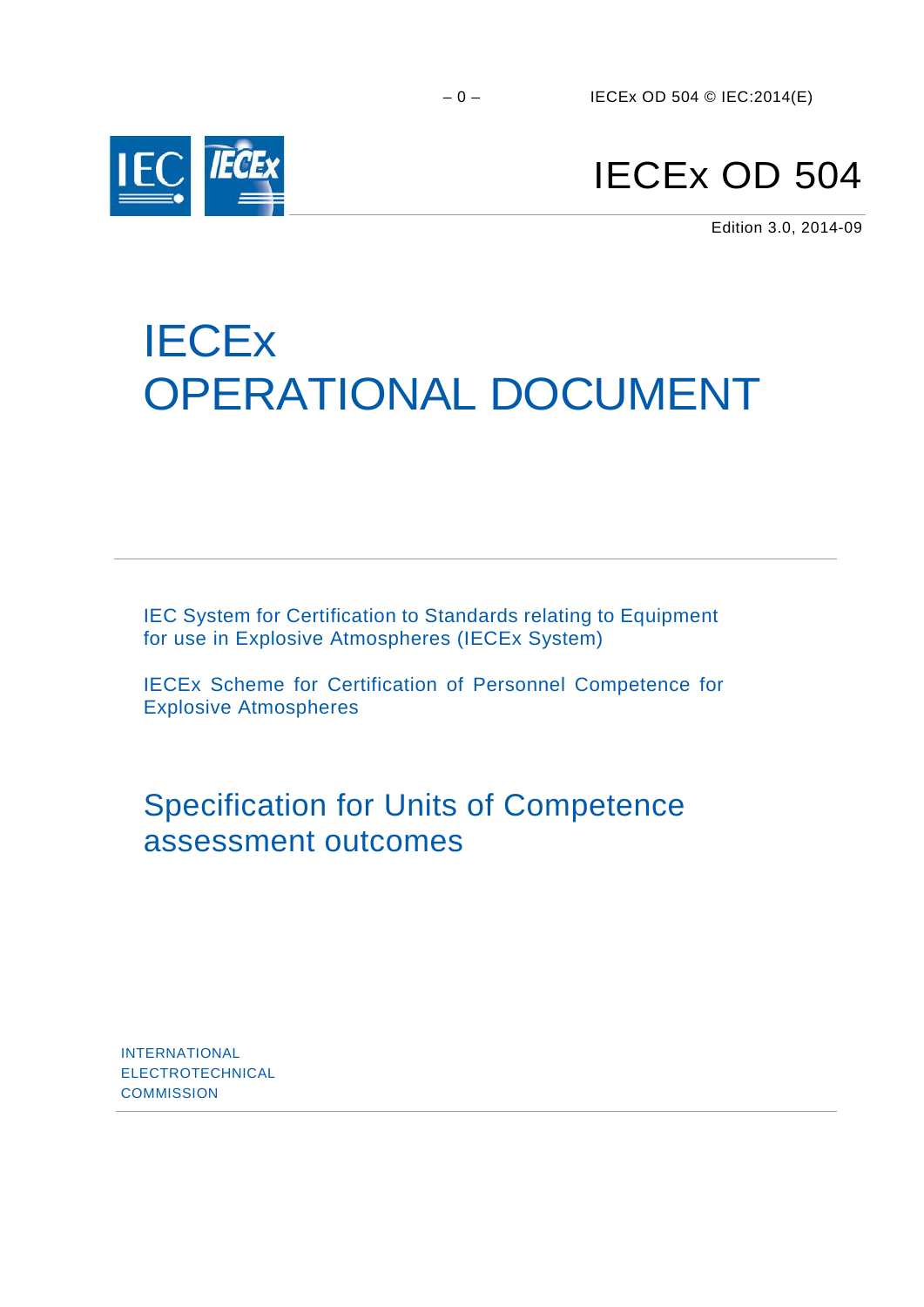

# IECEx OD 504

Edition 3.0, 2014-09

# **IECE<sub>x</sub>** OPERATIONAL DOCUMENT

IEC System for Certification to Standards relating to Equipment for use in Explosive Atmospheres (IECEx System)

IECEx Scheme for Certification of Personnel Competence for Explosive Atmospheres

Specification for Units of Competence assessment outcomes

INTERNATIONAL ELECTROTECHNICAL **COMMISSION**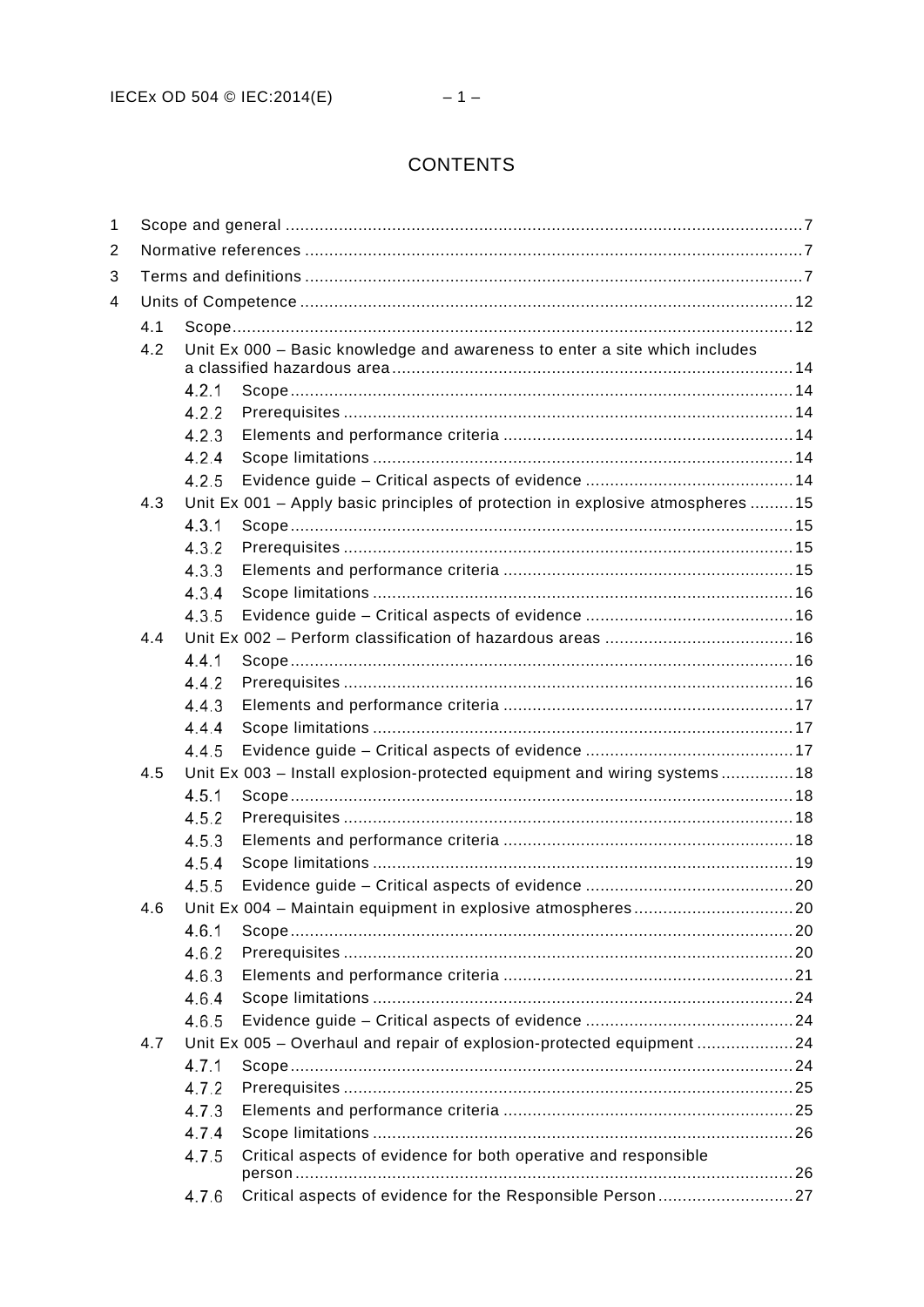## **CONTENTS**

| 1 |                                                                                   |       |                                                                                |  |  |  |  |  |  |
|---|-----------------------------------------------------------------------------------|-------|--------------------------------------------------------------------------------|--|--|--|--|--|--|
| 2 |                                                                                   |       |                                                                                |  |  |  |  |  |  |
| 3 |                                                                                   |       |                                                                                |  |  |  |  |  |  |
| 4 |                                                                                   |       |                                                                                |  |  |  |  |  |  |
|   | 4.1                                                                               |       |                                                                                |  |  |  |  |  |  |
|   | 4.2<br>Unit Ex 000 - Basic knowledge and awareness to enter a site which includes |       |                                                                                |  |  |  |  |  |  |
|   |                                                                                   |       |                                                                                |  |  |  |  |  |  |
|   |                                                                                   | 4.2.1 |                                                                                |  |  |  |  |  |  |
|   |                                                                                   | 4.2.2 |                                                                                |  |  |  |  |  |  |
|   |                                                                                   | 4.2.3 |                                                                                |  |  |  |  |  |  |
|   |                                                                                   | 4.2.4 |                                                                                |  |  |  |  |  |  |
|   |                                                                                   | 4.2.5 |                                                                                |  |  |  |  |  |  |
|   | 4.3                                                                               |       | Unit Ex 001 - Apply basic principles of protection in explosive atmospheres 15 |  |  |  |  |  |  |
|   |                                                                                   | 4.3.1 |                                                                                |  |  |  |  |  |  |
|   |                                                                                   | 4.3.2 |                                                                                |  |  |  |  |  |  |
|   |                                                                                   | 4.3.3 |                                                                                |  |  |  |  |  |  |
|   |                                                                                   | 4.3.4 |                                                                                |  |  |  |  |  |  |
|   | 4.4                                                                               | 4.3.5 |                                                                                |  |  |  |  |  |  |
|   |                                                                                   | 4.4.1 |                                                                                |  |  |  |  |  |  |
|   |                                                                                   | 4.4.2 |                                                                                |  |  |  |  |  |  |
|   |                                                                                   | 4.4.3 |                                                                                |  |  |  |  |  |  |
|   |                                                                                   | 4.4.4 |                                                                                |  |  |  |  |  |  |
|   |                                                                                   | 4.4.5 |                                                                                |  |  |  |  |  |  |
|   | 4.5                                                                               |       | Unit Ex 003 – Install explosion-protected equipment and wiring systems18       |  |  |  |  |  |  |
|   |                                                                                   | 4.5.1 |                                                                                |  |  |  |  |  |  |
|   |                                                                                   | 4.5.2 |                                                                                |  |  |  |  |  |  |
|   | 4.5.3                                                                             |       |                                                                                |  |  |  |  |  |  |
|   |                                                                                   | 4.5.4 |                                                                                |  |  |  |  |  |  |
|   |                                                                                   | 4.5.5 |                                                                                |  |  |  |  |  |  |
|   | 4.6                                                                               |       |                                                                                |  |  |  |  |  |  |
|   |                                                                                   | 4.6.1 |                                                                                |  |  |  |  |  |  |
|   |                                                                                   | 4.6.2 |                                                                                |  |  |  |  |  |  |
|   |                                                                                   | 4.6.3 |                                                                                |  |  |  |  |  |  |
|   |                                                                                   | 4.6.4 |                                                                                |  |  |  |  |  |  |
|   |                                                                                   | 4.6.5 |                                                                                |  |  |  |  |  |  |
|   | 4.7                                                                               |       | Unit Ex 005 - Overhaul and repair of explosion-protected equipment 24          |  |  |  |  |  |  |
|   |                                                                                   | 4.7.1 |                                                                                |  |  |  |  |  |  |
|   |                                                                                   | 4.7.2 |                                                                                |  |  |  |  |  |  |
|   |                                                                                   | 4.7.3 |                                                                                |  |  |  |  |  |  |
|   |                                                                                   | 4.7.4 |                                                                                |  |  |  |  |  |  |
|   |                                                                                   | 4.7.5 | Critical aspects of evidence for both operative and responsible                |  |  |  |  |  |  |
|   |                                                                                   | 4.7.6 | Critical aspects of evidence for the Responsible Person27                      |  |  |  |  |  |  |
|   |                                                                                   |       |                                                                                |  |  |  |  |  |  |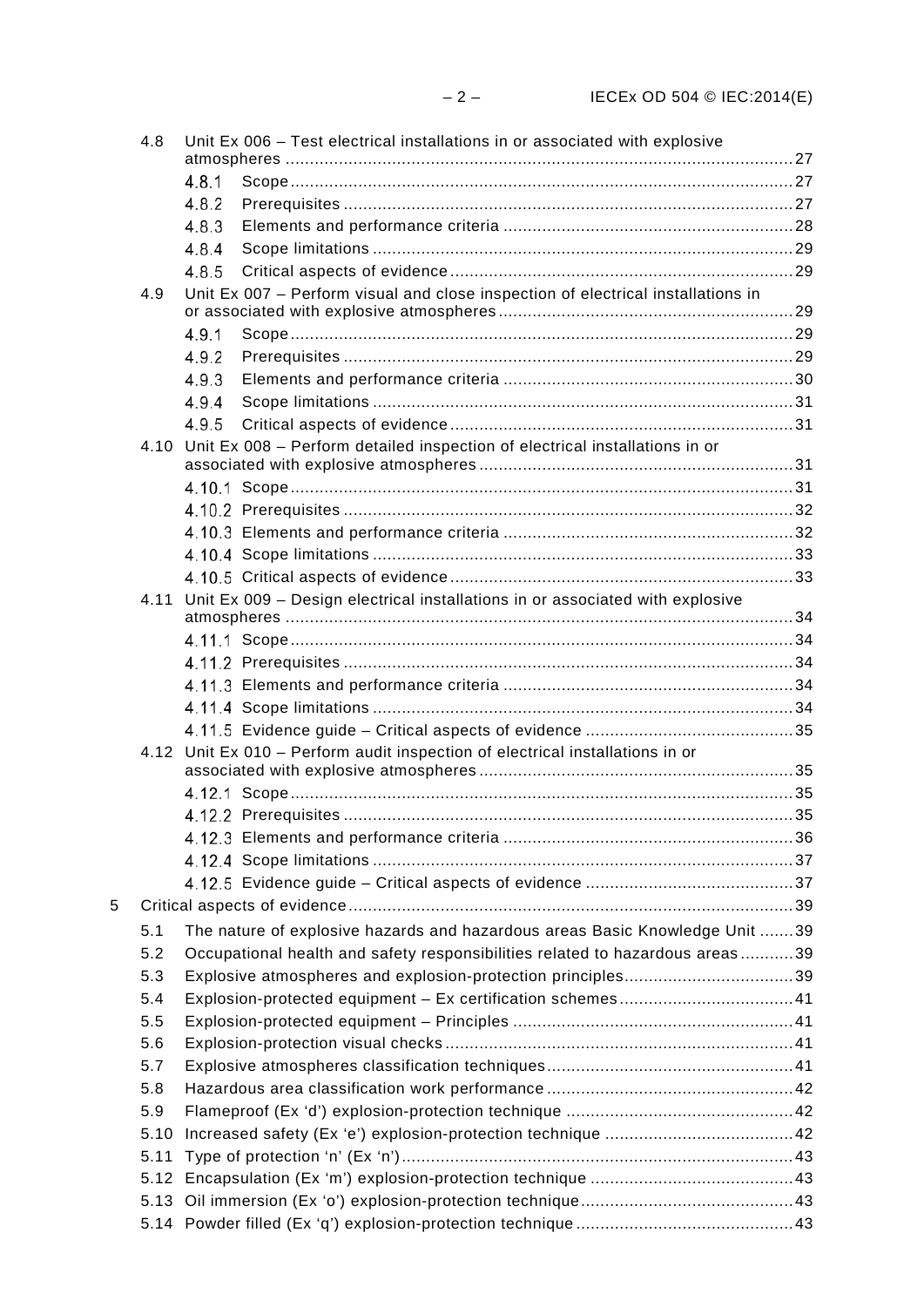|   | 4.8   |       | Unit Ex 006 - Test electrical installations in or associated with explosive      |  |
|---|-------|-------|----------------------------------------------------------------------------------|--|
|   |       | 4.8.1 |                                                                                  |  |
|   |       | 4.8.2 |                                                                                  |  |
|   |       | 4.8.3 |                                                                                  |  |
|   |       | 4.8.4 |                                                                                  |  |
|   |       | 4.8.5 |                                                                                  |  |
|   | 4.9   |       | Unit Ex 007 - Perform visual and close inspection of electrical installations in |  |
|   |       | 4.9.1 |                                                                                  |  |
|   |       | 4.9.2 |                                                                                  |  |
|   |       | 4.9.3 |                                                                                  |  |
|   |       | 4.9.4 |                                                                                  |  |
|   |       | 4.9.5 |                                                                                  |  |
|   | 4 1 0 |       | Unit Ex 008 - Perform detailed inspection of electrical installations in or      |  |
|   |       |       |                                                                                  |  |
|   |       |       |                                                                                  |  |
|   |       |       |                                                                                  |  |
|   |       |       |                                                                                  |  |
|   |       |       |                                                                                  |  |
|   | 4.11  |       | Unit Ex 009 - Design electrical installations in or associated with explosive    |  |
|   |       |       |                                                                                  |  |
|   |       |       |                                                                                  |  |
|   |       |       |                                                                                  |  |
|   |       |       |                                                                                  |  |
|   |       |       |                                                                                  |  |
|   |       |       | 4.12 Unit Ex 010 - Perform audit inspection of electrical installations in or    |  |
|   |       |       |                                                                                  |  |
|   |       |       |                                                                                  |  |
|   |       |       |                                                                                  |  |
|   |       |       |                                                                                  |  |
|   |       |       |                                                                                  |  |
| 5 |       |       |                                                                                  |  |
|   |       |       |                                                                                  |  |
|   | 5.1   |       | The nature of explosive hazards and hazardous areas Basic Knowledge Unit 39      |  |
|   | 5.2   |       | Occupational health and safety responsibilities related to hazardous areas39     |  |
|   | 5.3   |       | Explosive atmospheres and explosion-protection principles39                      |  |
|   | 5.4   |       |                                                                                  |  |
|   | 5.5   |       |                                                                                  |  |
|   | 5.6   |       |                                                                                  |  |
|   | 5.7   |       |                                                                                  |  |
|   | 5.8   |       |                                                                                  |  |
|   | 5.9   |       |                                                                                  |  |
|   | 5.10  |       |                                                                                  |  |
|   | 5.11  |       |                                                                                  |  |
|   |       |       |                                                                                  |  |
|   |       |       |                                                                                  |  |
|   |       |       |                                                                                  |  |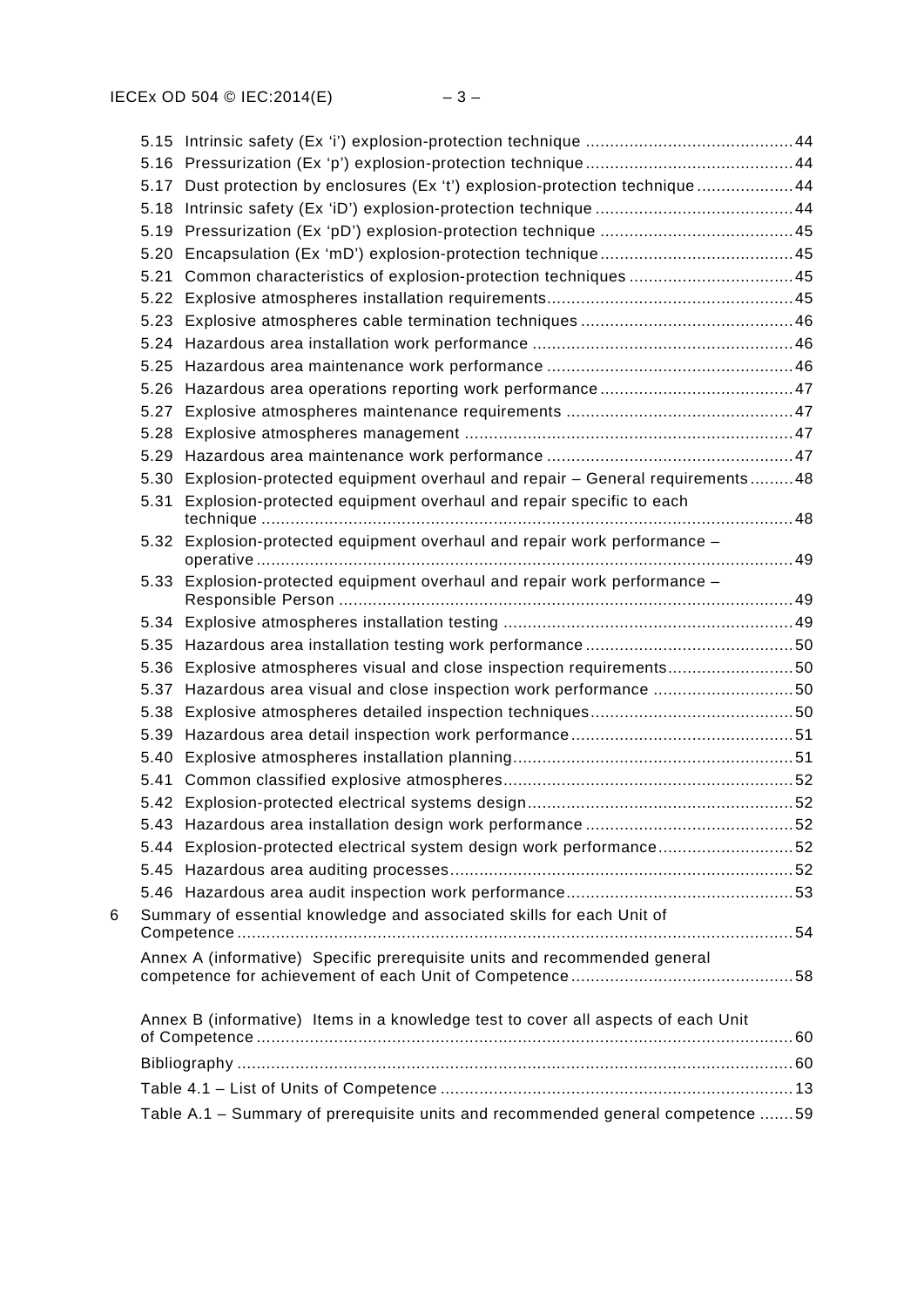|   |      | 5.17 Dust protection by enclosures (Ex 't') explosion-protection technique 44     |  |
|---|------|-----------------------------------------------------------------------------------|--|
|   |      |                                                                                   |  |
|   |      |                                                                                   |  |
|   |      |                                                                                   |  |
|   |      | 5.21 Common characteristics of explosion-protection techniques 45                 |  |
|   |      |                                                                                   |  |
|   |      |                                                                                   |  |
|   |      |                                                                                   |  |
|   |      |                                                                                   |  |
|   |      |                                                                                   |  |
|   | 5.27 |                                                                                   |  |
|   |      |                                                                                   |  |
|   |      |                                                                                   |  |
|   |      | 5.30 Explosion-protected equipment overhaul and repair - General requirements48   |  |
|   | 5.31 | Explosion-protected equipment overhaul and repair specific to each                |  |
|   | 5.32 | Explosion-protected equipment overhaul and repair work performance -              |  |
|   |      | 5.33 Explosion-protected equipment overhaul and repair work performance -         |  |
|   |      |                                                                                   |  |
|   |      |                                                                                   |  |
|   |      | 5.36 Explosive atmospheres visual and close inspection requirements50             |  |
|   | 5.37 | Hazardous area visual and close inspection work performance 50                    |  |
|   |      |                                                                                   |  |
|   |      |                                                                                   |  |
|   |      |                                                                                   |  |
|   |      |                                                                                   |  |
|   |      |                                                                                   |  |
|   |      |                                                                                   |  |
|   |      | 5.44 Explosion-protected electrical system design work performance52              |  |
|   |      |                                                                                   |  |
|   |      |                                                                                   |  |
| 6 |      | Summary of essential knowledge and associated skills for each Unit of             |  |
|   |      | Annex A (informative) Specific prerequisite units and recommended general         |  |
|   |      | Annex B (informative) Items in a knowledge test to cover all aspects of each Unit |  |
|   |      |                                                                                   |  |
|   |      |                                                                                   |  |
|   |      |                                                                                   |  |
|   |      | Table A.1 - Summary of prerequisite units and recommended general competence 59   |  |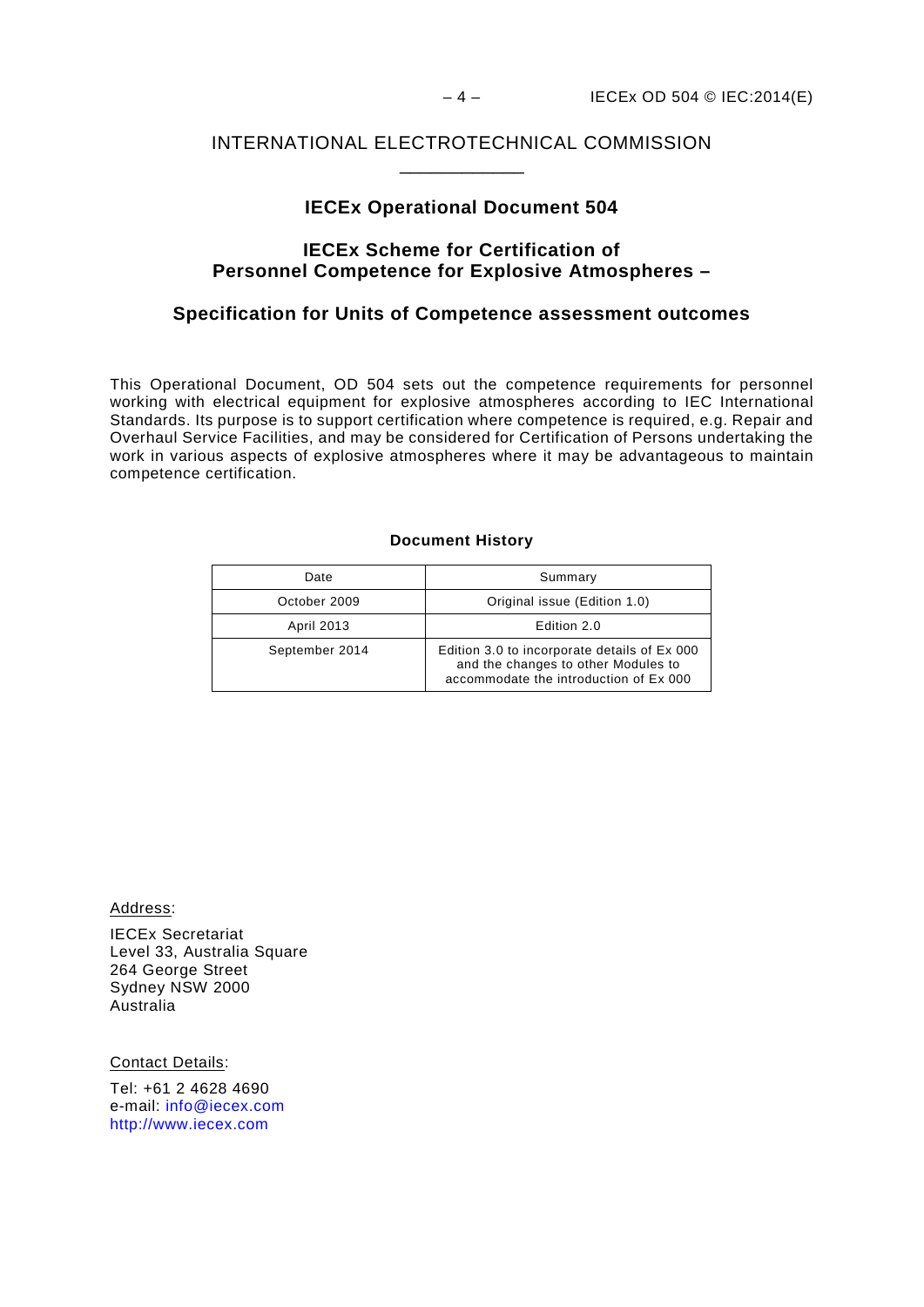### INTERNATIONAL ELECTROTECHNICAL COMMISSION \_\_\_\_\_\_\_\_\_\_\_\_

### **IECEx Operational Document 504**

### **IECEx Scheme for Certification of Personnel Competence for Explosive Atmospheres –**

### **Specification for Units of Competence assessment outcomes**

This Operational Document, OD 504 sets out the competence requirements for personnel working with electrical equipment for explosive atmospheres according to IEC International Standards. Its purpose is to support certification where competence is required, e.g. Repair and Overhaul Service Facilities, and may be considered for Certification of Persons undertaking the work in various aspects of explosive atmospheres where it may be advantageous to maintain competence certification.

### **Document History**

| Date           | Summary                                                                                                                       |  |
|----------------|-------------------------------------------------------------------------------------------------------------------------------|--|
| October 2009   | Original issue (Edition 1.0)                                                                                                  |  |
| April 2013     | Edition 2.0                                                                                                                   |  |
| September 2014 | Edition 3.0 to incorporate details of Ex 000<br>and the changes to other Modules to<br>accommodate the introduction of Ex 000 |  |

Address:

IECEx Secretariat Level 33, Australia Square 264 George Street Sydney NSW 2000 Australia

Contact Details:

Tel: +61 2 4628 4690 e-mail: [info@iecex.com](mailto:info@iecex.com) [http://www.iecex.com](http://www.iecex.com/)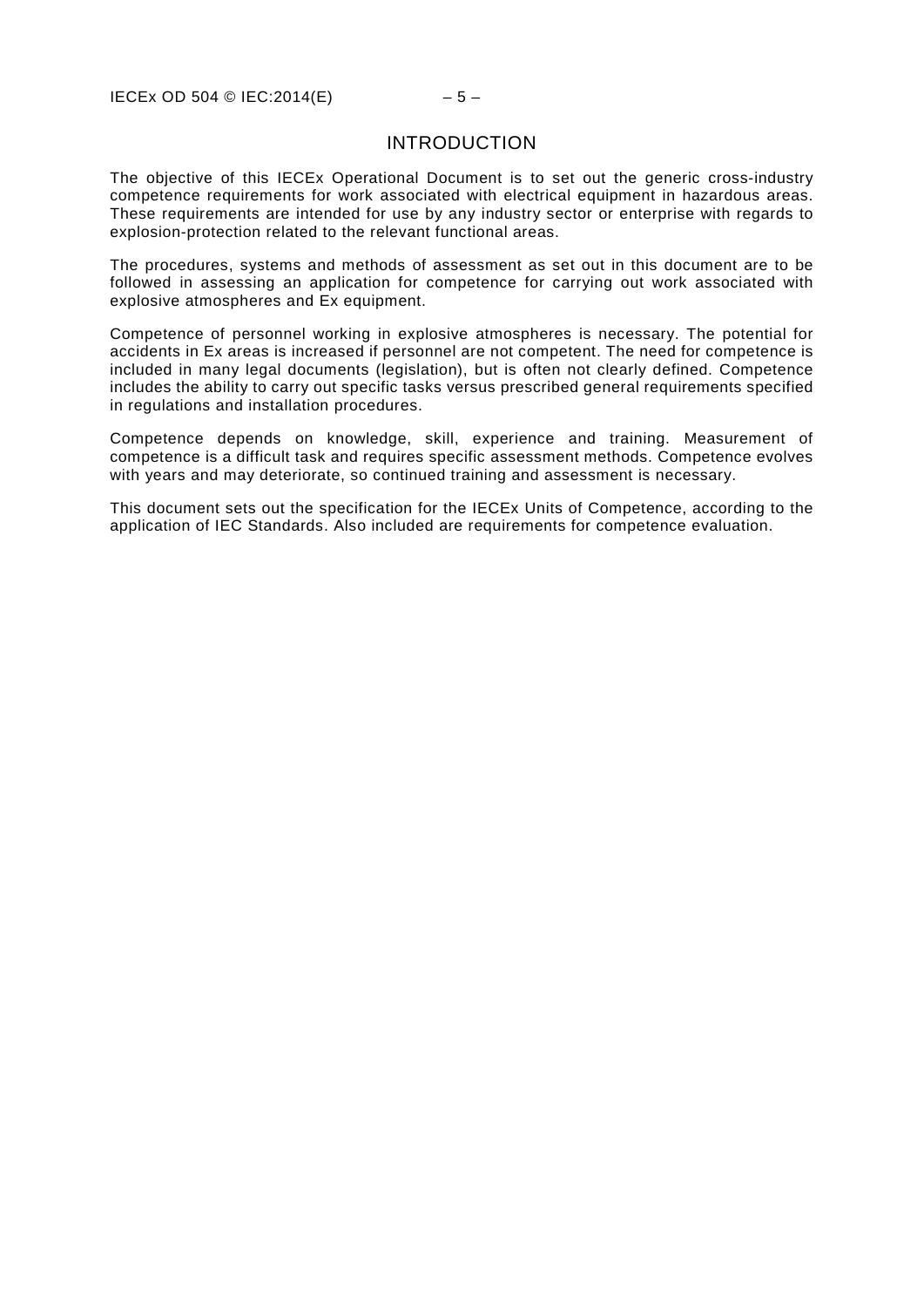### INTRODUCTION

The objective of this IECEx Operational Document is to set out the generic cross-industry competence requirements for work associated with electrical equipment in hazardous areas. These requirements are intended for use by any industry sector or enterprise with regards to explosion-protection related to the relevant functional areas.

The procedures, systems and methods of assessment as set out in this document are to be followed in assessing an application for competence for carrying out work associated with explosive atmospheres and Ex equipment.

Competence of personnel working in explosive atmospheres is necessary. The potential for accidents in Ex areas is increased if personnel are not competent. The need for competence is included in many legal documents (legislation), but is often not clearly defined. Competence includes the ability to carry out specific tasks versus prescribed general requirements specified in regulations and installation procedures.

Competence depends on knowledge, skill, experience and training. Measurement of competence is a difficult task and requires specific assessment methods. Competence evolves with years and may deteriorate, so continued training and assessment is necessary.

This document sets out the specification for the IECEx Units of Competence, according to the application of IEC Standards. Also included are requirements for competence evaluation.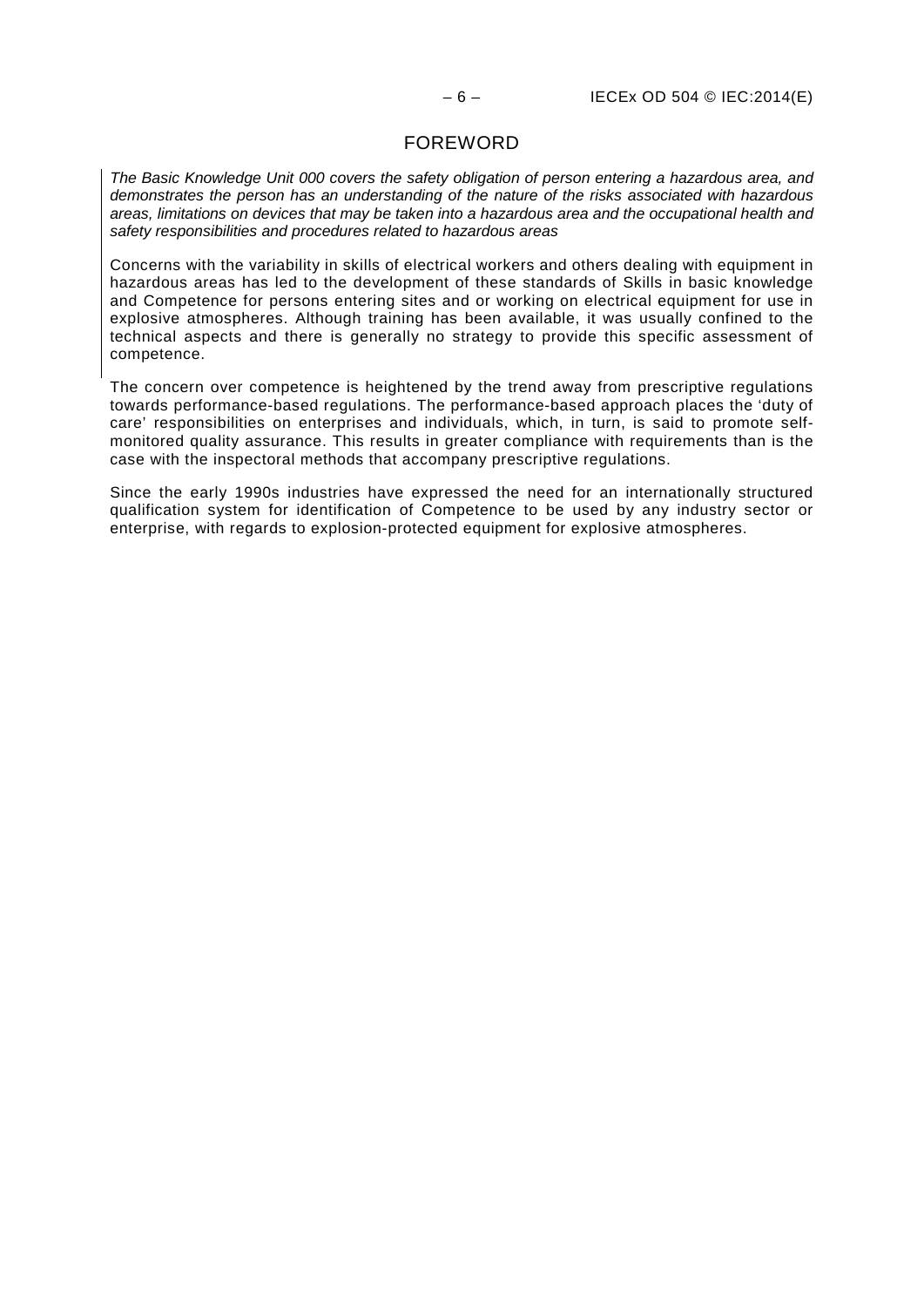### FOREWORD

*The Basic Knowledge Unit 000 covers the safety obligation of person entering a hazardous area, and demonstrates the person has an understanding of the nature of the risks associated with hazardous areas, limitations on devices that may be taken into a hazardous area and the occupational health and safety responsibilities and procedures related to hazardous areas*

Concerns with the variability in skills of electrical workers and others dealing with equipment in hazardous areas has led to the development of these standards of Skills in basic knowledge and Competence for persons entering sites and or working on electrical equipment for use in explosive atmospheres. Although training has been available, it was usually confined to the technical aspects and there is generally no strategy to provide this specific assessment of competence.

The concern over competence is heightened by the trend away from prescriptive regulations towards performance-based regulations. The performance-based approach places the 'duty of care' responsibilities on enterprises and individuals, which, in turn, is said to promote selfmonitored quality assurance. This results in greater compliance with requirements than is the case with the inspectoral methods that accompany prescriptive regulations.

Since the early 1990s industries have expressed the need for an internationally structured qualification system for identification of Competence to be used by any industry sector or enterprise, with regards to explosion-protected equipment for explosive atmospheres.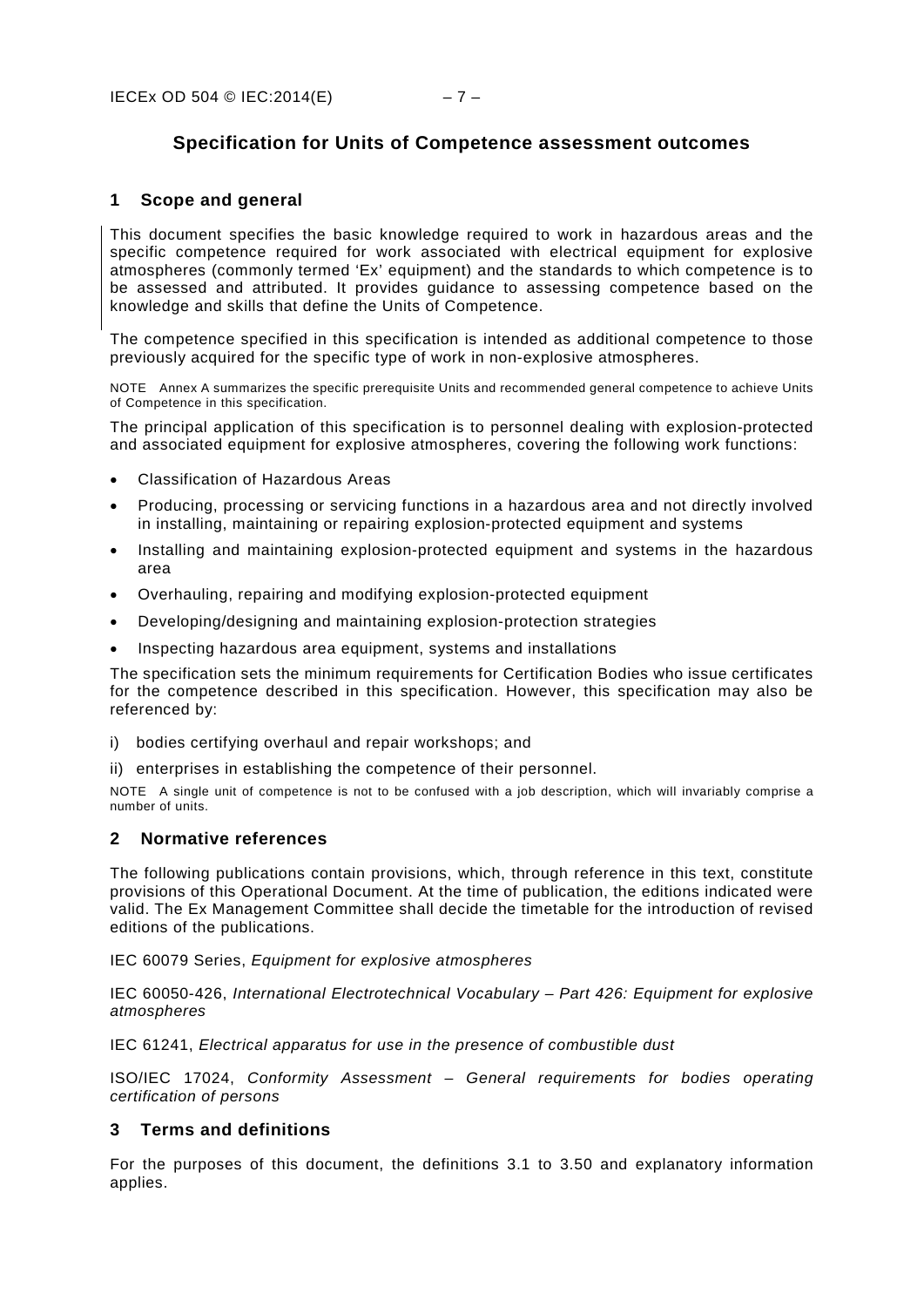### **Specification for Units of Competence assessment outcomes**

### <span id="page-10-0"></span>**1 Scope and general**

This document specifies the basic knowledge required to work in hazardous areas and the specific competence required for work associated with electrical equipment for explosive atmospheres (commonly termed 'Ex' equipment) and the standards to which competence is to be assessed and attributed. It provides guidance to assessing competence based on the knowledge and skills that define the Units of Competence.

The competence specified in this specification is intended as additional competence to those previously acquired for the specific type of work in non-explosive atmospheres.

NOTE Annex A summarizes the specific prerequisite Units and recommended general competence to achieve Units of Competence in this specification.

The principal application of this specification is to personnel dealing with explosion-protected and associated equipment for explosive atmospheres, covering the following work functions:

- Classification of Hazardous Areas
- Producing, processing or servicing functions in a hazardous area and not directly involved in installing, maintaining or repairing explosion-protected equipment and systems
- Installing and maintaining explosion-protected equipment and systems in the hazardous area
- Overhauling, repairing and modifying explosion-protected equipment
- Developing/designing and maintaining explosion-protection strategies
- Inspecting hazardous area equipment, systems and installations

The specification sets the minimum requirements for Certification Bodies who issue certificates for the competence described in this specification. However, this specification may also be referenced by:

- i) bodies certifying overhaul and repair workshops; and
- ii) enterprises in establishing the competence of their personnel.

NOTE A single unit of competence is not to be confused with a job description, which will invariably comprise a number of units.

### <span id="page-10-1"></span>**2 Normative references**

The following publications contain provisions, which, through reference in this text, constitute provisions of this Operational Document. At the time of publication, the editions indicated were valid. The Ex Management Committee shall decide the timetable for the introduction of revised editions of the publications.

IEC 60079 Series, *Equipment for explosive atmospheres*

IEC 60050-426, *International Electrotechnical Vocabulary – Part 426: Equipment for explosive atmospheres*

IEC 61241, *Electrical apparatus for use in the presence of combustible dust*

ISO/IEC 17024, *Conformity Assessment – General requirements for bodies operating certification of persons*

### <span id="page-10-2"></span>**3 Terms and definitions**

For the purposes of this document, the definitions 3.1 to 3.50 and explanatory information applies.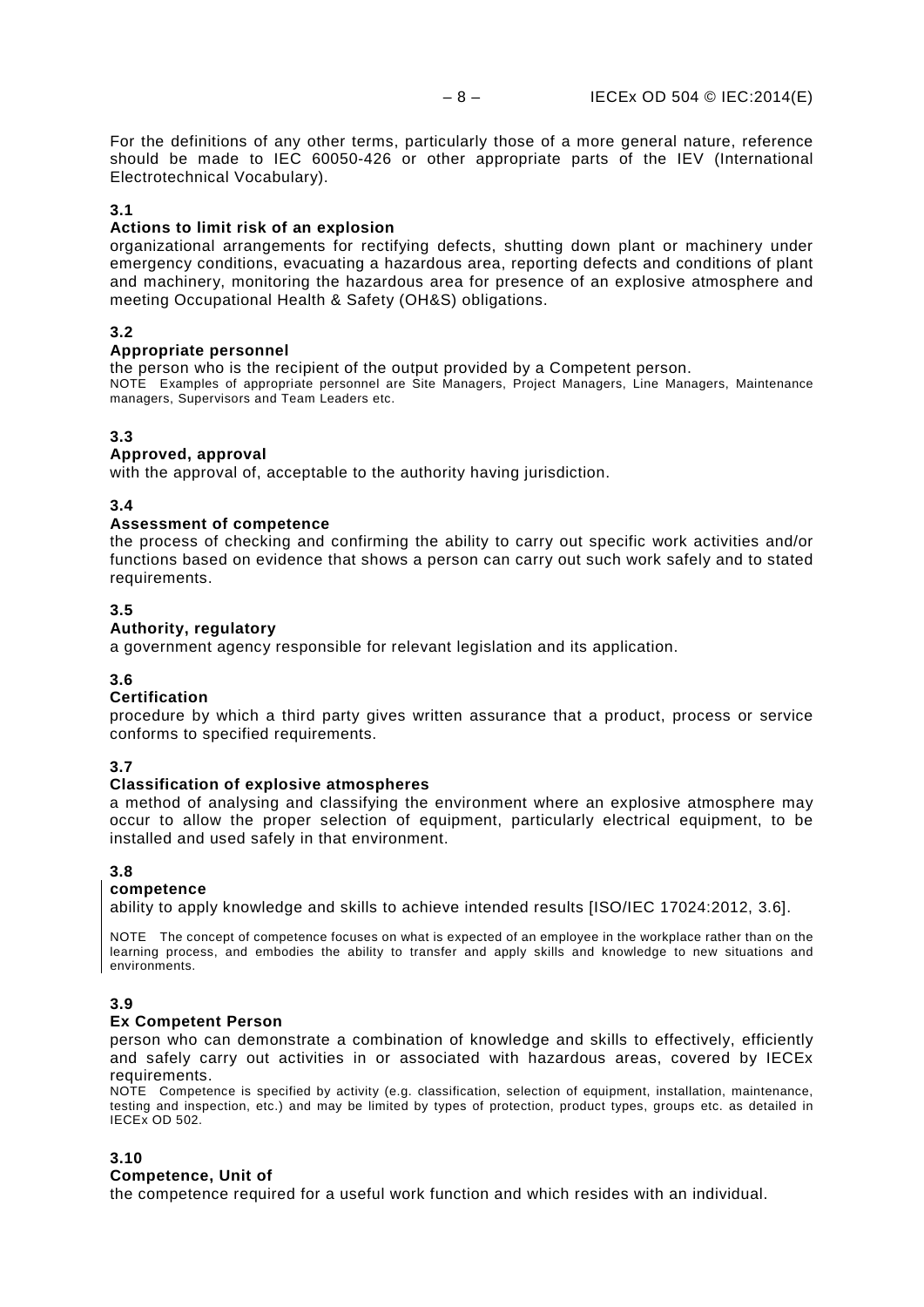For the definitions of any other terms, particularly those of a more general nature, reference should be made to IEC 60050-426 or other appropriate parts of the IEV (International Electrotechnical Vocabulary).

### **3.1**

### **Actions to limit risk of an explosion**

organizational arrangements for rectifying defects, shutting down plant or machinery under emergency conditions, evacuating a hazardous area, reporting defects and conditions of plant and machinery, monitoring the hazardous area for presence of an explosive atmosphere and meeting Occupational Health & Safety (OH&S) obligations.

### **3.2**

### **Appropriate personnel**

the person who is the recipient of the output provided by a Competent person.

NOTE Examples of appropriate personnel are Site Managers, Project Managers, Line Managers, Maintenance managers, Supervisors and Team Leaders etc.

### **3.3**

### **Approved, approval**

with the approval of, acceptable to the authority having jurisdiction.

### **3.4**

### **Assessment of competence**

the process of checking and confirming the ability to carry out specific work activities and/or functions based on evidence that shows a person can carry out such work safely and to stated requirements.

### **3.5**

### **Authority, regulatory**

a government agency responsible for relevant legislation and its application.

### **3.6**

### **Certification**

procedure by which a third party gives written assurance that a product, process or service conforms to specified requirements.

### **3.7**

### **Classification of explosive atmospheres**

a method of analysing and classifying the environment where an explosive atmosphere may occur to allow the proper selection of equipment, particularly electrical equipment, to be installed and used safely in that environment.

### **3.8**

### **competence**

ability to apply knowledge and skills to achieve intended results [ISO/IEC 17024:2012, 3.6].

NOTE The concept of competence focuses on what is expected of an employee in the workplace rather than on the learning process, and embodies the ability to transfer and apply skills and knowledge to new situations and environments.

### **3.9**

### **Ex Competent Person**

person who can demonstrate a combination of knowledge and skills to effectively, efficiently and safely carry out activities in or associated with hazardous areas, covered by IECEx requirements.

NOTE Competence is specified by activity (e.g. classification, selection of equipment, installation, maintenance, testing and inspection, etc.) and may be limited by types of protection, product types, groups etc. as detailed in IECEx OD 502.

### **3.10**

### **Competence, Unit of**

the competence required for a useful work function and which resides with an individual.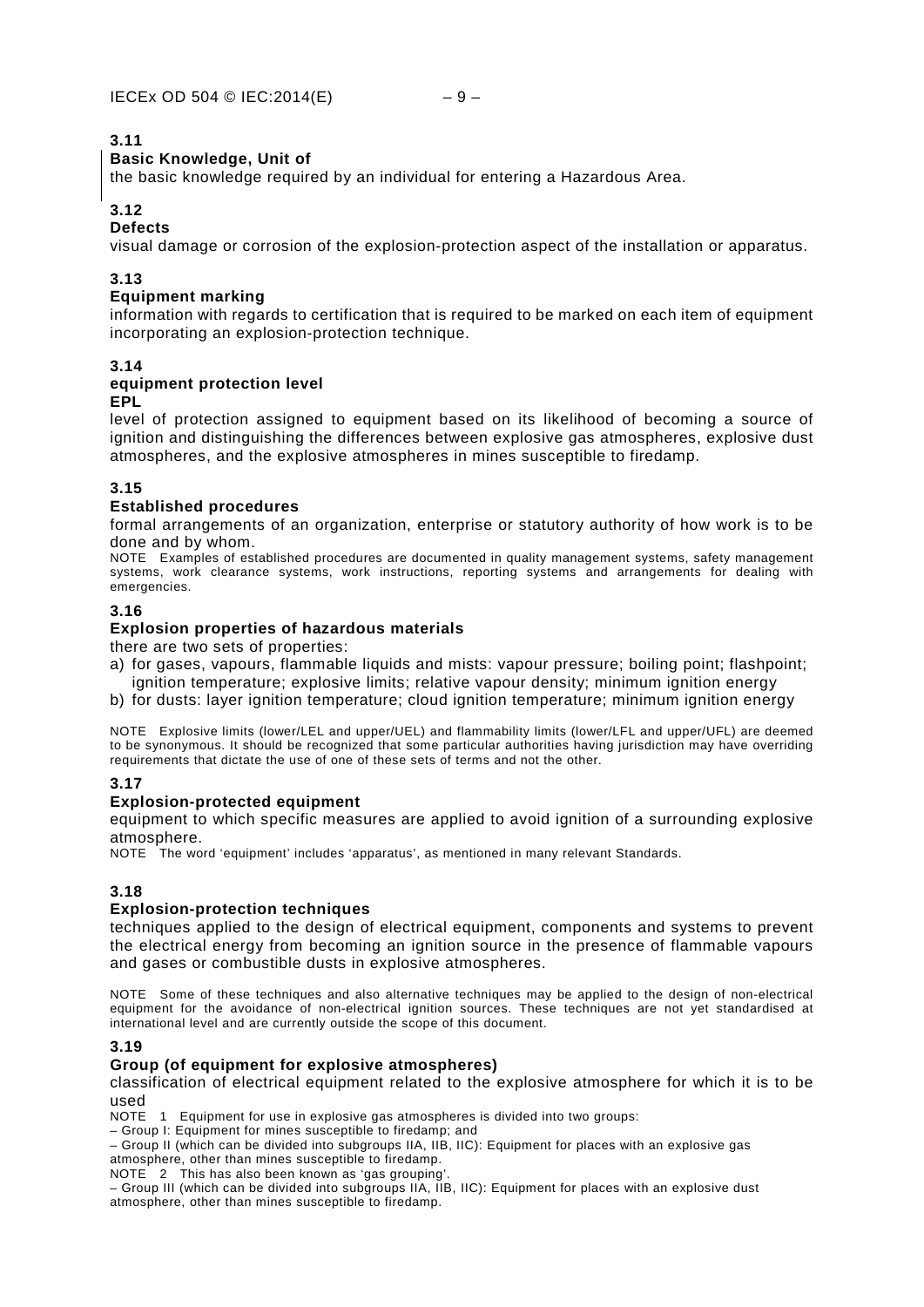### **Basic Knowledge, Unit of**

the basic knowledge required by an individual for entering a Hazardous Area.

### **3.12**

### **Defects**

visual damage or corrosion of the explosion-protection aspect of the installation or apparatus.

### **3.13**

### **Equipment marking**

information with regards to certification that is required to be marked on each item of equipment incorporating an explosion-protection technique.

### **3.14**

### **equipment protection level**

### **EPL**

level of protection assigned to equipment based on its likelihood of becoming a source of ignition and distinguishing the differences between explosive gas atmospheres, explosive dust atmospheres, and the explosive atmospheres in mines susceptible to firedamp.

### **3.15**

### **Established procedures**

formal arrangements of an organization, enterprise or statutory authority of how work is to be done and by whom.

NOTE Examples of established procedures are documented in quality management systems, safety management systems, work clearance systems, work instructions, reporting systems and arrangements for dealing with emergencies.

### **3.16**

### **Explosion properties of hazardous materials**

there are two sets of properties:

- a) for gases, vapours, flammable liquids and mists: vapour pressure; boiling point; flashpoint; ignition temperature; explosive limits; relative vapour density; minimum ignition energy
- b) for dusts: layer ignition temperature; cloud ignition temperature; minimum ignition energy

NOTE Explosive limits (lower/LEL and upper/UEL) and flammability limits (lower/LFL and upper/UFL) are deemed to be synonymous. It should be recognized that some particular authorities having jurisdiction may have overriding requirements that dictate the use of one of these sets of terms and not the other.

### **3.17**

### **Explosion-protected equipment**

equipment to which specific measures are applied to avoid ignition of a surrounding explosive atmosphere.

NOTE The word 'equipment' includes 'apparatus', as mentioned in many relevant Standards.

### **3.18**

### **Explosion-protection techniques**

techniques applied to the design of electrical equipment, components and systems to prevent the electrical energy from becoming an ignition source in the presence of flammable vapours and gases or combustible dusts in explosive atmospheres.

NOTE Some of these techniques and also alternative techniques may be applied to the design of non-electrical equipment for the avoidance of non-electrical ignition sources. These techniques are not yet standardised at international level and are currently outside the scope of this document.

### **3.19**

### **Group (of equipment for explosive atmospheres)**

classification of electrical equipment related to the explosive atmosphere for which it is to be used

NOTE 1 Equipment for use in explosive gas atmospheres is divided into two groups:

– Group I: Equipment for mines susceptible to firedamp; and

– Group II (which can be divided into subgroups IIA, IIB, IIC): Equipment for places with an explosive gas atmosphere, other than mines susceptible to firedamp.

NOTE 2 This has also been known as 'gas grouping'

– Group III (which can be divided into subgroups IIA, IIB, IIC): Equipment for places with an explosive dust atmosphere, other than mines susceptible to firedamp.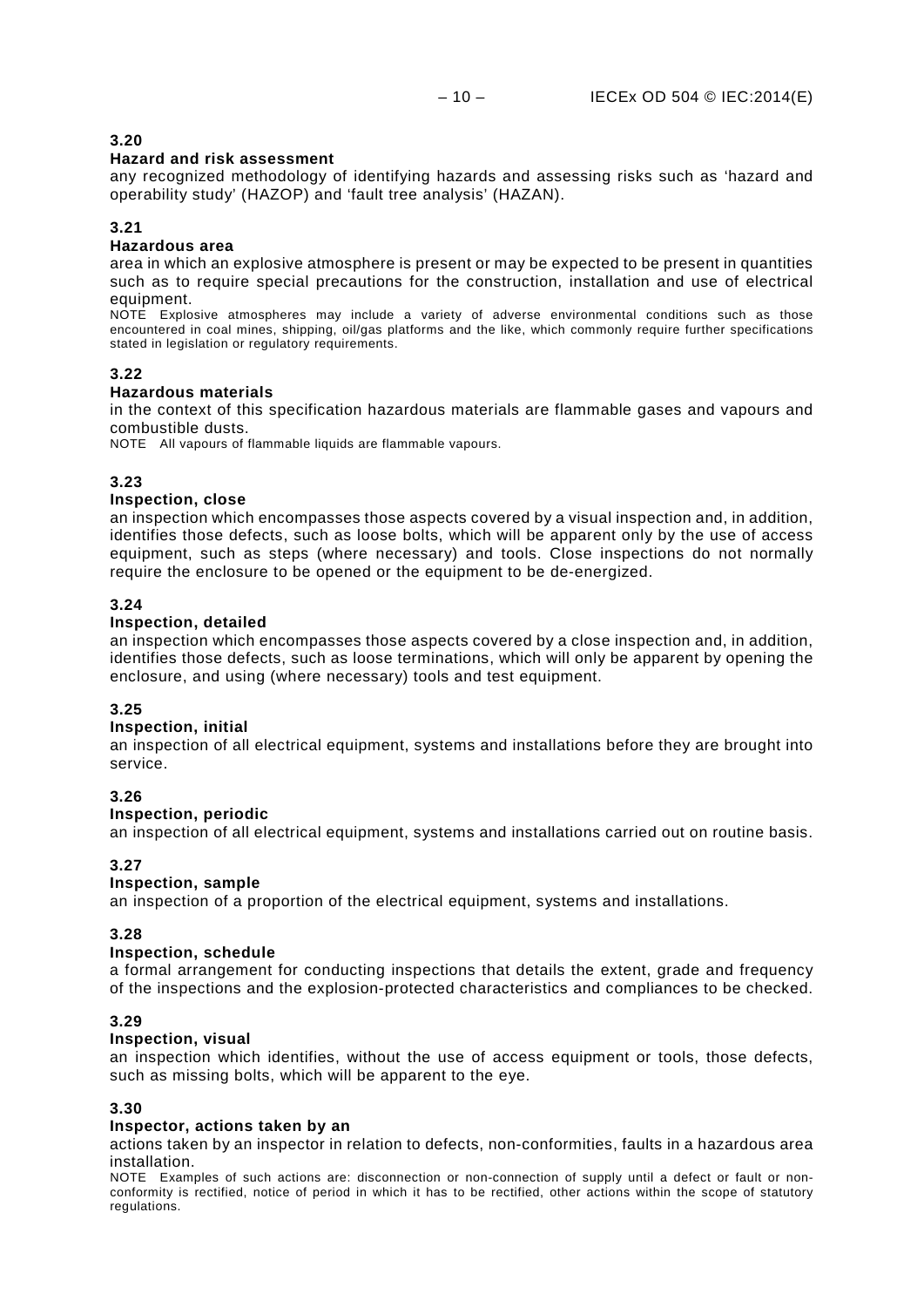### **Hazard and risk assessment**

any recognized methodology of identifying hazards and assessing risks such as 'hazard and operability study' (HAZOP) and 'fault tree analysis' (HAZAN).

### **3.21**

### **Hazardous area**

area in which an explosive atmosphere is present or may be expected to be present in quantities such as to require special precautions for the construction, installation and use of electrical equipment.

NOTE Explosive atmospheres may include a variety of adverse environmental conditions such as those encountered in coal mines, shipping, oil/gas platforms and the like, which commonly require further specifications stated in legislation or regulatory requirements.

### **3.22**

### **Hazardous materials**

in the context of this specification hazardous materials are flammable gases and vapours and combustible dusts.

NOTE All vapours of flammable liquids are flammable vapours.

### **3.23**

### **Inspection, close**

an inspection which encompasses those aspects covered by a visual inspection and, in addition, identifies those defects, such as loose bolts, which will be apparent only by the use of access equipment, such as steps (where necessary) and tools. Close inspections do not normally require the enclosure to be opened or the equipment to be de-energized.

### **3.24**

### **Inspection, detailed**

an inspection which encompasses those aspects covered by a close inspection and, in addition, identifies those defects, such as loose terminations, which will only be apparent by opening the enclosure, and using (where necessary) tools and test equipment.

### **3.25**

### **Inspection, initial**

an inspection of all electrical equipment, systems and installations before they are brought into service.

### **3.26**

### **Inspection, periodic**

an inspection of all electrical equipment, systems and installations carried out on routine basis.

### **3.27**

### **Inspection, sample**

an inspection of a proportion of the electrical equipment, systems and installations.

### **3.28**

### **Inspection, schedule**

a formal arrangement for conducting inspections that details the extent, grade and frequency of the inspections and the explosion-protected characteristics and compliances to be checked.

### **3.29**

### **Inspection, visual**

an inspection which identifies, without the use of access equipment or tools, those defects, such as missing bolts, which will be apparent to the eye.

### **3.30**

### **Inspector, actions taken by an**

actions taken by an inspector in relation to defects, non-conformities, faults in a hazardous area installation.

NOTE Examples of such actions are: disconnection or non-connection of supply until a defect or fault or nonconformity is rectified, notice of period in which it has to be rectified, other actions within the scope of statutory regulations.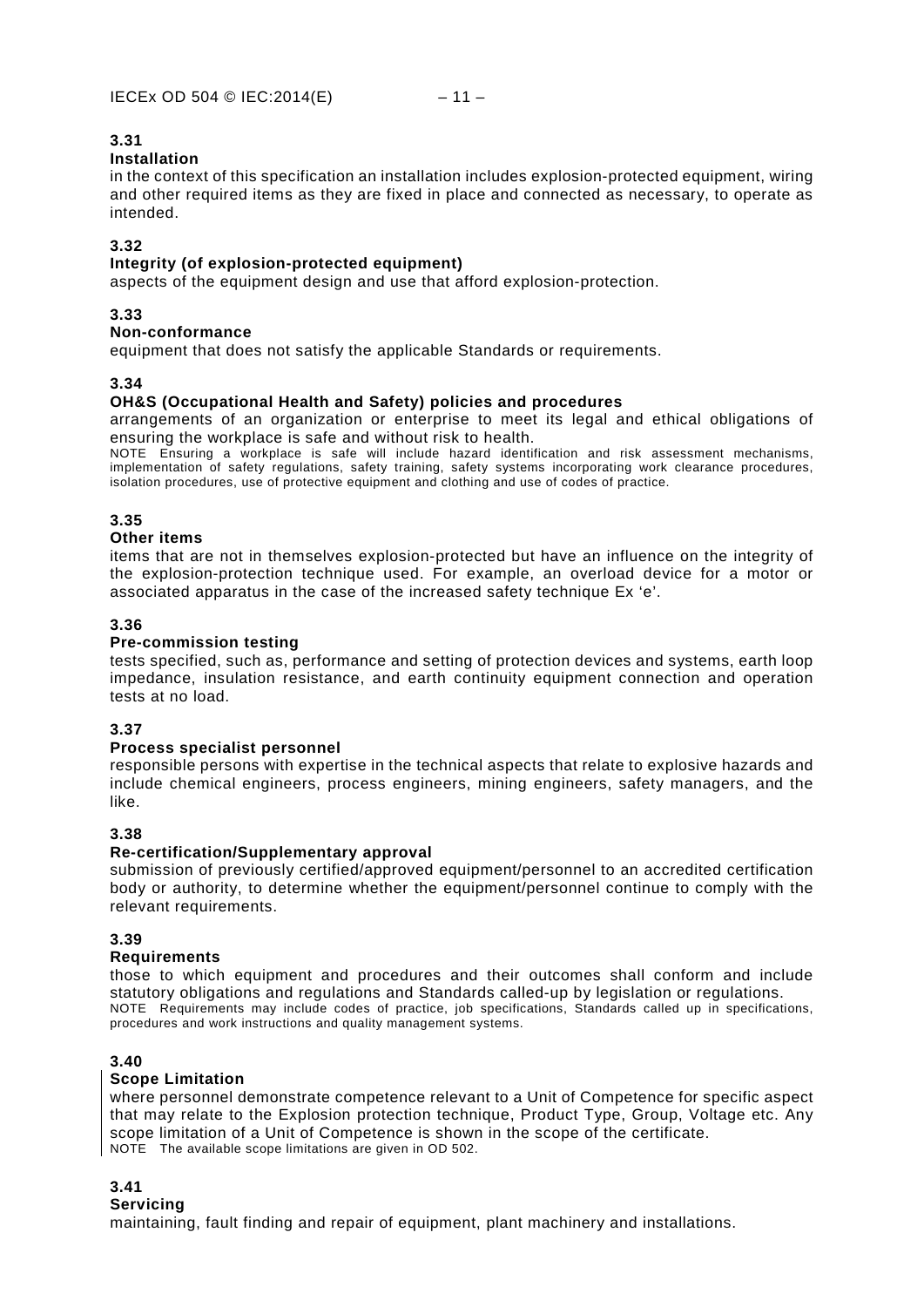### **Installation**

in the context of this specification an installation includes explosion-protected equipment, wiring and other required items as they are fixed in place and connected as necessary, to operate as intended.

### **3.32**

### **Integrity (of explosion-protected equipment)**

aspects of the equipment design and use that afford explosion-protection.

### **3.33**

### **Non-conformance**

equipment that does not satisfy the applicable Standards or requirements.

### **3.34**

### **OH&S (Occupational Health and Safety) policies and procedures**

arrangements of an organization or enterprise to meet its legal and ethical obligations of ensuring the workplace is safe and without risk to health.

NOTE Ensuring a workplace is safe will include hazard identification and risk assessment mechanisms, implementation of safety regulations, safety training, safety systems incorporating work clearance procedures, isolation procedures, use of protective equipment and clothing and use of codes of practice.

### **3.35**

### **Other items**

items that are not in themselves explosion-protected but have an influence on the integrity of the explosion-protection technique used. For example, an overload device for a motor or associated apparatus in the case of the increased safety technique Ex 'e'.

### **3.36**

### **Pre-commission testing**

tests specified, such as, performance and setting of protection devices and systems, earth loop impedance, insulation resistance, and earth continuity equipment connection and operation tests at no load.

### **3.37**

### **Process specialist personnel**

responsible persons with expertise in the technical aspects that relate to explosive hazards and include chemical engineers, process engineers, mining engineers, safety managers, and the like.

### **3.38**

### **Re-certification/Supplementary approval**

submission of previously certified/approved equipment/personnel to an accredited certification body or authority, to determine whether the equipment/personnel continue to comply with the relevant requirements.

### **3.39**

### **Requirements**

those to which equipment and procedures and their outcomes shall conform and include statutory obligations and regulations and Standards called-up by legislation or regulations. NOTE Requirements may include codes of practice, job specifications, Standards called up in specifications, procedures and work instructions and quality management systems.

### **3.40**

### **Scope Limitation**

where personnel demonstrate competence relevant to a Unit of Competence for specific aspect that may relate to the Explosion protection technique, Product Type, Group, Voltage etc. Any scope limitation of a Unit of Competence is shown in the scope of the certificate. NOTE The available scope limitations are given in OD 502.

### **3.41**

### **Servicing**

maintaining, fault finding and repair of equipment, plant machinery and installations.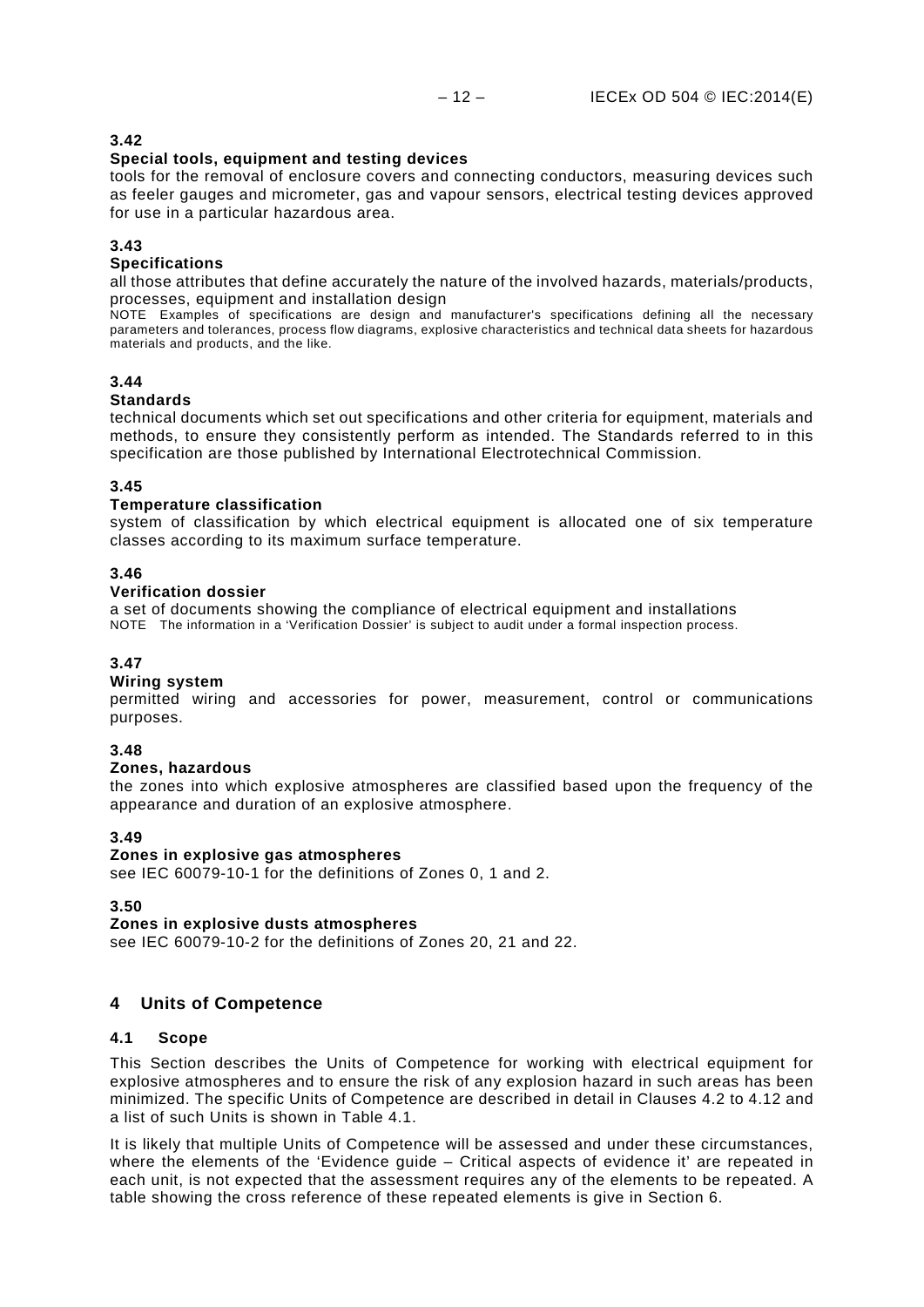### **Special tools, equipment and testing devices**

tools for the removal of enclosure covers and connecting conductors, measuring devices such as feeler gauges and micrometer, gas and vapour sensors, electrical testing devices approved for use in a particular hazardous area.

### **3.43**

### **Specifications**

all those attributes that define accurately the nature of the involved hazards, materials/products, processes, equipment and installation design

NOTE Examples of specifications are design and manufacturer's specifications defining all the necessary parameters and tolerances, process flow diagrams, explosive characteristics and technical data sheets for hazardous materials and products, and the like.

### **3.44**

### **Standards**

technical documents which set out specifications and other criteria for equipment, materials and methods, to ensure they consistently perform as intended. The Standards referred to in this specification are those published by International Electrotechnical Commission.

### **3.45**

### **Temperature classification**

system of classification by which electrical equipment is allocated one of six temperature classes according to its maximum surface temperature.

### **3.46**

### **Verification dossier**

a set of documents showing the compliance of electrical equipment and installations NOTE The information in a 'Verification Dossier' is subject to audit under a formal inspection process.

### **3.47**

### **Wiring system**

permitted wiring and accessories for power, measurement, control or communications purposes.

### **3.48**

### **Zones, hazardous**

the zones into which explosive atmospheres are classified based upon the frequency of the appearance and duration of an explosive atmosphere.

### **3.49**

### **Zones in explosive gas atmospheres**

see IEC 60079-10-1 for the definitions of Zones 0, 1 and 2.

### **3.50**

**Zones in explosive dusts atmospheres** see IEC 60079-10-2 for the definitions of Zones 20, 21 and 22.

### <span id="page-15-0"></span>**4 Units of Competence**

### <span id="page-15-1"></span>**4.1 Scope**

This Section describes the Units of Competence for working with electrical equipment for explosive atmospheres and to ensure the risk of any explosion hazard in such areas has been minimized. The specific Units of Competence are described in detail in Clauses [4.2](#page-17-0) to 4.12 and a list of such Units is shown in Table 4.1.

It is likely that multiple Units of Competence will be assessed and under these circumstances, where the elements of the 'Evidence guide – Critical aspects of evidence it' are repeated in each unit, is not expected that the assessment requires any of the elements to be repeated. A table showing the cross reference of these repeated elements is give in Section 6.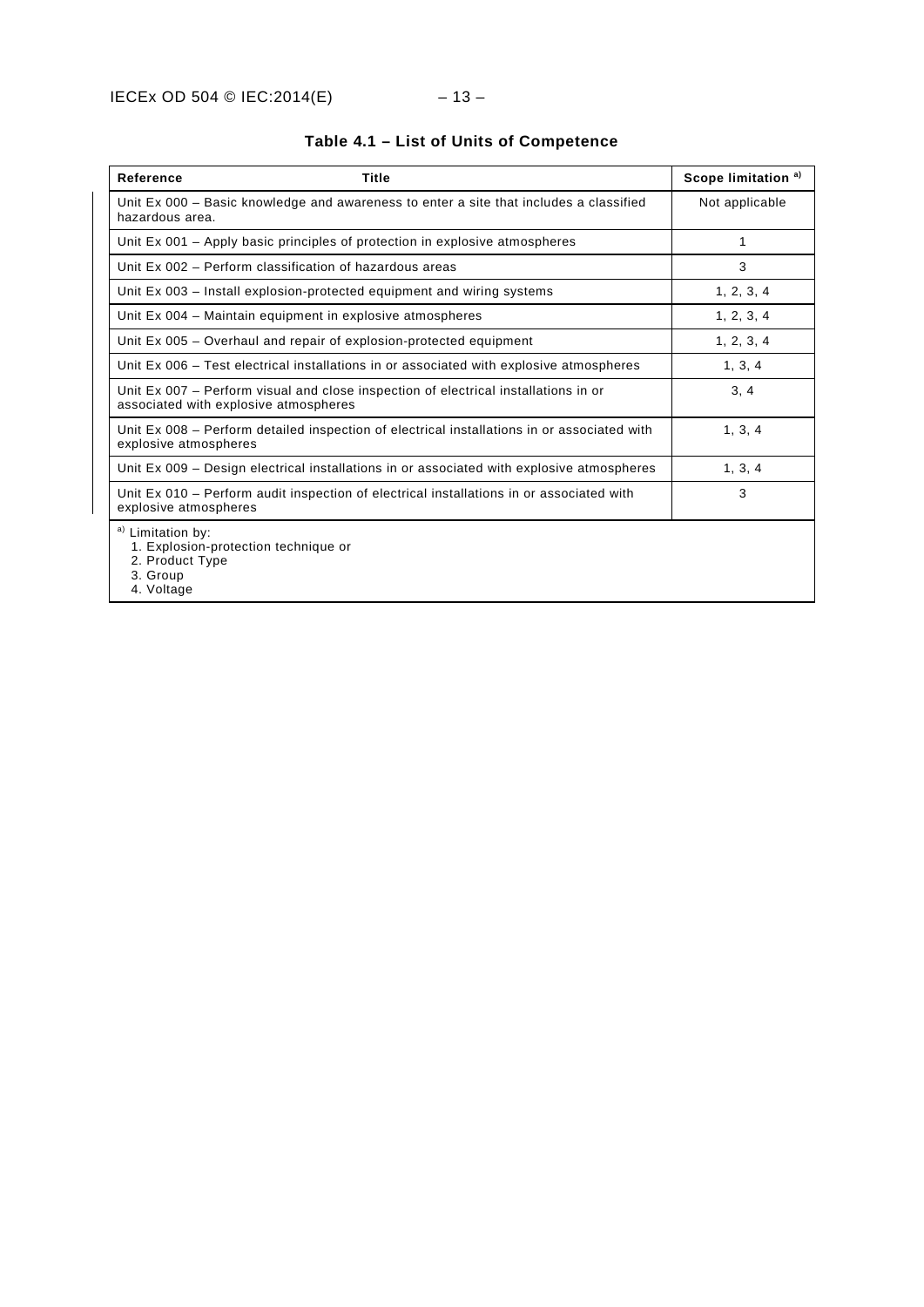| <b>Reference</b><br>Title                                                                                                    | Scope limitation <sup>a)</sup> |
|------------------------------------------------------------------------------------------------------------------------------|--------------------------------|
| Unit Ex 000 – Basic knowledge and awareness to enter a site that includes a classified<br>hazardous area.                    | Not applicable                 |
| Unit Ex 001 – Apply basic principles of protection in explosive atmospheres                                                  | 1                              |
| Unit Ex 002 - Perform classification of hazardous areas                                                                      | 3                              |
| Unit Ex 003 – Install explosion-protected equipment and wiring systems                                                       | 1, 2, 3, 4                     |
| Unit Ex 004 - Maintain equipment in explosive atmospheres                                                                    | 1, 2, 3, 4                     |
| Unit Ex 005 – Overhaul and repair of explosion-protected equipment                                                           | 1, 2, 3, 4                     |
| Unit Ex 006 – Test electrical installations in or associated with explosive atmospheres                                      | 1, 3, 4                        |
| Unit Ex 007 - Perform visual and close inspection of electrical installations in or<br>associated with explosive atmospheres | 3, 4                           |
| Unit Ex 008 – Perform detailed inspection of electrical installations in or associated with<br>explosive atmospheres         | 1, 3, 4                        |
| Unit Ex 009 - Design electrical installations in or associated with explosive atmospheres                                    | 1, 3, 4                        |
| Unit Ex 010 – Perform audit inspection of electrical installations in or associated with<br>explosive atmospheres            | 3                              |
| a) Limitation by:<br>1. Explosion-protection technique or<br>2. Product Type<br>3. Group<br>4. Voltage                       |                                |

### **Table 4.1 – List of Units of Competence**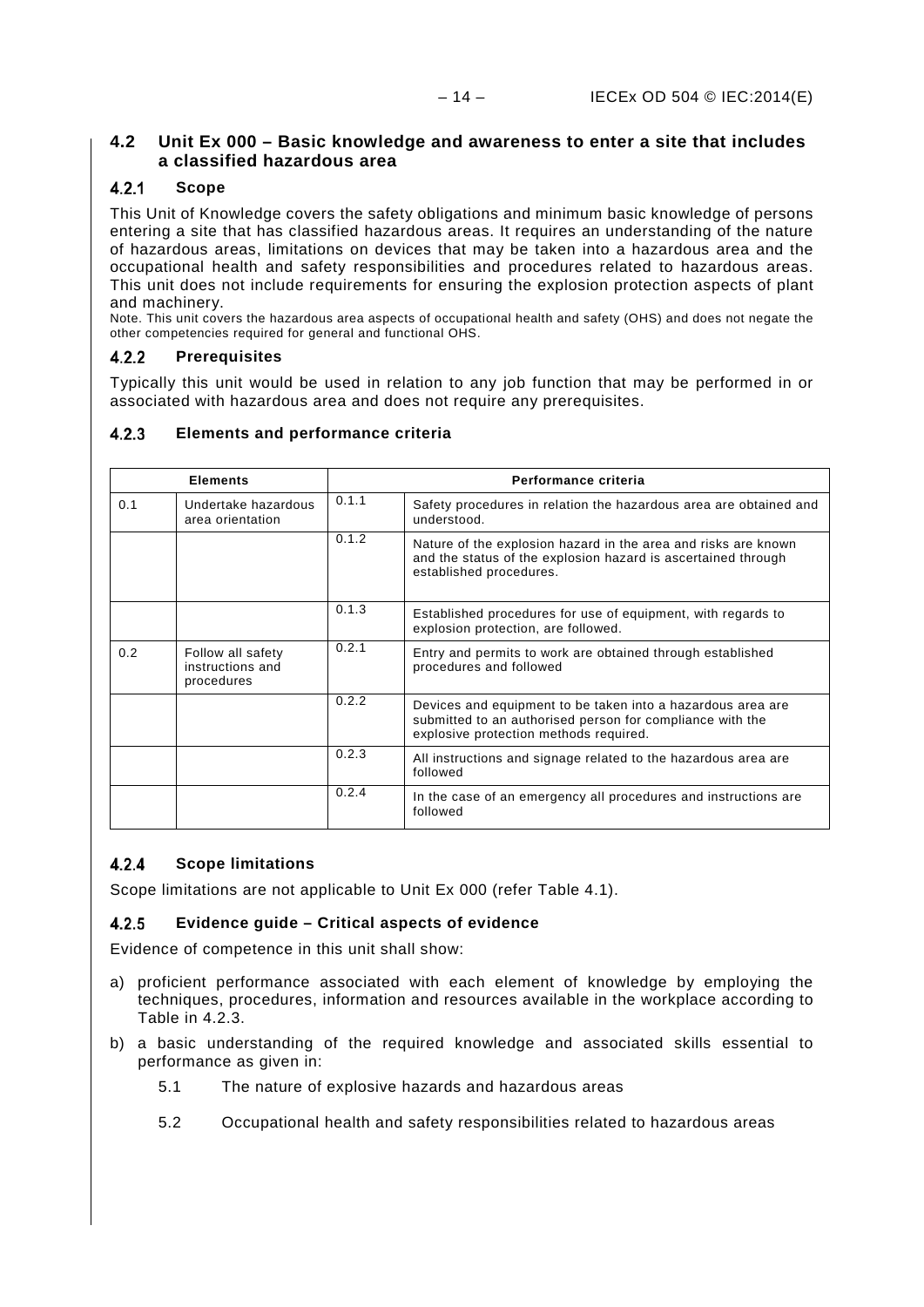### <span id="page-17-0"></span>**4.2 Unit Ex 000 – Basic knowledge and awareness to enter a site that includes a classified hazardous area**

#### <span id="page-17-1"></span> $4.2.1$ **Scope**

This Unit of Knowledge covers the safety obligations and minimum basic knowledge of persons entering a site that has classified hazardous areas. It requires an understanding of the nature of hazardous areas, limitations on devices that may be taken into a hazardous area and the occupational health and safety responsibilities and procedures related to hazardous areas. This unit does not include requirements for ensuring the explosion protection aspects of plant and machinery.

Note. This unit covers the hazardous area aspects of occupational health and safety (OHS) and does not negate the other competencies required for general and functional OHS.

#### <span id="page-17-2"></span> $4.2.2$ **Prerequisites**

Typically this unit would be used in relation to any job function that may be performed in or associated with hazardous area and does not require any prerequisites.

#### <span id="page-17-3"></span> $4.2.3$ **Elements and performance criteria**

| <b>Elements</b>                                |                                                     | Performance criteria |                                                                                                                                                                    |  |
|------------------------------------------------|-----------------------------------------------------|----------------------|--------------------------------------------------------------------------------------------------------------------------------------------------------------------|--|
| 0.1<br>Undertake hazardous<br>area orientation |                                                     | 0.1.1                | Safety procedures in relation the hazardous area are obtained and<br>understood.                                                                                   |  |
|                                                |                                                     | 0.1.2                | Nature of the explosion hazard in the area and risks are known<br>and the status of the explosion hazard is ascertained through<br>established procedures.         |  |
|                                                |                                                     | 0.1.3                | Established procedures for use of equipment, with regards to<br>explosion protection, are followed.                                                                |  |
| 0.2                                            | Follow all safety<br>instructions and<br>procedures | 0.2.1                | Entry and permits to work are obtained through established<br>procedures and followed                                                                              |  |
|                                                |                                                     | 0.2.2                | Devices and equipment to be taken into a hazardous area are<br>submitted to an authorised person for compliance with the<br>explosive protection methods required. |  |
|                                                |                                                     | 0.2.3                | All instructions and signage related to the hazardous area are<br>followed                                                                                         |  |
|                                                |                                                     | 0.2.4                | In the case of an emergency all procedures and instructions are<br>followed                                                                                        |  |

#### <span id="page-17-4"></span> $4.2.4$ **Scope limitations**

Scope limitations are not applicable to Unit Ex 000 (refer Table 4.1).

#### <span id="page-17-5"></span> $4.2.5$ **Evidence guide – Critical aspects of evidence**

Evidence of competence in this unit shall show:

- a) proficient performance associated with each element of knowledge by employing the techniques, procedures, information and resources available in the workplace according to Table in [4.2.3.](#page-17-3)
- b) a basic understanding of the required knowledge and associated skills essential to performance as given in:
	- 5.1 The nature of explosive hazards and hazardous areas
	- 5.2 Occupational health and safety responsibilities related to hazardous areas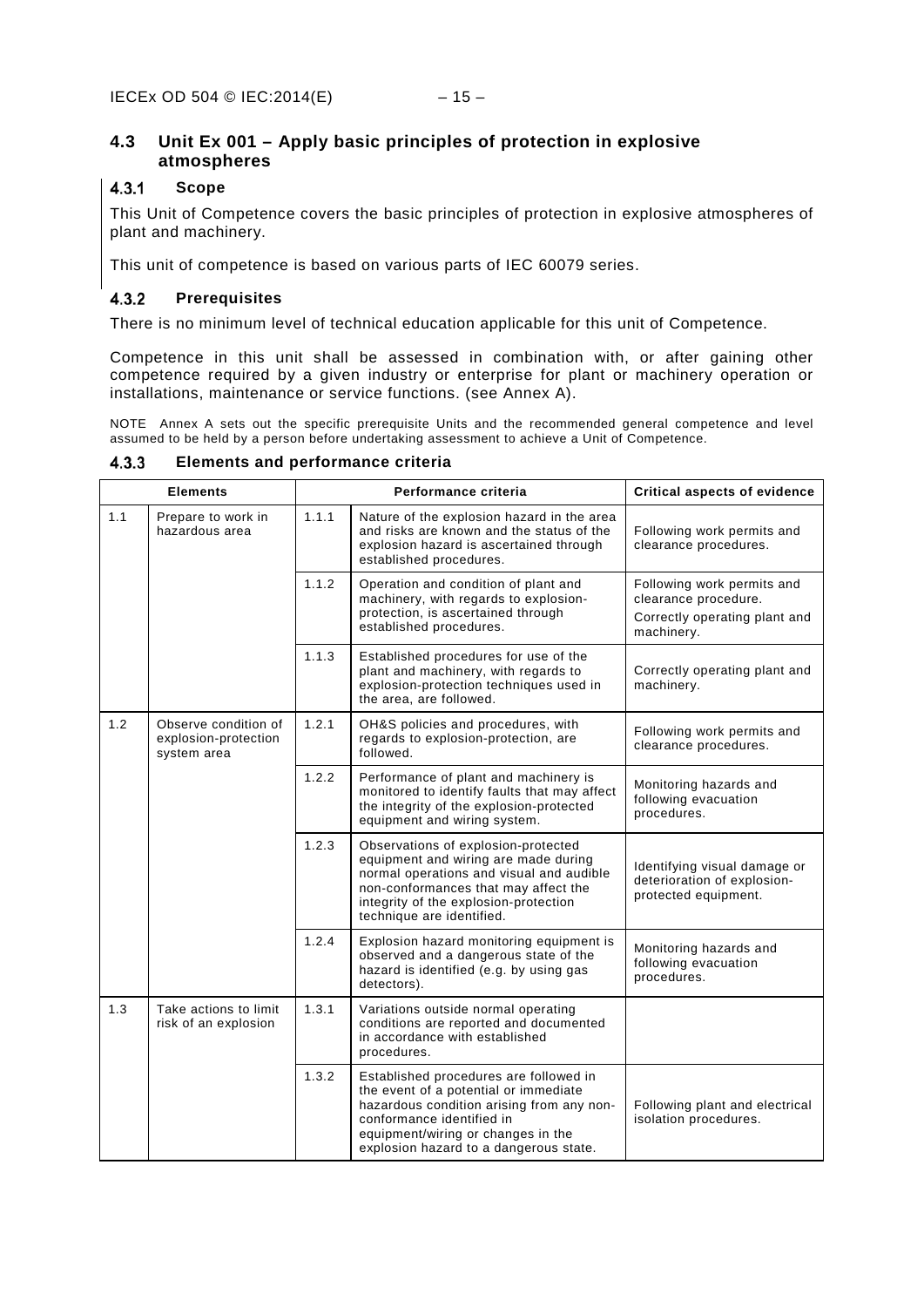### <span id="page-18-0"></span>**4.3 Unit Ex 001 – Apply basic principles of protection in explosive atmospheres**

#### <span id="page-18-1"></span> $4.3.1$ **Scope**

This Unit of Competence covers the basic principles of protection in explosive atmospheres of plant and machinery.

This unit of competence is based on various parts of IEC 60079 series.

#### <span id="page-18-2"></span> $4.3.2$ **Prerequisites**

There is no minimum level of technical education applicable for this unit of Competence.

Competence in this unit shall be assessed in combination with, or after gaining other competence required by a given industry or enterprise for plant or machinery operation or installations, maintenance or service functions. (see [Annex](#page-61-1) A).

NOTE [Annex](#page-61-1) A sets out the specific prerequisite Units and the recommended general competence and level assumed to be held by a person before undertaking assessment to achieve a Unit of Competence.

|     | <b>Elements</b>                                             |       | Performance criteria                                                                                                                                                                                                                      | <b>Critical aspects of evidence</b>                                                               |
|-----|-------------------------------------------------------------|-------|-------------------------------------------------------------------------------------------------------------------------------------------------------------------------------------------------------------------------------------------|---------------------------------------------------------------------------------------------------|
| 1.1 | Prepare to work in<br>hazardous area                        | 1.1.1 | Nature of the explosion hazard in the area<br>and risks are known and the status of the<br>explosion hazard is ascertained through<br>established procedures.                                                                             | Following work permits and<br>clearance procedures.                                               |
|     |                                                             | 1.1.2 | Operation and condition of plant and<br>machinery, with regards to explosion-<br>protection, is ascertained through<br>established procedures.                                                                                            | Following work permits and<br>clearance procedure.<br>Correctly operating plant and<br>machinery. |
|     |                                                             | 1.1.3 | Established procedures for use of the<br>plant and machinery, with regards to<br>explosion-protection techniques used in<br>the area, are followed.                                                                                       | Correctly operating plant and<br>machinery.                                                       |
| 1.2 | Observe condition of<br>explosion-protection<br>system area | 1.2.1 | OH&S policies and procedures, with<br>regards to explosion-protection, are<br>followed.                                                                                                                                                   | Following work permits and<br>clearance procedures.                                               |
|     |                                                             | 1.2.2 | Performance of plant and machinery is<br>monitored to identify faults that may affect<br>the integrity of the explosion-protected<br>equipment and wiring system.                                                                         | Monitoring hazards and<br>following evacuation<br>procedures.                                     |
|     |                                                             | 1.2.3 | Observations of explosion-protected<br>equipment and wiring are made during<br>normal operations and visual and audible<br>non-conformances that may affect the<br>integrity of the explosion-protection<br>technique are identified.     | Identifying visual damage or<br>deterioration of explosion-<br>protected equipment.               |
|     |                                                             | 1.2.4 | Explosion hazard monitoring equipment is<br>observed and a dangerous state of the<br>hazard is identified (e.g. by using gas<br>detectors).                                                                                               | Monitoring hazards and<br>following evacuation<br>procedures.                                     |
| 1.3 | Take actions to limit<br>risk of an explosion               | 1.3.1 | Variations outside normal operating<br>conditions are reported and documented<br>in accordance with established<br>procedures.                                                                                                            |                                                                                                   |
|     |                                                             | 1.3.2 | Established procedures are followed in<br>the event of a potential or immediate<br>hazardous condition arising from any non-<br>conformance identified in<br>equipment/wiring or changes in the<br>explosion hazard to a dangerous state. | Following plant and electrical<br>isolation procedures.                                           |

<span id="page-18-3"></span> $4.3.3$ **Elements and performance criteria**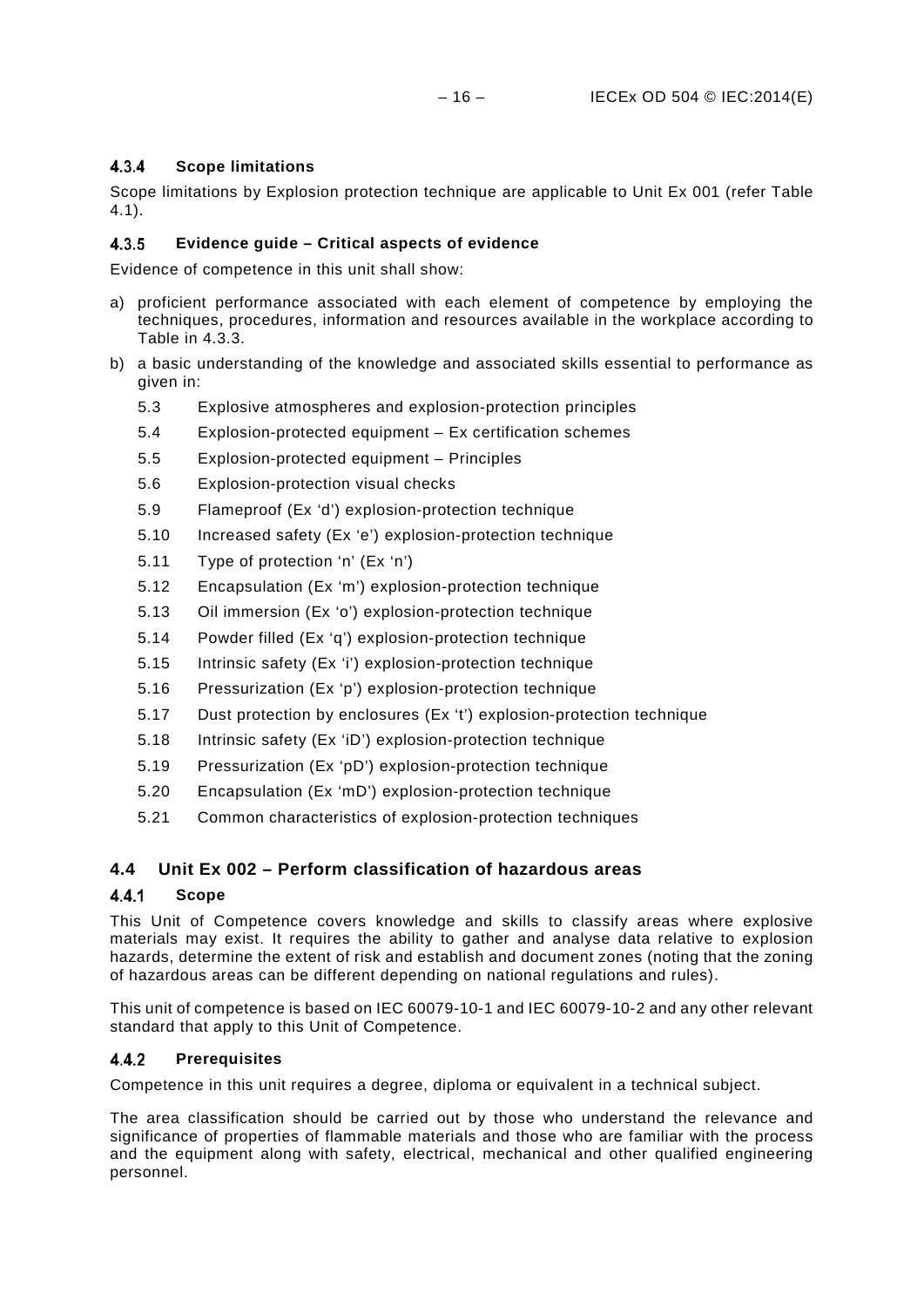#### <span id="page-19-0"></span> $4.3.4$ **Scope limitations**

Scope limitations by Explosion protection technique are applicable to Unit Ex 001 (refer Table 4.1).

#### <span id="page-19-1"></span> $4.3.5$ **Evidence guide – Critical aspects of evidence**

Evidence of competence in this unit shall show:

- a) proficient performance associated with each element of competence by employing the techniques, procedures, information and resources available in the workplace according to Table in [4.3.3.](#page-18-3)
- b) a basic understanding of the knowledge and associated skills essential to performance as given in:
	- [5.3](#page-42-3) [Explosive atmospheres and explosion-protection principles](#page-42-3)
	- [5.4](#page-44-0) [Explosion-protected equipment –](#page-44-0) Ex certification schemes
	- [5.5](#page-44-1) [Explosion-protected equipment –](#page-44-1) Principles
	- [5.6](#page-44-2) [Explosion-protection visual checks](#page-44-2)
	- [5.9](#page-45-1) [Flameproof \(Ex 'd'\) explosion-protection technique](#page-45-1)
	- [5.10](#page-45-2) [Increased safety \(Ex 'e'\) explosion-protection technique](#page-45-2)
	- [5.11](#page-46-0) [Type of protection 'n' \(Ex 'n'\)](#page-46-0)
	- [5.12](#page-46-1) [Encapsulation \(Ex 'm'\) explosion-protection technique](#page-46-1)
	- [5.13](#page-46-2) [Oil immersion \(Ex 'o'\) explosion-protection technique](#page-46-2)
	- [5.14](#page-46-3) [Powder filled \(Ex 'q'\) explosion-protection technique](#page-46-3)
	- [5.15](#page-47-0) [Intrinsic safety \(Ex 'i'\) explosion-protection technique](#page-47-0)
	- [5.16](#page-47-1) [Pressurization \(Ex 'p'\) explosion-protection technique](#page-47-1)
	- [5.17](#page-47-2) [Dust protection by enclosures \(Ex 't'\) explosion-protection technique](#page-47-2)
	- [5.18](#page-47-3) [Intrinsic safety \(Ex 'iD'\) explosion-protection technique](#page-47-3)
	- [5.19](#page-48-0) [Pressurization \(Ex 'pD'\) explosion-protection technique](#page-48-0)
	- [5.20](#page-48-1) [Encapsulation \(Ex 'mD'\) explosion-protection technique](#page-48-1)
	- [5.21](#page-48-2) [Common characteristics of explosion-protection techniques](#page-48-2)

### <span id="page-19-2"></span>**4.4 Unit Ex 002 – Perform classification of hazardous areas**

#### <span id="page-19-3"></span> $4.4.1$ **Scope**

This Unit of Competence covers knowledge and skills to classify areas where explosive materials may exist. It requires the ability to gather and analyse data relative to explosion hazards, determine the extent of risk and establish and document zones (noting that the zoning of hazardous areas can be different depending on national regulations and rules).

This unit of competence is based on IEC 60079-10-1 and IEC 60079-10-2 and any other relevant standard that apply to this Unit of Competence.

#### <span id="page-19-4"></span> $4.4.2$ **Prerequisites**

Competence in this unit requires a degree, diploma or equivalent in a technical subject.

The area classification should be carried out by those who understand the relevance and significance of properties of flammable materials and those who are familiar with the process and the equipment along with safety, electrical, mechanical and other qualified engineering personnel.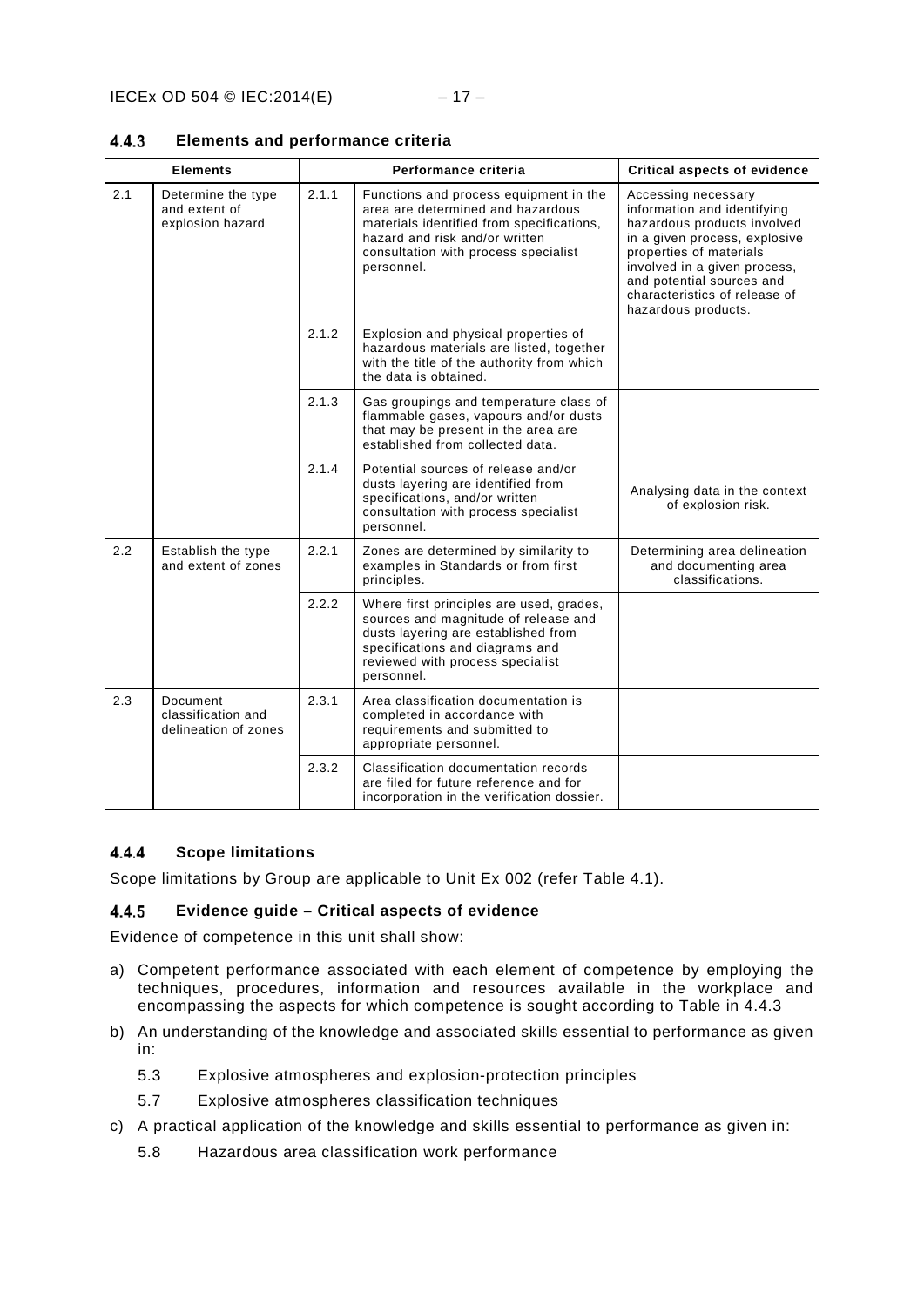|     | <b>Elements</b>                                         |       | Performance criteria                                                                                                                                                                                             | <b>Critical aspects of evidence</b>                                                                                                                                                                                                                                |
|-----|---------------------------------------------------------|-------|------------------------------------------------------------------------------------------------------------------------------------------------------------------------------------------------------------------|--------------------------------------------------------------------------------------------------------------------------------------------------------------------------------------------------------------------------------------------------------------------|
| 2.1 | Determine the type<br>and extent of<br>explosion hazard | 2.1.1 | Functions and process equipment in the<br>area are determined and hazardous<br>materials identified from specifications,<br>hazard and risk and/or written<br>consultation with process specialist<br>personnel. | Accessing necessary<br>information and identifying<br>hazardous products involved<br>in a given process, explosive<br>properties of materials<br>involved in a given process,<br>and potential sources and<br>characteristics of release of<br>hazardous products. |
|     |                                                         | 2.1.2 | Explosion and physical properties of<br>hazardous materials are listed, together<br>with the title of the authority from which<br>the data is obtained.                                                          |                                                                                                                                                                                                                                                                    |
|     |                                                         | 2.1.3 | Gas groupings and temperature class of<br>flammable gases, vapours and/or dusts<br>that may be present in the area are<br>established from collected data.                                                       |                                                                                                                                                                                                                                                                    |
|     |                                                         | 2.1.4 | Potential sources of release and/or<br>dusts layering are identified from<br>specifications, and/or written<br>consultation with process specialist<br>personnel.                                                | Analysing data in the context<br>of explosion risk.                                                                                                                                                                                                                |
| 2.2 | Establish the type<br>and extent of zones               | 2.2.1 | Zones are determined by similarity to<br>examples in Standards or from first<br>principles.                                                                                                                      | Determining area delineation<br>and documenting area<br>classifications.                                                                                                                                                                                           |
|     |                                                         | 2.2.2 | Where first principles are used, grades,<br>sources and magnitude of release and<br>dusts layering are established from<br>specifications and diagrams and<br>reviewed with process specialist<br>personnel.     |                                                                                                                                                                                                                                                                    |
| 2.3 | Document<br>classification and<br>delineation of zones  | 2.3.1 | Area classification documentation is<br>completed in accordance with<br>requirements and submitted to<br>appropriate personnel.                                                                                  |                                                                                                                                                                                                                                                                    |
|     |                                                         | 2.3.2 | Classification documentation records<br>are filed for future reference and for<br>incorporation in the verification dossier.                                                                                     |                                                                                                                                                                                                                                                                    |

#### <span id="page-20-0"></span> $4.4.3$ **Elements and performance criteria**

#### <span id="page-20-1"></span> $4.4.4$ **Scope limitations**

Scope limitations by Group are applicable to Unit Ex 002 (refer Table 4.1).

#### <span id="page-20-2"></span> $4.4.5$ **Evidence guide – Critical aspects of evidence**

Evidence of competence in this unit shall show:

- a) Competent performance associated with each element of competence by employing the techniques, procedures, information and resources available in the workplace and encompassing the aspects for which competence is sought according to Table in 4.4.3
- b) An understanding of the knowledge and associated skills essential to performance as given in:
	- [5.3](#page-42-3) [Explosive atmospheres and explosion-protection principles](#page-42-3)
	- [5.7](#page-44-3) [Explosive atmospheres classification techniques](#page-44-3)
- c) A practical application of the knowledge and skills essential to performance as given in:
	- [5.8](#page-45-0) [Hazardous area classification work performance](#page-45-0)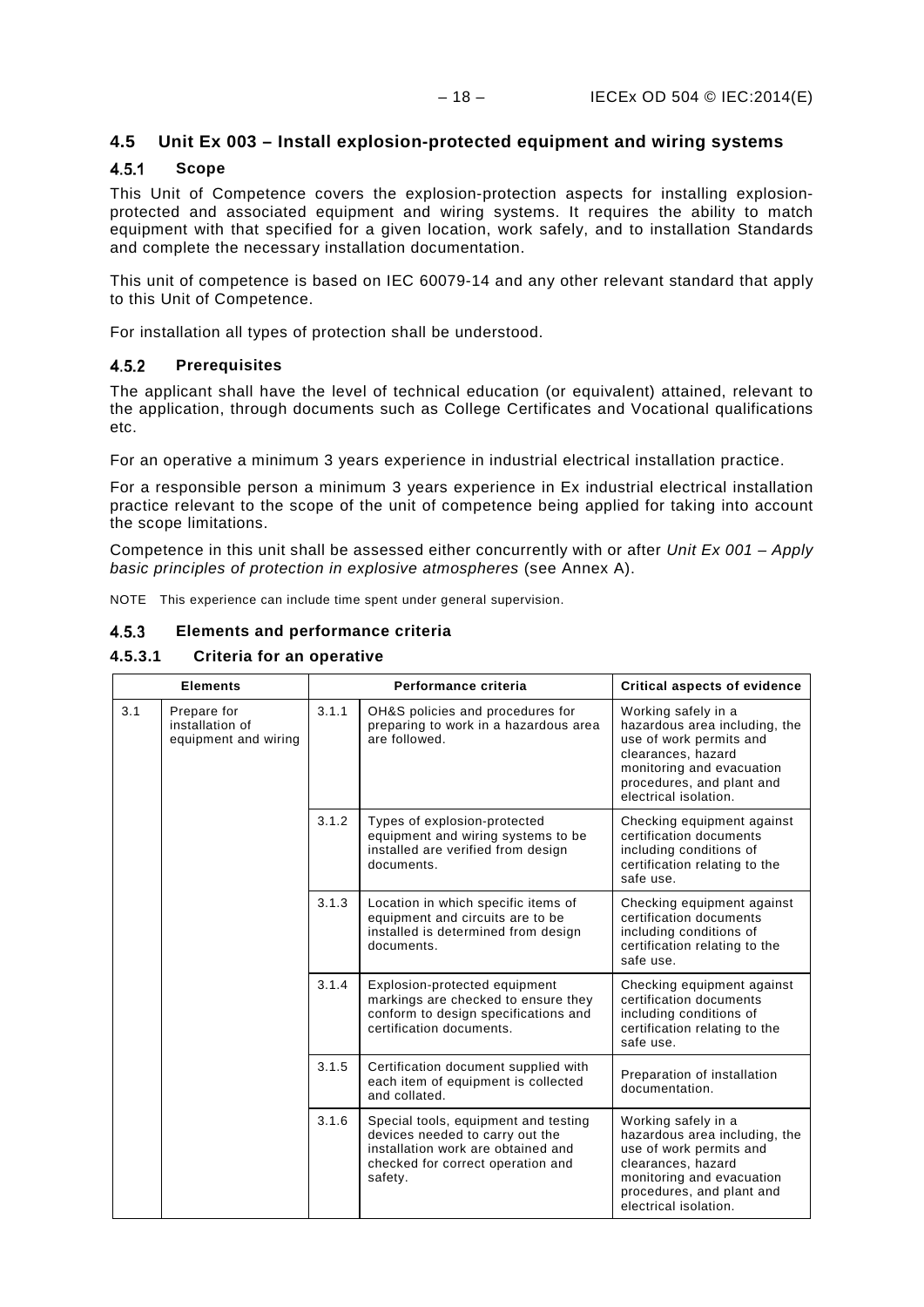### <span id="page-21-0"></span>**4.5 Unit Ex 003 – Install explosion-protected equipment and wiring systems**

#### <span id="page-21-1"></span> $4.5.1$ **Scope**

This Unit of Competence covers the explosion-protection aspects for installing explosionprotected and associated equipment and wiring systems. It requires the ability to match equipment with that specified for a given location, work safely, and to installation Standards and complete the necessary installation documentation.

This unit of competence is based on IEC 60079-14 and any other relevant standard that apply to this Unit of Competence.

For installation all types of protection shall be understood.

#### <span id="page-21-2"></span> $4.5.2$ **Prerequisites**

The applicant shall have the level of technical education (or equivalent) attained, relevant to the application, through documents such as College Certificates and Vocational qualifications etc.

For an operative a minimum 3 years experience in industrial electrical installation practice.

For a responsible person a minimum 3 years experience in Ex industrial electrical installation practice relevant to the scope of the unit of competence being applied for taking into account the scope limitations.

Competence in this unit shall be assessed either concurrently with or after *Unit Ex 001 – Apply basic principles of protection in explosive atmospheres* (see Annex A).

NOTE This experience can include time spent under general supervision.

#### <span id="page-21-3"></span> $4.5.3$ **Elements and performance criteria**

### **4.5.3.1 Criteria for an operative**

| <b>Elements</b> |                                                        |       | Performance criteria                                                                                                                                          | <b>Critical aspects of evidence</b>                                                                                                                                                      |       |                                                                                            |                                                                                                                                                                                          |
|-----------------|--------------------------------------------------------|-------|---------------------------------------------------------------------------------------------------------------------------------------------------------------|------------------------------------------------------------------------------------------------------------------------------------------------------------------------------------------|-------|--------------------------------------------------------------------------------------------|------------------------------------------------------------------------------------------------------------------------------------------------------------------------------------------|
| 3.1             | Prepare for<br>installation of<br>equipment and wiring |       |                                                                                                                                                               |                                                                                                                                                                                          | 3.1.1 | OH&S policies and procedures for<br>preparing to work in a hazardous area<br>are followed. | Working safely in a<br>hazardous area including, the<br>use of work permits and<br>clearances, hazard<br>monitoring and evacuation<br>procedures, and plant and<br>electrical isolation. |
|                 |                                                        | 3.1.2 | Types of explosion-protected<br>equipment and wiring systems to be<br>installed are verified from design<br>documents.                                        | Checking equipment against<br>certification documents<br>including conditions of<br>certification relating to the<br>safe use.                                                           |       |                                                                                            |                                                                                                                                                                                          |
|                 |                                                        | 3.1.3 | Location in which specific items of<br>equipment and circuits are to be<br>installed is determined from design<br>documents.                                  | Checking equipment against<br>certification documents<br>including conditions of<br>certification relating to the<br>safe use.                                                           |       |                                                                                            |                                                                                                                                                                                          |
|                 |                                                        | 3.1.4 | Explosion-protected equipment<br>markings are checked to ensure they<br>conform to design specifications and<br>certification documents.                      | Checking equipment against<br>certification documents<br>including conditions of<br>certification relating to the<br>safe use.                                                           |       |                                                                                            |                                                                                                                                                                                          |
|                 |                                                        | 3.1.5 | Certification document supplied with<br>each item of equipment is collected<br>and collated.                                                                  | Preparation of installation<br>documentation.                                                                                                                                            |       |                                                                                            |                                                                                                                                                                                          |
|                 |                                                        | 3.1.6 | Special tools, equipment and testing<br>devices needed to carry out the<br>installation work are obtained and<br>checked for correct operation and<br>safety. | Working safely in a<br>hazardous area including, the<br>use of work permits and<br>clearances, hazard<br>monitoring and evacuation<br>procedures, and plant and<br>electrical isolation. |       |                                                                                            |                                                                                                                                                                                          |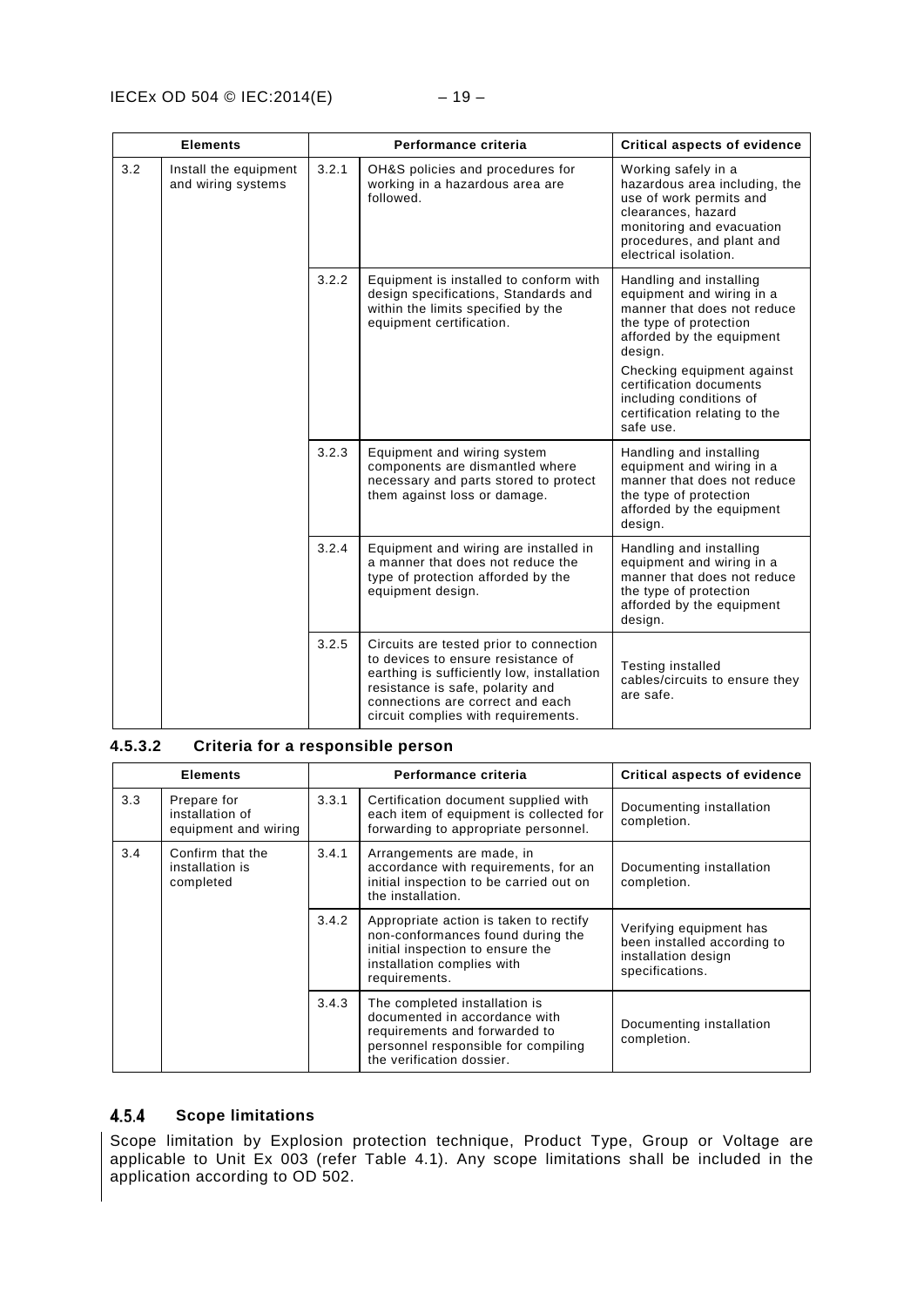|     | <b>Elements</b>                             |       | Performance criteria                                                                                                                                                                                                                       | <b>Critical aspects of evidence</b>                                                                                                                                                                            |
|-----|---------------------------------------------|-------|--------------------------------------------------------------------------------------------------------------------------------------------------------------------------------------------------------------------------------------------|----------------------------------------------------------------------------------------------------------------------------------------------------------------------------------------------------------------|
| 3.2 | Install the equipment<br>and wiring systems | 3.2.1 | OH&S policies and procedures for<br>working in a hazardous area are<br>followed.                                                                                                                                                           | Working safely in a<br>hazardous area including, the<br>use of work permits and<br>clearances, hazard<br>monitoring and evacuation<br>procedures, and plant and<br>electrical isolation.                       |
|     |                                             | 3.2.2 | Equipment is installed to conform with<br>design specifications, Standards and<br>within the limits specified by the<br>equipment certification.                                                                                           | Handling and installing<br>equipment and wiring in a<br>manner that does not reduce<br>the type of protection<br>afforded by the equipment<br>design.<br>Checking equipment against<br>certification documents |
|     |                                             |       |                                                                                                                                                                                                                                            | including conditions of<br>certification relating to the<br>safe use.                                                                                                                                          |
|     |                                             | 3.2.3 | Equipment and wiring system<br>components are dismantled where<br>necessary and parts stored to protect<br>them against loss or damage.                                                                                                    | Handling and installing<br>equipment and wiring in a<br>manner that does not reduce<br>the type of protection<br>afforded by the equipment<br>design.                                                          |
|     |                                             | 3.2.4 | Equipment and wiring are installed in<br>a manner that does not reduce the<br>type of protection afforded by the<br>equipment design.                                                                                                      | Handling and installing<br>equipment and wiring in a<br>manner that does not reduce<br>the type of protection<br>afforded by the equipment<br>design.                                                          |
|     |                                             | 3.2.5 | Circuits are tested prior to connection<br>to devices to ensure resistance of<br>earthing is sufficiently low, installation<br>resistance is safe, polarity and<br>connections are correct and each<br>circuit complies with requirements. | <b>Testing installed</b><br>cables/circuits to ensure they<br>are safe.                                                                                                                                        |

### **4.5.3.2 Criteria for a responsible person**

|     | <b>Elements</b>                                        |       | Performance criteria                                                                                                                                                | <b>Critical aspects of evidence</b>                                                              |
|-----|--------------------------------------------------------|-------|---------------------------------------------------------------------------------------------------------------------------------------------------------------------|--------------------------------------------------------------------------------------------------|
| 3.3 | Prepare for<br>installation of<br>equipment and wiring | 3.3.1 | Certification document supplied with<br>each item of equipment is collected for<br>forwarding to appropriate personnel.                                             | Documenting installation<br>completion.                                                          |
| 3.4 | Confirm that the<br>installation is<br>completed       | 3.4.1 | Arrangements are made, in<br>accordance with requirements, for an<br>initial inspection to be carried out on<br>the installation.                                   | Documenting installation<br>completion.                                                          |
|     |                                                        | 3.4.2 | Appropriate action is taken to rectify<br>non-conformances found during the<br>initial inspection to ensure the<br>installation complies with<br>requirements.      | Verifying equipment has<br>been installed according to<br>installation design<br>specifications. |
|     |                                                        | 3.4.3 | The completed installation is<br>documented in accordance with<br>requirements and forwarded to<br>personnel responsible for compiling<br>the verification dossier. | Documenting installation<br>completion.                                                          |

#### <span id="page-22-0"></span> $4.5.4$ **Scope limitations**

Scope limitation by Explosion protection technique, Product Type, Group or Voltage are applicable to Unit Ex 003 (refer Table 4.1). Any scope limitations shall be included in the application according to OD 502.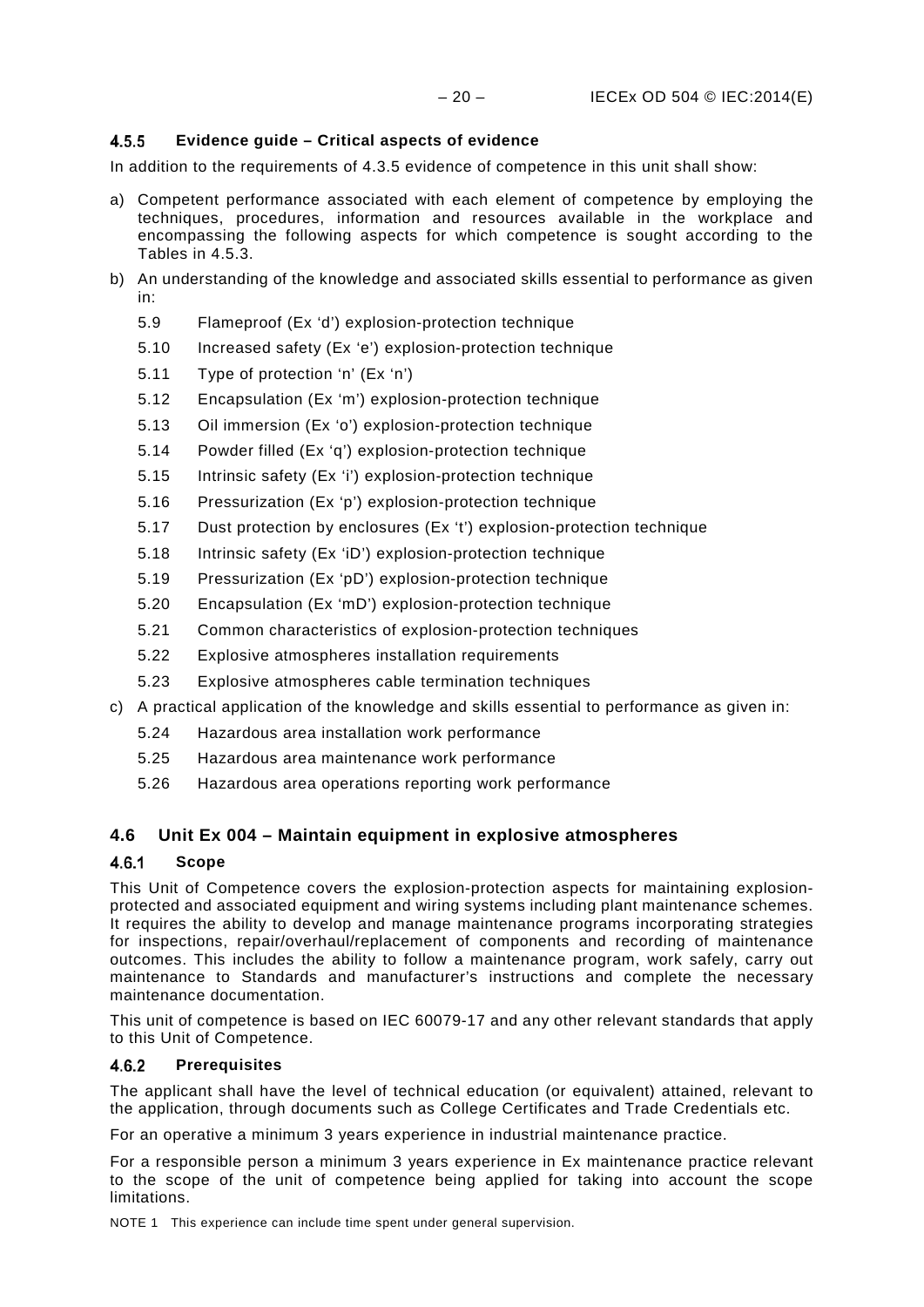#### <span id="page-23-0"></span> $4.5.5$ **Evidence guide – Critical aspects of evidence**

In addition to the requirements of 4.3.5 evidence of competence in this unit shall show:

- a) Competent performance associated with each element of competence by employing the techniques, procedures, information and resources available in the workplace and encompassing the following aspects for which competence is sought according to the Tables in 4.5.3.
- b) An understanding of the knowledge and associated skills essential to performance as given in:
	- [5.9](#page-45-1) [Flameproof \(Ex 'd'\) explosion-protection technique](#page-45-1)
	- [5.10](#page-45-2) [Increased safety \(Ex 'e'\) explosion-protection technique](#page-45-2)
	- [5.11](#page-46-0) [Type of protection 'n' \(Ex 'n'\)](#page-46-0)
	- [5.12](#page-46-1) [Encapsulation \(Ex 'm'\) explosion-protection technique](#page-46-1)
	- [5.13](#page-46-2) [Oil immersion \(Ex 'o'\) explosion-protection technique](#page-46-2)
	- [5.14](#page-46-3) [Powder filled \(Ex 'q'\) explosion-protection technique](#page-46-3)
	- [5.15](#page-47-0) [Intrinsic safety \(Ex 'i'\) explosion-protection technique](#page-47-0)
	- [5.16](#page-47-1) [Pressurization \(Ex 'p'\) explosion-protection technique](#page-47-1)
	- [5.17](#page-47-2) [Dust protection by enclosures \(Ex 't'\) explosion-protection technique](#page-47-2)
	- [5.18](#page-47-3) [Intrinsic safety \(Ex 'iD'\) explosion-protection technique](#page-47-3)
	- [5.19](#page-48-0) [Pressurization \(Ex 'pD'\) explosion-protection technique](#page-48-0)
	- [5.20](#page-48-1) [Encapsulation \(Ex 'mD'\) explosion-protection technique](#page-48-1)
	- [5.21](#page-48-2) [Common characteristics of explosion-protection techniques](#page-48-2)
	- [5.22](#page-48-3) [Explosive atmospheres installation requirements](#page-48-3)
	- [5.23](#page-49-0) [Explosive atmospheres cable termination techniques](#page-49-0)
- c) A practical application of the knowledge and skills essential to performance as given in:
	- [5.24](#page-49-1) [Hazardous area installation work performance](#page-49-1)
	- [5.25](#page-49-2) [Hazardous area maintenance work performance](#page-49-2)
	- [5.26](#page-50-0) [Hazardous area operations reporting work performance](#page-50-0)

### <span id="page-23-1"></span>**4.6 Unit Ex 004 – Maintain equipment in explosive atmospheres**

#### <span id="page-23-2"></span> $4.6.1$ **Scope**

This Unit of Competence covers the explosion-protection aspects for maintaining explosionprotected and associated equipment and wiring systems including plant maintenance schemes. It requires the ability to develop and manage maintenance programs incorporating strategies for inspections, repair/overhaul/replacement of components and recording of maintenance outcomes. This includes the ability to follow a maintenance program, work safely, carry out maintenance to Standards and manufacturer's instructions and complete the necessary maintenance documentation.

This unit of competence is based on IEC 60079-17 and any other relevant standards that apply to this Unit of Competence.

#### <span id="page-23-3"></span> $4.6.2$ **Prerequisites**

The applicant shall have the level of technical education (or equivalent) attained, relevant to the application, through documents such as College Certificates and Trade Credentials etc.

For an operative a minimum 3 years experience in industrial maintenance practice.

For a responsible person a minimum 3 years experience in Ex maintenance practice relevant to the scope of the unit of competence being applied for taking into account the scope limitations.

NOTE 1 This experience can include time spent under general supervision.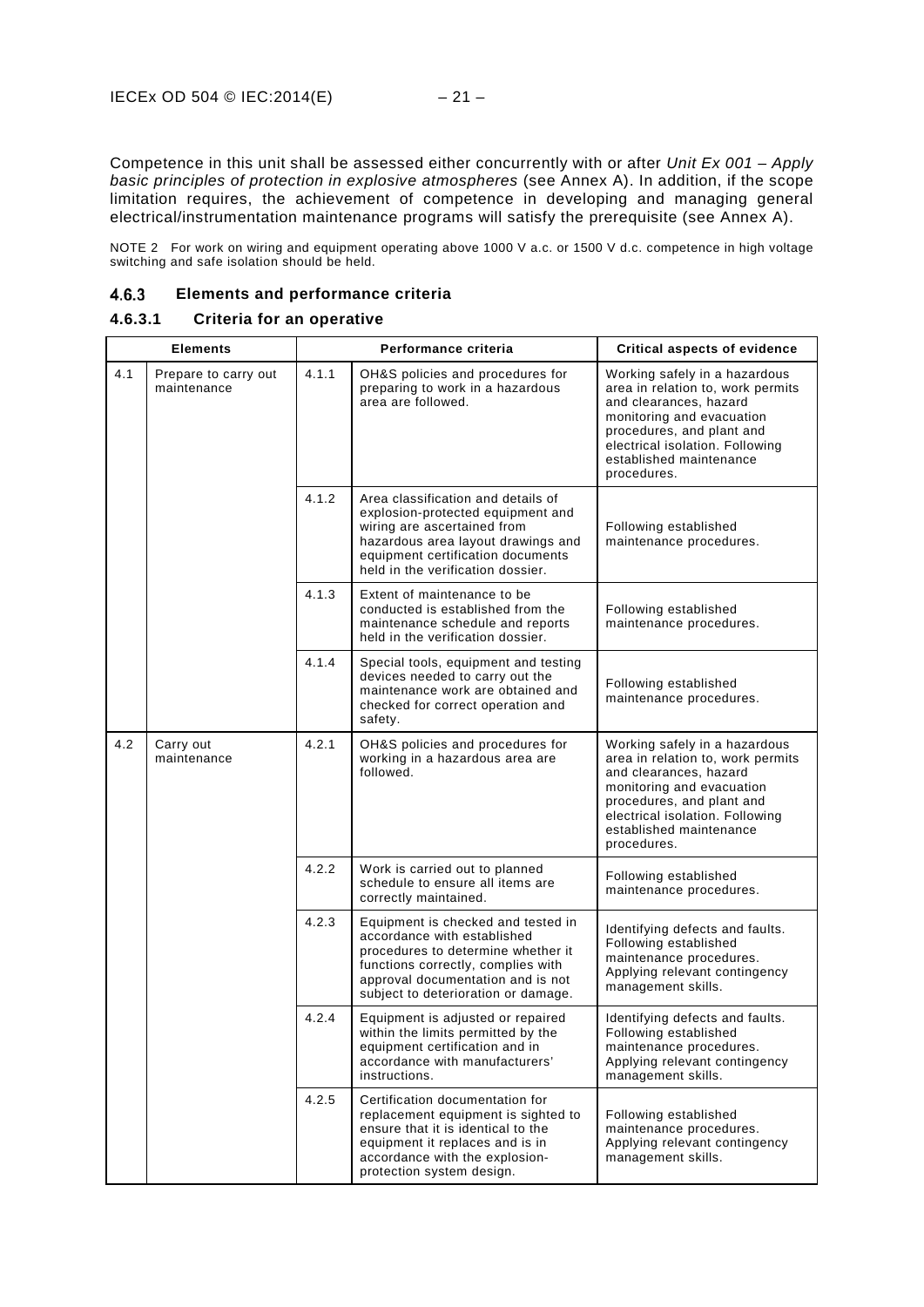Competence in this unit shall be assessed either concurrently with or after *Unit Ex 001 – Apply basic principles of protection in explosive atmospheres* (see Annex A). In addition, if the scope limitation requires, the achievement of competence in developing and managing general electrical/instrumentation maintenance programs will satisfy the prerequisite (see Annex A).

NOTE 2 For work on wiring and equipment operating above 1000 V a.c. or 1500 V d.c. competence in high voltage switching and safe isolation should be held.

#### <span id="page-24-0"></span>**Elements and performance criteria** 4.6.3

### **4.6.3.1 Criteria for an operative**

| <b>Elements</b> |                                     |       | Performance criteria                                                                                                                                                                                                      | Critical aspects of evidence                                                                                                                                                                                                        |
|-----------------|-------------------------------------|-------|---------------------------------------------------------------------------------------------------------------------------------------------------------------------------------------------------------------------------|-------------------------------------------------------------------------------------------------------------------------------------------------------------------------------------------------------------------------------------|
| 4.1             | Prepare to carry out<br>maintenance | 4.1.1 | OH&S policies and procedures for<br>preparing to work in a hazardous<br>area are followed.                                                                                                                                | Working safely in a hazardous<br>area in relation to, work permits<br>and clearances, hazard<br>monitoring and evacuation<br>procedures, and plant and<br>electrical isolation. Following<br>established maintenance<br>procedures. |
|                 |                                     | 4.1.2 | Area classification and details of<br>explosion-protected equipment and<br>wiring are ascertained from<br>hazardous area layout drawings and<br>equipment certification documents<br>held in the verification dossier.    | Following established<br>maintenance procedures.                                                                                                                                                                                    |
|                 |                                     | 4.1.3 | Extent of maintenance to be<br>conducted is established from the<br>maintenance schedule and reports<br>held in the verification dossier.                                                                                 | Following established<br>maintenance procedures.                                                                                                                                                                                    |
|                 |                                     | 4.1.4 | Special tools, equipment and testing<br>devices needed to carry out the<br>maintenance work are obtained and<br>checked for correct operation and<br>safety.                                                              | Following established<br>maintenance procedures.                                                                                                                                                                                    |
| 4.2             | Carry out<br>maintenance            | 4.2.1 | OH&S policies and procedures for<br>working in a hazardous area are<br>followed.                                                                                                                                          | Working safely in a hazardous<br>area in relation to, work permits<br>and clearances, hazard<br>monitoring and evacuation<br>procedures, and plant and<br>electrical isolation. Following<br>established maintenance<br>procedures. |
|                 |                                     | 4.2.2 | Work is carried out to planned<br>schedule to ensure all items are<br>correctly maintained.                                                                                                                               | Following established<br>maintenance procedures.                                                                                                                                                                                    |
|                 |                                     | 4.2.3 | Equipment is checked and tested in<br>accordance with established<br>procedures to determine whether it<br>functions correctly, complies with<br>approval documentation and is not<br>subject to deterioration or damage. | Identifying defects and faults.<br>Following established<br>maintenance procedures.<br>Applying relevant contingency<br>management skills.                                                                                          |
|                 |                                     | 4.2.4 | Equipment is adjusted or repaired<br>within the limits permitted by the<br>equipment certification and in<br>accordance with manufacturers'<br>instructions.                                                              | Identifying defects and faults.<br>Following established<br>maintenance procedures.<br>Applying relevant contingency<br>management skills.                                                                                          |
|                 |                                     | 4.2.5 | Certification documentation for<br>replacement equipment is sighted to<br>ensure that it is identical to the<br>equipment it replaces and is in<br>accordance with the explosion-<br>protection system design.            | Following established<br>maintenance procedures.<br>Applying relevant contingency<br>management skills.                                                                                                                             |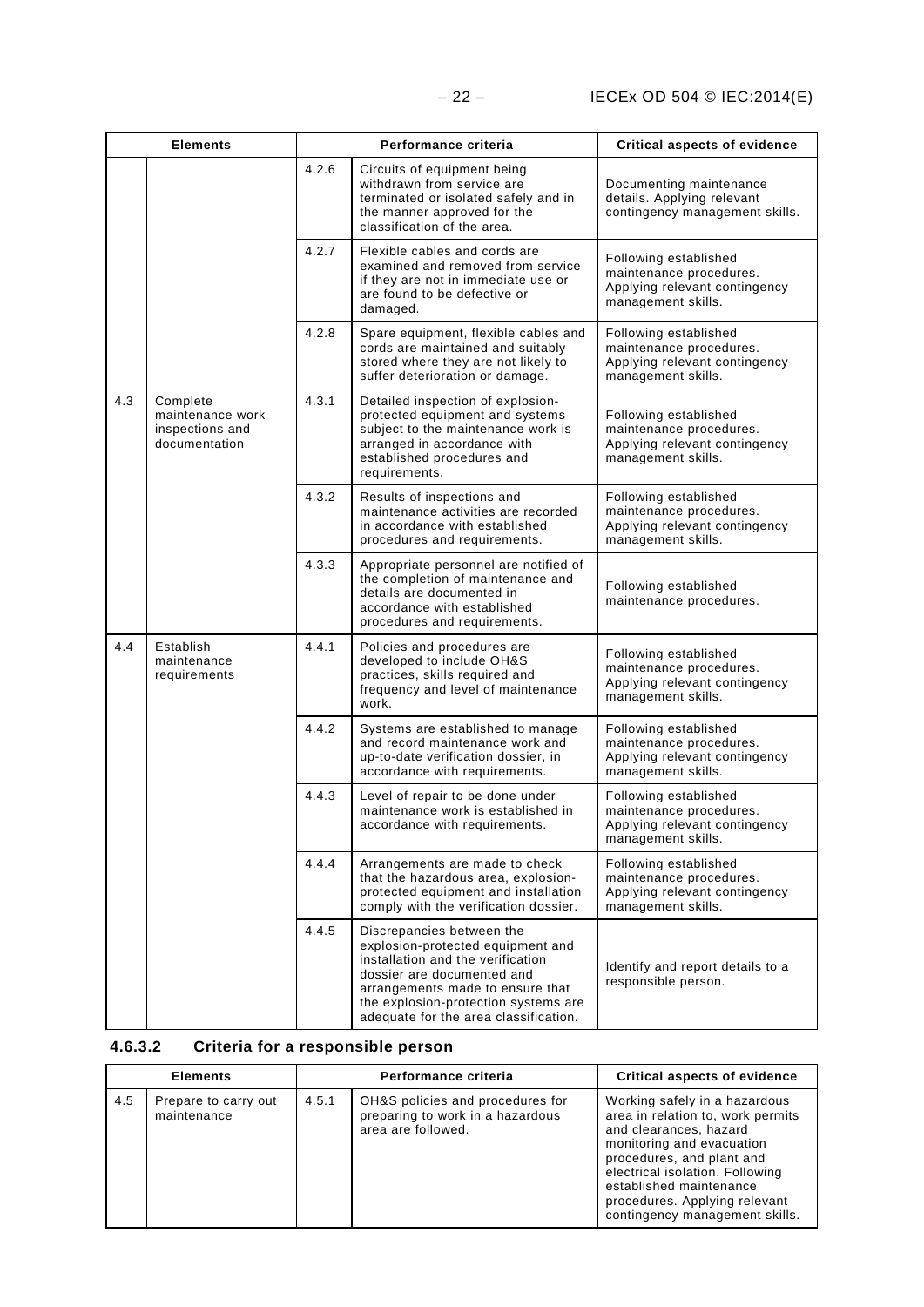|     | <b>Elements</b>                                                  |       | Performance criteria                                                                                                                                                                                                                                   | <b>Critical aspects of evidence</b>                                                                     |
|-----|------------------------------------------------------------------|-------|--------------------------------------------------------------------------------------------------------------------------------------------------------------------------------------------------------------------------------------------------------|---------------------------------------------------------------------------------------------------------|
|     |                                                                  | 4.2.6 | Circuits of equipment being<br>withdrawn from service are<br>terminated or isolated safely and in<br>the manner approved for the<br>classification of the area.                                                                                        | Documenting maintenance<br>details. Applying relevant<br>contingency management skills.                 |
|     |                                                                  | 4.2.7 | Flexible cables and cords are<br>examined and removed from service<br>if they are not in immediate use or<br>are found to be defective or<br>damaged.                                                                                                  | Following established<br>maintenance procedures.<br>Applying relevant contingency<br>management skills. |
|     |                                                                  | 4.2.8 | Spare equipment, flexible cables and<br>cords are maintained and suitably<br>stored where they are not likely to<br>suffer deterioration or damage.                                                                                                    | Following established<br>maintenance procedures.<br>Applying relevant contingency<br>management skills. |
| 4.3 | Complete<br>maintenance work<br>inspections and<br>documentation | 4.3.1 | Detailed inspection of explosion-<br>protected equipment and systems<br>subject to the maintenance work is<br>arranged in accordance with<br>established procedures and<br>requirements.                                                               | Following established<br>maintenance procedures.<br>Applying relevant contingency<br>management skills. |
|     |                                                                  | 4.3.2 | Results of inspections and<br>maintenance activities are recorded<br>in accordance with established<br>procedures and requirements.                                                                                                                    | Following established<br>maintenance procedures.<br>Applying relevant contingency<br>management skills. |
|     |                                                                  | 4.3.3 | Appropriate personnel are notified of<br>the completion of maintenance and<br>details are documented in<br>accordance with established<br>procedures and requirements.                                                                                 | Following established<br>maintenance procedures.                                                        |
| 4.4 | Establish<br>maintenance<br>requirements                         | 4.4.1 | Policies and procedures are<br>developed to include OH&S<br>practices, skills required and<br>frequency and level of maintenance<br>work.                                                                                                              | Following established<br>maintenance procedures.<br>Applying relevant contingency<br>management skills. |
|     |                                                                  | 4.4.2 | Systems are established to manage<br>and record maintenance work and<br>up-to-date verification dossier, in<br>accordance with requirements.                                                                                                           | Following established<br>maintenance procedures.<br>Applying relevant contingency<br>management skills. |
|     |                                                                  | 4.4.3 | Level of repair to be done under<br>maintenance work is established in<br>accordance with requirements.                                                                                                                                                | Following established<br>maintenance procedures.<br>Applying relevant contingency<br>management skills. |
|     |                                                                  | 4.4.4 | Arrangements are made to check<br>that the hazardous area, explosion-<br>protected equipment and installation<br>comply with the verification dossier.                                                                                                 | Following established<br>maintenance procedures.<br>Applying relevant contingency<br>management skills. |
|     |                                                                  | 4.4.5 | Discrepancies between the<br>explosion-protected equipment and<br>installation and the verification<br>dossier are documented and<br>arrangements made to ensure that<br>the explosion-protection systems are<br>adequate for the area classification. | Identify and report details to a<br>responsible person.                                                 |

## **4.6.3.2 Criteria for a responsible person**

| <b>Elements</b> |                                     | Performance criteria |                                                                                            | <b>Critical aspects of evidence</b>                                                                                                                                                                                                                                                     |
|-----------------|-------------------------------------|----------------------|--------------------------------------------------------------------------------------------|-----------------------------------------------------------------------------------------------------------------------------------------------------------------------------------------------------------------------------------------------------------------------------------------|
| 4.5             | Prepare to carry out<br>maintenance | 4.5.1                | OH&S policies and procedures for<br>preparing to work in a hazardous<br>area are followed. | Working safely in a hazardous<br>area in relation to, work permits<br>and clearances, hazard<br>monitoring and evacuation<br>procedures, and plant and<br>electrical isolation. Following<br>established maintenance<br>procedures. Applying relevant<br>contingency management skills. |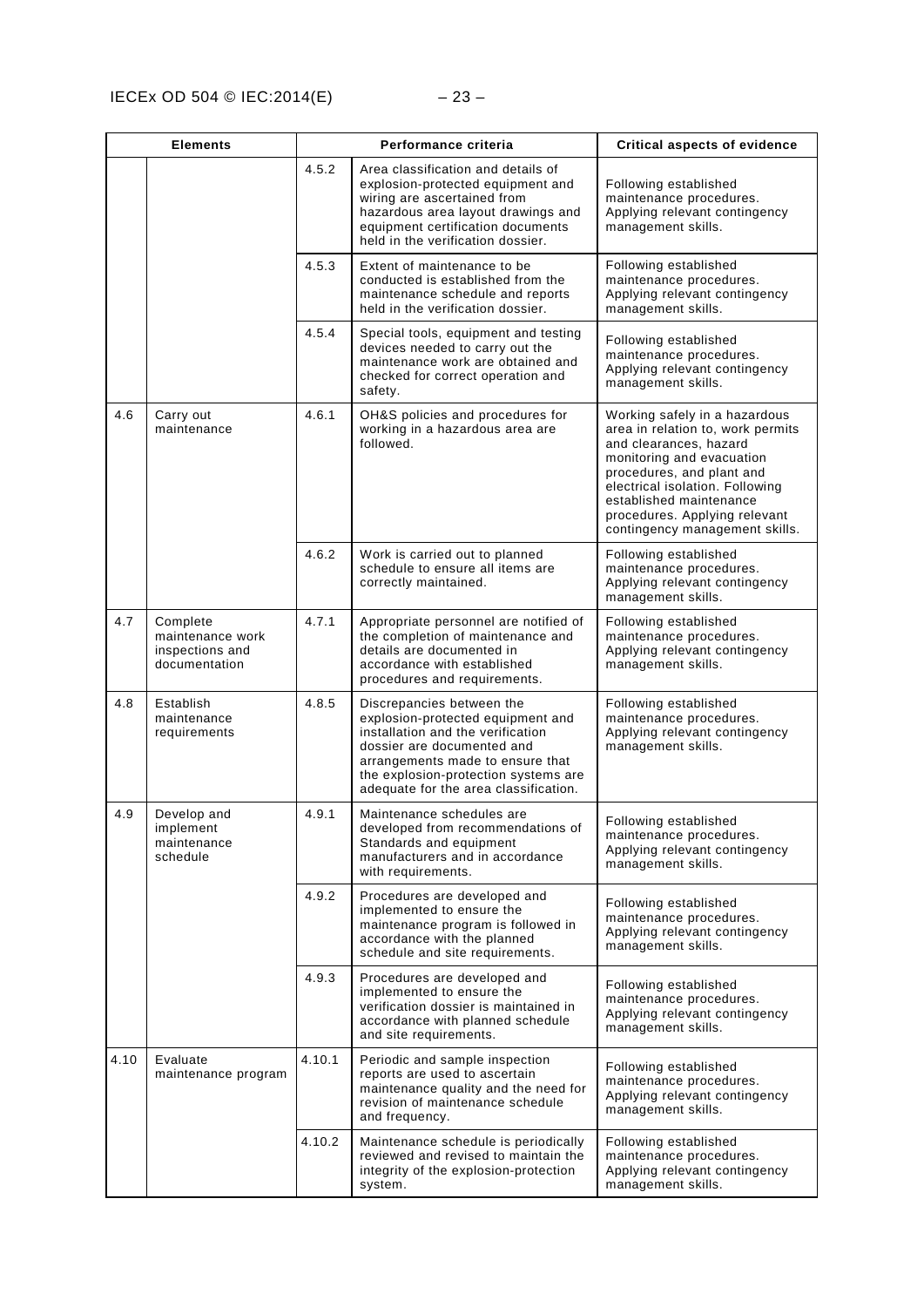|      | <b>Elements</b>                                                  | Performance criteria |                                                                                                                                                                                                                                                        | <b>Critical aspects of evidence</b>                                                                                                                                                                                                                                                     |
|------|------------------------------------------------------------------|----------------------|--------------------------------------------------------------------------------------------------------------------------------------------------------------------------------------------------------------------------------------------------------|-----------------------------------------------------------------------------------------------------------------------------------------------------------------------------------------------------------------------------------------------------------------------------------------|
|      |                                                                  | 4.5.2                | Area classification and details of<br>explosion-protected equipment and<br>wiring are ascertained from<br>hazardous area layout drawings and<br>equipment certification documents<br>held in the verification dossier.                                 | Following established<br>maintenance procedures.<br>Applying relevant contingency<br>management skills.                                                                                                                                                                                 |
|      |                                                                  | 4.5.3                | Extent of maintenance to be<br>conducted is established from the<br>maintenance schedule and reports<br>held in the verification dossier.                                                                                                              | Following established<br>maintenance procedures.<br>Applying relevant contingency<br>management skills.                                                                                                                                                                                 |
|      |                                                                  | 4.5.4                | Special tools, equipment and testing<br>devices needed to carry out the<br>maintenance work are obtained and<br>checked for correct operation and<br>safety.                                                                                           | Following established<br>maintenance procedures.<br>Applying relevant contingency<br>management skills.                                                                                                                                                                                 |
| 4.6  | Carry out<br>maintenance                                         | 4.6.1                | OH&S policies and procedures for<br>working in a hazardous area are<br>followed.                                                                                                                                                                       | Working safely in a hazardous<br>area in relation to, work permits<br>and clearances, hazard<br>monitoring and evacuation<br>procedures, and plant and<br>electrical isolation. Following<br>established maintenance<br>procedures. Applying relevant<br>contingency management skills. |
|      |                                                                  | 4.6.2                | Work is carried out to planned<br>schedule to ensure all items are<br>correctly maintained.                                                                                                                                                            | Following established<br>maintenance procedures.<br>Applying relevant contingency<br>management skills.                                                                                                                                                                                 |
| 4.7  | Complete<br>maintenance work<br>inspections and<br>documentation | 4.7.1                | Appropriate personnel are notified of<br>the completion of maintenance and<br>details are documented in<br>accordance with established<br>procedures and requirements.                                                                                 | Following established<br>maintenance procedures.<br>Applying relevant contingency<br>management skills.                                                                                                                                                                                 |
| 4.8  | Establish<br>maintenance<br>requirements                         | 4.8.5                | Discrepancies between the<br>explosion-protected equipment and<br>installation and the verification<br>dossier are documented and<br>arrangements made to ensure that<br>the explosion-protection systems are<br>adequate for the area classification. | Following established<br>maintenance procedures.<br>Applying relevant contingency<br>management skills.                                                                                                                                                                                 |
| 4.9  | Develop and<br>implement<br>maintenance<br>schedule              | 4.9.1                | Maintenance schedules are<br>developed from recommendations of<br>Standards and equipment<br>manufacturers and in accordance<br>with requirements.                                                                                                     | Following established<br>maintenance procedures.<br>Applying relevant contingency<br>management skills.                                                                                                                                                                                 |
|      |                                                                  | 4.9.2                | Procedures are developed and<br>implemented to ensure the<br>maintenance program is followed in<br>accordance with the planned<br>schedule and site requirements.                                                                                      | Following established<br>maintenance procedures.<br>Applying relevant contingency<br>management skills.                                                                                                                                                                                 |
|      |                                                                  | 4.9.3                | Procedures are developed and<br>implemented to ensure the<br>verification dossier is maintained in<br>accordance with planned schedule<br>and site requirements.                                                                                       | Following established<br>maintenance procedures.<br>Applying relevant contingency<br>management skills.                                                                                                                                                                                 |
| 4.10 | Evaluate<br>maintenance program                                  | 4.10.1               | Periodic and sample inspection<br>reports are used to ascertain<br>maintenance quality and the need for<br>revision of maintenance schedule<br>and frequency.                                                                                          | Following established<br>maintenance procedures.<br>Applying relevant contingency<br>management skills.                                                                                                                                                                                 |
|      |                                                                  | 4.10.2               | Maintenance schedule is periodically<br>reviewed and revised to maintain the<br>integrity of the explosion-protection<br>system.                                                                                                                       | Following established<br>maintenance procedures.<br>Applying relevant contingency<br>management skills.                                                                                                                                                                                 |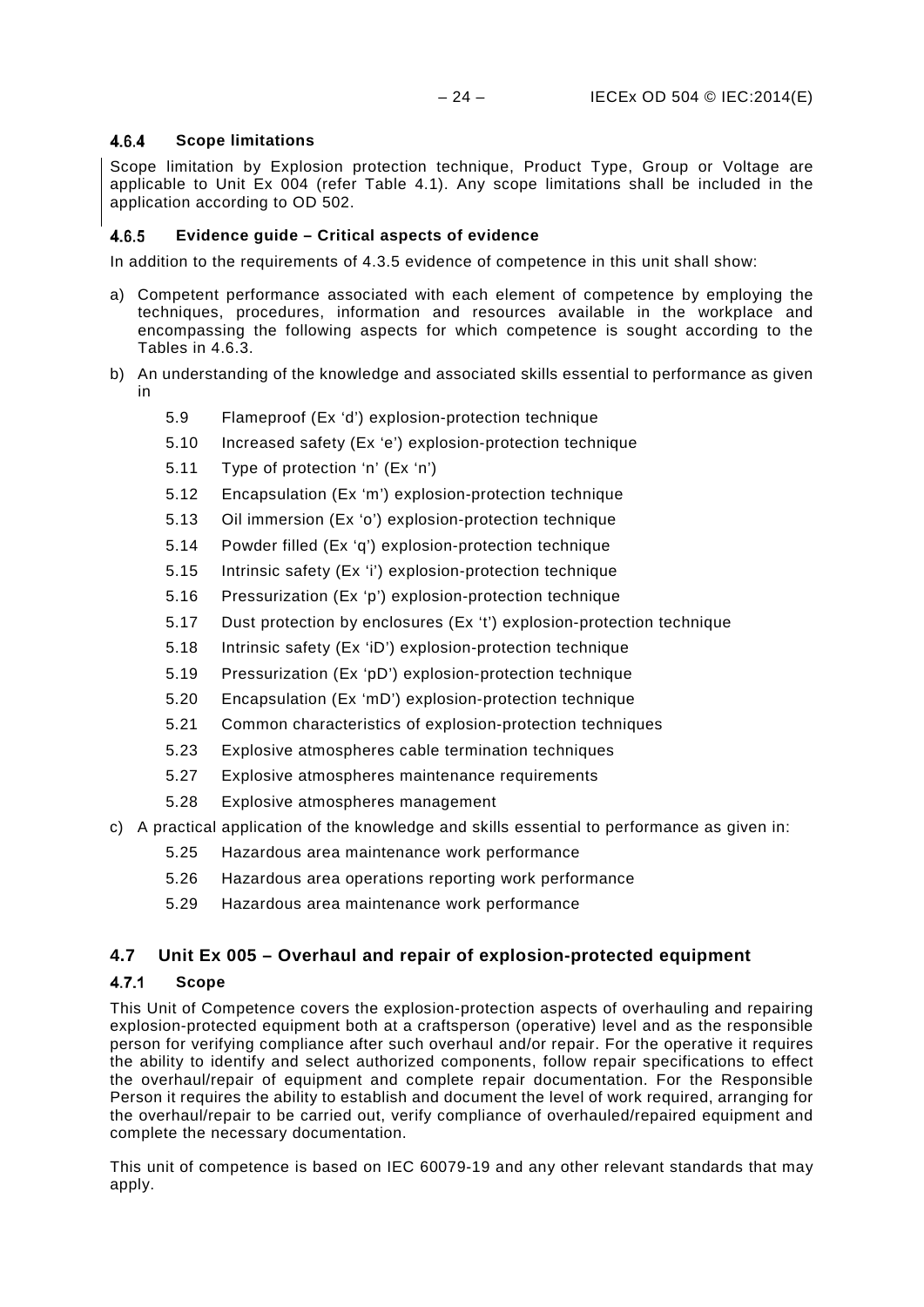#### <span id="page-27-0"></span> $4.6.4$ **Scope limitations**

Scope limitation by Explosion protection technique, Product Type, Group or Voltage are applicable to Unit Ex 004 (refer Table 4.1). Any scope limitations shall be included in the application according to OD 502.

#### <span id="page-27-1"></span>**Evidence guide – Critical aspects of evidence** 4.6.5

In addition to the requirements of 4.3.5 evidence of competence in this unit shall show:

- a) Competent performance associated with each element of competence by employing the techniques, procedures, information and resources available in the workplace and encompassing the following aspects for which competence is sought according to the Tables in 4.6.3.
- b) An understanding of the knowledge and associated skills essential to performance as given in
	- [5.9](#page-45-1) [Flameproof \(Ex 'd'\) explosion-protection technique](#page-45-1)
	- [5.10](#page-45-2) [Increased safety \(Ex 'e'\) explosion-protection technique](#page-45-2)
	- [5.11](#page-46-0) [Type of protection 'n' \(Ex 'n'\)](#page-46-0)
	- [5.12](#page-46-1) [Encapsulation \(Ex 'm'\) explosion-protection technique](#page-46-1)
	- [5.13](#page-46-2) [Oil immersion \(Ex 'o'\) explosion-protection technique](#page-46-2)
	- [5.14](#page-46-3) [Powder filled \(Ex 'q'\) explosion-protection technique](#page-46-3)
	- [5.15](#page-47-0) [Intrinsic safety \(Ex 'i'\) explosion-protection technique](#page-47-0)
	- [5.16](#page-47-1) [Pressurization \(Ex 'p'\) explosion-protection technique](#page-47-1)
	- [5.17](#page-47-2) [Dust protection by enclosures \(Ex 't'\) explosion-protection technique](#page-47-2)
	- [5.18](#page-47-3) [Intrinsic safety \(Ex 'iD'\) explosion-protection technique](#page-47-3)
	- [5.19](#page-48-0) [Pressurization \(Ex 'pD'\) explosion-protection technique](#page-48-0)
	- [5.20](#page-48-1) [Encapsulation \(Ex 'mD'\) explosion-protection technique](#page-48-1)
	- [5.21](#page-48-2) [Common characteristics of explosion-protection techniques](#page-48-2)
	- [5.23](#page-49-0) [Explosive atmospheres cable termination techniques](#page-49-0)
	- [5.27](#page-50-1) [Explosive atmospheres maintenance requirements](#page-50-1)
	- [5.28](#page-50-2) [Explosive atmospheres management](#page-50-2)
- c) A practical application of the knowledge and skills essential to performance as given in:
	- [5.25](#page-49-2) [Hazardous area maintenance work performance](#page-49-2)
	- [5.26](#page-50-0) [Hazardous area operations reporting](#page-50-0) work performance
	- [5.29](#page-50-3) [Hazardous area maintenance work performance](#page-50-3)

### <span id="page-27-2"></span>**4.7 Unit Ex 005 – Overhaul and repair of explosion-protected equipment**

#### <span id="page-27-3"></span> $4.7.1$ **Scope**

This Unit of Competence covers the explosion-protection aspects of overhauling and repairing explosion-protected equipment both at a craftsperson (operative) level and as the responsible person for verifying compliance after such overhaul and/or repair. For the operative it requires the ability to identify and select authorized components, follow repair specifications to effect the overhaul/repair of equipment and complete repair documentation. For the Responsible Person it requires the ability to establish and document the level of work required, arranging for the overhaul/repair to be carried out, verify compliance of overhauled/repaired equipment and complete the necessary documentation.

This unit of competence is based on IEC 60079-19 and any other relevant standards that may apply.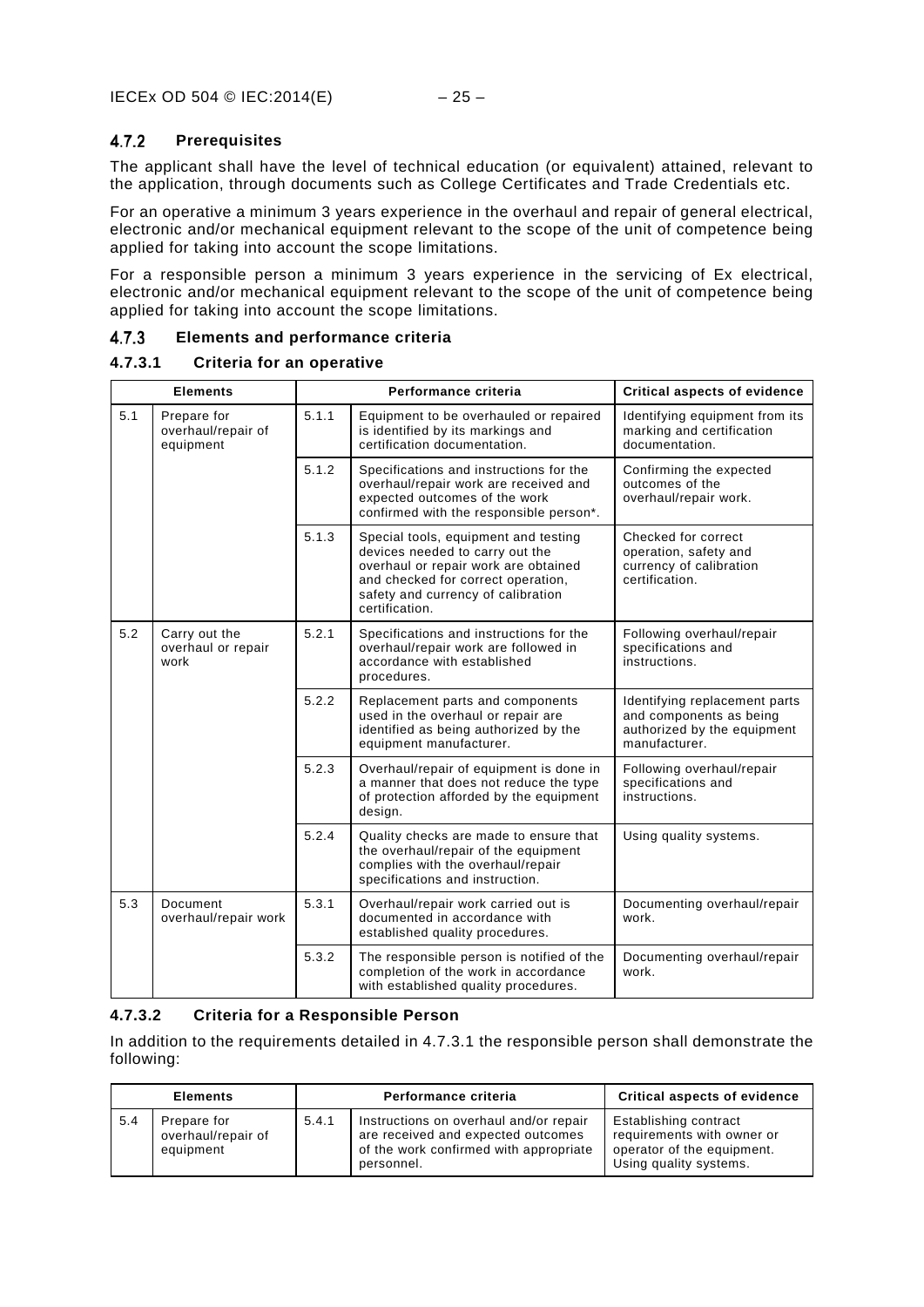#### <span id="page-28-0"></span> $4.7.2$ **Prerequisites**

The applicant shall have the level of technical education (or equivalent) attained, relevant to the application, through documents such as College Certificates and Trade Credentials etc.

For an operative a minimum 3 years experience in the overhaul and repair of general electrical, electronic and/or mechanical equipment relevant to the scope of the unit of competence being applied for taking into account the scope limitations.

For a responsible person a minimum 3 years experience in the servicing of Ex electrical, electronic and/or mechanical equipment relevant to the scope of the unit of competence being applied for taking into account the scope limitations.

#### <span id="page-28-1"></span> $4.7.3$ **Elements and performance criteria**

### **4.7.3.1 Criteria for an operative**

| <b>Elements</b> |                                                | Performance criteria |                                                                                                                                                                                                               | <b>Critical aspects of evidence</b>                                                                      |
|-----------------|------------------------------------------------|----------------------|---------------------------------------------------------------------------------------------------------------------------------------------------------------------------------------------------------------|----------------------------------------------------------------------------------------------------------|
| 5.1             | Prepare for<br>overhaul/repair of<br>equipment | 5.1.1                | Equipment to be overhauled or repaired<br>is identified by its markings and<br>certification documentation.                                                                                                   | Identifying equipment from its<br>marking and certification<br>documentation.                            |
|                 |                                                | 5.1.2                | Specifications and instructions for the<br>overhaul/repair work are received and<br>expected outcomes of the work<br>confirmed with the responsible person*.                                                  | Confirming the expected<br>outcomes of the<br>overhaul/repair work.                                      |
|                 |                                                | 5.1.3                | Special tools, equipment and testing<br>devices needed to carry out the<br>overhaul or repair work are obtained<br>and checked for correct operation,<br>safety and currency of calibration<br>certification. | Checked for correct<br>operation, safety and<br>currency of calibration<br>certification.                |
| 5.2             | Carry out the<br>overhaul or repair<br>work    | 5.2.1                | Specifications and instructions for the<br>overhaul/repair work are followed in<br>accordance with established<br>procedures.                                                                                 | Following overhaul/repair<br>specifications and<br>instructions.                                         |
|                 |                                                | 5.2.2                | Replacement parts and components<br>used in the overhaul or repair are<br>identified as being authorized by the<br>equipment manufacturer.                                                                    | Identifying replacement parts<br>and components as being<br>authorized by the equipment<br>manufacturer. |
|                 |                                                | 5.2.3                | Overhaul/repair of equipment is done in<br>a manner that does not reduce the type<br>of protection afforded by the equipment<br>design.                                                                       | Following overhaul/repair<br>specifications and<br>instructions.                                         |
|                 |                                                | 5.2.4                | Quality checks are made to ensure that<br>the overhaul/repair of the equipment<br>complies with the overhaul/repair<br>specifications and instruction.                                                        | Using quality systems.                                                                                   |
| 5.3             | Document<br>overhaul/repair work               | 5.3.1                | Overhaul/repair work carried out is<br>documented in accordance with<br>established quality procedures.                                                                                                       | Documenting overhaul/repair<br>work.                                                                     |
|                 |                                                | 5.3.2                | The responsible person is notified of the<br>completion of the work in accordance<br>with established quality procedures.                                                                                     | Documenting overhaul/repair<br>work.                                                                     |

### **4.7.3.2 Criteria for a Responsible Person**

In addition to the requirements detailed in 4.7.3.1 the responsible person shall demonstrate the following:

| <b>Elements</b> |                                                | Performance criteria | <b>Critical aspects of evidence</b>                                                                                                  |                                                                                                             |
|-----------------|------------------------------------------------|----------------------|--------------------------------------------------------------------------------------------------------------------------------------|-------------------------------------------------------------------------------------------------------------|
| 5.4             | Prepare for<br>overhaul/repair of<br>equipment | 5.4.1                | Instructions on overhaul and/or repair<br>are received and expected outcomes<br>of the work confirmed with appropriate<br>personnel. | Establishing contract<br>requirements with owner or<br>operator of the equipment.<br>Using quality systems. |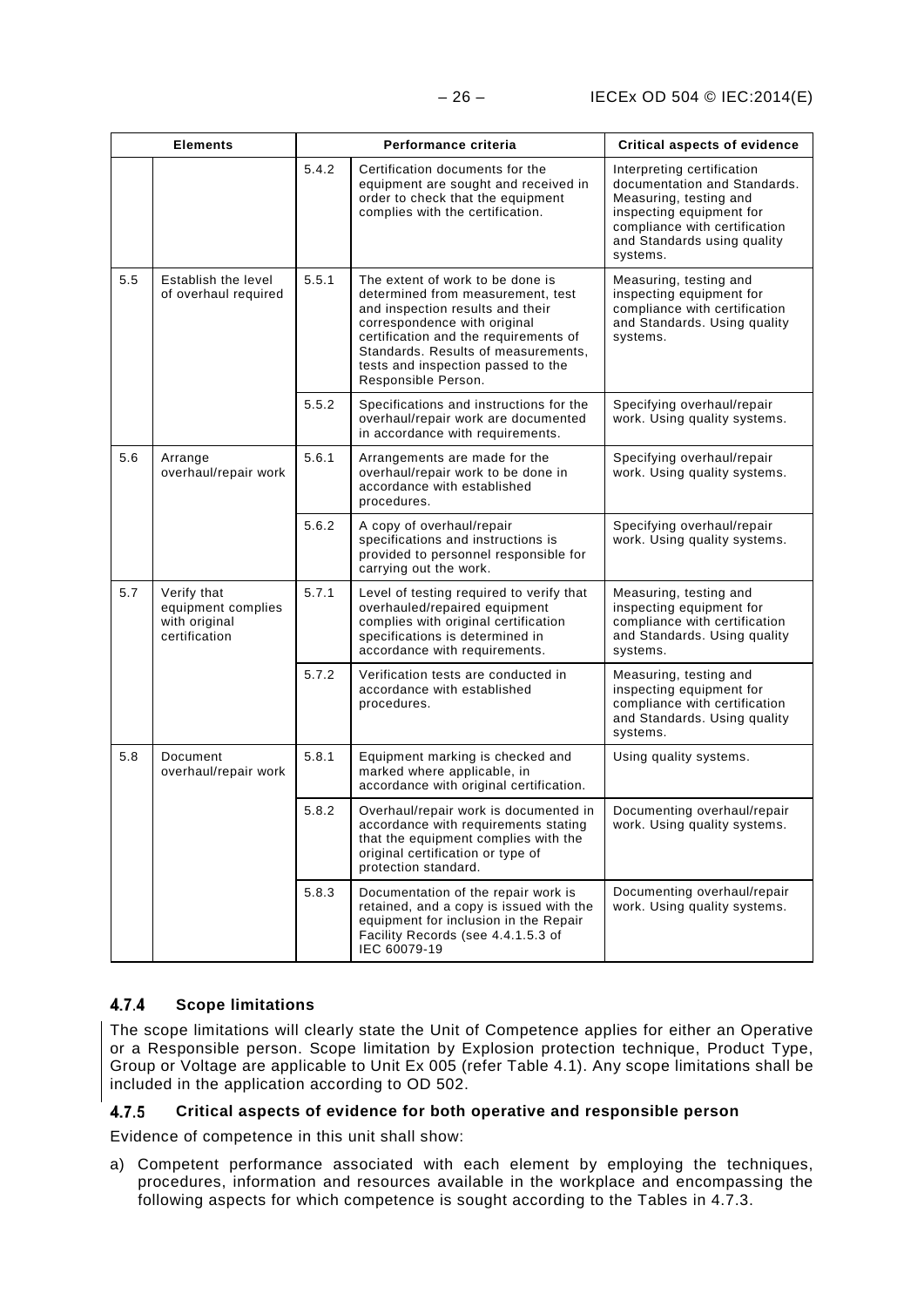|     | <b>Elements</b>                                                     |       | Performance criteria                                                                                                                                                                                                                                                                   | <b>Critical aspects of evidence</b>                                                                                                                                                          |
|-----|---------------------------------------------------------------------|-------|----------------------------------------------------------------------------------------------------------------------------------------------------------------------------------------------------------------------------------------------------------------------------------------|----------------------------------------------------------------------------------------------------------------------------------------------------------------------------------------------|
|     |                                                                     | 5.4.2 | Certification documents for the<br>equipment are sought and received in<br>order to check that the equipment<br>complies with the certification.                                                                                                                                       | Interpreting certification<br>documentation and Standards.<br>Measuring, testing and<br>inspecting equipment for<br>compliance with certification<br>and Standards using quality<br>systems. |
| 5.5 | Establish the level<br>of overhaul required                         | 5.5.1 | The extent of work to be done is<br>determined from measurement, test<br>and inspection results and their<br>correspondence with original<br>certification and the requirements of<br>Standards. Results of measurements,<br>tests and inspection passed to the<br>Responsible Person. | Measuring, testing and<br>inspecting equipment for<br>compliance with certification<br>and Standards. Using quality<br>systems.                                                              |
|     |                                                                     | 5.5.2 | Specifications and instructions for the<br>overhaul/repair work are documented<br>in accordance with requirements.                                                                                                                                                                     | Specifying overhaul/repair<br>work. Using quality systems.                                                                                                                                   |
| 5.6 | Arrange<br>overhaul/repair work                                     | 5.6.1 | Arrangements are made for the<br>overhaul/repair work to be done in<br>accordance with established<br>procedures.                                                                                                                                                                      | Specifying overhaul/repair<br>work. Using quality systems.                                                                                                                                   |
|     |                                                                     | 5.6.2 | A copy of overhaul/repair<br>specifications and instructions is<br>provided to personnel responsible for<br>carrying out the work.                                                                                                                                                     | Specifying overhaul/repair<br>work. Using quality systems.                                                                                                                                   |
| 5.7 | Verify that<br>equipment complies<br>with original<br>certification | 5.7.1 | Level of testing required to verify that<br>overhauled/repaired equipment<br>complies with original certification<br>specifications is determined in<br>accordance with requirements.                                                                                                  | Measuring, testing and<br>inspecting equipment for<br>compliance with certification<br>and Standards. Using quality<br>systems.                                                              |
|     |                                                                     | 5.7.2 | Verification tests are conducted in<br>accordance with established<br>procedures.                                                                                                                                                                                                      | Measuring, testing and<br>inspecting equipment for<br>compliance with certification<br>and Standards. Using quality<br>systems.                                                              |
| 5.8 | Document<br>overhaul/repair work                                    | 5.8.1 | Equipment marking is checked and<br>marked where applicable, in<br>accordance with original certification.                                                                                                                                                                             | Using quality systems.                                                                                                                                                                       |
|     |                                                                     | 5.8.2 | Overhaul/repair work is documented in<br>accordance with requirements stating<br>that the equipment complies with the<br>original certification or type of<br>protection standard.                                                                                                     | Documenting overhaul/repair<br>work. Using quality systems.                                                                                                                                  |
|     |                                                                     | 5.8.3 | Documentation of the repair work is<br>retained, and a copy is issued with the<br>equipment for inclusion in the Repair<br>Facility Records (see 4.4.1.5.3 of<br>IEC 60079-19                                                                                                          | Documenting overhaul/repair<br>work. Using quality systems.                                                                                                                                  |

#### <span id="page-29-0"></span> $4.7.4$ **Scope limitations**

The scope limitations will clearly state the Unit of Competence applies for either an Operative or a Responsible person. Scope limitation by Explosion protection technique, Product Type, Group or Voltage are applicable to Unit Ex 005 (refer Table 4.1). Any scope limitations shall be included in the application according to OD 502.

#### <span id="page-29-1"></span>**Critical aspects of evidence for both operative and responsible person**  $4.7.5$

Evidence of competence in this unit shall show:

a) Competent performance associated with each element by employing the techniques, procedures, information and resources available in the workplace and encompassing the following aspects for which competence is sought according to the Tables in 4.7.3.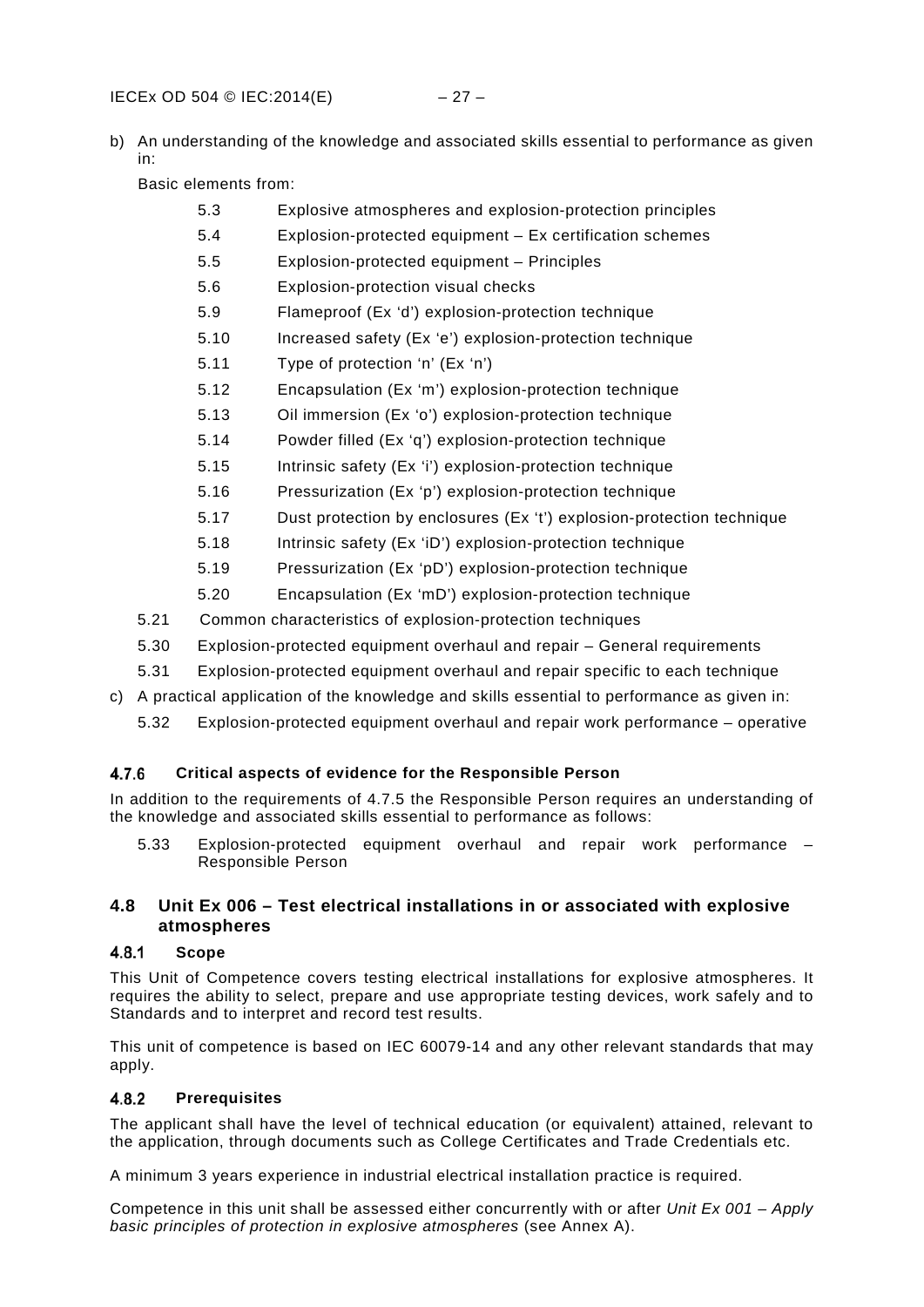b) An understanding of the knowledge and associated skills essential to performance as given in:

Basic elements from:

- [5.3](#page-42-3) [Explosive atmospheres and explosion-protection principles](#page-42-3)
- [5.4](#page-44-0) [Explosion-protected equipment –](#page-44-0) Ex certification schemes
- [5.5](#page-44-1) [Explosion-protected equipment –](#page-44-1) Principles
- [5.6](#page-44-2) [Explosion-protection visual checks](#page-44-2)
- [5.9](#page-45-1) [Flameproof \(Ex 'd'\) explosion-protection technique](#page-45-1)
- [5.10](#page-45-2) [Increased safety \(Ex 'e'\) explosion-protection technique](#page-45-2)
- [5.11](#page-46-0) [Type of protection 'n' \(Ex 'n'\)](#page-46-0)
- [5.12](#page-46-1) [Encapsulation \(Ex 'm'\) explosion-protection technique](#page-46-1)
- [5.13](#page-46-2) [Oil immersion \(Ex 'o'\) explosion-protection technique](#page-46-2)
- [5.14](#page-46-3) [Powder filled \(Ex 'q'\) explosion-protection technique](#page-46-3)
- [5.15](#page-47-0) [Intrinsic safety \(Ex 'i'\) explosion-protection technique](#page-47-0)
- [5.16](#page-47-1) [Pressurization \(Ex 'p'\) explosion-protection technique](#page-47-1)
- [5.17](#page-47-2) [Dust protection by enclosures \(Ex 't'\) explosion-protection technique](#page-47-2)
- [5.18](#page-47-3) [Intrinsic safety \(Ex 'iD'\) explosion-protection technique](#page-47-3)
- [5.19](#page-48-0) [Pressurization \(Ex 'pD'\) explosion-protection technique](#page-48-0)
- [5.20](#page-48-1) [Encapsulation \(Ex 'mD'\) explosion-protection technique](#page-48-1)
- [5.21 Common characteristics of explosion-protection techniques](#page-48-2)
- [5.30](#page-51-0) [Explosion-protected equipment overhaul and repair –](#page-51-0) General requirements
- [5.31](#page-51-1) [Explosion-protected equipment overhaul and repair specific to each technique](#page-51-1)
- c) A practical application of the knowledge and skills essential to performance as given in:
	- [5.32](#page-52-0) [Explosion-protected equipment overhaul and repair work performance –](#page-52-0) operative

#### <span id="page-30-0"></span> $4.7.6$ **Critical aspects of evidence for the Responsible Person**

In addition to the requirements of 4.7.5 the Responsible Person requires an understanding of the knowledge and associated skills essential to performance as follows:

[5.33](#page-52-1) [Explosion-protected equipment overhaul and repair work performance –](#page-52-1) [Responsible Person](#page-52-1)

### <span id="page-30-1"></span>**4.8 Unit Ex 006 – Test electrical installations in or associated with explosive atmospheres**

#### <span id="page-30-2"></span> $4.8.1$ **Scope**

This Unit of Competence covers testing electrical installations for explosive atmospheres. It requires the ability to select, prepare and use appropriate testing devices, work safely and to Standards and to interpret and record test results.

This unit of competence is based on IEC 60079-14 and any other relevant standards that may apply.

#### <span id="page-30-3"></span> $4.8.2$ **Prerequisites**

The applicant shall have the level of technical education (or equivalent) attained, relevant to the application, through documents such as College Certificates and Trade Credentials etc.

A minimum 3 years experience in industrial electrical installation practice is required.

Competence in this unit shall be assessed either concurrently with or after *Unit Ex 001 – Apply basic principles of protection in explosive atmospheres* (see Annex A).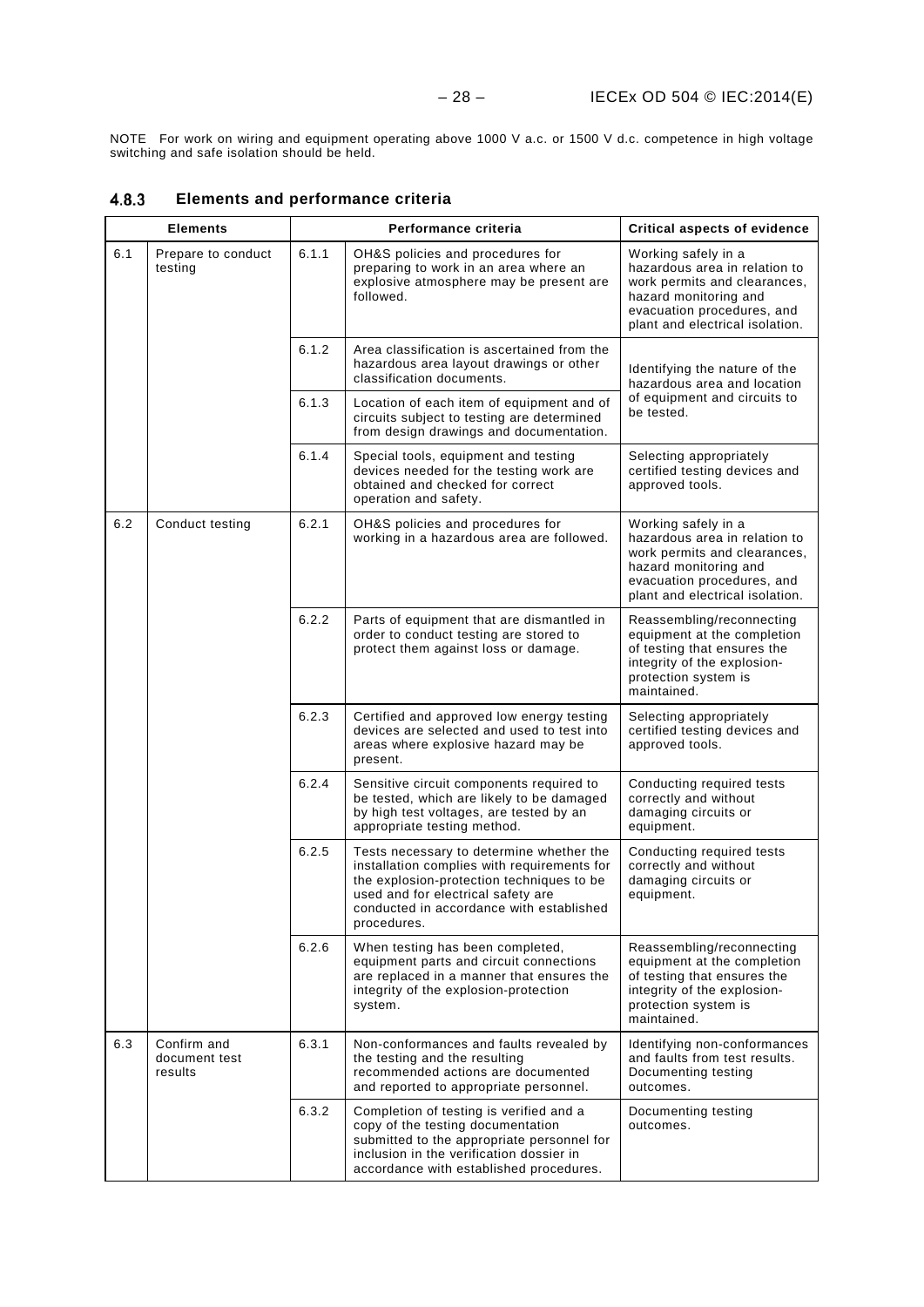NOTE For work on wiring and equipment operating above 1000 V a.c. or 1500 V d.c. competence in high voltage switching and safe isolation should be held.

|     | <b>Elements</b>                         |       | Performance criteria                                                                                                                                                                                                                  | <b>Critical aspects of evidence</b>                                                                                                                                            |
|-----|-----------------------------------------|-------|---------------------------------------------------------------------------------------------------------------------------------------------------------------------------------------------------------------------------------------|--------------------------------------------------------------------------------------------------------------------------------------------------------------------------------|
| 6.1 | Prepare to conduct<br>testing           | 6.1.1 | OH&S policies and procedures for<br>preparing to work in an area where an<br>explosive atmosphere may be present are<br>followed.                                                                                                     | Working safely in a<br>hazardous area in relation to<br>work permits and clearances,<br>hazard monitoring and<br>evacuation procedures, and<br>plant and electrical isolation. |
|     |                                         | 6.1.2 | Area classification is ascertained from the<br>hazardous area layout drawings or other<br>classification documents.                                                                                                                   | Identifying the nature of the<br>hazardous area and location                                                                                                                   |
|     |                                         | 6.1.3 | Location of each item of equipment and of<br>circuits subject to testing are determined<br>from design drawings and documentation.                                                                                                    | of equipment and circuits to<br>be tested.                                                                                                                                     |
|     |                                         | 6.1.4 | Special tools, equipment and testing<br>devices needed for the testing work are<br>obtained and checked for correct<br>operation and safety.                                                                                          | Selecting appropriately<br>certified testing devices and<br>approved tools.                                                                                                    |
| 6.2 | Conduct testing                         | 6.2.1 | OH&S policies and procedures for<br>working in a hazardous area are followed.                                                                                                                                                         | Working safely in a<br>hazardous area in relation to<br>work permits and clearances,<br>hazard monitoring and<br>evacuation procedures, and<br>plant and electrical isolation. |
|     |                                         | 6.2.2 | Parts of equipment that are dismantled in<br>order to conduct testing are stored to<br>protect them against loss or damage.                                                                                                           | Reassembling/reconnecting<br>equipment at the completion<br>of testing that ensures the<br>integrity of the explosion-<br>protection system is<br>maintained.                  |
|     |                                         | 6.2.3 | Certified and approved low energy testing<br>devices are selected and used to test into<br>areas where explosive hazard may be<br>present.                                                                                            | Selecting appropriately<br>certified testing devices and<br>approved tools.                                                                                                    |
|     |                                         | 6.2.4 | Sensitive circuit components required to<br>be tested, which are likely to be damaged<br>by high test voltages, are tested by an<br>appropriate testing method.                                                                       | Conducting required tests<br>correctly and without<br>damaging circuits or<br>equipment.                                                                                       |
|     |                                         | 6.2.5 | Tests necessary to determine whether the<br>installation complies with requirements for<br>the explosion-protection techniques to be<br>used and for electrical safety are<br>conducted in accordance with established<br>procedures. | Conducting required tests<br>correctly and without<br>damaging circuits or<br>equipment.                                                                                       |
|     |                                         | 6.2.6 | When testing has been completed,<br>equipment parts and circuit connections<br>are replaced in a manner that ensures the<br>integrity of the explosion-protection<br>system.                                                          | Reassembling/reconnecting<br>equipment at the completion<br>of testing that ensures the<br>integrity of the explosion-<br>protection system is<br>maintained.                  |
| 6.3 | Confirm and<br>document test<br>results | 6.3.1 | Non-conformances and faults revealed by<br>the testing and the resulting<br>recommended actions are documented<br>and reported to appropriate personnel.                                                                              | Identifying non-conformances<br>and faults from test results.<br>Documenting testing<br>outcomes.                                                                              |
|     |                                         | 6.3.2 | Completion of testing is verified and a<br>copy of the testing documentation<br>submitted to the appropriate personnel for<br>inclusion in the verification dossier in<br>accordance with established procedures.                     | Documenting testing<br>outcomes.                                                                                                                                               |

#### <span id="page-31-0"></span> $4.8.3$ **Elements and performance criteria**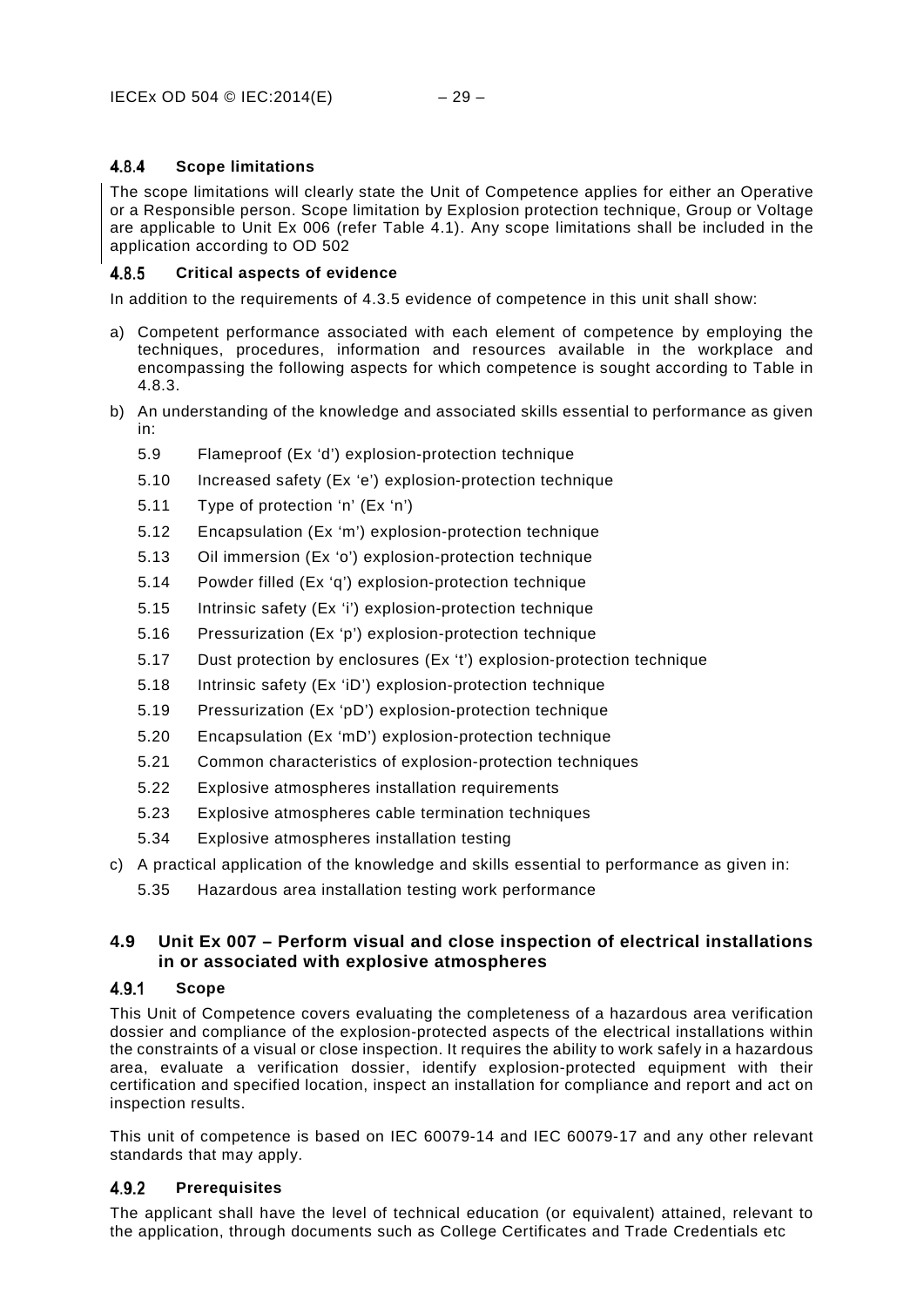#### <span id="page-32-0"></span>4.8.4 **Scope limitations**

The scope limitations will clearly state the Unit of Competence applies for either an Operative or a Responsible person. Scope limitation by Explosion protection technique, Group or Voltage are applicable to Unit Ex 006 (refer Table 4.1). Any scope limitations shall be included in the application according to OD 502

#### <span id="page-32-1"></span>4.8.5 **Critical aspects of evidence**

In addition to the requirements of 4.3.5 evidence of competence in this unit shall show:

- a) Competent performance associated with each element of competence by employing the techniques, procedures, information and resources available in the workplace and encompassing the following aspects for which competence is sought according to Table in 4.8.3.
- b) An understanding of the knowledge and associated skills essential to performance as given in:
	- [5.9](#page-45-1) [Flameproof \(Ex 'd'\) explosion-protection technique](#page-45-1)
	- [5.10](#page-45-2) [Increased safety \(Ex 'e'\) explosion-protection technique](#page-45-2)
	- [5.11](#page-46-0) [Type of protection 'n'](#page-46-0) (Ex 'n')
	- [5.12](#page-46-1) [Encapsulation \(Ex 'm'\) explosion-protection technique](#page-46-1)
	- [5.13](#page-46-2) [Oil immersion \(Ex 'o'\) explosion-protection technique](#page-46-2)
	- [5.14](#page-46-3) [Powder filled \(Ex 'q'\) explosion-protection technique](#page-46-3)
	- [5.15](#page-47-0) Intrinsic safety (Ex ['i'\) explosion-protection technique](#page-47-0)
	- [5.16](#page-47-1) [Pressurization \(Ex 'p'\) explosion-protection technique](#page-47-1)
	- [5.17](#page-47-2) [Dust protection by enclosures \(Ex 't'\) explosion-protection technique](#page-47-2)
	- [5.18](#page-47-3) [Intrinsic safety \(Ex 'iD'\) explosion-protection technique](#page-47-3)
	- [5.19](#page-48-0) [Pressurization \(Ex 'pD'\) explosion-protection technique](#page-48-0)
	- [5.20](#page-48-1) [Encapsulation \(Ex 'mD'\) explosion-protection technique](#page-48-1)
	- [5.21](#page-48-2) [Common characteristics of explosion-protection techniques](#page-48-2)
	- [5.22](#page-48-3) [Explosive atmospheres installation requirements](#page-48-3)
	- [5.23](#page-49-0) [Explosive atmospheres cable termination techniques](#page-49-0)
	- [5.34](#page-52-2) [Explosive atmospheres installation testing](#page-52-2)
- c) A practical application of the knowledge and skills essential to performance as given in:
	- [5.35](#page-53-0) [Hazardous area installation testing work performance](#page-53-0)

### <span id="page-32-2"></span>**4.9 Unit Ex 007 – Perform visual and close inspection of electrical installations in or associated with explosive atmospheres**

#### <span id="page-32-3"></span> $4.9.1$ **Scope**

This Unit of Competence covers evaluating the completeness of a hazardous area verification dossier and compliance of the explosion-protected aspects of the electrical installations within the constraints of a visual or close inspection. It requires the ability to work safely in a hazardous area, evaluate a verification dossier, identify explosion-protected equipment with their certification and specified location, inspect an installation for compliance and report and act on inspection results.

This unit of competence is based on IEC 60079-14 and IEC 60079-17 and any other relevant standards that may apply.

#### <span id="page-32-4"></span> $4.9.2$ **Prerequisites**

The applicant shall have the level of technical education (or equivalent) attained, relevant to the application, through documents such as College Certificates and Trade Credentials etc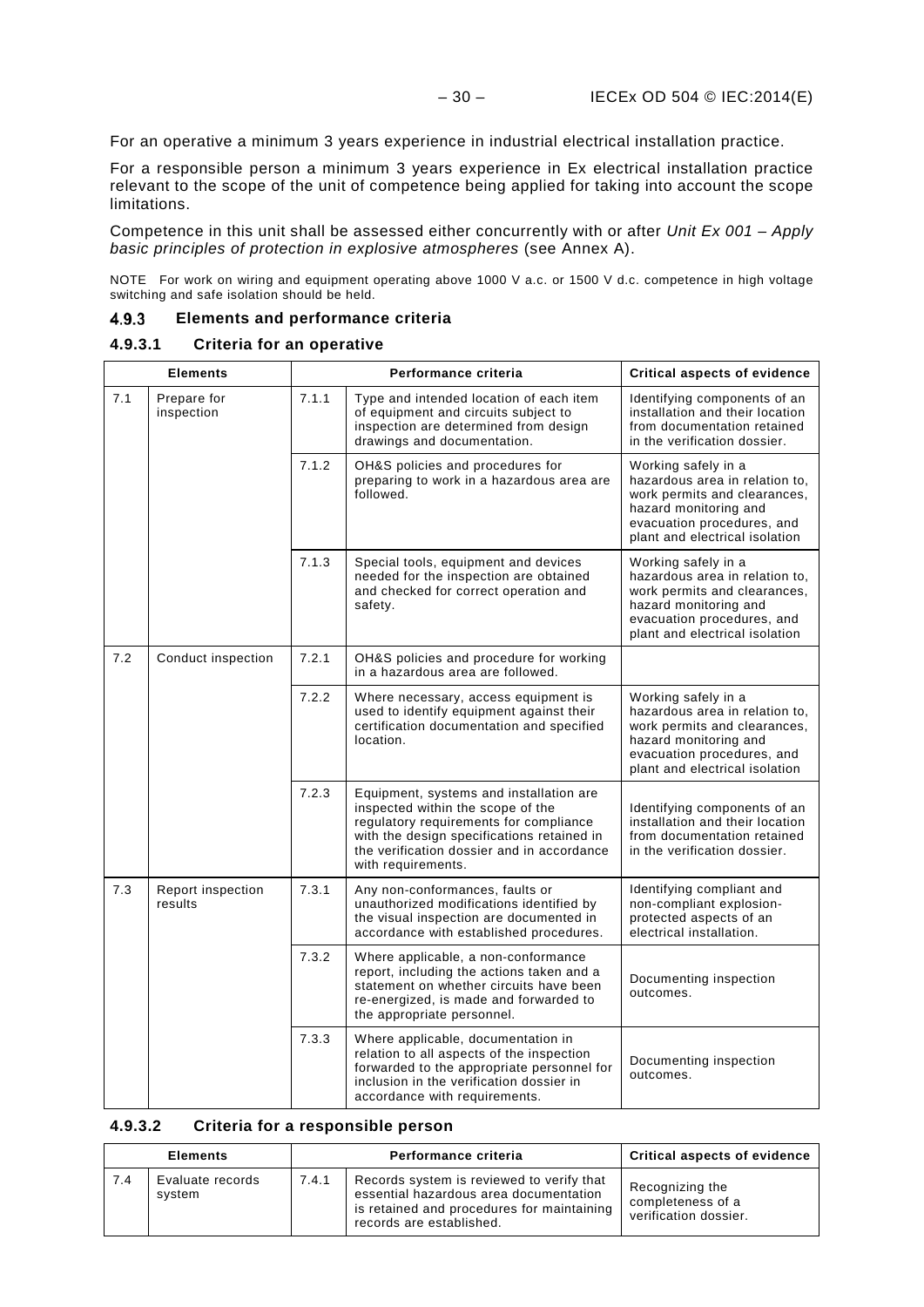For an operative a minimum 3 years experience in industrial electrical installation practice.

For a responsible person a minimum 3 years experience in Ex electrical installation practice relevant to the scope of the unit of competence being applied for taking into account the scope limitations.

Competence in this unit shall be assessed either concurrently with or after *Unit Ex 001 – Apply basic principles of protection in explosive atmospheres* (see Annex A).

NOTE For work on wiring and equipment operating above 1000 V a.c. or 1500 V d.c. competence in high voltage switching and safe isolation should be held.

#### <span id="page-33-0"></span>4.9.3 **Elements and performance criteria**

### **4.9.3.1 Criteria for an operative**

| <b>Elements</b> |                              | Performance criteria |                                                                                                                                                                                                                                          | <b>Critical aspects of evidence</b>                                                                                                                                            |
|-----------------|------------------------------|----------------------|------------------------------------------------------------------------------------------------------------------------------------------------------------------------------------------------------------------------------------------|--------------------------------------------------------------------------------------------------------------------------------------------------------------------------------|
| 7.1             | Prepare for<br>inspection    | 7.1.1                | Type and intended location of each item<br>of equipment and circuits subject to<br>inspection are determined from design<br>drawings and documentation.                                                                                  | Identifying components of an<br>installation and their location<br>from documentation retained<br>in the verification dossier.                                                 |
|                 |                              | 7.1.2                | OH&S policies and procedures for<br>preparing to work in a hazardous area are<br>followed.                                                                                                                                               | Working safely in a<br>hazardous area in relation to,<br>work permits and clearances,<br>hazard monitoring and<br>evacuation procedures, and<br>plant and electrical isolation |
|                 |                              | 7.1.3                | Special tools, equipment and devices<br>needed for the inspection are obtained<br>and checked for correct operation and<br>safety.                                                                                                       | Working safely in a<br>hazardous area in relation to,<br>work permits and clearances,<br>hazard monitoring and<br>evacuation procedures, and<br>plant and electrical isolation |
| 7.2             | Conduct inspection           | 7.2.1                | OH&S policies and procedure for working<br>in a hazardous area are followed.                                                                                                                                                             |                                                                                                                                                                                |
|                 |                              | 7.2.2                | Where necessary, access equipment is<br>used to identify equipment against their<br>certification documentation and specified<br>location.                                                                                               | Working safely in a<br>hazardous area in relation to,<br>work permits and clearances,<br>hazard monitoring and<br>evacuation procedures, and<br>plant and electrical isolation |
|                 |                              | 7.2.3                | Equipment, systems and installation are<br>inspected within the scope of the<br>regulatory requirements for compliance<br>with the design specifications retained in<br>the verification dossier and in accordance<br>with requirements. | Identifying components of an<br>installation and their location<br>from documentation retained<br>in the verification dossier.                                                 |
| 7.3             | Report inspection<br>results | 7.3.1                | Any non-conformances, faults or<br>unauthorized modifications identified by<br>the visual inspection are documented in<br>accordance with established procedures.                                                                        | Identifying compliant and<br>non-compliant explosion-<br>protected aspects of an<br>electrical installation.                                                                   |
|                 |                              | 7.3.2                | Where applicable, a non-conformance<br>report, including the actions taken and a<br>statement on whether circuits have been<br>re-energized, is made and forwarded to<br>the appropriate personnel.                                      | Documenting inspection<br>outcomes.                                                                                                                                            |
|                 |                              | 7.3.3                | Where applicable, documentation in<br>relation to all aspects of the inspection<br>forwarded to the appropriate personnel for<br>inclusion in the verification dossier in<br>accordance with requirements.                               | Documenting inspection<br>outcomes.                                                                                                                                            |

### **4.9.3.2 Criteria for a responsible person**

| <b>Elements</b> |     |                            | Performance criteria | Critical aspects of evidence                                                                                                                                  |                                                               |
|-----------------|-----|----------------------------|----------------------|---------------------------------------------------------------------------------------------------------------------------------------------------------------|---------------------------------------------------------------|
|                 | 7.4 | Evaluate records<br>system | 7.4.1                | Records system is reviewed to verify that<br>essential hazardous area documentation<br>is retained and procedures for maintaining<br>records are established. | Recognizing the<br>completeness of a<br>verification dossier. |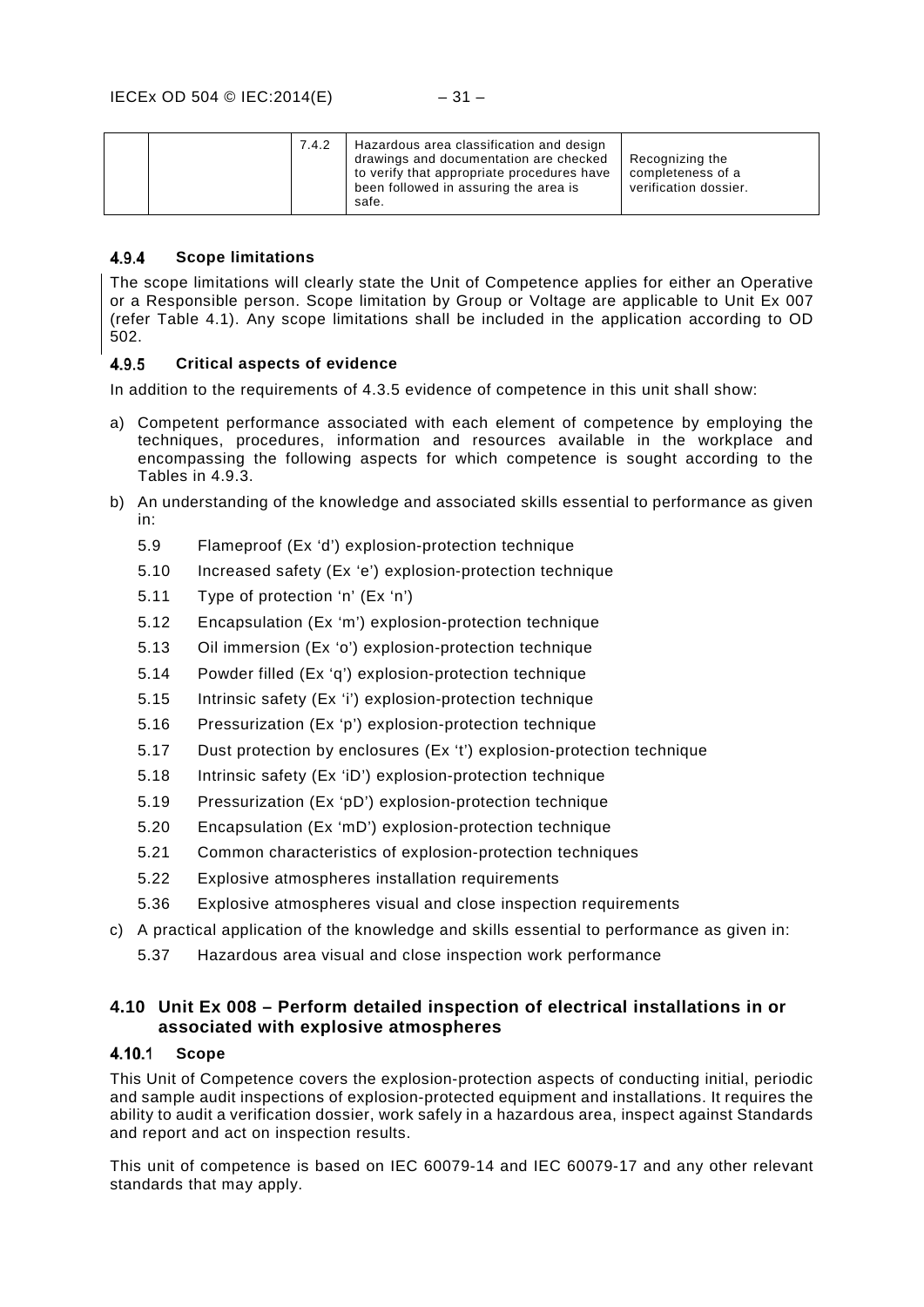| Hazardous area classification and design<br>7.4.2<br>drawings and documentation are checked<br>to verify that appropriate procedures have<br>been followed in assuring the area is<br>safe. | Recognizing the<br>completeness of a<br>verification dossier. |
|---------------------------------------------------------------------------------------------------------------------------------------------------------------------------------------------|---------------------------------------------------------------|
|---------------------------------------------------------------------------------------------------------------------------------------------------------------------------------------------|---------------------------------------------------------------|

#### <span id="page-34-0"></span> $4.9.4$ **Scope limitations**

The scope limitations will clearly state the Unit of Competence applies for either an Operative or a Responsible person. Scope limitation by Group or Voltage are applicable to Unit Ex 007 (refer Table 4.1). Any scope limitations shall be included in the application according to OD 502.

#### <span id="page-34-1"></span> $4.9.5$ **Critical aspects of evidence**

In addition to the requirements of 4.3.5 evidence of competence in this unit shall show:

- a) Competent performance associated with each element of competence by employing the techniques, procedures, information and resources available in the workplace and encompassing the following aspects for which competence is sought according to the Tables in 4.9.3.
- b) An understanding of the knowledge and associated skills essential to performance as given in:
	- [5.9](#page-45-1) [Flameproof \(Ex 'd'\) explosion-protection technique](#page-45-1)
	- [5.10](#page-45-2) [Increased safety \(Ex 'e'\) explosion-protection technique](#page-45-2)
	- [5.11](#page-46-0) [Type of protection 'n' \(Ex 'n'\)](#page-46-0)
	- [5.12](#page-46-1) [Encapsulation \(Ex 'm'\) explosion-protection technique](#page-46-1)
	- [5.13](#page-46-2) [Oil immersion \(Ex 'o'\) explosion-protection technique](#page-46-2)
	- [5.14](#page-46-3) [Powder filled \(Ex 'q'\) explosion-protection technique](#page-46-3)
	- [5.15](#page-47-0) [Intrinsic safety \(Ex 'i'\) explosion-protection technique](#page-47-0)
	- [5.16](#page-47-1) [Pressurization \(Ex 'p'\) explosion-protection technique](#page-47-1)
	- [5.17](#page-47-2) [Dust protection by enclosures \(Ex 't'\) explosion-protection technique](#page-47-2)
	- [5.18](#page-47-3) [Intrinsic safety \(Ex 'iD'\) explosion-protection technique](#page-47-3)
	- [5.19](#page-48-0) [Pressurization \(Ex 'pD'\) explosion-protection technique](#page-48-0)
	- [5.20](#page-48-1) [Encapsulation \(Ex 'mD'\) explosion-protection technique](#page-48-1)
	- [5.21](#page-48-2) [Common characteristics of explosion-protection techniques](#page-48-2)
	- [5.22](#page-48-3) [Explosive atmospheres installation requirements](#page-48-3)
	- [5.36](#page-53-1) [Explosive atmospheres visual and close inspection requirements](#page-53-1)
- c) A practical application of the knowledge and skills essential to performance as given in:
	- [5.37](#page-53-2) [Hazardous area visual and close inspection work performance](#page-53-2)

### <span id="page-34-2"></span>**4.10 Unit Ex 008 – Perform detailed inspection of electrical installations in or associated with explosive atmospheres**

#### <span id="page-34-3"></span>4.10.1 **Scope**

This Unit of Competence covers the explosion-protection aspects of conducting initial, periodic and sample audit inspections of explosion-protected equipment and installations. It requires the ability to audit a verification dossier, work safely in a hazardous area, inspect against Standards and report and act on inspection results.

This unit of competence is based on IEC 60079-14 and IEC 60079-17 and any other relevant standards that may apply.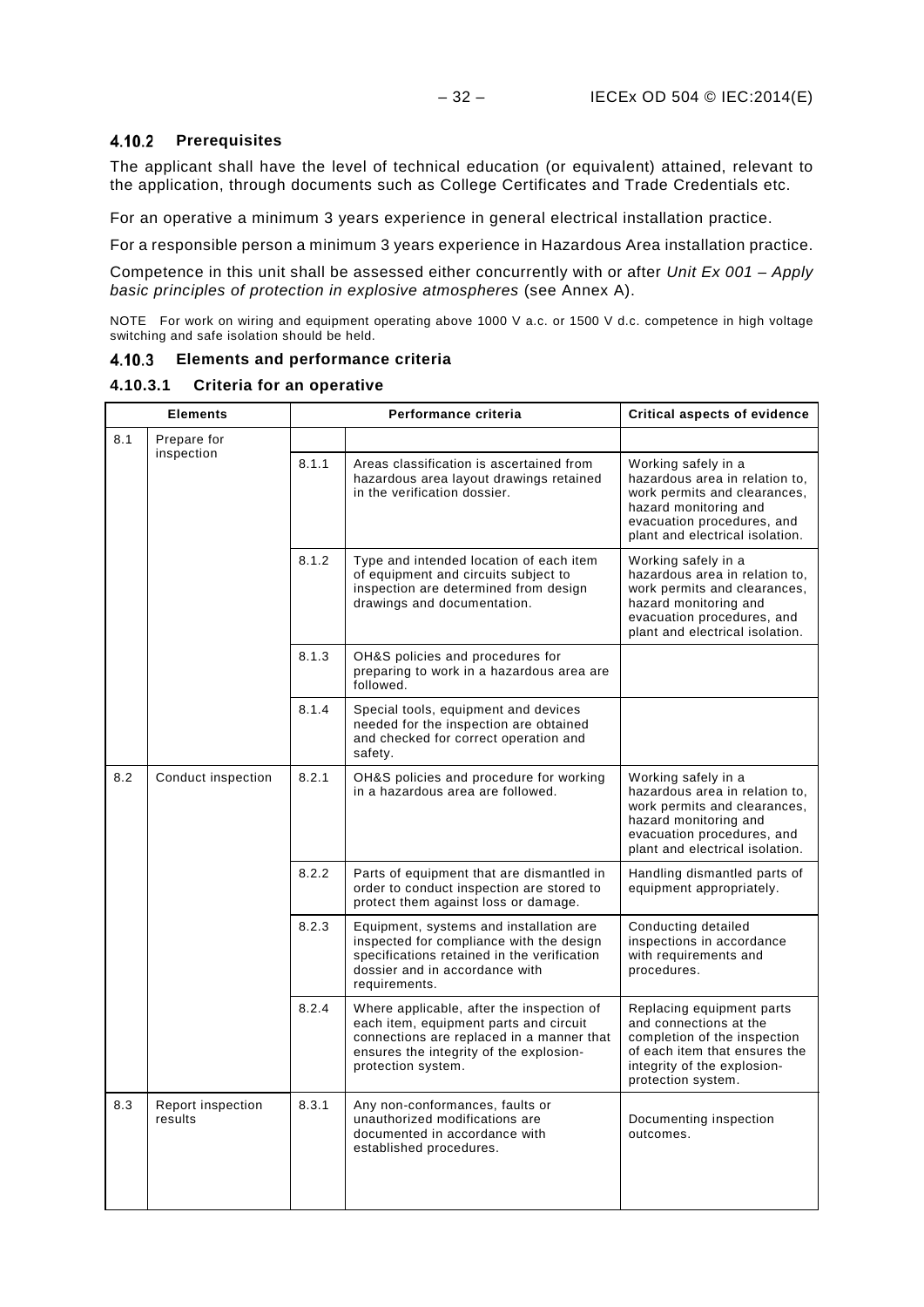### <span id="page-35-0"></span>**Prerequisites**

The applicant shall have the level of technical education (or equivalent) attained, relevant to the application, through documents such as College Certificates and Trade Credentials etc.

For an operative a minimum 3 years experience in general electrical installation practice.

For a responsible person a minimum 3 years experience in Hazardous Area installation practice.

Competence in this unit shall be assessed either concurrently with or after *Unit Ex 001 – Apply basic principles of protection in explosive atmospheres* (see Annex A).

NOTE For work on wiring and equipment operating above 1000 V a.c. or 1500 V d.c. competence in high voltage switching and safe isolation should be held.

### <span id="page-35-1"></span>**Elements and performance criteria**

### **4.10.3.1 Criteria for an operative**

| <b>Elements</b> |                              | Performance criteria |                                                                                                                                                                                                   | Critical aspects of evidence                                                                                                                                                    |
|-----------------|------------------------------|----------------------|---------------------------------------------------------------------------------------------------------------------------------------------------------------------------------------------------|---------------------------------------------------------------------------------------------------------------------------------------------------------------------------------|
| 8.1             | Prepare for                  |                      |                                                                                                                                                                                                   |                                                                                                                                                                                 |
|                 | inspection                   | 8.1.1                | Areas classification is ascertained from<br>hazardous area layout drawings retained<br>in the verification dossier.                                                                               | Working safely in a<br>hazardous area in relation to,<br>work permits and clearances,<br>hazard monitoring and<br>evacuation procedures, and<br>plant and electrical isolation. |
|                 |                              | 8.1.2                | Type and intended location of each item<br>of equipment and circuits subject to<br>inspection are determined from design<br>drawings and documentation.                                           | Working safely in a<br>hazardous area in relation to,<br>work permits and clearances,<br>hazard monitoring and<br>evacuation procedures, and<br>plant and electrical isolation. |
|                 |                              | 8.1.3                | OH&S policies and procedures for<br>preparing to work in a hazardous area are<br>followed.                                                                                                        |                                                                                                                                                                                 |
|                 |                              | 8.1.4                | Special tools, equipment and devices<br>needed for the inspection are obtained<br>and checked for correct operation and<br>safety.                                                                |                                                                                                                                                                                 |
| 8.2             | Conduct inspection           | 8.2.1                | OH&S policies and procedure for working<br>in a hazardous area are followed.                                                                                                                      | Working safely in a<br>hazardous area in relation to.<br>work permits and clearances,<br>hazard monitoring and<br>evacuation procedures, and<br>plant and electrical isolation. |
|                 |                              | 8.2.2                | Parts of equipment that are dismantled in<br>order to conduct inspection are stored to<br>protect them against loss or damage.                                                                    | Handling dismantled parts of<br>equipment appropriately.                                                                                                                        |
|                 |                              | 8.2.3                | Equipment, systems and installation are<br>inspected for compliance with the design<br>specifications retained in the verification<br>dossier and in accordance with<br>requirements.             | Conducting detailed<br>inspections in accordance<br>with requirements and<br>procedures.                                                                                        |
|                 |                              | 8.2.4                | Where applicable, after the inspection of<br>each item, equipment parts and circuit<br>connections are replaced in a manner that<br>ensures the integrity of the explosion-<br>protection system. | Replacing equipment parts<br>and connections at the<br>completion of the inspection<br>of each item that ensures the<br>integrity of the explosion-<br>protection system.       |
| 8.3             | Report inspection<br>results | 8.3.1                | Any non-conformances, faults or<br>unauthorized modifications are<br>documented in accordance with<br>established procedures.                                                                     | Documenting inspection<br>outcomes.                                                                                                                                             |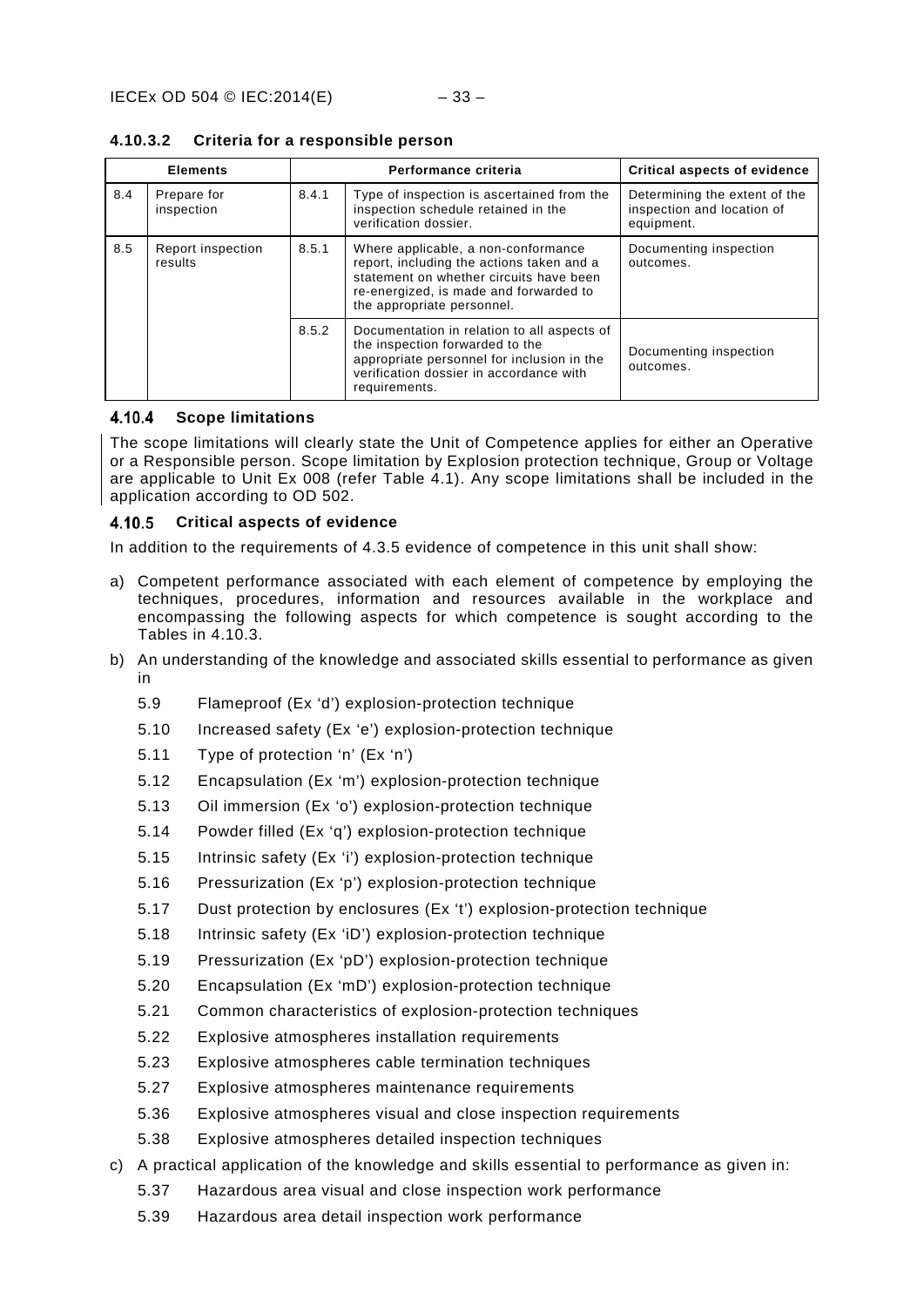| <b>Elements</b> |                              |       | Performance criteria                                                                                                                                                                                | <b>Critical aspects of evidence</b>                                       |
|-----------------|------------------------------|-------|-----------------------------------------------------------------------------------------------------------------------------------------------------------------------------------------------------|---------------------------------------------------------------------------|
| 8.4             | Prepare for<br>inspection    | 8.4.1 | Type of inspection is ascertained from the<br>inspection schedule retained in the<br>verification dossier.                                                                                          | Determining the extent of the<br>inspection and location of<br>equipment. |
| 8.5             | Report inspection<br>results | 8.5.1 | Where applicable, a non-conformance<br>report, including the actions taken and a<br>statement on whether circuits have been<br>re-energized, is made and forwarded to<br>the appropriate personnel. | Documenting inspection<br>outcomes.                                       |
|                 |                              | 8.5.2 | Documentation in relation to all aspects of<br>the inspection forwarded to the<br>appropriate personnel for inclusion in the<br>verification dossier in accordance with<br>requirements.            | Documenting inspection<br>outcomes.                                       |

**4.10.3.2 Criteria for a responsible person**

#### <span id="page-36-0"></span>4.10.4 **Scope limitations**

The scope limitations will clearly state the Unit of Competence applies for either an Operative or a Responsible person. Scope limitation by Explosion protection technique, Group or Voltage are applicable to Unit Ex 008 (refer Table 4.1). Any scope limitations shall be included in the application according to OD 502.

#### <span id="page-36-1"></span>4.10.5 **Critical aspects of evidence**

In addition to the requirements of 4.3.5 evidence of competence in this unit shall show:

- a) Competent performance associated with each element of competence by employing the techniques, procedures, information and resources available in the workplace and encompassing the following aspects for which competence is sought according to the Tables in 4.10.3.
- b) An understanding of the knowledge and associated skills essential to performance as given in
	- [5.9](#page-45-1) [Flameproof \(Ex 'd'\) explosion-protection technique](#page-45-1)
	- [5.10](#page-45-2) [Increased safety \(Ex 'e'\) explosion-protection technique](#page-45-2)
	- [5.11](#page-46-0) [Type of protection 'n' \(Ex 'n'\)](#page-46-0)
	- [5.12](#page-46-1) [Encapsulation \(Ex 'm'\) explosion-protection technique](#page-46-1)
	- [5.13](#page-46-2) [Oil immersion \(Ex 'o'\) explosion-protection technique](#page-46-2)
	- [5.14](#page-46-3) [Powder filled \(Ex 'q'\) explosion-protection technique](#page-46-3)
	- [5.15](#page-47-0) [Intrinsic safety \(Ex 'i'\) explosion-protection technique](#page-47-0)
	- [5.16](#page-47-1) [Pressurization \(Ex 'p'\) explosion-protection technique](#page-47-1)
	- [5.17](#page-47-2) [Dust protection by enclosures \(Ex 't'\) explosion-protection technique](#page-47-2)
	- [5.18](#page-47-3) [Intrinsic safety \(Ex 'iD'\) explosion-protection technique](#page-47-3)
	- [5.19](#page-48-0) [Pressurization \(Ex 'pD'\) explosion-protection technique](#page-48-0)
	- [5.20](#page-48-1) [Encapsulation \(Ex 'mD'\) explosion-protection technique](#page-48-1)
	- [5.21](#page-48-2) [Common characteristics of explosion-protection techniques](#page-48-2)
	- [5.22](#page-48-3) [Explosive atmospheres installation requirements](#page-48-3)
	- [5.23](#page-49-0) [Explosive atmospheres cable termination techniques](#page-49-0)
	- [5.27](#page-50-1) [Explosive atmospheres maintenance requirements](#page-50-1)
	- [5.36](#page-53-1) [Explosive atmospheres visual and close inspection requirements](#page-53-1)
	- [5.38](#page-53-3) [Explosive atmospheres detailed inspection techniques](#page-53-3)
- c) A practical application of the knowledge and skills essential to performance as given in:
	- [5.37](#page-53-2) [Hazardous area visual and close inspection work performance](#page-53-2)
		- [5.39](#page-54-0) [Hazardous area detail inspection work performance](#page-54-0)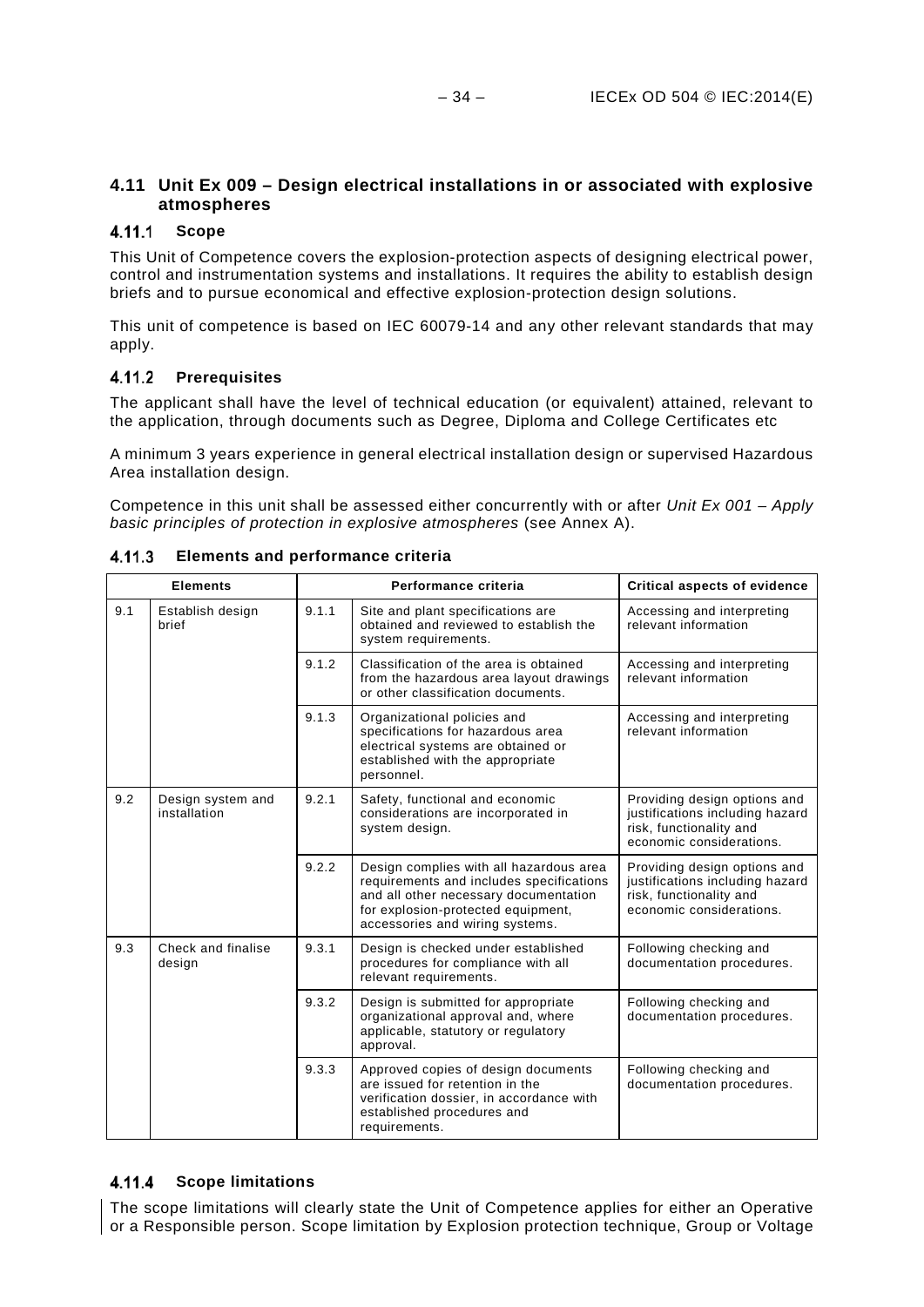### <span id="page-37-0"></span>**4.11 Unit Ex 009 – Design electrical installations in or associated with explosive atmospheres**

#### <span id="page-37-1"></span> $4.11.1$ **Scope**

This Unit of Competence covers the explosion-protection aspects of designing electrical power, control and instrumentation systems and installations. It requires the ability to establish design briefs and to pursue economical and effective explosion-protection design solutions.

This unit of competence is based on IEC 60079-14 and any other relevant standards that may apply.

### <span id="page-37-2"></span>**Prerequisites**

The applicant shall have the level of technical education (or equivalent) attained, relevant to the application, through documents such as Degree, Diploma and College Certificates etc

A minimum 3 years experience in general electrical installation design or supervised Hazardous Area installation design.

Competence in this unit shall be assessed either concurrently with or after *Unit Ex 001 – Apply basic principles of protection in explosive atmospheres* (see Annex A).

|     | <b>Elements</b>                   |       | Performance criteria                                                                                                                                                                                  | <b>Critical aspects of evidence</b>                                                                                    |  |  |  |
|-----|-----------------------------------|-------|-------------------------------------------------------------------------------------------------------------------------------------------------------------------------------------------------------|------------------------------------------------------------------------------------------------------------------------|--|--|--|
| 9.1 | Establish design<br>brief         | 9.1.1 | Site and plant specifications are<br>obtained and reviewed to establish the<br>system requirements.                                                                                                   | Accessing and interpreting<br>relevant information                                                                     |  |  |  |
|     |                                   | 9.1.2 | Classification of the area is obtained<br>from the hazardous area layout drawings<br>or other classification documents.                                                                               | Accessing and interpreting<br>relevant information                                                                     |  |  |  |
|     |                                   | 9.1.3 | Organizational policies and<br>specifications for hazardous area<br>electrical systems are obtained or<br>established with the appropriate<br>personnel.                                              | Accessing and interpreting<br>relevant information                                                                     |  |  |  |
| 9.2 | Design system and<br>installation | 9.2.1 | Safety, functional and economic<br>considerations are incorporated in<br>system design.                                                                                                               | Providing design options and<br>justifications including hazard<br>risk, functionality and<br>economic considerations. |  |  |  |
|     |                                   | 9.2.2 | Design complies with all hazardous area<br>requirements and includes specifications<br>and all other necessary documentation<br>for explosion-protected equipment,<br>accessories and wiring systems. | Providing design options and<br>justifications including hazard<br>risk, functionality and<br>economic considerations. |  |  |  |
| 9.3 | Check and finalise<br>design      | 9.3.1 | Design is checked under established<br>procedures for compliance with all<br>relevant requirements.                                                                                                   | Following checking and<br>documentation procedures.                                                                    |  |  |  |
|     |                                   | 9.3.2 | Design is submitted for appropriate<br>organizational approval and, where<br>applicable, statutory or regulatory<br>approval.                                                                         | Following checking and<br>documentation procedures.                                                                    |  |  |  |
|     |                                   | 9.3.3 | Approved copies of design documents<br>are issued for retention in the<br>verification dossier, in accordance with<br>established procedures and<br>requirements.                                     | Following checking and<br>documentation procedures.                                                                    |  |  |  |

### <span id="page-37-3"></span>**Elements and performance criteria**

### <span id="page-37-4"></span>**Scope limitations**

The scope limitations will clearly state the Unit of Competence applies for either an Operative or a Responsible person. Scope limitation by Explosion protection technique, Group or Voltage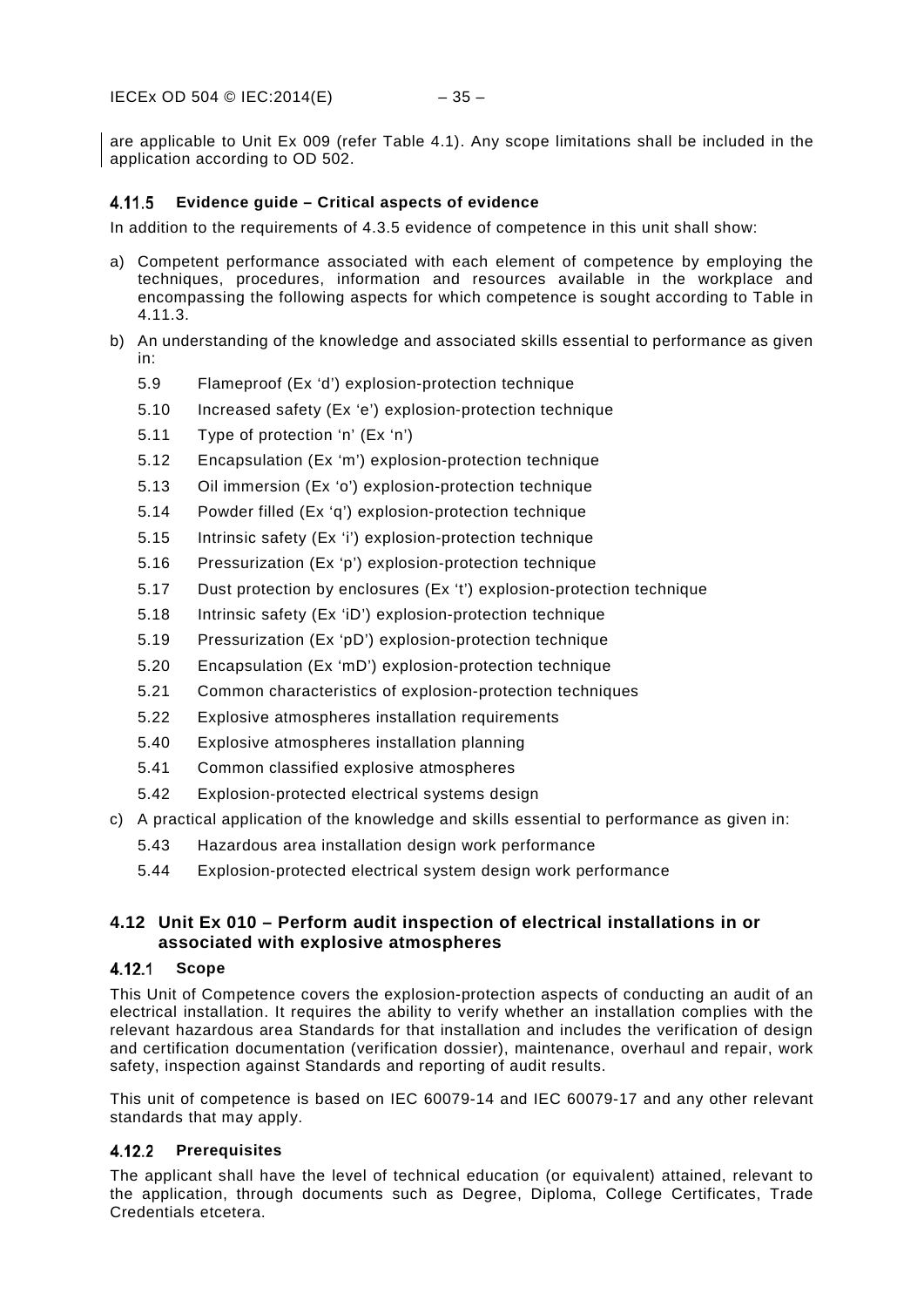are applicable to Unit Ex 009 (refer Table 4.1). Any scope limitations shall be included in the application according to OD 502.

### <span id="page-38-0"></span>**Evidence guide – Critical aspects of evidence**

In addition to the requirements of 4.3.5 evidence of competence in this unit shall show:

- a) Competent performance associated with each element of competence by employing the techniques, procedures, information and resources available in the workplace and encompassing the following aspects for which competence is sought according to Table in 4.11.3.
- b) An understanding of the knowledge and associated skills essential to performance as given in:
	- [5.9](#page-45-1) [Flameproof \(Ex 'd'\) explosion-protection technique](#page-45-1)
	- [5.10](#page-45-2) [Increased safety \(Ex 'e'\) explosion-protection technique](#page-45-2)
	- [5.11](#page-46-0) [Type of protection 'n' \(Ex 'n'\)](#page-46-0)
	- [5.12](#page-46-1) [Encapsulation \(Ex 'm'\) explosion-protection technique](#page-46-1)
	- [5.13](#page-46-2) [Oil immersion \(Ex 'o'\) explosion-protection technique](#page-46-2)
	- [5.14](#page-46-3) [Powder filled \(Ex 'q'\) explosion-protection technique](#page-46-3)
	- [5.15](#page-47-0) [Intrinsic safety \(Ex 'i'\) explosion-protection technique](#page-47-0)
	- [5.16](#page-47-1) [Pressurization \(Ex 'p'\) explosion-protection technique](#page-47-1)
	- [5.17](#page-47-2) [Dust protection by enclosures \(Ex 't'\) explosion-protection technique](#page-47-2)
	- [5.18](#page-47-3) [Intrinsic safety \(Ex 'iD'\) explosion-protection technique](#page-47-3)
	- [5.19](#page-48-0) [Pressurization \(Ex 'pD'\) explosion-protection technique](#page-48-0)
	- [5.20](#page-48-1) [Encapsulation \(Ex 'mD'\) explosion-protection technique](#page-48-1)
	- [5.21](#page-48-2) [Common characteristics of explosion-protection techniques](#page-48-2)
	- [5.22](#page-48-3) [Explosive atmospheres installation requirements](#page-48-3)
	- [5.40](#page-54-1) [Explosive atmospheres installation planning](#page-54-1)
	- [5.41](#page-55-0) [Common classified explosive atmospheres](#page-55-0)
	- [5.42](#page-55-1) [Explosion-protected electrical systems design](#page-55-1)
- c) A practical application of the knowledge and skills essential to performance as given in:
	- [5.43](#page-55-2) [Hazardous area installation design work performance](#page-55-2)
	- [5.44](#page-55-3) [Explosion-protected electrical system design work performance](#page-55-3)

### <span id="page-38-1"></span>**4.12 Unit Ex 010 – Perform audit inspection of electrical installations in or associated with explosive atmospheres**

### <span id="page-38-2"></span>4.12.1 Scope

This Unit of Competence covers the explosion-protection aspects of conducting an audit of an electrical installation. It requires the ability to verify whether an installation complies with the relevant hazardous area Standards for that installation and includes the verification of design and certification documentation (verification dossier), maintenance, overhaul and repair, work safety, inspection against Standards and reporting of audit results.

This unit of competence is based on IEC 60079-14 and IEC 60079-17 and any other relevant standards that may apply.

### <span id="page-38-3"></span>**Prerequisites**

The applicant shall have the level of technical education (or equivalent) attained, relevant to the application, through documents such as Degree, Diploma, College Certificates, Trade Credentials etcetera.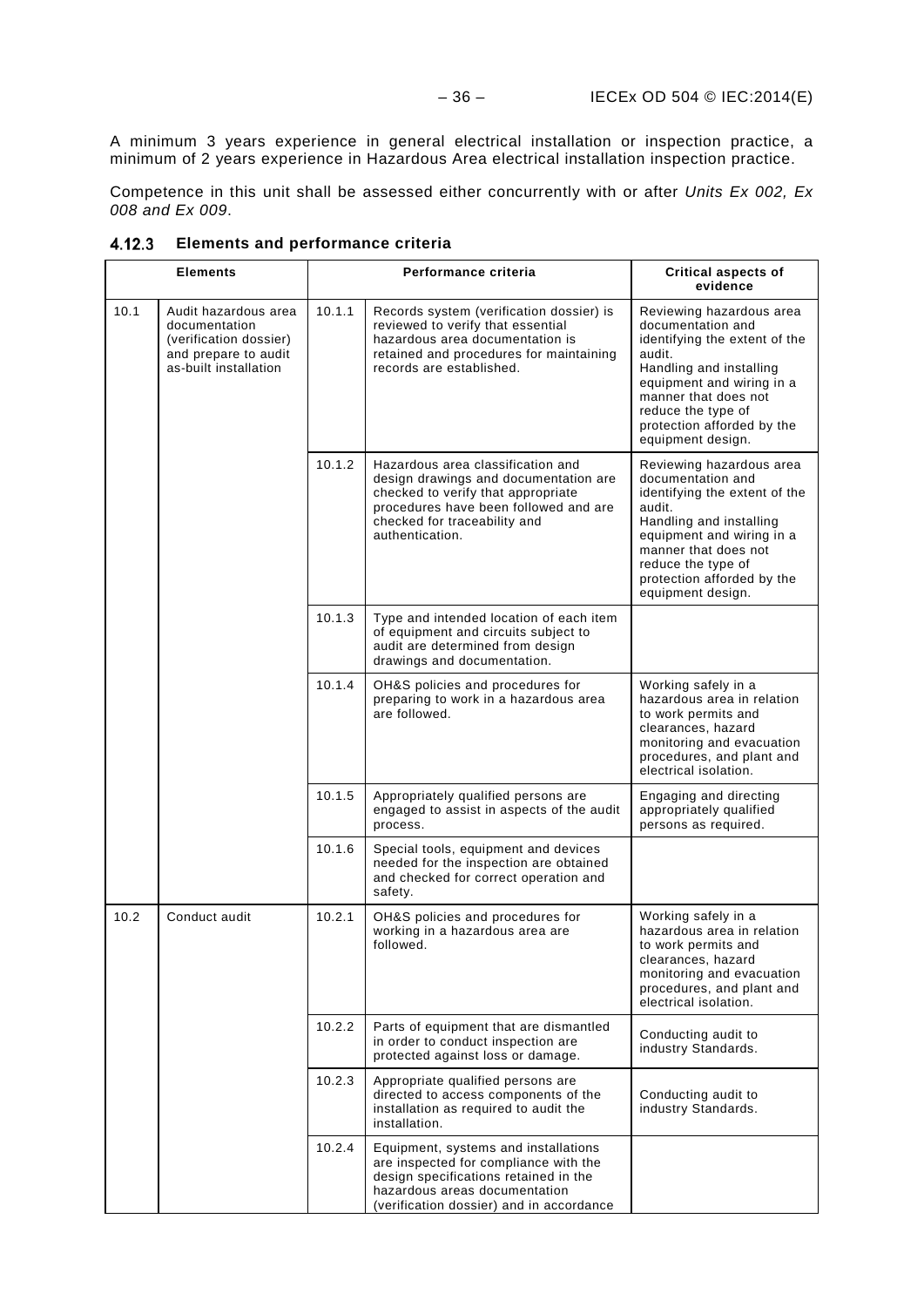A minimum 3 years experience in general electrical installation or inspection practice, a minimum of 2 years experience in Hazardous Area electrical installation inspection practice.

Competence in this unit shall be assessed either concurrently with or after *Units Ex 002, Ex 008 and Ex 009*.

|      | <b>Elements</b>                                                                                                  |        | Performance criteria                                                                                                                                                                                         | <b>Critical aspects of</b><br>evidence                                                                                                                                                                                                            |
|------|------------------------------------------------------------------------------------------------------------------|--------|--------------------------------------------------------------------------------------------------------------------------------------------------------------------------------------------------------------|---------------------------------------------------------------------------------------------------------------------------------------------------------------------------------------------------------------------------------------------------|
| 10.1 | Audit hazardous area<br>documentation<br>(verification dossier)<br>and prepare to audit<br>as-built installation | 10.1.1 | Records system (verification dossier) is<br>reviewed to verify that essential<br>hazardous area documentation is<br>retained and procedures for maintaining<br>records are established.                      | Reviewing hazardous area<br>documentation and<br>identifying the extent of the<br>audit.<br>Handling and installing<br>equipment and wiring in a<br>manner that does not<br>reduce the type of<br>protection afforded by the<br>equipment design. |
|      |                                                                                                                  | 10.1.2 | Hazardous area classification and<br>design drawings and documentation are<br>checked to verify that appropriate<br>procedures have been followed and are<br>checked for traceability and<br>authentication. | Reviewing hazardous area<br>documentation and<br>identifying the extent of the<br>audit.<br>Handling and installing<br>equipment and wiring in a<br>manner that does not<br>reduce the type of<br>protection afforded by the<br>equipment design. |
|      |                                                                                                                  | 10.1.3 | Type and intended location of each item<br>of equipment and circuits subject to<br>audit are determined from design<br>drawings and documentation.                                                           |                                                                                                                                                                                                                                                   |
|      |                                                                                                                  | 10.1.4 | OH&S policies and procedures for<br>preparing to work in a hazardous area<br>are followed.                                                                                                                   | Working safely in a<br>hazardous area in relation<br>to work permits and<br>clearances, hazard<br>monitoring and evacuation<br>procedures, and plant and<br>electrical isolation.                                                                 |
|      |                                                                                                                  | 10.1.5 | Appropriately qualified persons are<br>engaged to assist in aspects of the audit<br>process.                                                                                                                 | Engaging and directing<br>appropriately qualified<br>persons as required.                                                                                                                                                                         |
|      |                                                                                                                  | 10.1.6 | Special tools, equipment and devices<br>needed for the inspection are obtained<br>and checked for correct operation and<br>safety.                                                                           |                                                                                                                                                                                                                                                   |
| 10.2 | Conduct audit                                                                                                    | 10.2.1 | OH&S policies and procedures for<br>working in a hazardous area are<br>followed.                                                                                                                             | Working safely in a<br>hazardous area in relation<br>to work permits and<br>clearances, hazard<br>monitoring and evacuation<br>procedures, and plant and<br>electrical isolation.                                                                 |
|      |                                                                                                                  | 10.2.2 | Parts of equipment that are dismantled<br>in order to conduct inspection are<br>protected against loss or damage.                                                                                            | Conducting audit to<br>industry Standards.                                                                                                                                                                                                        |
|      |                                                                                                                  | 10.2.3 | Appropriate qualified persons are<br>directed to access components of the<br>installation as required to audit the<br>installation.                                                                          | Conducting audit to<br>industry Standards.                                                                                                                                                                                                        |
|      |                                                                                                                  | 10.2.4 | Equipment, systems and installations<br>are inspected for compliance with the<br>design specifications retained in the<br>hazardous areas documentation<br>(verification dossier) and in accordance          |                                                                                                                                                                                                                                                   |

<span id="page-39-0"></span>**Elements and performance criteria**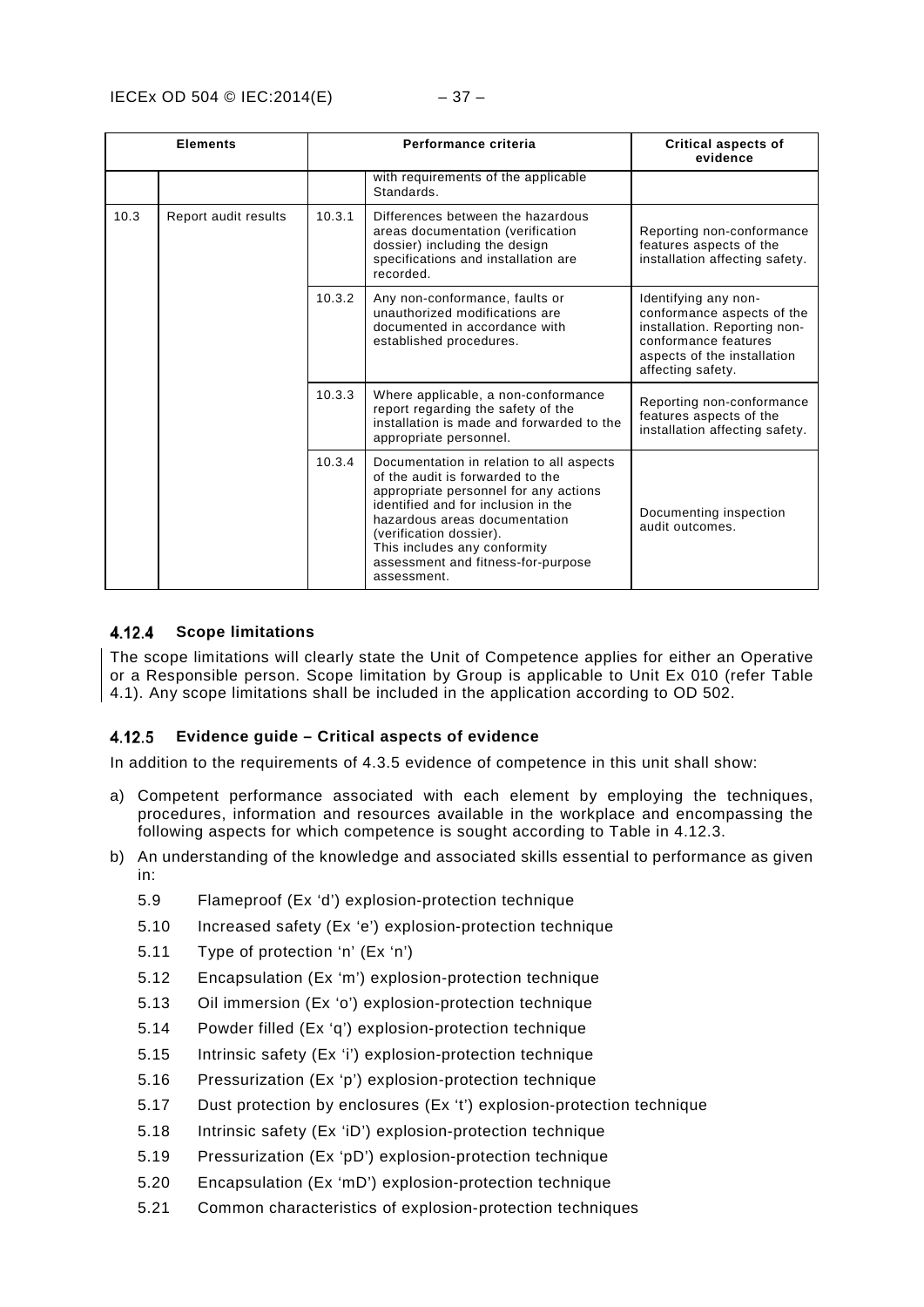|      | <b>Elements</b>      |        | Performance criteria                                                                                                                                                                                                                                                                                          | Critical aspects of<br>evidence                                                                                                                                |
|------|----------------------|--------|---------------------------------------------------------------------------------------------------------------------------------------------------------------------------------------------------------------------------------------------------------------------------------------------------------------|----------------------------------------------------------------------------------------------------------------------------------------------------------------|
|      |                      |        | with requirements of the applicable<br>Standards.                                                                                                                                                                                                                                                             |                                                                                                                                                                |
| 10.3 | Report audit results | 10.3.1 | Differences between the hazardous<br>areas documentation (verification<br>dossier) including the design<br>specifications and installation are<br>recorded.                                                                                                                                                   | Reporting non-conformance<br>features aspects of the<br>installation affecting safety.                                                                         |
|      |                      | 10.3.2 | Any non-conformance, faults or<br>unauthorized modifications are<br>documented in accordance with<br>established procedures.                                                                                                                                                                                  | Identifying any non-<br>conformance aspects of the<br>installation. Reporting non-<br>conformance features<br>aspects of the installation<br>affecting safety. |
|      |                      | 10.3.3 | Where applicable, a non-conformance<br>report regarding the safety of the<br>installation is made and forwarded to the<br>appropriate personnel.                                                                                                                                                              | Reporting non-conformance<br>features aspects of the<br>installation affecting safety.                                                                         |
|      |                      | 10.3.4 | Documentation in relation to all aspects<br>of the audit is forwarded to the<br>appropriate personnel for any actions<br>identified and for inclusion in the<br>hazardous areas documentation<br>(verification dossier).<br>This includes any conformity<br>assessment and fitness-for-purpose<br>assessment. | Documenting inspection<br>audit outcomes.                                                                                                                      |

#### <span id="page-40-0"></span>4.12.4 **Scope limitations**

The scope limitations will clearly state the Unit of Competence applies for either an Operative or a Responsible person. Scope limitation by Group is applicable to Unit Ex 010 (refer Table 4.1). Any scope limitations shall be included in the application according to OD 502.

#### <span id="page-40-1"></span>4.12.5 **Evidence guide – Critical aspects of evidence**

In addition to the requirements of 4.3.5 evidence of competence in this unit shall show:

- a) Competent performance associated with each element by employing the techniques, procedures, information and resources available in the workplace and encompassing the following aspects for which competence is sought according to Table in 4.12.3.
- b) An understanding of the knowledge and associated skills essential to performance as given in:
	- [5.9](#page-45-1) [Flameproof \(Ex 'd'\) explosion-protection technique](#page-45-1)
	- [5.10](#page-45-2) [Increased safety \(Ex 'e'\) explosion-protection technique](#page-45-2)
	- [5.11](#page-46-0) [Type of protection 'n' \(Ex 'n'\)](#page-46-0)
	- [5.12](#page-46-1) [Encapsulation \(Ex 'm'\) explosion-protection technique](#page-46-1)
	- [5.13](#page-46-2) [Oil immersion \(Ex 'o'\) explosion-protection technique](#page-46-2)
	- [5.14](#page-46-3) [Powder filled \(Ex 'q'\) explosion-protection technique](#page-46-3)
	- [5.15](#page-47-0) [Intrinsic safety \(Ex 'i'\) explosion-protection technique](#page-47-0)
	- [5.16](#page-47-1) [Pressurization \(Ex 'p'\) explosion-protection technique](#page-47-1)
	- [5.17](#page-47-2) Dust [protection by enclosures \(Ex 't'\) explosion-protection technique](#page-47-2)
	- [5.18](#page-47-3) [Intrinsic safety \(Ex 'iD'\) explosion-protection technique](#page-47-3)
	- [5.19](#page-48-0) [Pressurization \(Ex 'pD'\) explosion-protection technique](#page-48-0)
	- [5.20](#page-48-1) [Encapsulation \(Ex 'mD'\) explosion-protection technique](#page-48-1)
	- [5.21](#page-48-2) [Common characteristics of explosion-protection techniques](#page-48-2)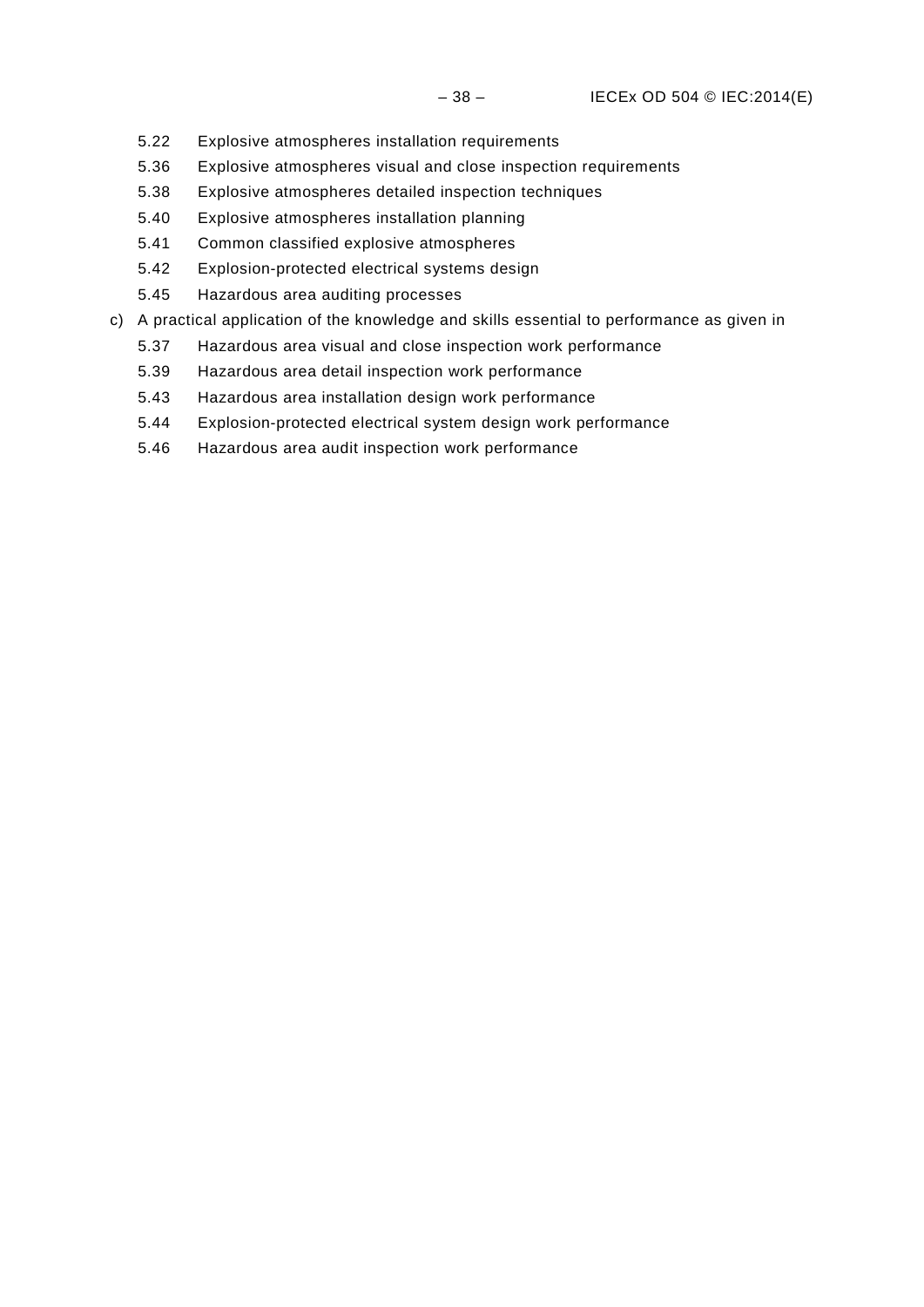- [5.22](#page-48-3) [Explosive atmospheres installation requirements](#page-48-3)
- [5.36](#page-53-1) [Explosive atmospheres visual and close inspection requirements](#page-53-1)
- [5.38](#page-53-3) [Explosive atmospheres detailed inspection techniques](#page-53-3)
- [5.40](#page-54-1) [Explosive atmospheres installation planning](#page-54-1)
- [5.41](#page-55-0) [Common classified explosive atmospheres](#page-55-0)
- [5.42](#page-55-1) [Explosion-protected electrical systems design](#page-55-1)
- [5.45](#page-55-4) [Hazardous area auditing processes](#page-55-4)
- c) A practical application of the knowledge and skills essential to performance as given in
	- [5.37](#page-53-2) [Hazardous area visual and close inspection work performance](#page-53-2)
	- [5.39](#page-54-0) [Hazardous area detail inspection work performance](#page-54-0)
	- [5.43](#page-55-2) [Hazardous area installation design work performance](#page-55-2)
	- [5.44](#page-55-3) [Explosion-protected electrical system design work performance](#page-55-3)
	- [5.46](#page-56-0) [Hazardous area audit inspection work performance](#page-56-0)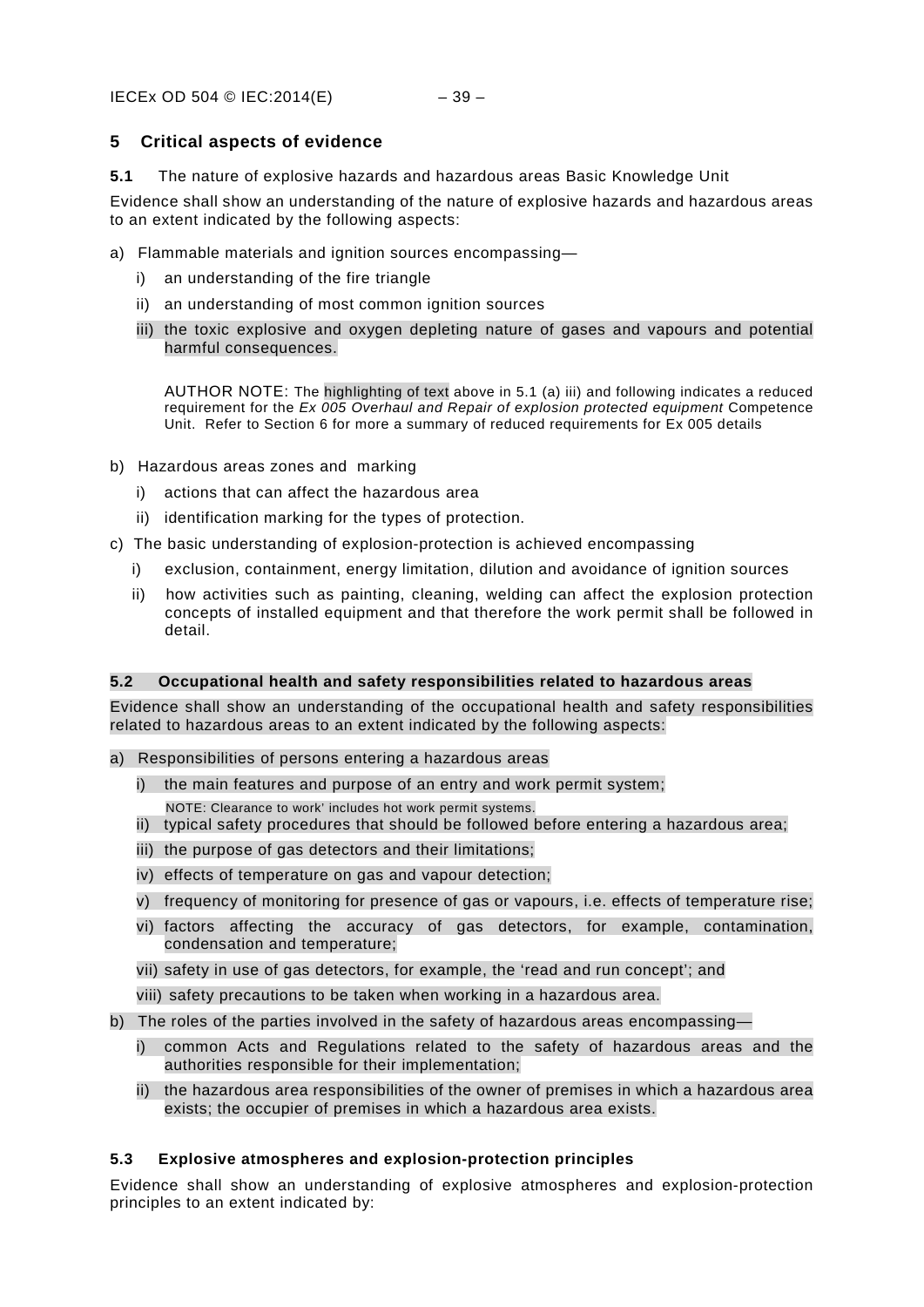### <span id="page-42-0"></span>**5 Critical aspects of evidence**

<span id="page-42-1"></span>**5.1** The nature of explosive hazards and hazardous areas Basic Knowledge Unit

Evidence shall show an understanding of the nature of explosive hazards and hazardous areas to an extent indicated by the following aspects:

- a) Flammable materials and ignition sources encompassing
	- i) an understanding of the fire triangle
	- ii) an understanding of most common ignition sources
	- iii) the toxic explosive and oxygen depleting nature of gases and vapours and potential harmful consequences.

AUTHOR NOTE: The highlighting of text above in 5.1 (a) iii) and following indicates a reduced requirement for the *Ex 005 Overhaul and Repair of explosion protected equipment* Competence Unit. Refer to Section 6 for more a summary of reduced requirements for Ex 005 details

- b) Hazardous areas zones and marking
	- i) actions that can affect the hazardous area
	- ii) identification marking for the types of protection.
- c) The basic understanding of explosion-protection is achieved encompassing
	- i) exclusion, containment, energy limitation, dilution and avoidance of ignition sources
	- ii) how activities such as painting, cleaning, welding can affect the explosion protection concepts of installed equipment and that therefore the work permit shall be followed in detail.

### <span id="page-42-2"></span>**5.2 Occupational health and safety responsibilities related to hazardous areas**

Evidence shall show an understanding of the occupational health and safety responsibilities related to hazardous areas to an extent indicated by the following aspects:

- a) Responsibilities of persons entering a hazardous areas
	- i) the main features and purpose of an entry and work permit system;
	- NOTE: Clearance to work' includes hot work permit systems.
	- ii) typical safety procedures that should be followed before entering a hazardous area;
	- iii) the purpose of gas detectors and their limitations;
	- iv) effects of temperature on gas and vapour detection;
	- v) frequency of monitoring for presence of gas or vapours, i.e. effects of temperature rise;
	- vi) factors affecting the accuracy of gas detectors, for example, contamination, condensation and temperature;
	- vii) safety in use of gas detectors, for example, the 'read and run concept'; and
	- viii) safety precautions to be taken when working in a hazardous area.
- b) The roles of the parties involved in the safety of hazardous areas encompassing
	- i) common Acts and Regulations related to the safety of hazardous areas and the authorities responsible for their implementation;
	- ii) the hazardous area responsibilities of the owner of premises in which a hazardous area exists; the occupier of premises in which a hazardous area exists.

### <span id="page-42-3"></span>**5.3 Explosive atmospheres and explosion-protection principles**

Evidence shall show an understanding of explosive atmospheres and explosion-protection principles to an extent indicated by: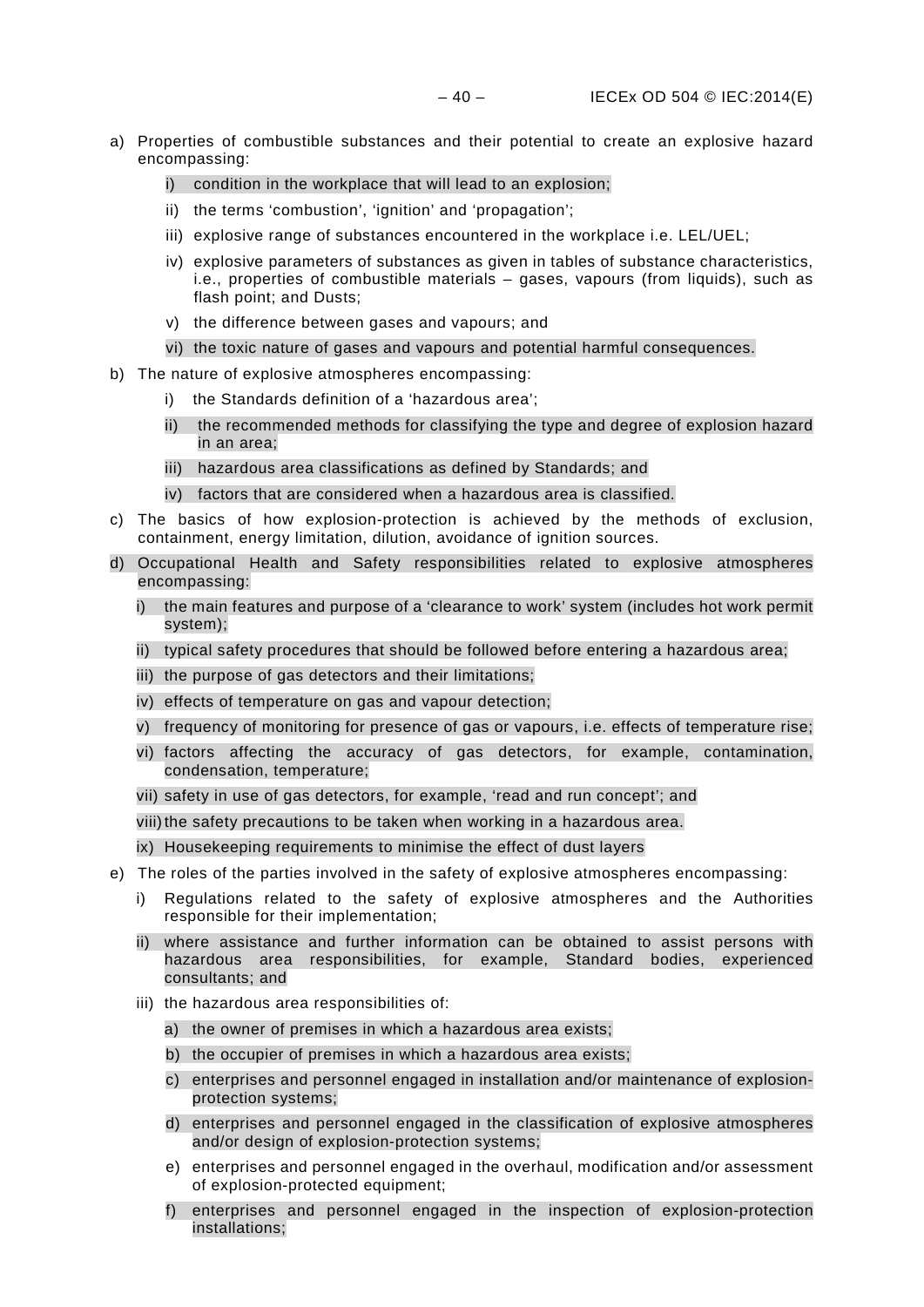- a) Properties of combustible substances and their potential to create an explosive hazard encompassing:
	- i) condition in the workplace that will lead to an explosion;
	- ii) the terms 'combustion', 'ignition' and 'propagation';
	- iii) explosive range of substances encountered in the workplace i.e. LEL/UEL;
	- iv) explosive parameters of substances as given in tables of substance characteristics, i.e., properties of combustible materials – gases, vapours (from liquids), such as flash point; and Dusts;
	- v) the difference between gases and vapours; and
	- vi) the toxic nature of gases and vapours and potential harmful consequences.
- b) The nature of explosive atmospheres encompassing:
	- the Standards definition of a 'hazardous area';
	- ii) the recommended methods for classifying the type and degree of explosion hazard in an area;
	- iii) hazardous area classifications as defined by Standards; and
	- iv) factors that are considered when a hazardous area is classified.
- c) The basics of how explosion-protection is achieved by the methods of exclusion, containment, energy limitation, dilution, avoidance of ignition sources.
- d) Occupational Health and Safety responsibilities related to explosive atmospheres encompassing:
	- i) the main features and purpose of a 'clearance to work' system (includes hot work permit system);
	- ii) typical safety procedures that should be followed before entering a hazardous area;
	- iii) the purpose of gas detectors and their limitations;
	- iv) effects of temperature on gas and vapour detection;
	- v) frequency of monitoring for presence of gas or vapours, i.e. effects of temperature rise;
	- vi) factors affecting the accuracy of gas detectors, for example, contamination, condensation, temperature;
	- vii) safety in use of gas detectors, for example, 'read and run concept'; and

viii) the safety precautions to be taken when working in a hazardous area.

- ix) Housekeeping requirements to minimise the effect of dust layers
- e) The roles of the parties involved in the safety of explosive atmospheres encompassing:
	- i) Regulations related to the safety of explosive atmospheres and the Authorities responsible for their implementation;
	- ii) where assistance and further information can be obtained to assist persons with hazardous area responsibilities, for example, Standard bodies, experienced consultants; and
	- iii) the hazardous area responsibilities of:
		- a) the owner of premises in which a hazardous area exists;
		- b) the occupier of premises in which a hazardous area exists;
		- c) enterprises and personnel engaged in installation and/or maintenance of explosionprotection systems;
		- d) enterprises and personnel engaged in the classification of explosive atmospheres and/or design of explosion-protection systems;
		- e) enterprises and personnel engaged in the overhaul, modification and/or assessment of explosion-protected equipment;
		- f) enterprises and personnel engaged in the inspection of explosion-protection installations;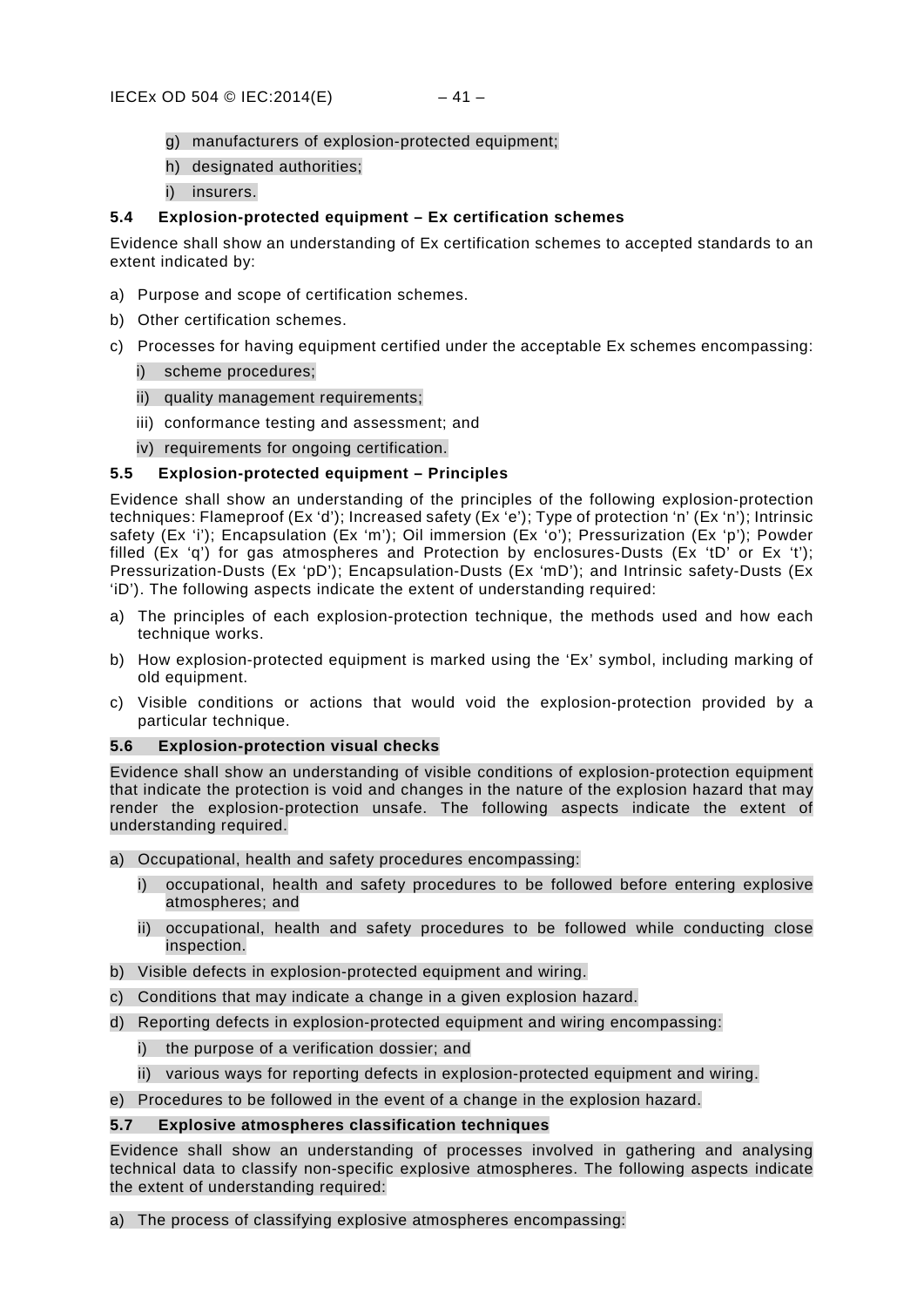- g) manufacturers of explosion-protected equipment;
- h) designated authorities;
- i) insurers.

### <span id="page-44-0"></span>**5.4 Explosion-protected equipment – Ex certification schemes**

Evidence shall show an understanding of Ex certification schemes to accepted standards to an extent indicated by:

- a) Purpose and scope of certification schemes.
- b) Other certification schemes.
- c) Processes for having equipment certified under the acceptable Ex schemes encompassing:

### i) scheme procedures;

- ii) quality management requirements;
- iii) conformance testing and assessment; and
- iv) requirements for ongoing certification.

### <span id="page-44-1"></span>**5.5 Explosion-protected equipment – Principles**

Evidence shall show an understanding of the principles of the following explosion-protection techniques: Flameproof (Ex 'd'); Increased safety (Ex 'e'); Type of protection 'n' (Ex 'n'); Intrinsic safety (Ex 'i'); Encapsulation (Ex 'm'); Oil immersion (Ex 'o'); Pressurization (Ex 'p'); Powder filled (Ex 'q') for gas atmospheres and Protection by enclosures-Dusts (Ex 'tD' or Ex 't'); Pressurization-Dusts (Ex 'pD'); Encapsulation-Dusts (Ex 'mD'); and Intrinsic safety-Dusts (Ex 'iD'). The following aspects indicate the extent of understanding required:

- a) The principles of each explosion-protection technique, the methods used and how each technique works.
- b) How explosion-protected equipment is marked using the 'Ex' symbol, including marking of old equipment.
- c) Visible conditions or actions that would void the explosion-protection provided by a particular technique.

### <span id="page-44-2"></span>**5.6 Explosion-protection visual checks**

Evidence shall show an understanding of visible conditions of explosion-protection equipment that indicate the protection is void and changes in the nature of the explosion hazard that may render the explosion-protection unsafe. The following aspects indicate the extent of understanding required.

- a) Occupational, health and safety procedures encompassing:
	- i) occupational, health and safety procedures to be followed before entering explosive atmospheres; and
	- ii) occupational, health and safety procedures to be followed while conducting close inspection.
- b) Visible defects in explosion-protected equipment and wiring.
- c) Conditions that may indicate a change in a given explosion hazard.
- d) Reporting defects in explosion-protected equipment and wiring encompassing:
	- i) the purpose of a verification dossier; and
	- ii) various ways for reporting defects in explosion-protected equipment and wiring.

e) Procedures to be followed in the event of a change in the explosion hazard.

### <span id="page-44-3"></span>**5.7 Explosive atmospheres classification techniques**

Evidence shall show an understanding of processes involved in gathering and analysing technical data to classify non-specific explosive atmospheres. The following aspects indicate the extent of understanding required:

### a) The process of classifying explosive atmospheres encompassing: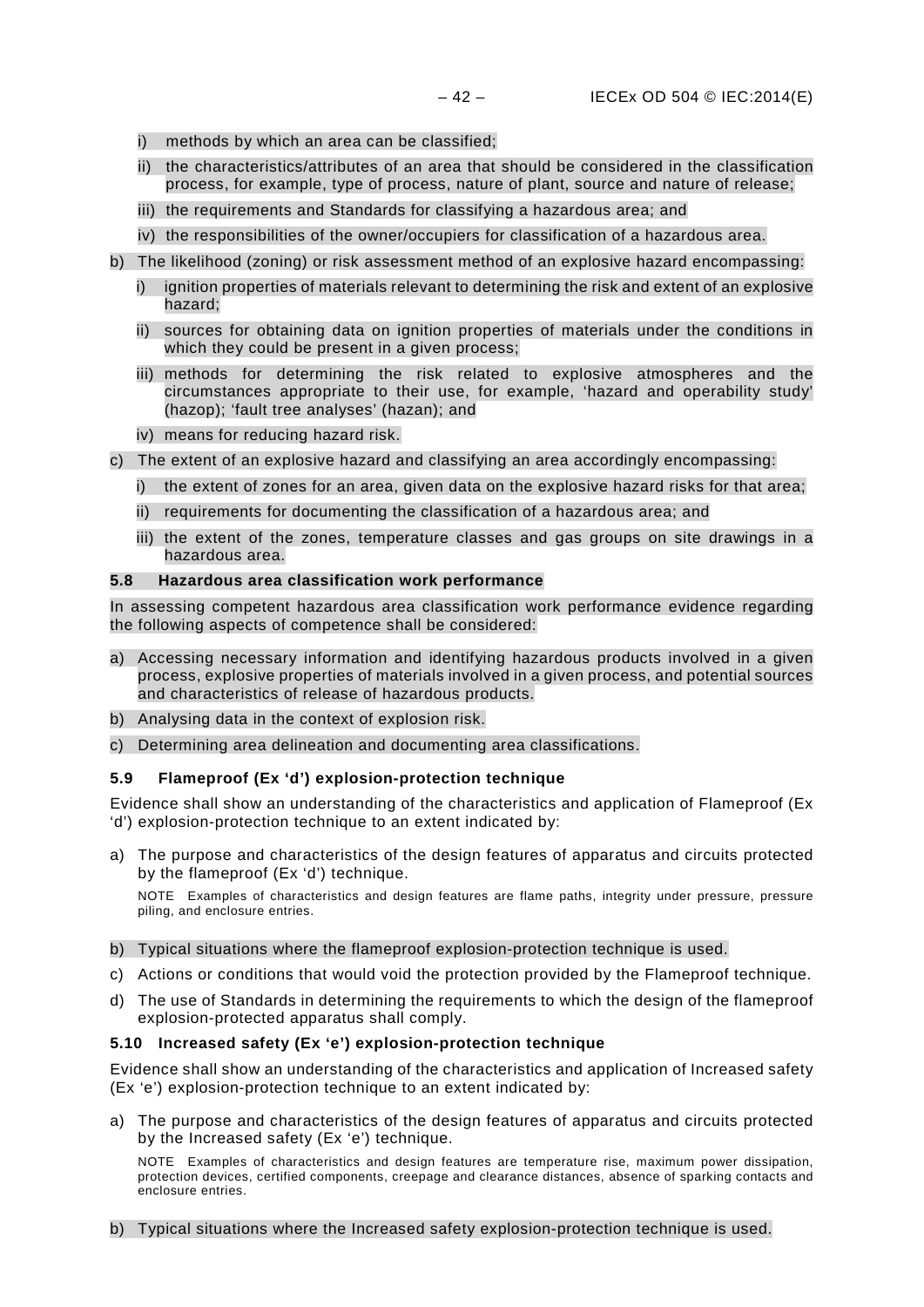- i) methods by which an area can be classified;
- ii) the characteristics/attributes of an area that should be considered in the classification process, for example, type of process, nature of plant, source and nature of release;
- iii) the requirements and Standards for classifying a hazardous area; and
- iv) the responsibilities of the owner/occupiers for classification of a hazardous area.
- b) The likelihood (zoning) or risk assessment method of an explosive hazard encompassing:
	- i) ignition properties of materials relevant to determining the risk and extent of an explosive hazard;
	- ii) sources for obtaining data on ignition properties of materials under the conditions in which they could be present in a given process;
	- iii) methods for determining the risk related to explosive atmospheres and the circumstances appropriate to their use, for example, 'hazard and operability study' (hazop); 'fault tree analyses' (hazan); and
	- iv) means for reducing hazard risk.
- c) The extent of an explosive hazard and classifying an area accordingly encompassing:
	- i) the extent of zones for an area, given data on the explosive hazard risks for that area;
	- ii) requirements for documenting the classification of a hazardous area; and
	- iii) the extent of the zones, temperature classes and gas groups on site drawings in a hazardous area.

### <span id="page-45-0"></span>**5.8 Hazardous area classification work performance**

In assessing competent hazardous area classification work performance evidence regarding the following aspects of competence shall be considered:

- a) Accessing necessary information and identifying hazardous products involved in a given process, explosive properties of materials involved in a given process, and potential sources and characteristics of release of hazardous products.
- b) Analysing data in the context of explosion risk.
- c) Determining area delineation and documenting area classifications.

### <span id="page-45-1"></span>**5.9 Flameproof (Ex 'd') explosion-protection technique**

Evidence shall show an understanding of the characteristics and application of Flameproof (Ex 'd') explosion-protection technique to an extent indicated by:

a) The purpose and characteristics of the design features of apparatus and circuits protected by the flameproof (Ex 'd') technique.

NOTE Examples of characteristics and design features are flame paths, integrity under pressure, pressure piling, and enclosure entries.

- b) Typical situations where the flameproof explosion-protection technique is used.
- c) Actions or conditions that would void the protection provided by the Flameproof technique.
- d) The use of Standards in determining the requirements to which the design of the flameproof explosion-protected apparatus shall comply.

### <span id="page-45-2"></span>**5.10 Increased safety (Ex 'e') explosion-protection technique**

Evidence shall show an understanding of the characteristics and application of Increased safety (Ex 'e') explosion-protection technique to an extent indicated by:

a) The purpose and characteristics of the design features of apparatus and circuits protected by the Increased safety (Ex 'e') technique.

NOTE Examples of characteristics and design features are temperature rise, maximum power dissipation, protection devices, certified components, creepage and clearance distances, absence of sparking contacts and enclosure entries.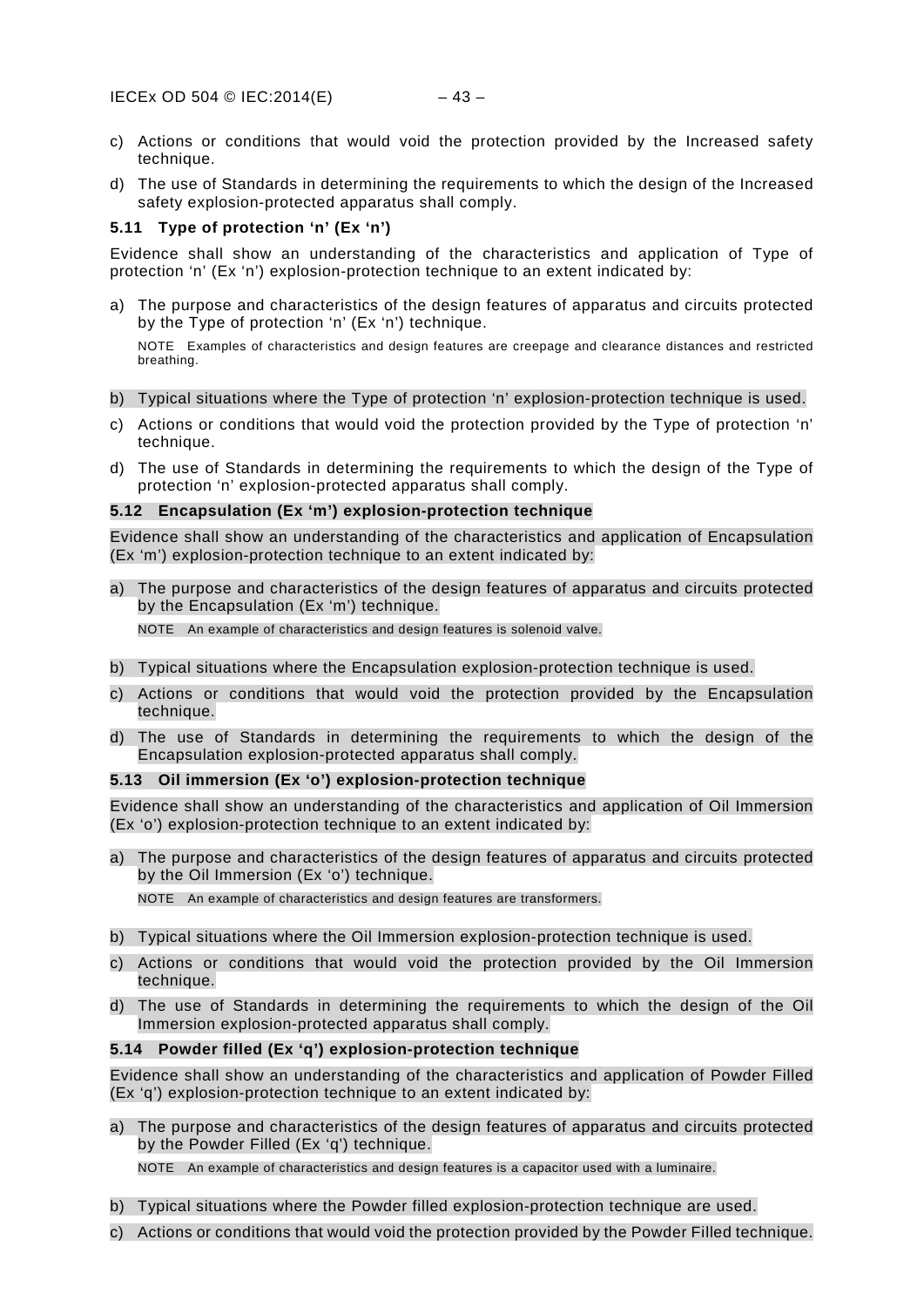- c) Actions or conditions that would void the protection provided by the Increased safety technique.
- d) The use of Standards in determining the requirements to which the design of the Increased safety explosion-protected apparatus shall comply.

### <span id="page-46-0"></span>**5.11 Type of protection 'n' (Ex 'n')**

Evidence shall show an understanding of the characteristics and application of Type of protection 'n' (Ex 'n') explosion-protection technique to an extent indicated by:

a) The purpose and characteristics of the design features of apparatus and circuits protected by the Type of protection 'n' (Ex 'n') technique.

NOTE Examples of characteristics and design features are creepage and clearance distances and restricted breathing.

- b) Typical situations where the Type of protection 'n' explosion-protection technique is used.
- c) Actions or conditions that would void the protection provided by the Type of protection 'n' technique.
- d) The use of Standards in determining the requirements to which the design of the Type of protection 'n' explosion-protected apparatus shall comply.

### <span id="page-46-1"></span>**5.12 Encapsulation (Ex 'm') explosion-protection technique**

Evidence shall show an understanding of the characteristics and application of Encapsulation (Ex 'm') explosion-protection technique to an extent indicated by:

a) The purpose and characteristics of the design features of apparatus and circuits protected by the Encapsulation (Ex 'm') technique.

NOTE An example of characteristics and design features is solenoid valve.

- b) Typical situations where the Encapsulation explosion-protection technique is used.
- c) Actions or conditions that would void the protection provided by the Encapsulation technique.
- d) The use of Standards in determining the requirements to which the design of the Encapsulation explosion-protected apparatus shall comply.

### <span id="page-46-2"></span>**5.13 Oil immersion (Ex 'o') explosion-protection technique**

Evidence shall show an understanding of the characteristics and application of Oil Immersion (Ex 'o') explosion-protection technique to an extent indicated by:

a) The purpose and characteristics of the design features of apparatus and circuits protected by the Oil Immersion (Ex 'o') technique.

NOTE An example of characteristics and design features are transformers.

- b) Typical situations where the Oil Immersion explosion-protection technique is used.
- c) Actions or conditions that would void the protection provided by the Oil Immersion technique.
- d) The use of Standards in determining the requirements to which the design of the Oil Immersion explosion-protected apparatus shall comply.

### <span id="page-46-3"></span>**5.14 Powder filled (Ex 'q') explosion-protection technique**

Evidence shall show an understanding of the characteristics and application of Powder Filled (Ex 'q') explosion-protection technique to an extent indicated by:

a) The purpose and characteristics of the design features of apparatus and circuits protected by the Powder Filled (Ex 'q') technique.

NOTE An example of characteristics and design features is a capacitor used with a luminaire.

- b) Typical situations where the Powder filled explosion-protection technique are used.
- c) Actions or conditions that would void the protection provided by the Powder Filled technique.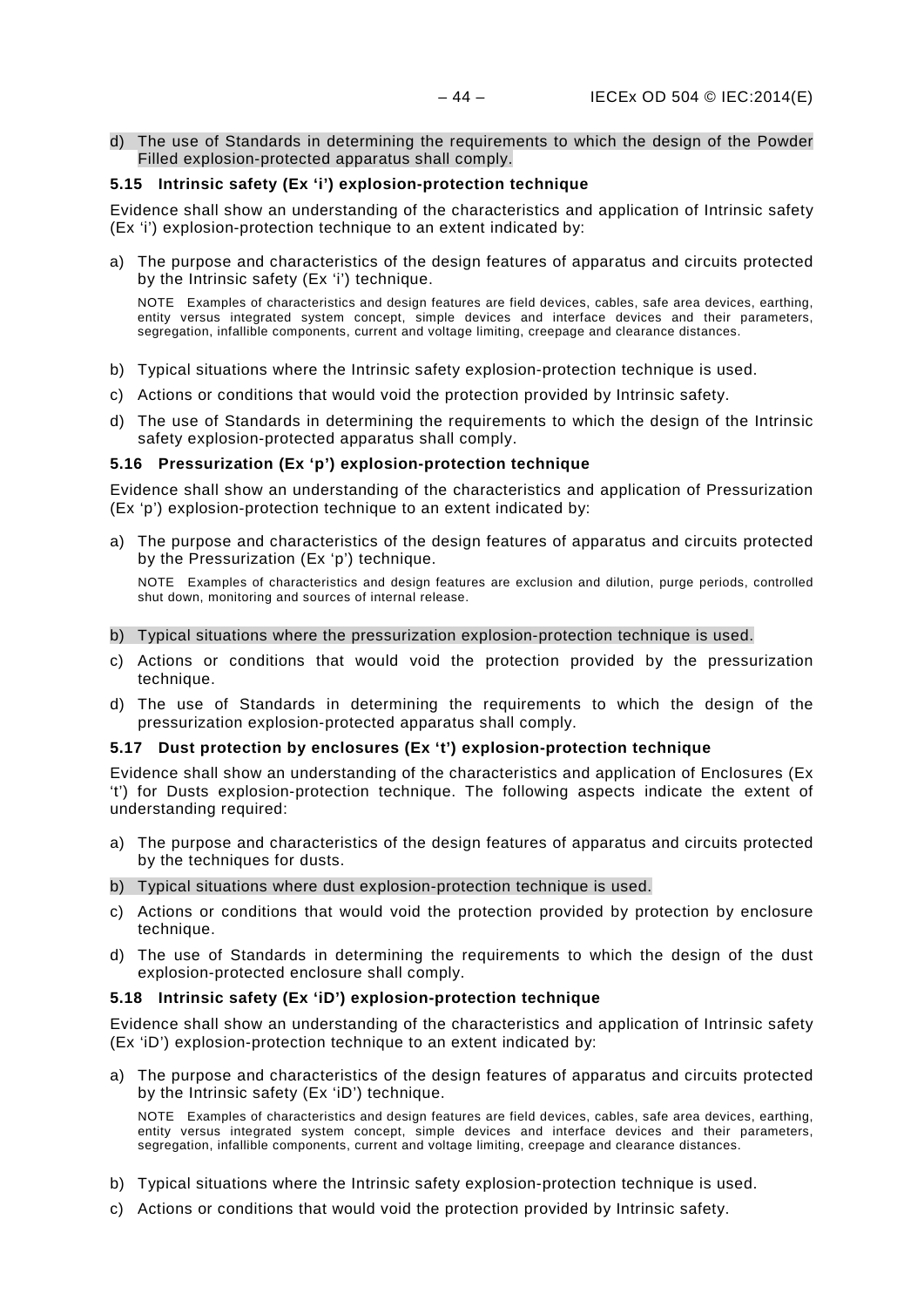d) The use of Standards in determining the requirements to which the design of the Powder Filled explosion-protected apparatus shall comply.

### <span id="page-47-0"></span>**5.15 Intrinsic safety (Ex 'i') explosion-protection technique**

Evidence shall show an understanding of the characteristics and application of Intrinsic safety (Ex 'i') explosion-protection technique to an extent indicated by:

a) The purpose and characteristics of the design features of apparatus and circuits protected by the Intrinsic safety (Ex 'i') technique.

NOTE Examples of characteristics and design features are field devices, cables, safe area devices, earthing, entity versus integrated system concept, simple devices and interface devices and their parameters, segregation, infallible components, current and voltage limiting, creepage and clearance distances.

- b) Typical situations where the Intrinsic safety explosion-protection technique is used.
- c) Actions or conditions that would void the protection provided by Intrinsic safety.
- d) The use of Standards in determining the requirements to which the design of the Intrinsic safety explosion-protected apparatus shall comply.

### <span id="page-47-1"></span>**5.16 Pressurization (Ex 'p') explosion-protection technique**

Evidence shall show an understanding of the characteristics and application of Pressurization (Ex 'p') explosion-protection technique to an extent indicated by:

a) The purpose and characteristics of the design features of apparatus and circuits protected by the Pressurization (Ex 'p') technique.

NOTE Examples of characteristics and design features are exclusion and dilution, purge periods, controlled shut down, monitoring and sources of internal release.

- b) Typical situations where the pressurization explosion-protection technique is used.
- c) Actions or conditions that would void the protection provided by the pressurization technique.
- d) The use of Standards in determining the requirements to which the design of the pressurization explosion-protected apparatus shall comply.

### <span id="page-47-2"></span>**5.17 Dust protection by enclosures (Ex 't') explosion-protection technique**

Evidence shall show an understanding of the characteristics and application of Enclosures (Ex 't') for Dusts explosion-protection technique. The following aspects indicate the extent of understanding required:

- a) The purpose and characteristics of the design features of apparatus and circuits protected by the techniques for dusts.
- b) Typical situations where dust explosion-protection technique is used.
- c) Actions or conditions that would void the protection provided by protection by enclosure technique.
- d) The use of Standards in determining the requirements to which the design of the dust explosion-protected enclosure shall comply.

### <span id="page-47-3"></span>**5.18 Intrinsic safety (Ex 'iD') explosion-protection technique**

Evidence shall show an understanding of the characteristics and application of Intrinsic safety (Ex 'iD') explosion-protection technique to an extent indicated by:

a) The purpose and characteristics of the design features of apparatus and circuits protected by the Intrinsic safety (Ex 'iD') technique.

NOTE Examples of characteristics and design features are field devices, cables, safe area devices, earthing, entity versus integrated system concept, simple devices and interface devices and their parameters, segregation, infallible components, current and voltage limiting, creepage and clearance distances.

- b) Typical situations where the Intrinsic safety explosion-protection technique is used.
- c) Actions or conditions that would void the protection provided by Intrinsic safety.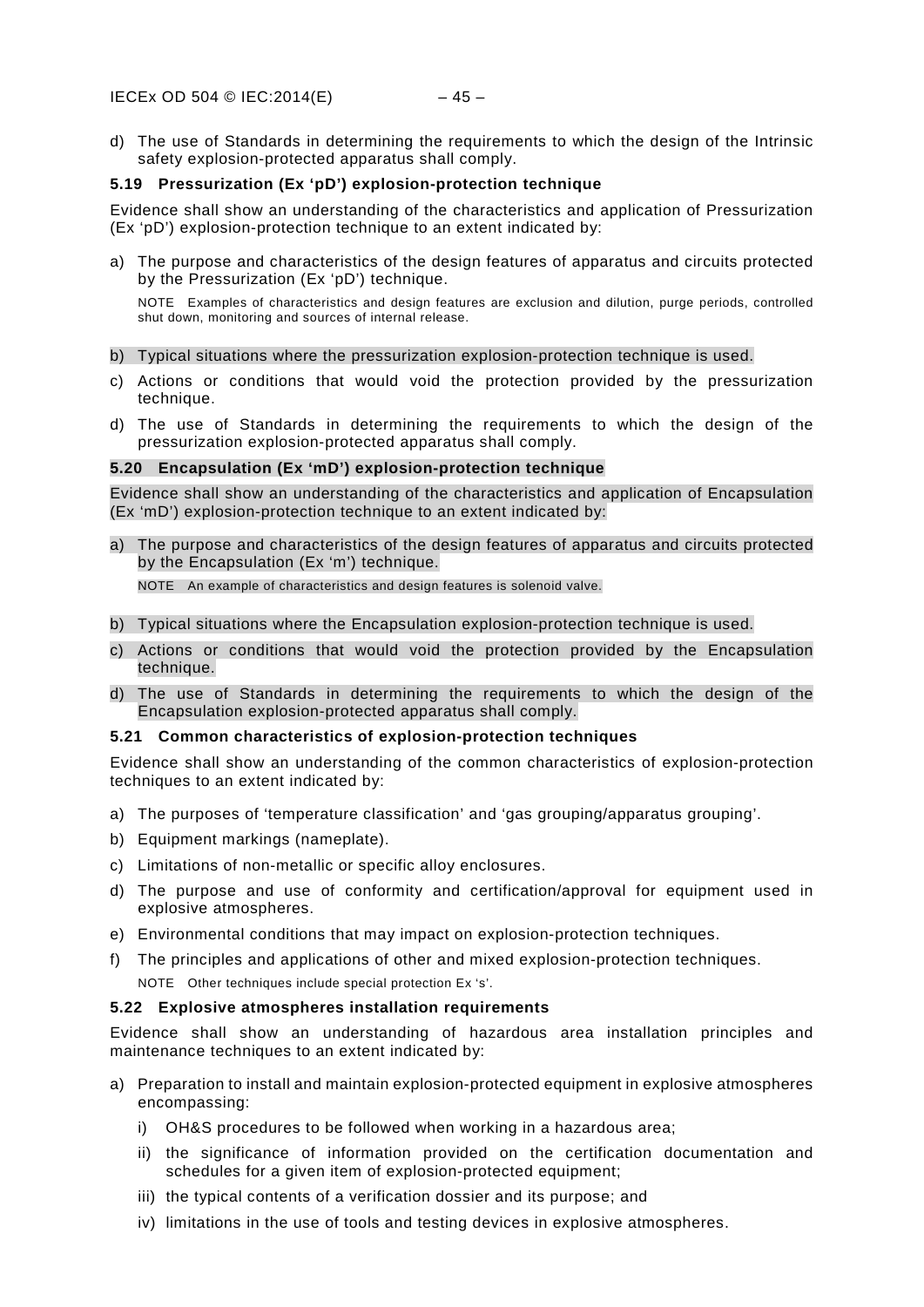d) The use of Standards in determining the requirements to which the design of the Intrinsic safety explosion-protected apparatus shall comply.

### <span id="page-48-0"></span>**5.19 Pressurization (Ex 'pD') explosion-protection technique**

Evidence shall show an understanding of the characteristics and application of Pressurization (Ex 'pD') explosion-protection technique to an extent indicated by:

a) The purpose and characteristics of the design features of apparatus and circuits protected by the Pressurization (Ex 'pD') technique.

NOTE Examples of characteristics and design features are exclusion and dilution, purge periods, controlled shut down, monitoring and sources of internal release.

### b) Typical situations where the pressurization explosion-protection technique is used.

- c) Actions or conditions that would void the protection provided by the pressurization technique.
- d) The use of Standards in determining the requirements to which the design of the pressurization explosion-protected apparatus shall comply.

### <span id="page-48-1"></span>**5.20 Encapsulation (Ex 'mD') explosion-protection technique**

Evidence shall show an understanding of the characteristics and application of Encapsulation (Ex 'mD') explosion-protection technique to an extent indicated by:

a) The purpose and characteristics of the design features of apparatus and circuits protected by the Encapsulation (Ex 'm') technique.

NOTE An example of characteristics and design features is solenoid valve.

- b) Typical situations where the Encapsulation explosion-protection technique is used.
- c) Actions or conditions that would void the protection provided by the Encapsulation technique.
- d) The use of Standards in determining the requirements to which the design of the Encapsulation explosion-protected apparatus shall comply.

### <span id="page-48-2"></span>**5.21 Common characteristics of explosion-protection techniques**

Evidence shall show an understanding of the common characteristics of explosion-protection techniques to an extent indicated by:

- a) The purposes of 'temperature classification' and 'gas grouping/apparatus grouping'.
- b) Equipment markings (nameplate).
- c) Limitations of non-metallic or specific alloy enclosures.
- d) The purpose and use of conformity and certification/approval for equipment used in explosive atmospheres.
- e) Environmental conditions that may impact on explosion-protection techniques.
- f) The principles and applications of other and mixed explosion-protection techniques.

NOTE Other techniques include special protection Ex 's'.

### <span id="page-48-3"></span>**5.22 Explosive atmospheres installation requirements**

Evidence shall show an understanding of hazardous area installation principles and maintenance techniques to an extent indicated by:

- a) Preparation to install and maintain explosion-protected equipment in explosive atmospheres encompassing:
	- i) OH&S procedures to be followed when working in a hazardous area;
	- ii) the significance of information provided on the certification documentation and schedules for a given item of explosion-protected equipment;
	- iii) the typical contents of a verification dossier and its purpose; and
	- iv) limitations in the use of tools and testing devices in explosive atmospheres.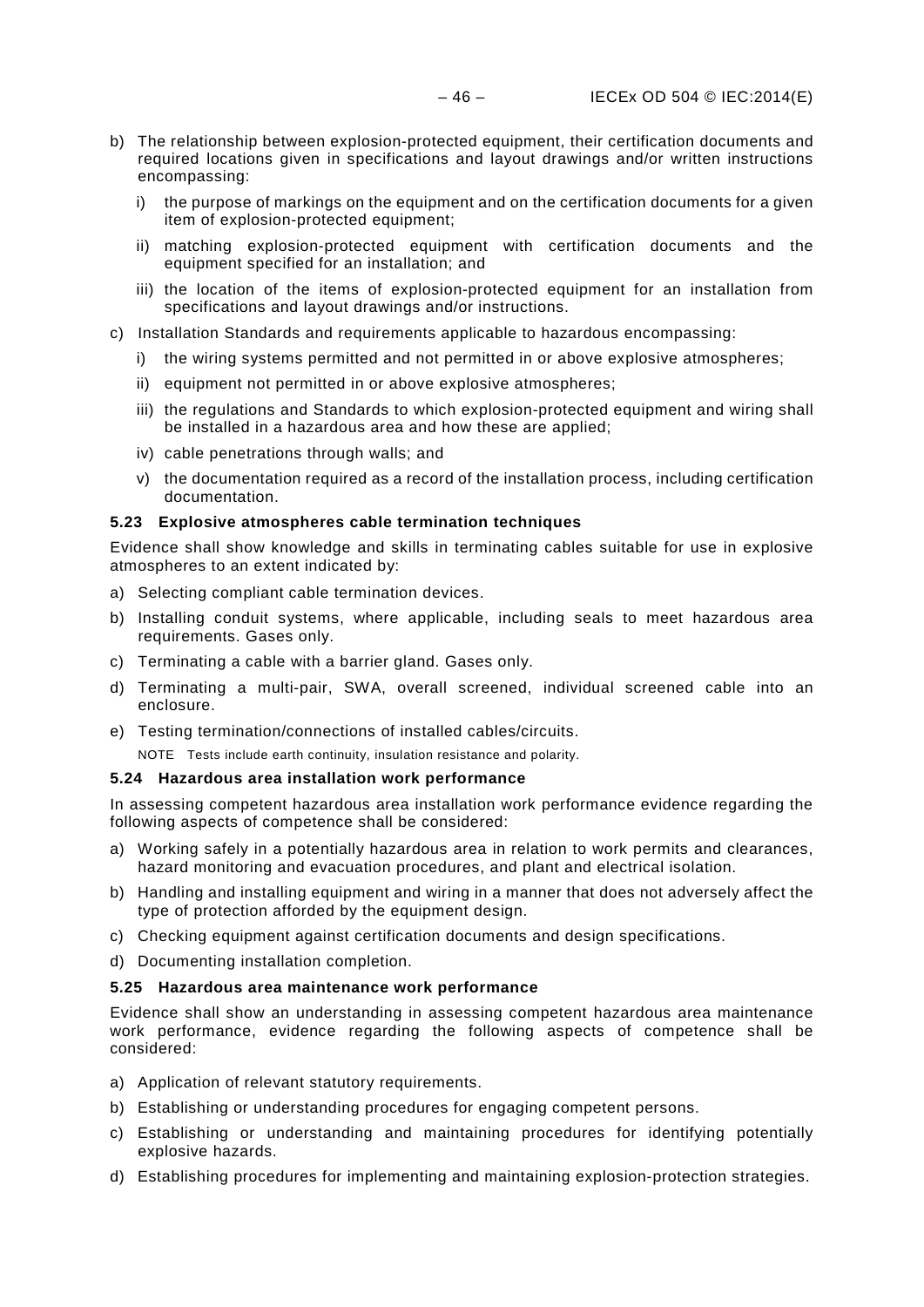- b) The relationship between explosion-protected equipment, their certification documents and required locations given in specifications and layout drawings and/or written instructions encompassing:
	- i) the purpose of markings on the equipment and on the certification documents for a given item of explosion-protected equipment;
	- ii) matching explosion-protected equipment with certification documents and the equipment specified for an installation; and
	- iii) the location of the items of explosion-protected equipment for an installation from specifications and layout drawings and/or instructions.
- c) Installation Standards and requirements applicable to hazardous encompassing:
	- i) the wiring systems permitted and not permitted in or above explosive atmospheres;
	- ii) equipment not permitted in or above explosive atmospheres;
	- iii) the regulations and Standards to which explosion-protected equipment and wiring shall be installed in a hazardous area and how these are applied;
	- iv) cable penetrations through walls; and
	- v) the documentation required as a record of the installation process, including certification documentation.

### <span id="page-49-0"></span>**5.23 Explosive atmospheres cable termination techniques**

Evidence shall show knowledge and skills in terminating cables suitable for use in explosive atmospheres to an extent indicated by:

- a) Selecting compliant cable termination devices.
- b) Installing conduit systems, where applicable, including seals to meet hazardous area requirements. Gases only.
- c) Terminating a cable with a barrier gland. Gases only.
- d) Terminating a multi-pair, SWA, overall screened, individual screened cable into an enclosure.
- e) Testing termination/connections of installed cables/circuits.

NOTE Tests include earth continuity, insulation resistance and polarity.

### <span id="page-49-1"></span>**5.24 Hazardous area installation work performance**

In assessing competent hazardous area installation work performance evidence regarding the following aspects of competence shall be considered:

- a) Working safely in a potentially hazardous area in relation to work permits and clearances, hazard monitoring and evacuation procedures, and plant and electrical isolation.
- b) Handling and installing equipment and wiring in a manner that does not adversely affect the type of protection afforded by the equipment design.
- c) Checking equipment against certification documents and design specifications.
- d) Documenting installation completion.

### <span id="page-49-2"></span>**5.25 Hazardous area maintenance work performance**

Evidence shall show an understanding in assessing competent hazardous area maintenance work performance, evidence regarding the following aspects of competence shall be considered:

- a) Application of relevant statutory requirements.
- b) Establishing or understanding procedures for engaging competent persons.
- c) Establishing or understanding and maintaining procedures for identifying potentially explosive hazards.
- d) Establishing procedures for implementing and maintaining explosion-protection strategies.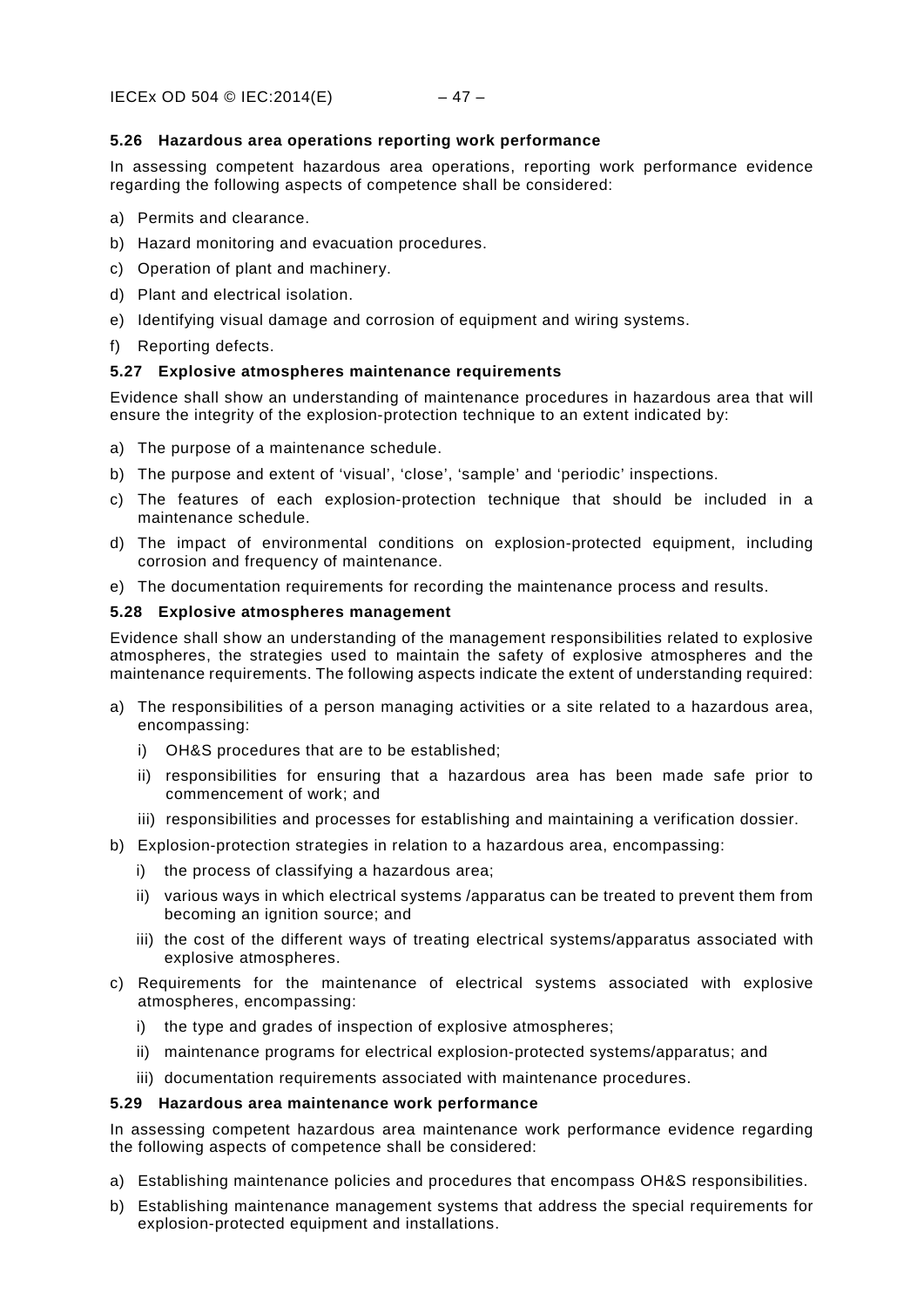### <span id="page-50-0"></span>**5.26 Hazardous area operations reporting work performance**

In assessing competent hazardous area operations, reporting work performance evidence regarding the following aspects of competence shall be considered:

- a) Permits and clearance.
- b) Hazard monitoring and evacuation procedures.
- c) Operation of plant and machinery.
- d) Plant and electrical isolation.
- e) Identifying visual damage and corrosion of equipment and wiring systems.
- f) Reporting defects.

### <span id="page-50-1"></span>**5.27 Explosive atmospheres maintenance requirements**

Evidence shall show an understanding of maintenance procedures in hazardous area that will ensure the integrity of the explosion-protection technique to an extent indicated by:

- a) The purpose of a maintenance schedule.
- b) The purpose and extent of 'visual', 'close', 'sample' and 'periodic' inspections.
- c) The features of each explosion-protection technique that should be included in a maintenance schedule.
- d) The impact of environmental conditions on explosion-protected equipment, including corrosion and frequency of maintenance.
- e) The documentation requirements for recording the maintenance process and results.

### <span id="page-50-2"></span>**5.28 Explosive atmospheres management**

Evidence shall show an understanding of the management responsibilities related to explosive atmospheres, the strategies used to maintain the safety of explosive atmospheres and the maintenance requirements. The following aspects indicate the extent of understanding required:

- a) The responsibilities of a person managing activities or a site related to a hazardous area, encompassing:
	- i) OH&S procedures that are to be established;
	- ii) responsibilities for ensuring that a hazardous area has been made safe prior to commencement of work; and
	- iii) responsibilities and processes for establishing and maintaining a verification dossier.
- b) Explosion-protection strategies in relation to a hazardous area, encompassing:
	- i) the process of classifying a hazardous area;
	- ii) various ways in which electrical systems /apparatus can be treated to prevent them from becoming an ignition source; and
	- iii) the cost of the different ways of treating electrical systems/apparatus associated with explosive atmospheres.
- c) Requirements for the maintenance of electrical systems associated with explosive atmospheres, encompassing:
	- i) the type and grades of inspection of explosive atmospheres;
	- ii) maintenance programs for electrical explosion-protected systems/apparatus; and
	- iii) documentation requirements associated with maintenance procedures.

### <span id="page-50-3"></span>**5.29 Hazardous area maintenance work performance**

In assessing competent hazardous area maintenance work performance evidence regarding the following aspects of competence shall be considered:

- a) Establishing maintenance policies and procedures that encompass OH&S responsibilities.
- b) Establishing maintenance management systems that address the special requirements for explosion-protected equipment and installations.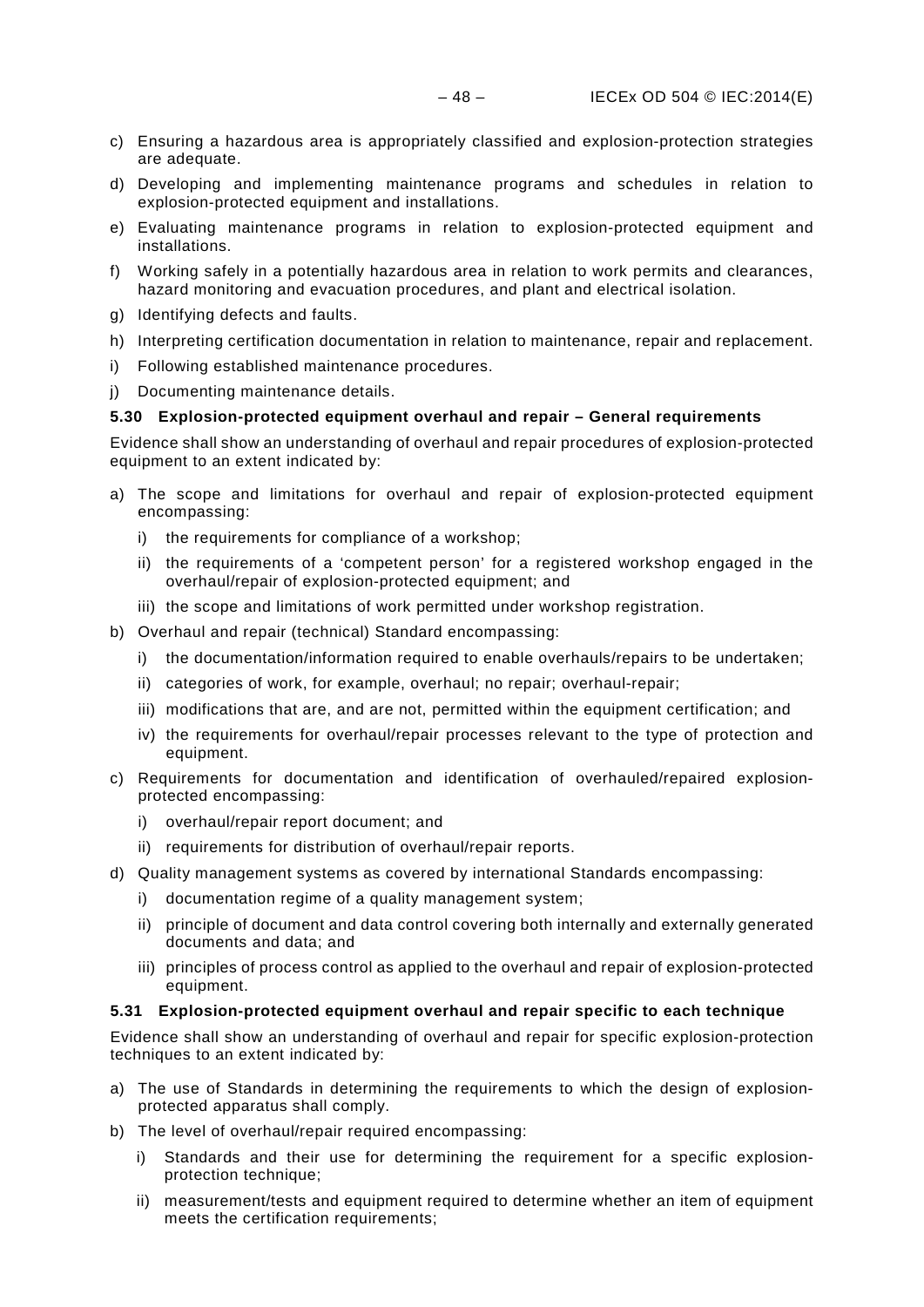- c) Ensuring a hazardous area is appropriately classified and explosion-protection strategies are adequate.
- d) Developing and implementing maintenance programs and schedules in relation to explosion-protected equipment and installations.
- e) Evaluating maintenance programs in relation to explosion-protected equipment and installations.
- f) Working safely in a potentially hazardous area in relation to work permits and clearances, hazard monitoring and evacuation procedures, and plant and electrical isolation.
- g) Identifying defects and faults.
- h) Interpreting certification documentation in relation to maintenance, repair and replacement.
- i) Following established maintenance procedures.
- j) Documenting maintenance details.

### <span id="page-51-0"></span>**5.30 Explosion-protected equipment overhaul and repair – General requirements**

Evidence shall show an understanding of overhaul and repair procedures of explosion-protected equipment to an extent indicated by:

- a) The scope and limitations for overhaul and repair of explosion-protected equipment encompassing:
	- i) the requirements for compliance of a workshop;
	- ii) the requirements of a 'competent person' for a registered workshop engaged in the overhaul/repair of explosion-protected equipment; and
	- iii) the scope and limitations of work permitted under workshop registration.
- b) Overhaul and repair (technical) Standard encompassing:
	- i) the documentation/information required to enable overhauls/repairs to be undertaken;
	- ii) categories of work, for example, overhaul; no repair; overhaul-repair;
	- iii) modifications that are, and are not, permitted within the equipment certification; and
	- iv) the requirements for overhaul/repair processes relevant to the type of protection and equipment.
- c) Requirements for documentation and identification of overhauled/repaired explosionprotected encompassing:
	- i) overhaul/repair report document; and
	- ii) requirements for distribution of overhaul/repair reports.
- d) Quality management systems as covered by international Standards encompassing:
	- i) documentation regime of a quality management system;
	- ii) principle of document and data control covering both internally and externally generated documents and data; and
	- iii) principles of process control as applied to the overhaul and repair of explosion-protected equipment.

### <span id="page-51-1"></span>**5.31 Explosion-protected equipment overhaul and repair specific to each technique**

Evidence shall show an understanding of overhaul and repair for specific explosion-protection techniques to an extent indicated by:

- a) The use of Standards in determining the requirements to which the design of explosionprotected apparatus shall comply.
- b) The level of overhaul/repair required encompassing:
	- i) Standards and their use for determining the requirement for a specific explosionprotection technique;
	- ii) measurement/tests and equipment required to determine whether an item of equipment meets the certification requirements;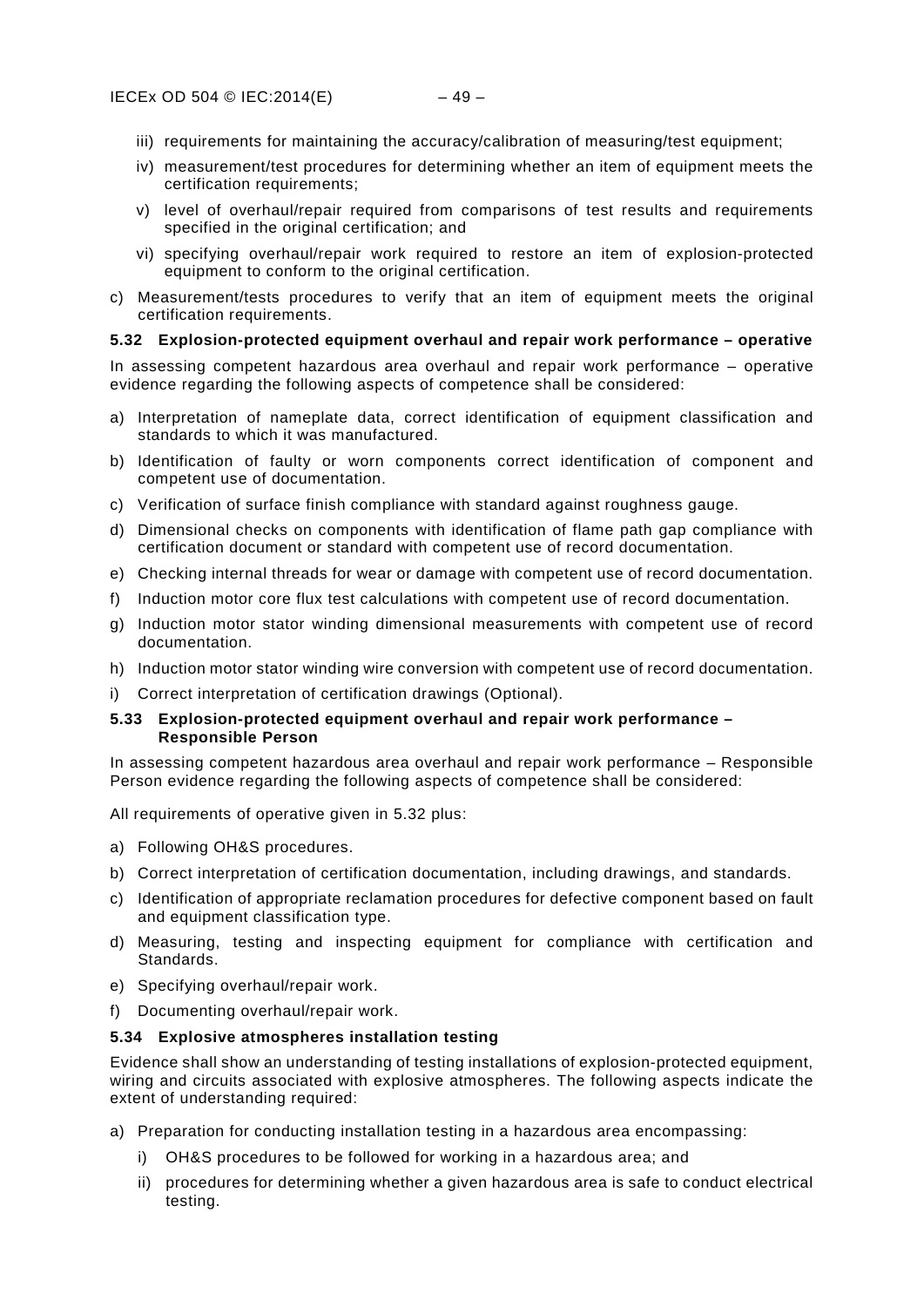- iii) requirements for maintaining the accuracy/calibration of measuring/test equipment;
- iv) measurement/test procedures for determining whether an item of equipment meets the certification requirements;
- v) level of overhaul/repair required from comparisons of test results and requirements specified in the original certification; and
- vi) specifying overhaul/repair work required to restore an item of explosion-protected equipment to conform to the original certification.
- c) Measurement/tests procedures to verify that an item of equipment meets the original certification requirements.

### <span id="page-52-0"></span>**5.32 Explosion-protected equipment overhaul and repair work performance – operative**

In assessing competent hazardous area overhaul and repair work performance – operative evidence regarding the following aspects of competence shall be considered:

- a) Interpretation of nameplate data, correct identification of equipment classification and standards to which it was manufactured.
- b) Identification of faulty or worn components correct identification of component and competent use of documentation.
- c) Verification of surface finish compliance with standard against roughness gauge.
- d) Dimensional checks on components with identification of flame path gap compliance with certification document or standard with competent use of record documentation.
- e) Checking internal threads for wear or damage with competent use of record documentation.
- f) Induction motor core flux test calculations with competent use of record documentation.
- g) Induction motor stator winding dimensional measurements with competent use of record documentation.
- h) Induction motor stator winding wire conversion with competent use of record documentation.
- i) Correct interpretation of certification drawings (Optional).

### <span id="page-52-1"></span>**5.33 Explosion-protected equipment overhaul and repair work performance – Responsible Person**

In assessing competent hazardous area overhaul and repair work performance – Responsible Person evidence regarding the following aspects of competence shall be considered:

All requirements of operative given in [5.32](#page-52-0) plus:

- a) Following OH&S procedures.
- b) Correct interpretation of certification documentation, including drawings, and standards.
- c) Identification of appropriate reclamation procedures for defective component based on fault and equipment classification type.
- d) Measuring, testing and inspecting equipment for compliance with certification and Standards.
- e) Specifying overhaul/repair work.
- f) Documenting overhaul/repair work.

### <span id="page-52-2"></span>**5.34 Explosive atmospheres installation testing**

Evidence shall show an understanding of testing installations of explosion-protected equipment, wiring and circuits associated with explosive atmospheres. The following aspects indicate the extent of understanding required:

- a) Preparation for conducting installation testing in a hazardous area encompassing:
	- i) OH&S procedures to be followed for working in a hazardous area; and
	- ii) procedures for determining whether a given hazardous area is safe to conduct electrical testing.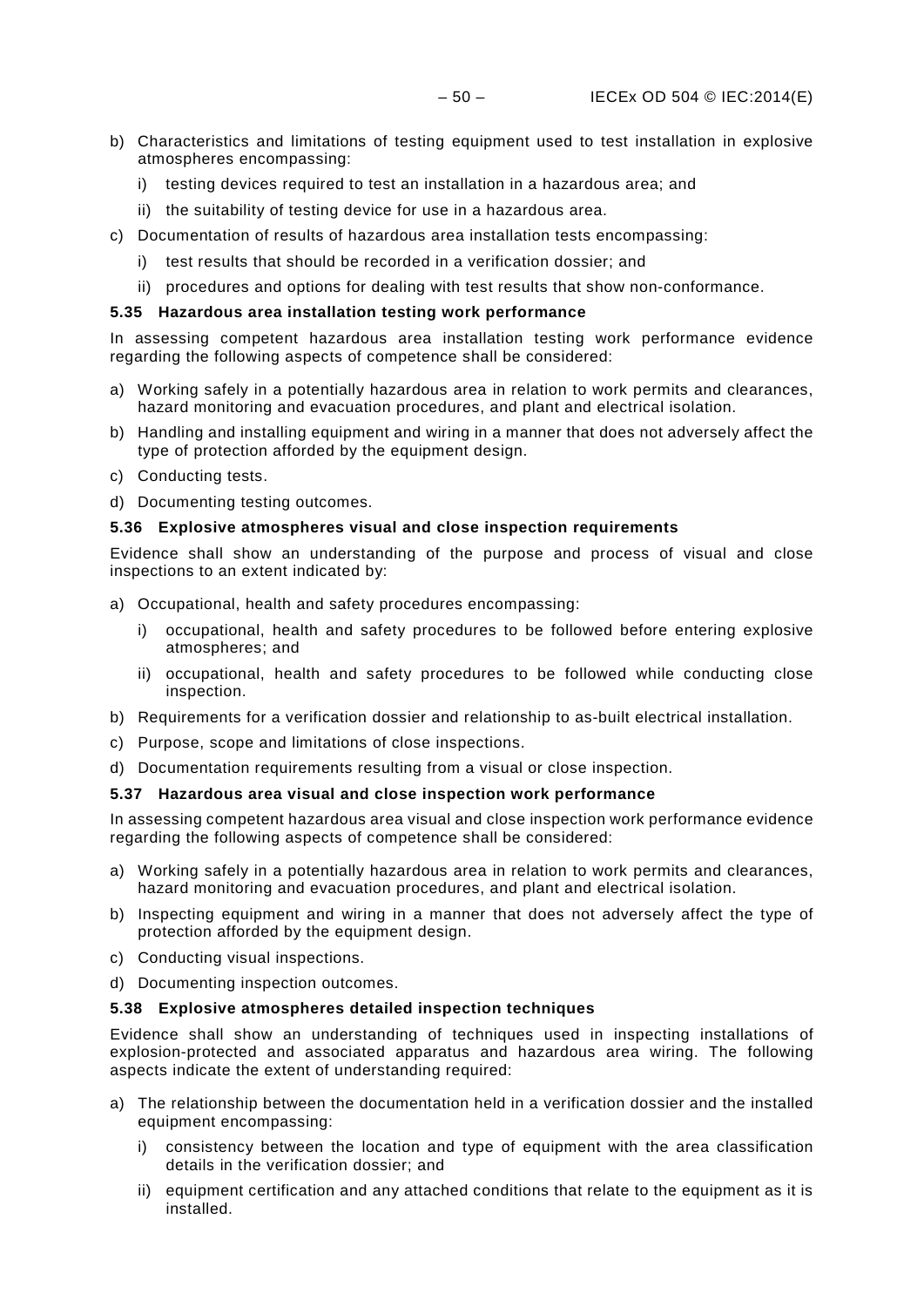- b) Characteristics and limitations of testing equipment used to test installation in explosive atmospheres encompassing:
	- i) testing devices required to test an installation in a hazardous area; and
	- ii) the suitability of testing device for use in a hazardous area.
- c) Documentation of results of hazardous area installation tests encompassing:
	- i) test results that should be recorded in a verification dossier; and
	- ii) procedures and options for dealing with test results that show non-conformance.

### <span id="page-53-0"></span>**5.35 Hazardous area installation testing work performance**

In assessing competent hazardous area installation testing work performance evidence regarding the following aspects of competence shall be considered:

- a) Working safely in a potentially hazardous area in relation to work permits and clearances, hazard monitoring and evacuation procedures, and plant and electrical isolation.
- b) Handling and installing equipment and wiring in a manner that does not adversely affect the type of protection afforded by the equipment design.
- c) Conducting tests.
- d) Documenting testing outcomes.

### <span id="page-53-1"></span>**5.36 Explosive atmospheres visual and close inspection requirements**

Evidence shall show an understanding of the purpose and process of visual and close inspections to an extent indicated by:

- a) Occupational, health and safety procedures encompassing:
	- i) occupational, health and safety procedures to be followed before entering explosive atmospheres; and
	- ii) occupational, health and safety procedures to be followed while conducting close inspection.
- b) Requirements for a verification dossier and relationship to as-built electrical installation.
- c) Purpose, scope and limitations of close inspections.
- d) Documentation requirements resulting from a visual or close inspection.

### <span id="page-53-2"></span>**5.37 Hazardous area visual and close inspection work performance**

In assessing competent hazardous area visual and close inspection work performance evidence regarding the following aspects of competence shall be considered:

- a) Working safely in a potentially hazardous area in relation to work permits and clearances, hazard monitoring and evacuation procedures, and plant and electrical isolation.
- b) Inspecting equipment and wiring in a manner that does not adversely affect the type of protection afforded by the equipment design.
- c) Conducting visual inspections.
- d) Documenting inspection outcomes.

### <span id="page-53-3"></span>**5.38 Explosive atmospheres detailed inspection techniques**

Evidence shall show an understanding of techniques used in inspecting installations of explosion-protected and associated apparatus and hazardous area wiring. The following aspects indicate the extent of understanding required:

- a) The relationship between the documentation held in a verification dossier and the installed equipment encompassing:
	- i) consistency between the location and type of equipment with the area classification details in the verification dossier; and
	- ii) equipment certification and any attached conditions that relate to the equipment as it is installed.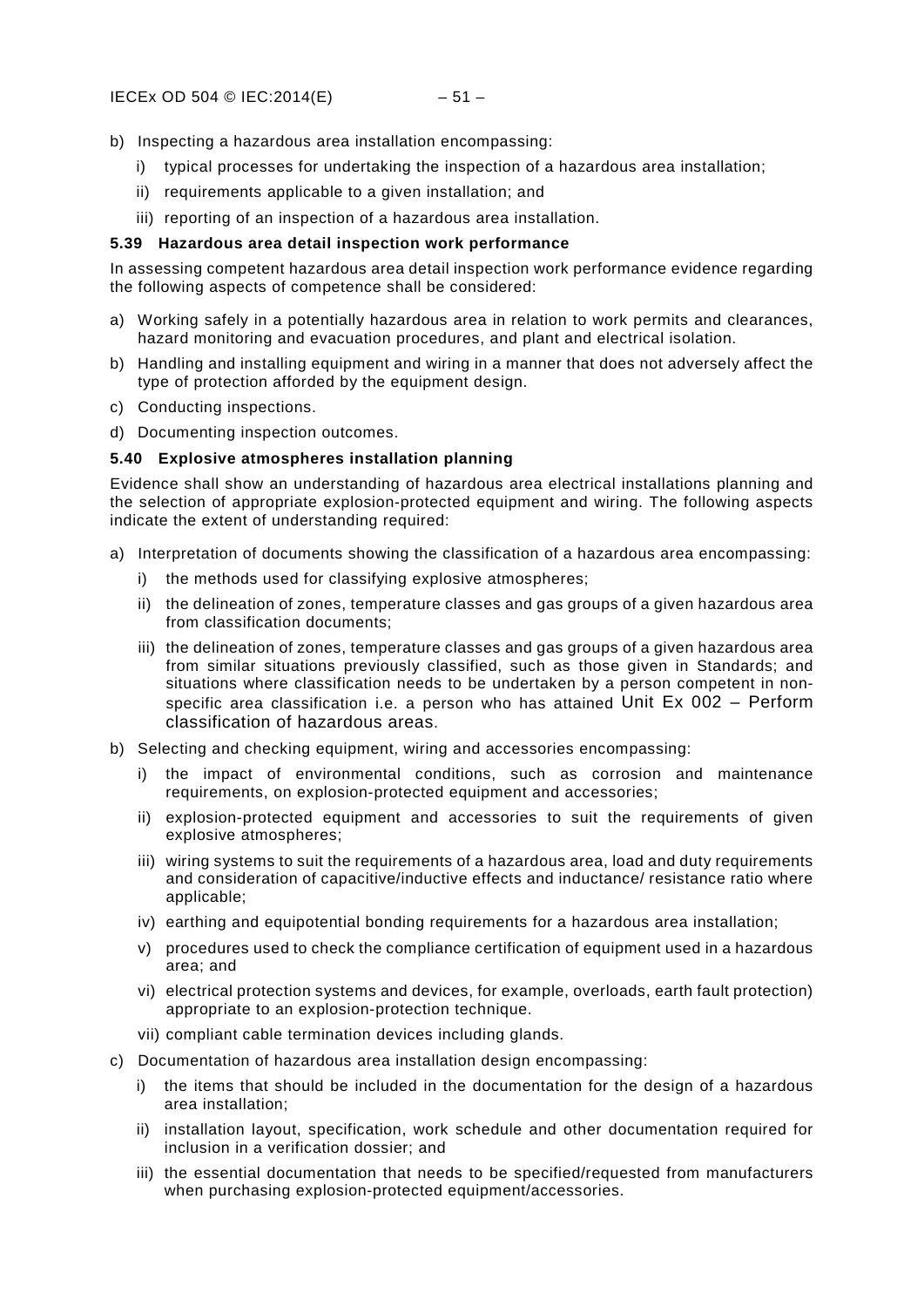- b) Inspecting a hazardous area installation encompassing:
	- i) typical processes for undertaking the inspection of a hazardous area installation;
	- ii) requirements applicable to a given installation; and
	- iii) reporting of an inspection of a hazardous area installation.

### <span id="page-54-0"></span>**5.39 Hazardous area detail inspection work performance**

In assessing competent hazardous area detail inspection work performance evidence regarding the following aspects of competence shall be considered:

- a) Working safely in a potentially hazardous area in relation to work permits and clearances, hazard monitoring and evacuation procedures, and plant and electrical isolation.
- b) Handling and installing equipment and wiring in a manner that does not adversely affect the type of protection afforded by the equipment design.
- c) Conducting inspections.
- d) Documenting inspection outcomes.

### <span id="page-54-1"></span>**5.40 Explosive atmospheres installation planning**

Evidence shall show an understanding of hazardous area electrical installations planning and the selection of appropriate explosion-protected equipment and wiring. The following aspects indicate the extent of understanding required:

- a) Interpretation of documents showing the classification of a hazardous area encompassing:
	- i) the methods used for classifying explosive atmospheres;
	- ii) the delineation of zones, temperature classes and gas groups of a given hazardous area from classification documents;
	- iii) the delineation of zones, temperature classes and gas groups of a given hazardous area from similar situations previously classified, such as those given in Standards; and situations where classification needs to be undertaken by a person competent in nonspecific area classification i.e. a person who has attained Unit Ex 002 - Perform [classification of hazardous areas.](#page-19-2)
- b) Selecting and checking equipment, wiring and accessories encompassing:
	- i) the impact of environmental conditions, such as corrosion and maintenance requirements, on explosion-protected equipment and accessories;
	- ii) explosion-protected equipment and accessories to suit the requirements of given explosive atmospheres;
	- iii) wiring systems to suit the requirements of a hazardous area, load and duty requirements and consideration of capacitive/inductive effects and inductance/ resistance ratio where applicable;
	- iv) earthing and equipotential bonding requirements for a hazardous area installation;
	- v) procedures used to check the compliance certification of equipment used in a hazardous area; and
	- vi) electrical protection systems and devices, for example, overloads, earth fault protection) appropriate to an explosion-protection technique.
	- vii) compliant cable termination devices including glands.
- c) Documentation of hazardous area installation design encompassing:
	- i) the items that should be included in the documentation for the design of a hazardous area installation;
	- ii) installation layout, specification, work schedule and other documentation required for inclusion in a verification dossier; and
	- iii) the essential documentation that needs to be specified/requested from manufacturers when purchasing explosion-protected equipment/accessories.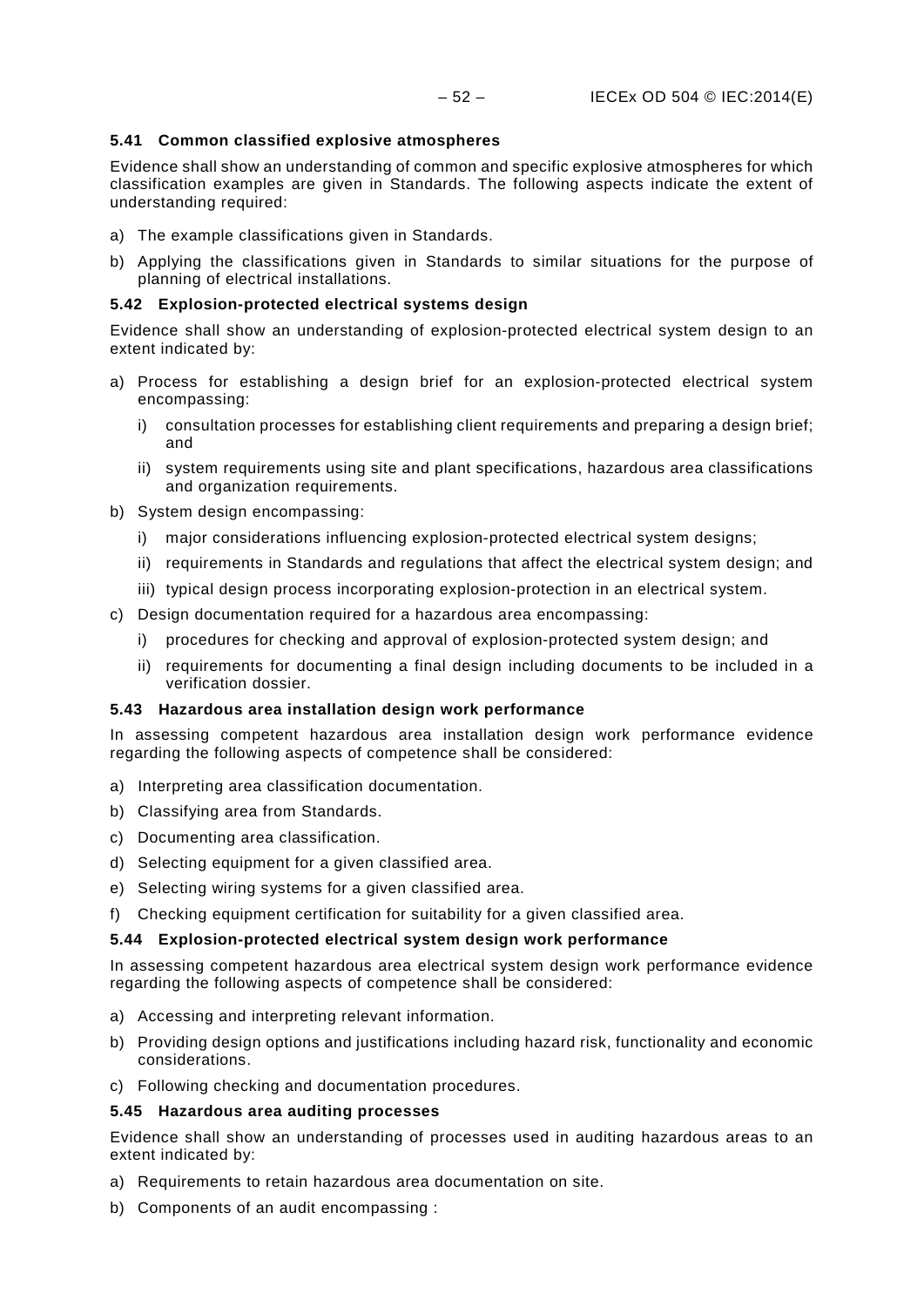### <span id="page-55-0"></span>**5.41 Common classified explosive atmospheres**

Evidence shall show an understanding of common and specific explosive atmospheres for which classification examples are given in Standards. The following aspects indicate the extent of understanding required:

- a) The example classifications given in Standards.
- b) Applying the classifications given in Standards to similar situations for the purpose of planning of electrical installations.

### <span id="page-55-1"></span>**5.42 Explosion-protected electrical systems design**

Evidence shall show an understanding of explosion-protected electrical system design to an extent indicated by:

- a) Process for establishing a design brief for an explosion-protected electrical system encompassing:
	- i) consultation processes for establishing client requirements and preparing a design brief; and
	- ii) system requirements using site and plant specifications, hazardous area classifications and organization requirements.
- b) System design encompassing:
	- i) major considerations influencing explosion-protected electrical system designs;
	- ii) requirements in Standards and regulations that affect the electrical system design; and
	- iii) typical design process incorporating explosion-protection in an electrical system.
- c) Design documentation required for a hazardous area encompassing:
	- i) procedures for checking and approval of explosion-protected system design; and
	- ii) requirements for documenting a final design including documents to be included in a verification dossier.

### <span id="page-55-2"></span>**5.43 Hazardous area installation design work performance**

In assessing competent hazardous area installation design work performance evidence regarding the following aspects of competence shall be considered:

- a) Interpreting area classification documentation.
- b) Classifying area from Standards.
- c) Documenting area classification.
- d) Selecting equipment for a given classified area.
- e) Selecting wiring systems for a given classified area.
- f) Checking equipment certification for suitability for a given classified area.

### <span id="page-55-3"></span>**5.44 Explosion-protected electrical system design work performance**

In assessing competent hazardous area electrical system design work performance evidence regarding the following aspects of competence shall be considered:

- a) Accessing and interpreting relevant information.
- b) Providing design options and justifications including hazard risk, functionality and economic considerations.
- c) Following checking and documentation procedures.

### <span id="page-55-4"></span>**5.45 Hazardous area auditing processes**

Evidence shall show an understanding of processes used in auditing hazardous areas to an extent indicated by:

- a) Requirements to retain hazardous area documentation on site.
- b) Components of an audit encompassing :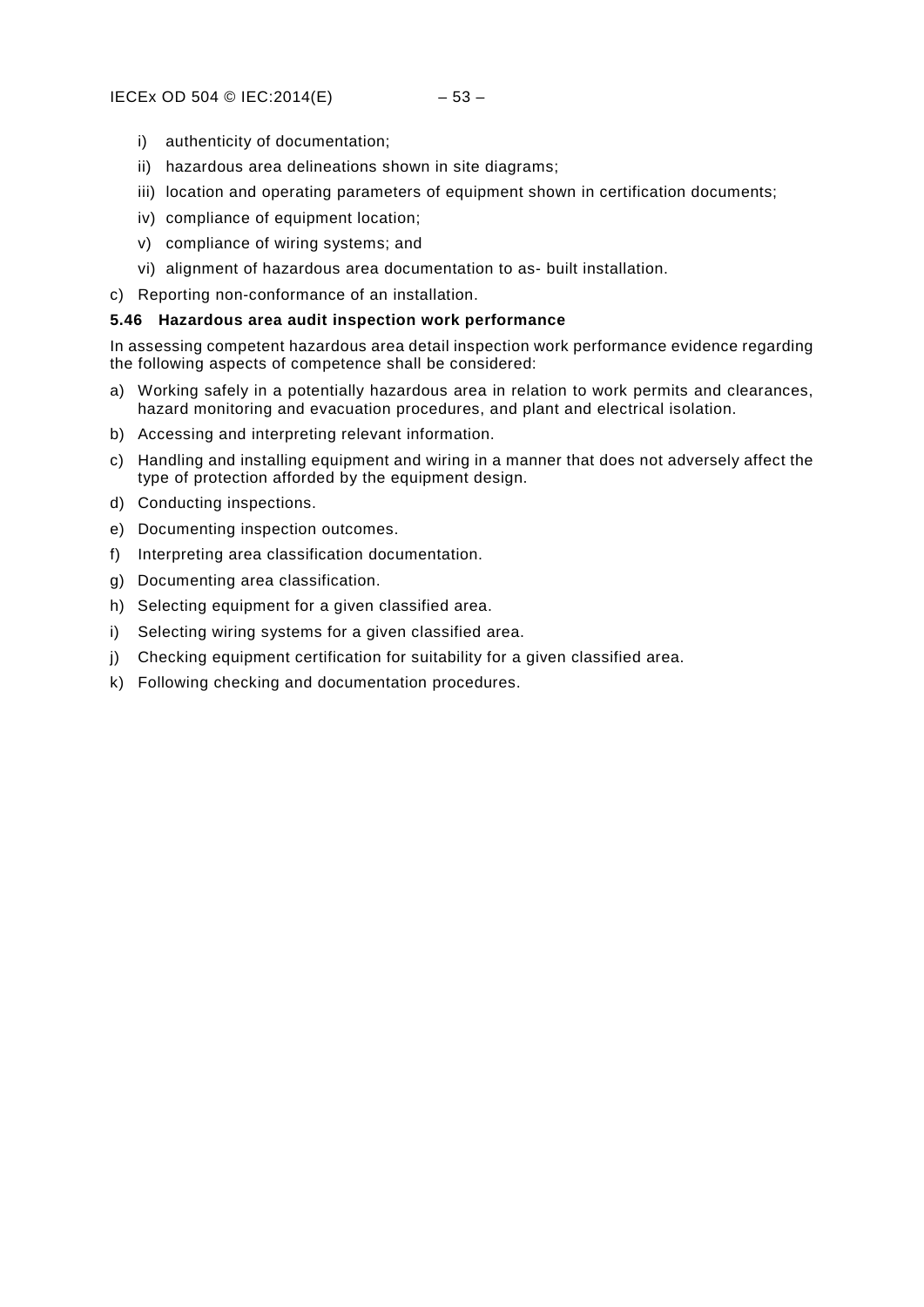- i) authenticity of documentation;
- ii) hazardous area delineations shown in site diagrams;
- iii) location and operating parameters of equipment shown in certification documents;
- iv) compliance of equipment location;
- v) compliance of wiring systems; and
- vi) alignment of hazardous area documentation to as- built installation.
- c) Reporting non-conformance of an installation.

### <span id="page-56-0"></span>**5.46 Hazardous area audit inspection work performance**

In assessing competent hazardous area detail inspection work performance evidence regarding the following aspects of competence shall be considered:

- a) Working safely in a potentially hazardous area in relation to work permits and clearances, hazard monitoring and evacuation procedures, and plant and electrical isolation.
- b) Accessing and interpreting relevant information.
- c) Handling and installing equipment and wiring in a manner that does not adversely affect the type of protection afforded by the equipment design.
- d) Conducting inspections.
- e) Documenting inspection outcomes.
- f) Interpreting area classification documentation.
- g) Documenting area classification.
- h) Selecting equipment for a given classified area.
- i) Selecting wiring systems for a given classified area.
- j) Checking equipment certification for suitability for a given classified area.
- k) Following checking and documentation procedures.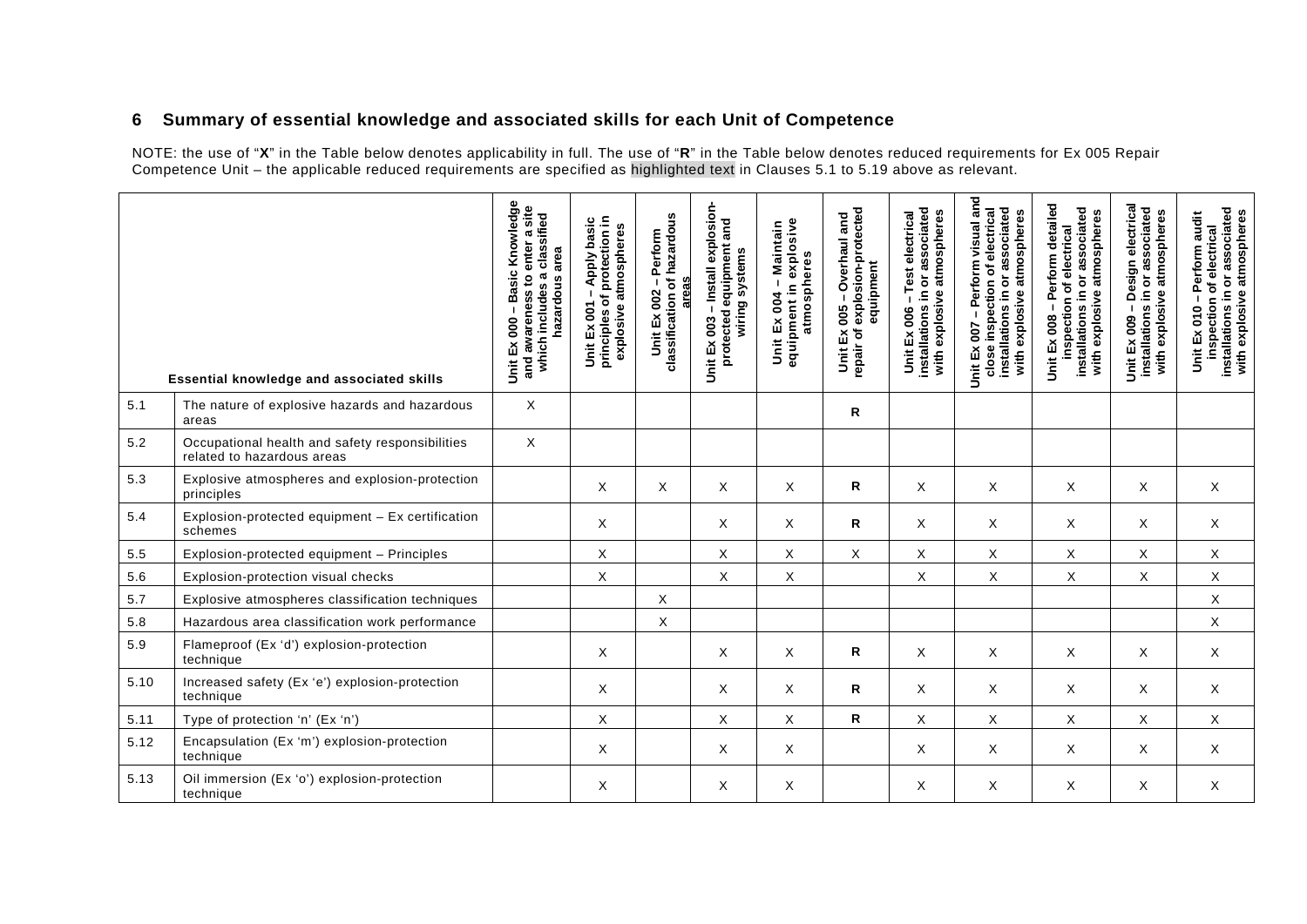### **6 Summary of essential knowledge and associated skills for each Unit of Competence**

NOTE: the use of "**X**" in the Table below denotes applicability in full. The use of "**R**" in the Table below denotes reduced requirements for Ex 005 Repair Competence Unit – the applicable reduced requirements are specified as highlighted text in Clauses 5.1 to 5.19 above as relevant.

<span id="page-57-0"></span>

|      | <b>Essential knowledge and associated skills</b>                              | Basic Knowledge<br>and awareness to enter a site<br>which includes a classified<br>hazardous area<br>Unit Ex 000 | principles of protection in<br>Unit Ex 001 - Apply basic<br>explosive atmospheres | classification of hazardous<br>Perform<br>areas<br>Unit Ex 002 - | -Install explosion-<br>protected equipment and<br>wiring systems<br>Unit Ex 003 | equipment in explosive<br>Maintain<br>atmospheres<br>$\mathbf{I}$<br>Unit Ex 004 | Unit Ex 005 - Overhaul and<br>repair of explosion-protected<br>equipment | installations in or associated<br>with explosive atmospheres<br>-Test electrical<br>Unit Ex 006 | - Perform visual and<br>close inspection of electrical<br>installations in or associated<br>with explosive atmospheres<br>Unit Ex 007 | - Perform detailed<br>installations in or associated<br>with explosive atmospheres<br>inspection of electrical<br>Unit Ex 008 | - Design electrical<br>installations in or associated<br>with explosive atmospheres<br>Unit Ex 009 | installations in or associated<br>with explosive atmospheres<br>Perform audit<br>inspection of electrical<br>$\mathbf{I}$<br>Unit Ex 010 |
|------|-------------------------------------------------------------------------------|------------------------------------------------------------------------------------------------------------------|-----------------------------------------------------------------------------------|------------------------------------------------------------------|---------------------------------------------------------------------------------|----------------------------------------------------------------------------------|--------------------------------------------------------------------------|-------------------------------------------------------------------------------------------------|---------------------------------------------------------------------------------------------------------------------------------------|-------------------------------------------------------------------------------------------------------------------------------|----------------------------------------------------------------------------------------------------|------------------------------------------------------------------------------------------------------------------------------------------|
| 5.1  | The nature of explosive hazards and hazardous<br>areas                        | $\mathsf X$                                                                                                      |                                                                                   |                                                                  |                                                                                 |                                                                                  | $\mathsf R$                                                              |                                                                                                 |                                                                                                                                       |                                                                                                                               |                                                                                                    |                                                                                                                                          |
| 5.2  | Occupational health and safety responsibilities<br>related to hazardous areas | X                                                                                                                |                                                                                   |                                                                  |                                                                                 |                                                                                  |                                                                          |                                                                                                 |                                                                                                                                       |                                                                                                                               |                                                                                                    |                                                                                                                                          |
| 5.3  | Explosive atmospheres and explosion-protection<br>principles                  |                                                                                                                  | X                                                                                 | X                                                                | X                                                                               | X                                                                                | R                                                                        | X                                                                                               | X                                                                                                                                     | X                                                                                                                             | X                                                                                                  | X                                                                                                                                        |
| 5.4  | Explosion-protected equipment - Ex certification<br>schemes                   |                                                                                                                  | X                                                                                 |                                                                  | X                                                                               | X                                                                                | $\mathsf{R}$                                                             | X                                                                                               | X                                                                                                                                     | X                                                                                                                             | X                                                                                                  | X                                                                                                                                        |
| 5.5  | Explosion-protected equipment - Principles                                    |                                                                                                                  | Χ                                                                                 |                                                                  | X                                                                               | X                                                                                | X                                                                        | X.                                                                                              | X                                                                                                                                     | X                                                                                                                             | X                                                                                                  | X                                                                                                                                        |
| 5.6  | Explosion-protection visual checks                                            |                                                                                                                  | Χ                                                                                 |                                                                  | Χ                                                                               | $\mathsf X$                                                                      |                                                                          | X                                                                                               | X                                                                                                                                     | X                                                                                                                             | X                                                                                                  | $\mathsf X$                                                                                                                              |
| 5.7  | Explosive atmospheres classification techniques                               |                                                                                                                  |                                                                                   | X                                                                |                                                                                 |                                                                                  |                                                                          |                                                                                                 |                                                                                                                                       |                                                                                                                               |                                                                                                    | $\mathsf X$                                                                                                                              |
| 5.8  | Hazardous area classification work performance                                |                                                                                                                  |                                                                                   | X                                                                |                                                                                 |                                                                                  |                                                                          |                                                                                                 |                                                                                                                                       |                                                                                                                               |                                                                                                    | $\times$                                                                                                                                 |
| 5.9  | Flameproof (Ex 'd') explosion-protection<br>technique                         |                                                                                                                  | X                                                                                 |                                                                  | X                                                                               | X                                                                                | R                                                                        | X                                                                                               | X                                                                                                                                     | X                                                                                                                             | X                                                                                                  | X                                                                                                                                        |
| 5.10 | Increased safety (Ex 'e') explosion-protection<br>technique                   |                                                                                                                  | X                                                                                 |                                                                  | X                                                                               | X                                                                                | R                                                                        | X                                                                                               | X                                                                                                                                     | X                                                                                                                             | X                                                                                                  | X                                                                                                                                        |
| 5.11 | Type of protection 'n' (Ex 'n')                                               |                                                                                                                  | X                                                                                 |                                                                  | X                                                                               | X                                                                                | R                                                                        | X.                                                                                              | X                                                                                                                                     | X                                                                                                                             | X                                                                                                  | X                                                                                                                                        |
| 5.12 | Encapsulation (Ex 'm') explosion-protection<br>technique                      |                                                                                                                  | X                                                                                 |                                                                  | X                                                                               | X                                                                                |                                                                          | X                                                                                               | X                                                                                                                                     | X                                                                                                                             | X                                                                                                  | X                                                                                                                                        |
| 5.13 | Oil immersion (Ex 'o') explosion-protection<br>technique                      |                                                                                                                  | X                                                                                 |                                                                  | X                                                                               | X                                                                                |                                                                          | X                                                                                               | X                                                                                                                                     | X                                                                                                                             | X                                                                                                  | X                                                                                                                                        |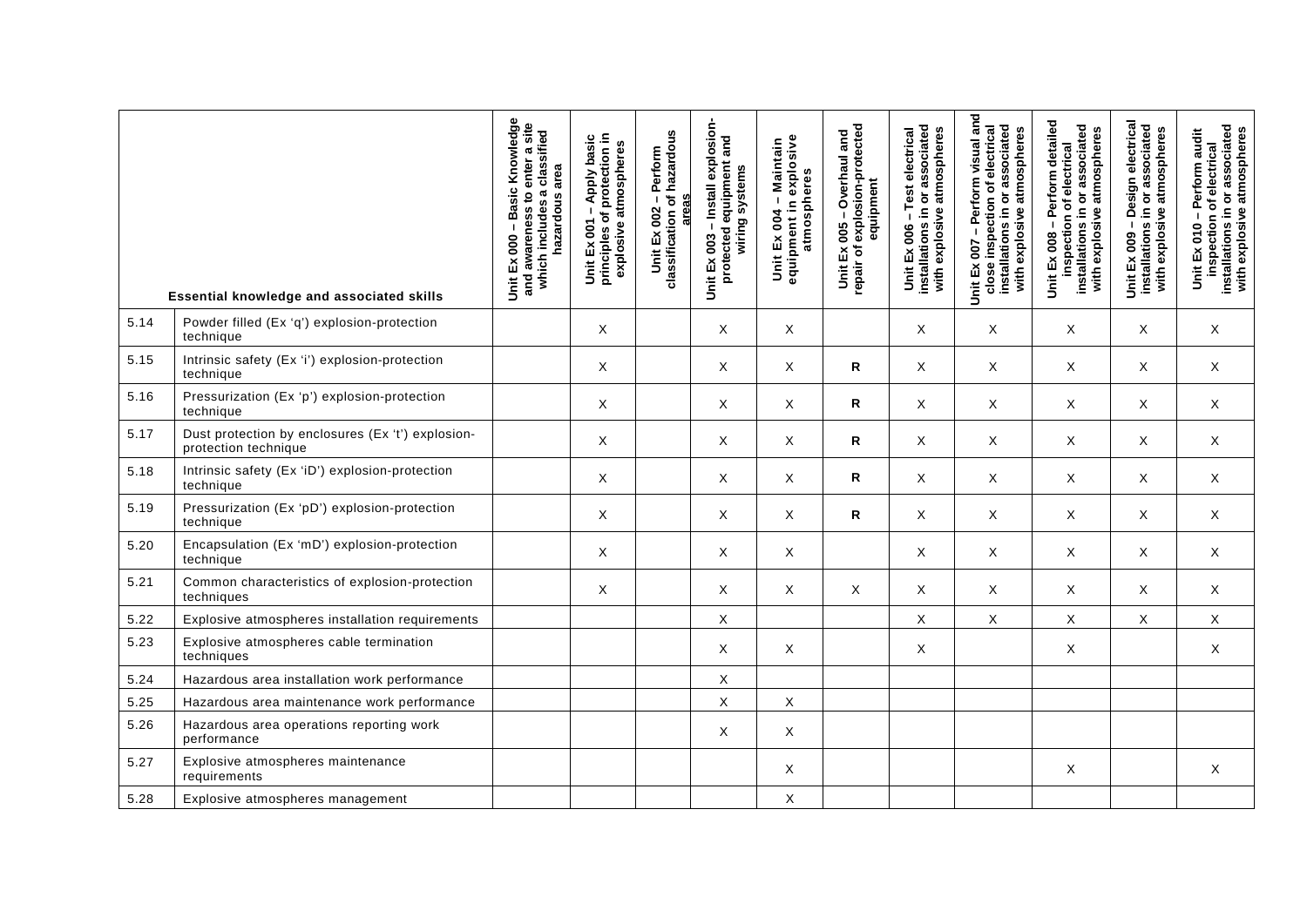|      | Essential knowledge and associated skills                                 | Basic Knowledge<br>and awareness to enter a site<br>which includes a classified<br>area<br>hazardous<br>Unit Ex 000 | principles of protection in<br>Apply basic<br>explosive atmospheres<br>$\mathbf{I}$<br>Ex 001<br>š | Unit Ex 002 – Perform<br>classification of hazardous<br>areas | - Install explosion-<br>protected equipment and<br>wiring systems<br>Unit Ex 003 | Unit Ex 004 – Maintain<br>equipment in explosive<br>atmospheres | repair of explosion-protected<br>- Overhaul and<br>equipment<br>Unit Ex 005 | Unit Ex 006 - Test electrical<br>installations in or associated<br>with explosive atmospheres | - Perform visual and<br>close inspection of electrical<br>installations in or associated<br>with explosive atmospheres<br>Unit Ex 007 | - Perform detailed<br>installations in or associated<br>with explosive atmospheres<br>inspection of electrical<br>Unit Ex 008 | - Design electrical<br>installations in or associated<br>with explosive atmospheres<br>Unit Ex 009 | installations in or associated<br>with explosive atmospheres<br>audit<br>inspection of electrical<br>-Perform<br>Unit Ex 010 |
|------|---------------------------------------------------------------------------|---------------------------------------------------------------------------------------------------------------------|----------------------------------------------------------------------------------------------------|---------------------------------------------------------------|----------------------------------------------------------------------------------|-----------------------------------------------------------------|-----------------------------------------------------------------------------|-----------------------------------------------------------------------------------------------|---------------------------------------------------------------------------------------------------------------------------------------|-------------------------------------------------------------------------------------------------------------------------------|----------------------------------------------------------------------------------------------------|------------------------------------------------------------------------------------------------------------------------------|
| 5.14 | Powder filled (Ex 'q') explosion-protection<br>technique                  |                                                                                                                     | X                                                                                                  |                                                               | X                                                                                | X                                                               |                                                                             | Χ                                                                                             | X                                                                                                                                     | X                                                                                                                             | X                                                                                                  | X                                                                                                                            |
| 5.15 | Intrinsic safety (Ex 'i') explosion-protection<br>technique               |                                                                                                                     | $\mathsf X$                                                                                        |                                                               | X                                                                                | X                                                               | R                                                                           | X                                                                                             | $\mathsf X$                                                                                                                           | X                                                                                                                             | X                                                                                                  | $\mathsf{X}$                                                                                                                 |
| 5.16 | Pressurization (Ex 'p') explosion-protection<br>technique                 |                                                                                                                     | X                                                                                                  |                                                               | X                                                                                | X                                                               | R                                                                           | X                                                                                             | X                                                                                                                                     | X                                                                                                                             | $\mathsf{X}$                                                                                       | $\times$                                                                                                                     |
| 5.17 | Dust protection by enclosures (Ex 't') explosion-<br>protection technique |                                                                                                                     | $\mathsf{X}$                                                                                       |                                                               | X                                                                                | X                                                               | R                                                                           | X                                                                                             | $\mathsf X$                                                                                                                           | X                                                                                                                             | $\mathsf{X}$                                                                                       | $\times$                                                                                                                     |
| 5.18 | Intrinsic safety (Ex 'iD') explosion-protection<br>technique              |                                                                                                                     | X                                                                                                  |                                                               | X                                                                                | X                                                               | R                                                                           | X                                                                                             | X                                                                                                                                     | X                                                                                                                             | X                                                                                                  | X                                                                                                                            |
| 5.19 | Pressurization (Ex 'pD') explosion-protection<br>technique                |                                                                                                                     | X                                                                                                  |                                                               | X                                                                                | X                                                               | R                                                                           | X                                                                                             | X                                                                                                                                     | X                                                                                                                             | $\mathsf{X}$                                                                                       | $\times$                                                                                                                     |
| 5.20 | Encapsulation (Ex 'mD') explosion-protection<br>technique                 |                                                                                                                     | X                                                                                                  |                                                               | X                                                                                | $\mathsf{X}$                                                    |                                                                             | X                                                                                             | $\mathsf X$                                                                                                                           | X                                                                                                                             | X                                                                                                  | $\mathsf{X}$                                                                                                                 |
| 5.21 | Common characteristics of explosion-protection<br>techniques              |                                                                                                                     | X                                                                                                  |                                                               | $\times$                                                                         | X                                                               | X                                                                           | X                                                                                             | X                                                                                                                                     | X                                                                                                                             | $\times$                                                                                           | $\times$                                                                                                                     |
| 5.22 | Explosive atmospheres installation requirements                           |                                                                                                                     |                                                                                                    |                                                               | X                                                                                |                                                                 |                                                                             | X                                                                                             | X                                                                                                                                     | X                                                                                                                             | X                                                                                                  | X                                                                                                                            |
| 5.23 | Explosive atmospheres cable termination<br>techniques                     |                                                                                                                     |                                                                                                    |                                                               | X                                                                                | X                                                               |                                                                             | X                                                                                             |                                                                                                                                       | X                                                                                                                             |                                                                                                    | X                                                                                                                            |
| 5.24 | Hazardous area installation work performance                              |                                                                                                                     |                                                                                                    |                                                               | X                                                                                |                                                                 |                                                                             |                                                                                               |                                                                                                                                       |                                                                                                                               |                                                                                                    |                                                                                                                              |
| 5.25 | Hazardous area maintenance work performance                               |                                                                                                                     |                                                                                                    |                                                               | $\mathsf X$                                                                      | X                                                               |                                                                             |                                                                                               |                                                                                                                                       |                                                                                                                               |                                                                                                    |                                                                                                                              |
| 5.26 | Hazardous area operations reporting work<br>performance                   |                                                                                                                     |                                                                                                    |                                                               | X                                                                                | X                                                               |                                                                             |                                                                                               |                                                                                                                                       |                                                                                                                               |                                                                                                    |                                                                                                                              |
| 5.27 | Explosive atmospheres maintenance<br>requirements                         |                                                                                                                     |                                                                                                    |                                                               |                                                                                  | X                                                               |                                                                             |                                                                                               |                                                                                                                                       | X                                                                                                                             |                                                                                                    | X                                                                                                                            |
| 5.28 | Explosive atmospheres management                                          |                                                                                                                     |                                                                                                    |                                                               |                                                                                  | Χ                                                               |                                                                             |                                                                                               |                                                                                                                                       |                                                                                                                               |                                                                                                    |                                                                                                                              |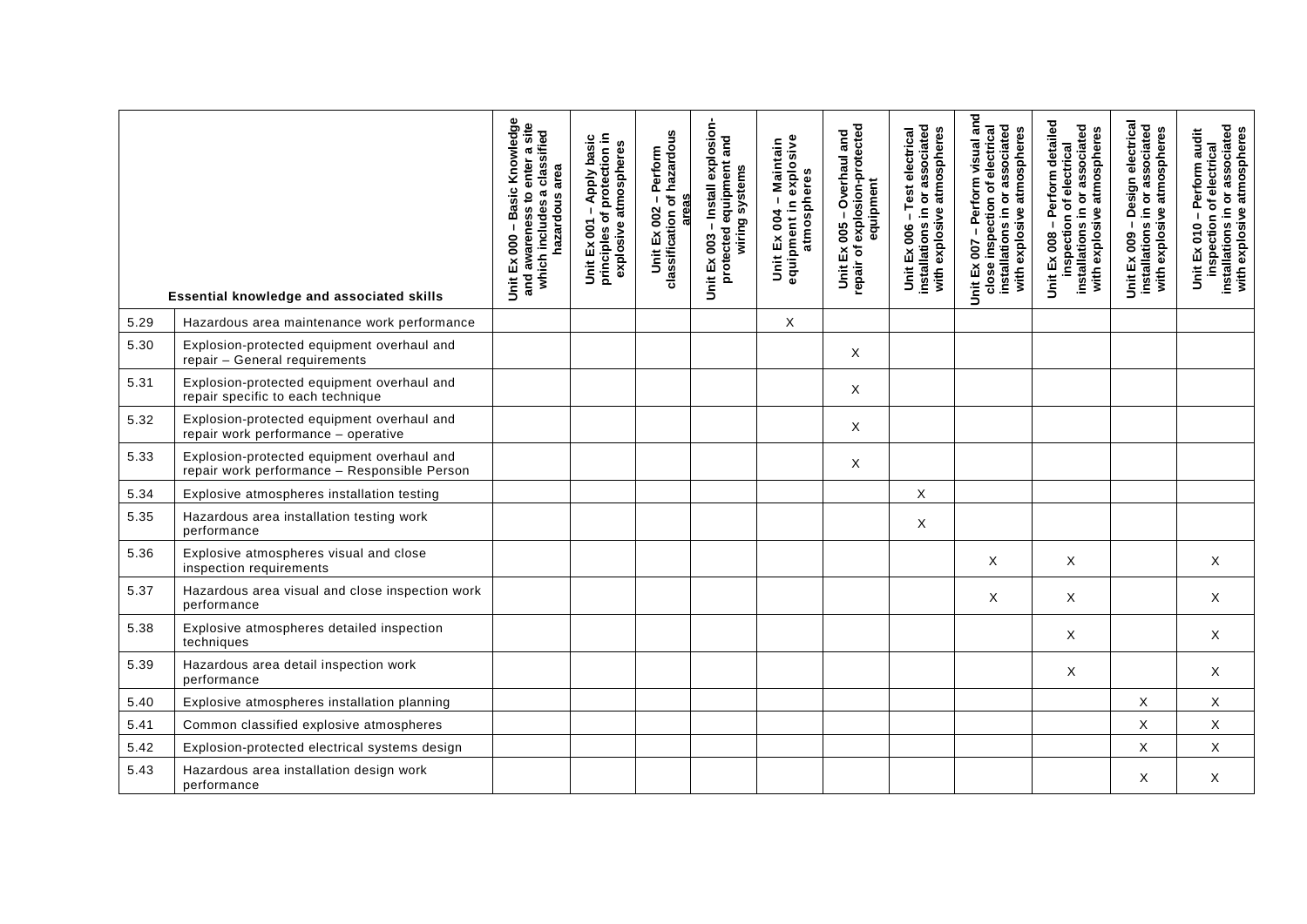|      | Essential knowledge and associated skills                                                  | Basic Knowledge<br>and awareness to enter a site<br>which includes a classified<br>area<br>hazardous<br>Unit Ex 000 | principles of protection in<br>Apply basic<br>explosive atmospheres<br>$\blacksquare$<br>Unit Ex 001 | Unit Ex 002 – Perform<br>classification of hazardous<br>areas | -Install explosion-<br>protected equipment and<br>wiring systems<br>Unit Ex 003 | equipment in explosive<br>Unit Ex 004 - Maintain<br>atmospheres | repair of explosion-protected<br>- Overhaul and<br>equipment<br>Unit Ex 005 | Unit Ex 006 - Test electrical<br>installations in or associated<br>with explosive atmospheres | Unit Ex 007 - Perform visual and<br>installations in or associated<br>close inspection of electrical<br>with explosive atmospheres | - Perform detailed<br>installations in or associated<br>with explosive atmospheres<br>inspection of electrical<br>Unit Ex 008 | - Design electrical<br>installations in or associated<br>with explosive atmospheres<br>Ex 009<br>$\overline{5}$ | inspection of electrical<br>installations in or associated<br>with explosive atmospheres<br>audit<br>-Perform<br>$\frac{1}{5}$<br>Unit Ex |
|------|--------------------------------------------------------------------------------------------|---------------------------------------------------------------------------------------------------------------------|------------------------------------------------------------------------------------------------------|---------------------------------------------------------------|---------------------------------------------------------------------------------|-----------------------------------------------------------------|-----------------------------------------------------------------------------|-----------------------------------------------------------------------------------------------|------------------------------------------------------------------------------------------------------------------------------------|-------------------------------------------------------------------------------------------------------------------------------|-----------------------------------------------------------------------------------------------------------------|-------------------------------------------------------------------------------------------------------------------------------------------|
| 5.29 | Hazardous area maintenance work performance                                                |                                                                                                                     |                                                                                                      |                                                               |                                                                                 | X                                                               |                                                                             |                                                                                               |                                                                                                                                    |                                                                                                                               |                                                                                                                 |                                                                                                                                           |
| 5.30 | Explosion-protected equipment overhaul and<br>repair - General requirements                |                                                                                                                     |                                                                                                      |                                                               |                                                                                 |                                                                 | X                                                                           |                                                                                               |                                                                                                                                    |                                                                                                                               |                                                                                                                 |                                                                                                                                           |
| 5.31 | Explosion-protected equipment overhaul and<br>repair specific to each technique            |                                                                                                                     |                                                                                                      |                                                               |                                                                                 |                                                                 | X                                                                           |                                                                                               |                                                                                                                                    |                                                                                                                               |                                                                                                                 |                                                                                                                                           |
| 5.32 | Explosion-protected equipment overhaul and<br>repair work performance - operative          |                                                                                                                     |                                                                                                      |                                                               |                                                                                 |                                                                 | Χ                                                                           |                                                                                               |                                                                                                                                    |                                                                                                                               |                                                                                                                 |                                                                                                                                           |
| 5.33 | Explosion-protected equipment overhaul and<br>repair work performance - Responsible Person |                                                                                                                     |                                                                                                      |                                                               |                                                                                 |                                                                 | X                                                                           |                                                                                               |                                                                                                                                    |                                                                                                                               |                                                                                                                 |                                                                                                                                           |
| 5.34 | Explosive atmospheres installation testing                                                 |                                                                                                                     |                                                                                                      |                                                               |                                                                                 |                                                                 |                                                                             | X                                                                                             |                                                                                                                                    |                                                                                                                               |                                                                                                                 |                                                                                                                                           |
| 5.35 | Hazardous area installation testing work<br>performance                                    |                                                                                                                     |                                                                                                      |                                                               |                                                                                 |                                                                 |                                                                             | X                                                                                             |                                                                                                                                    |                                                                                                                               |                                                                                                                 |                                                                                                                                           |
| 5.36 | Explosive atmospheres visual and close<br>inspection requirements                          |                                                                                                                     |                                                                                                      |                                                               |                                                                                 |                                                                 |                                                                             |                                                                                               | X                                                                                                                                  | X                                                                                                                             |                                                                                                                 | X                                                                                                                                         |
| 5.37 | Hazardous area visual and close inspection work<br>performance                             |                                                                                                                     |                                                                                                      |                                                               |                                                                                 |                                                                 |                                                                             |                                                                                               | X                                                                                                                                  | X                                                                                                                             |                                                                                                                 | X                                                                                                                                         |
| 5.38 | Explosive atmospheres detailed inspection<br>techniques                                    |                                                                                                                     |                                                                                                      |                                                               |                                                                                 |                                                                 |                                                                             |                                                                                               |                                                                                                                                    | X                                                                                                                             |                                                                                                                 | X                                                                                                                                         |
| 5.39 | Hazardous area detail inspection work<br>performance                                       |                                                                                                                     |                                                                                                      |                                                               |                                                                                 |                                                                 |                                                                             |                                                                                               |                                                                                                                                    | Χ                                                                                                                             |                                                                                                                 | X                                                                                                                                         |
| 5.40 | Explosive atmospheres installation planning                                                |                                                                                                                     |                                                                                                      |                                                               |                                                                                 |                                                                 |                                                                             |                                                                                               |                                                                                                                                    |                                                                                                                               | X                                                                                                               | X                                                                                                                                         |
| 5.41 | Common classified explosive atmospheres                                                    |                                                                                                                     |                                                                                                      |                                                               |                                                                                 |                                                                 |                                                                             |                                                                                               |                                                                                                                                    |                                                                                                                               | X                                                                                                               | $\mathsf X$                                                                                                                               |
| 5.42 | Explosion-protected electrical systems design                                              |                                                                                                                     |                                                                                                      |                                                               |                                                                                 |                                                                 |                                                                             |                                                                                               |                                                                                                                                    |                                                                                                                               | X                                                                                                               | X                                                                                                                                         |
| 5.43 | Hazardous area installation design work<br>performance                                     |                                                                                                                     |                                                                                                      |                                                               |                                                                                 |                                                                 |                                                                             |                                                                                               |                                                                                                                                    |                                                                                                                               | X                                                                                                               | X                                                                                                                                         |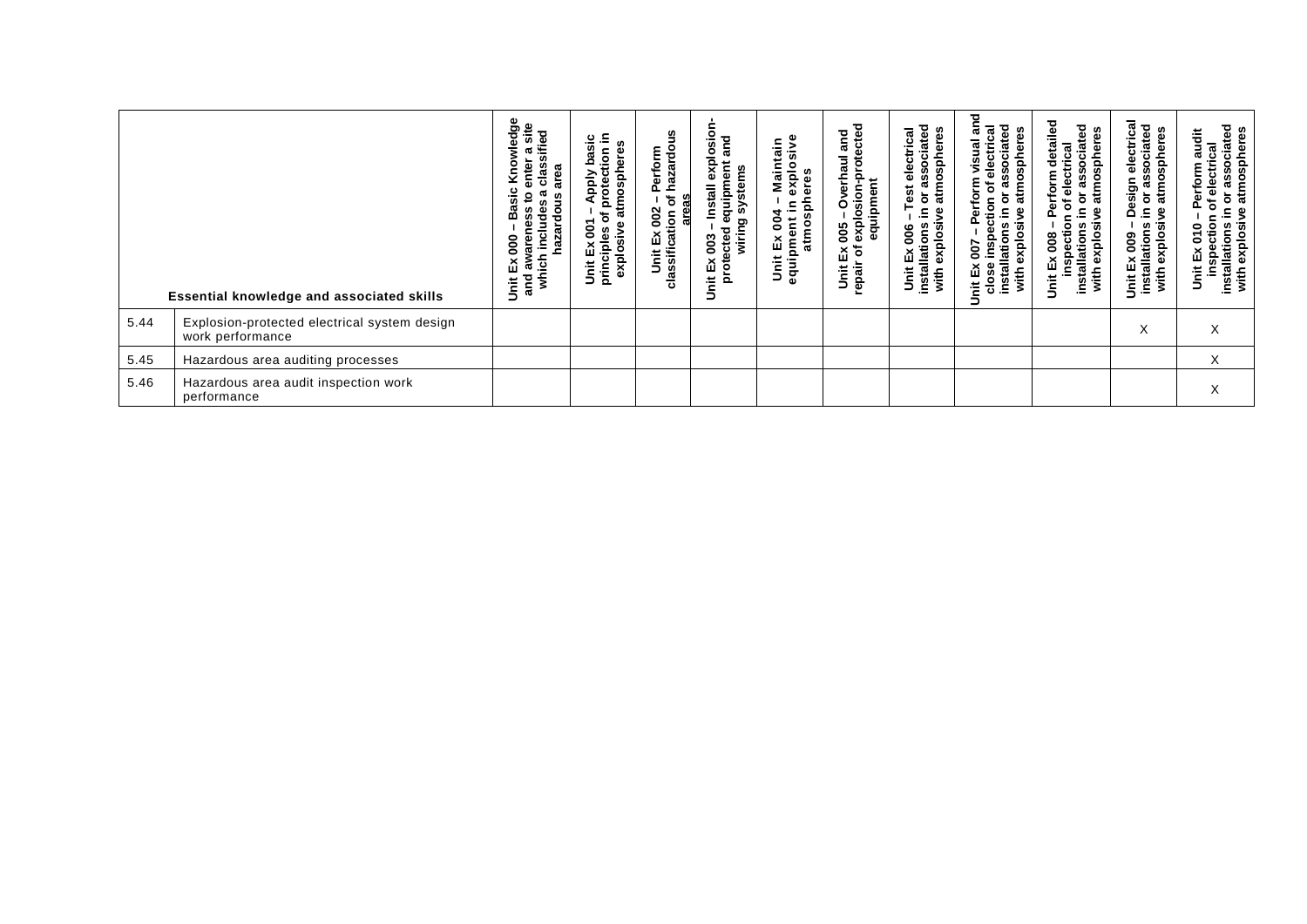|      | Essential knowledge and associated skills                        | wledge<br>ra site<br>sified<br>enter<br>Čn<br>الأ<br>clas<br>area<br>Basic<br>æ<br>٥,<br>hazardous<br>wareness<br>h includes<br>ខ្ល<br>×<br>which<br>న్<br>and<br>ក់<br>5 | Unit Ex 001 – Apply basic<br>principles of protection in<br>explosive atmospheres | שע – Perform<br>Lion of hazardou<br>areas<br>Unit Ex 002 -<br>classification o | t uu3 – Install explosion-<br>ected equipment and<br>wiring systems<br>protected<br>003<br>ă<br>š | Ex 004 – Maintain<br>pment in explosive<br>atmospheres<br>Unit Ex 004<br>equipment i | explosion-protected<br>equipment<br>and<br>Overhaul<br>explosion<br>800<br>Unit Ex (<br>repair of | electrical<br>Issociated<br>heres<br>osph<br>æ<br>atm<br>Test<br>$\bf \bar{o}$<br>$\equiv$<br>ያ<br>- あ<br>Unit Ex 006 -<br>installations i<br>glo<br>ô<br>with | ਠ<br>visual an<br>associated<br>electrical<br>atmospheres<br>Perform<br>$\mathbf{\tilde{o}}$<br>ŏ<br>inspection<br>요.<br>explosive<br>installations<br>Unit Ex 007<br>close insp<br>with | t Ex 008 – Perform detailed<br>inspection of electrical<br>associated<br>atmospheres<br>ò<br>ءِ<br>explosive<br>installations<br>Unit Ex 008<br>with | electrical<br>sociated<br>atmospheres<br>Design<br>ಔ<br>ð<br>≘.<br>with explosive<br>$Ex 009 -$<br>ទី ឌី | or associated<br>atmospheres<br>audit<br>electrical<br>erform<br>$\overline{\mathsf{o}}$<br>৳<br>௳<br>inspection of<br>installations in <b>c</b><br>with explosive a<br><b>S</b><br>ű<br>j<br>5 |
|------|------------------------------------------------------------------|---------------------------------------------------------------------------------------------------------------------------------------------------------------------------|-----------------------------------------------------------------------------------|--------------------------------------------------------------------------------|---------------------------------------------------------------------------------------------------|--------------------------------------------------------------------------------------|---------------------------------------------------------------------------------------------------|----------------------------------------------------------------------------------------------------------------------------------------------------------------|------------------------------------------------------------------------------------------------------------------------------------------------------------------------------------------|------------------------------------------------------------------------------------------------------------------------------------------------------|----------------------------------------------------------------------------------------------------------|-------------------------------------------------------------------------------------------------------------------------------------------------------------------------------------------------|
| 5.44 | Explosion-protected electrical system design<br>work performance |                                                                                                                                                                           |                                                                                   |                                                                                |                                                                                                   |                                                                                      |                                                                                                   |                                                                                                                                                                |                                                                                                                                                                                          |                                                                                                                                                      | X                                                                                                        | X                                                                                                                                                                                               |
| 5.45 | Hazardous area auditing processes                                |                                                                                                                                                                           |                                                                                   |                                                                                |                                                                                                   |                                                                                      |                                                                                                   |                                                                                                                                                                |                                                                                                                                                                                          |                                                                                                                                                      |                                                                                                          | X                                                                                                                                                                                               |
| 5.46 | Hazardous area audit inspection work<br>performance              |                                                                                                                                                                           |                                                                                   |                                                                                |                                                                                                   |                                                                                      |                                                                                                   |                                                                                                                                                                |                                                                                                                                                                                          |                                                                                                                                                      |                                                                                                          | X                                                                                                                                                                                               |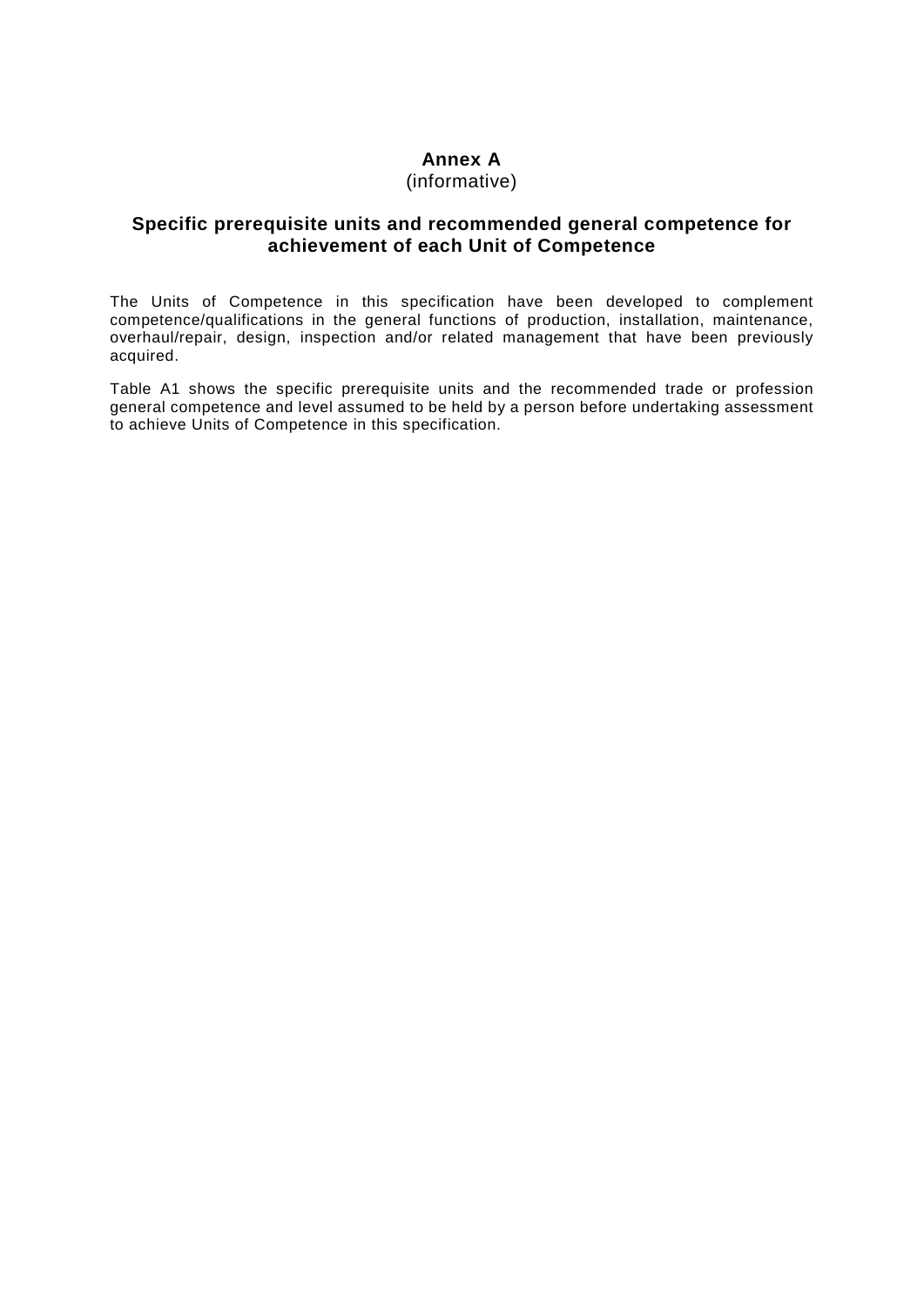### **Annex A**

### (informative)

### <span id="page-61-1"></span><span id="page-61-0"></span>**Specific prerequisite units and recommended general competence for achievement of each Unit of Competence**

The Units of Competence in this specification have been developed to complement competence/qualifications in the general functions of production, installation, maintenance, overhaul/repair, design, inspection and/or related management that have been previously acquired.

Table A1 shows the specific prerequisite units and the recommended trade or profession general competence and level assumed to be held by a person before undertaking assessment to achieve Units of Competence in this specification.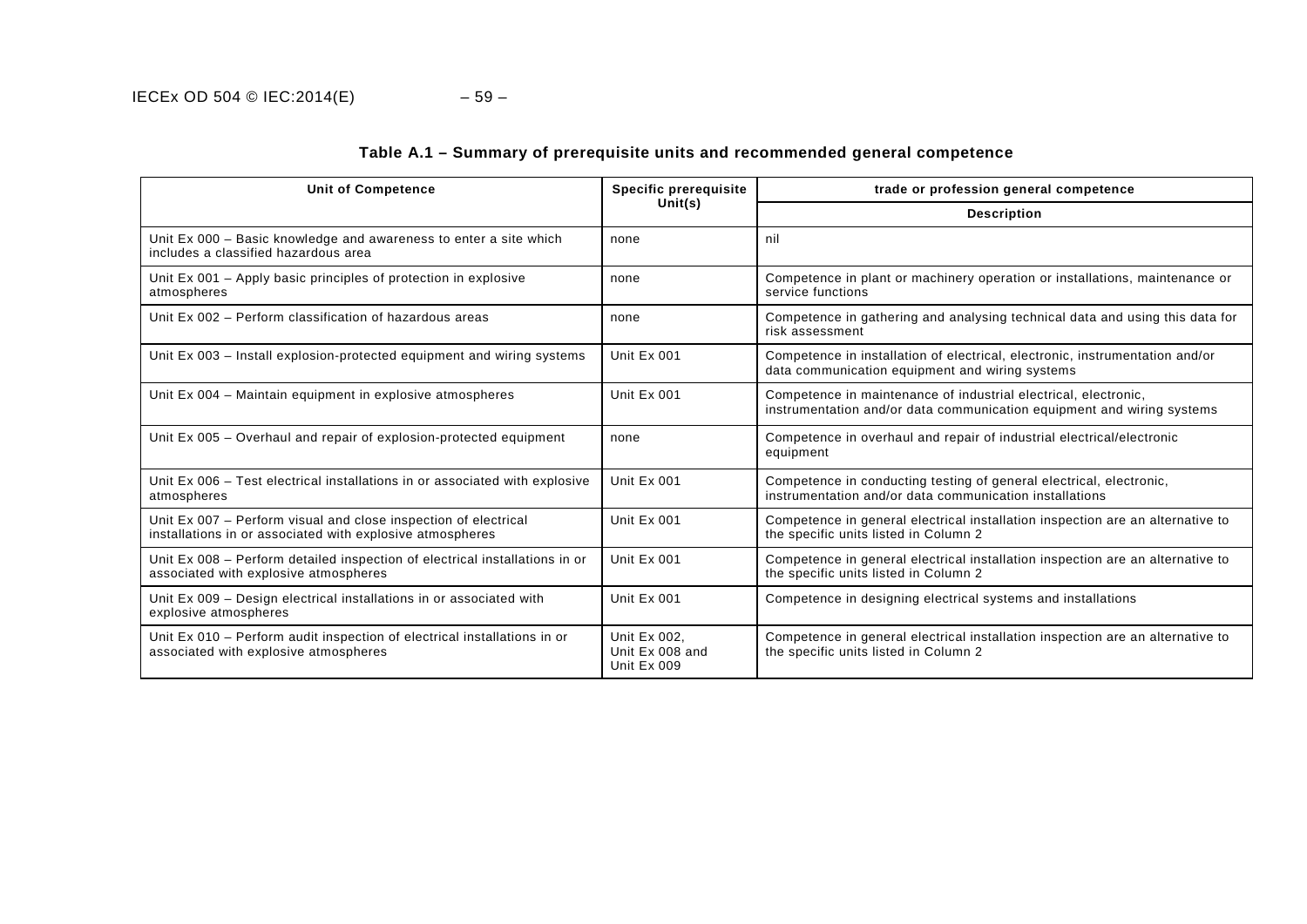| <b>Unit of Competence</b>                                                                                                    | <b>Specific prerequisite</b>                   | trade or profession general competence                                                                                                    |
|------------------------------------------------------------------------------------------------------------------------------|------------------------------------------------|-------------------------------------------------------------------------------------------------------------------------------------------|
|                                                                                                                              | Unit(s)                                        | <b>Description</b>                                                                                                                        |
| Unit Ex 000 – Basic knowledge and awareness to enter a site which<br>includes a classified hazardous area                    | none                                           | nil                                                                                                                                       |
| Unit Ex 001 – Apply basic principles of protection in explosive<br>atmospheres                                               | none                                           | Competence in plant or machinery operation or installations, maintenance or<br>service functions                                          |
| Unit Ex 002 - Perform classification of hazardous areas                                                                      | none                                           | Competence in gathering and analysing technical data and using this data for<br>risk assessment                                           |
| Unit Ex 003 – Install explosion-protected equipment and wiring systems                                                       | Unit Ex 001                                    | Competence in installation of electrical, electronic, instrumentation and/or<br>data communication equipment and wiring systems           |
| Unit Ex 004 - Maintain equipment in explosive atmospheres                                                                    | Unit Ex 001                                    | Competence in maintenance of industrial electrical, electronic,<br>instrumentation and/or data communication equipment and wiring systems |
| Unit Ex 005 – Overhaul and repair of explosion-protected equipment                                                           | none                                           | Competence in overhaul and repair of industrial electrical/electronic<br>equipment                                                        |
| Unit Ex 006 - Test electrical installations in or associated with explosive<br>atmospheres                                   | Unit Ex 001                                    | Competence in conducting testing of general electrical, electronic,<br>instrumentation and/or data communication installations            |
| Unit Ex 007 – Perform visual and close inspection of electrical<br>installations in or associated with explosive atmospheres | Unit Ex 001                                    | Competence in general electrical installation inspection are an alternative to<br>the specific units listed in Column 2                   |
| Unit Ex 008 - Perform detailed inspection of electrical installations in or<br>associated with explosive atmospheres         | Unit Ex 001                                    | Competence in general electrical installation inspection are an alternative to<br>the specific units listed in Column 2                   |
| Unit Ex 009 – Design electrical installations in or associated with<br>explosive atmospheres                                 | Unit Ex 001                                    | Competence in designing electrical systems and installations                                                                              |
| Unit Ex 010 - Perform audit inspection of electrical installations in or<br>associated with explosive atmospheres            | Unit Ex 002.<br>Unit Ex 008 and<br>Unit Ex 009 | Competence in general electrical installation inspection are an alternative to<br>the specific units listed in Column 2                   |

### **Table A.1 – Summary of prerequisite units and recommended general competence**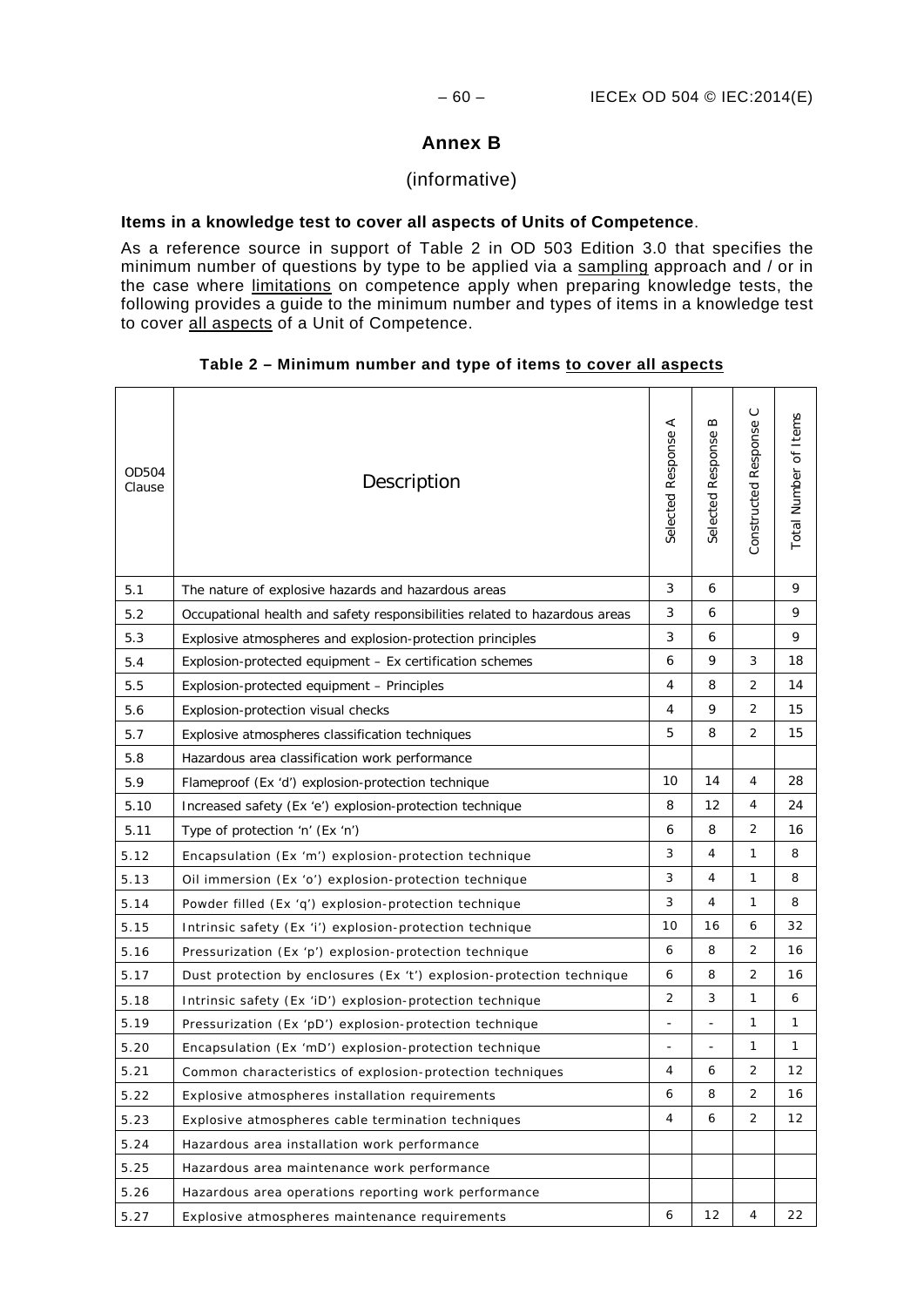### **Annex B**

### (informative)

### **Items in a knowledge test to cover all aspects of Units of Competence**.

As a reference source in support of Table 2 in OD 503 Edition 3.0 that specifies the minimum number of questions by type to be applied via a sampling approach and / or in the case where limitations on competence apply when preparing knowledge tests, the following provides a guide to the minimum number and types of items in a knowledge test to cover all aspects of a Unit of Competence.

## $\circ$ Constructed Response C mber of Items Total Number of Items Response A  $\infty$ ed Response Selected Response A Selected Response B d Response OD504 OD504<br>Clause Description

### **Table 2 – Minimum number and type of items to cover all aspects**

|      |                                                                            | Selecte                  | Selecte | Construct      | Total Nu     |
|------|----------------------------------------------------------------------------|--------------------------|---------|----------------|--------------|
| 5.1  | The nature of explosive hazards and hazardous areas                        | 3                        | 6       |                | 9            |
| 5.2  | Occupational health and safety responsibilities related to hazardous areas | 3                        | 6       |                | 9            |
| 5.3  | Explosive atmospheres and explosion-protection principles                  | 3                        | 6       |                | 9            |
| 5.4  | Explosion-protected equipment - Ex certification schemes                   | 6                        | 9       | 3              | 18           |
| 5.5  | Explosion-protected equipment - Principles                                 | 4                        | 8       | $\overline{2}$ | 14           |
| 5.6  | Explosion-protection visual checks                                         | 4                        | 9       | $\overline{2}$ | 15           |
| 5.7  | Explosive atmospheres classification techniques                            | 5                        | 8       | $\overline{2}$ | 15           |
| 5.8  | Hazardous area classification work performance                             |                          |         |                |              |
| 5.9  | Flameproof (Ex 'd') explosion-protection technique                         | 10                       | 14      | 4              | 28           |
| 5.10 | Increased safety (Ex 'e') explosion-protection technique                   | 8                        | 12      | 4              | 24           |
| 5.11 | Type of protection 'n' (Ex 'n')                                            | 6                        | 8       | 2              | 16           |
| 5.12 | Encapsulation (Ex 'm') explosion-protection technique                      | 3                        | 4       | 1              | 8            |
| 5.13 | Oil immersion (Ex 'o') explosion-protection technique                      | 3                        | 4       | 1              | 8            |
| 5.14 | Powder filled (Ex 'q') explosion-protection technique                      | 3                        | 4       | 1              | 8            |
| 5.15 | Intrinsic safety (Ex 'i') explosion-protection technique                   | 10                       | 16      | 6              | 32           |
| 5.16 | Pressurization (Ex 'p') explosion-protection technique                     | 6                        | 8       | $\overline{2}$ | 16           |
| 5.17 | Dust protection by enclosures (Ex 't') explosion-protection technique      | 6                        | 8       | $\overline{2}$ | 16           |
| 5.18 | Intrinsic safety (Ex 'iD') explosion-protection technique                  | $\overline{2}$           | 3       | 1              | 6            |
| 5.19 | Pressurization (Ex 'pD') explosion-protection technique                    | $\overline{\phantom{a}}$ |         | 1              | $\mathbf{1}$ |
| 5.20 | Encapsulation (Ex 'mD') explosion-protection technique                     | $\overline{a}$           |         | 1              | $\mathbf{1}$ |
| 5.21 | Common characteristics of explosion-protection techniques                  | 4                        | 6       | $\overline{2}$ | 12           |
| 5.22 | Explosive atmospheres installation requirements                            | 6                        | 8       | $\overline{2}$ | 16           |
| 5.23 | Explosive atmospheres cable termination techniques                         | 4                        | 6       | $\overline{2}$ | 12           |
| 5.24 | Hazardous area installation work performance                               |                          |         |                |              |
| 5.25 | Hazardous area maintenance work performance                                |                          |         |                |              |
| 5.26 | Hazardous area operations reporting work performance                       |                          |         |                |              |
| 5.27 | Explosive atmospheres maintenance requirements                             | 6                        | 12      | 4              | 22           |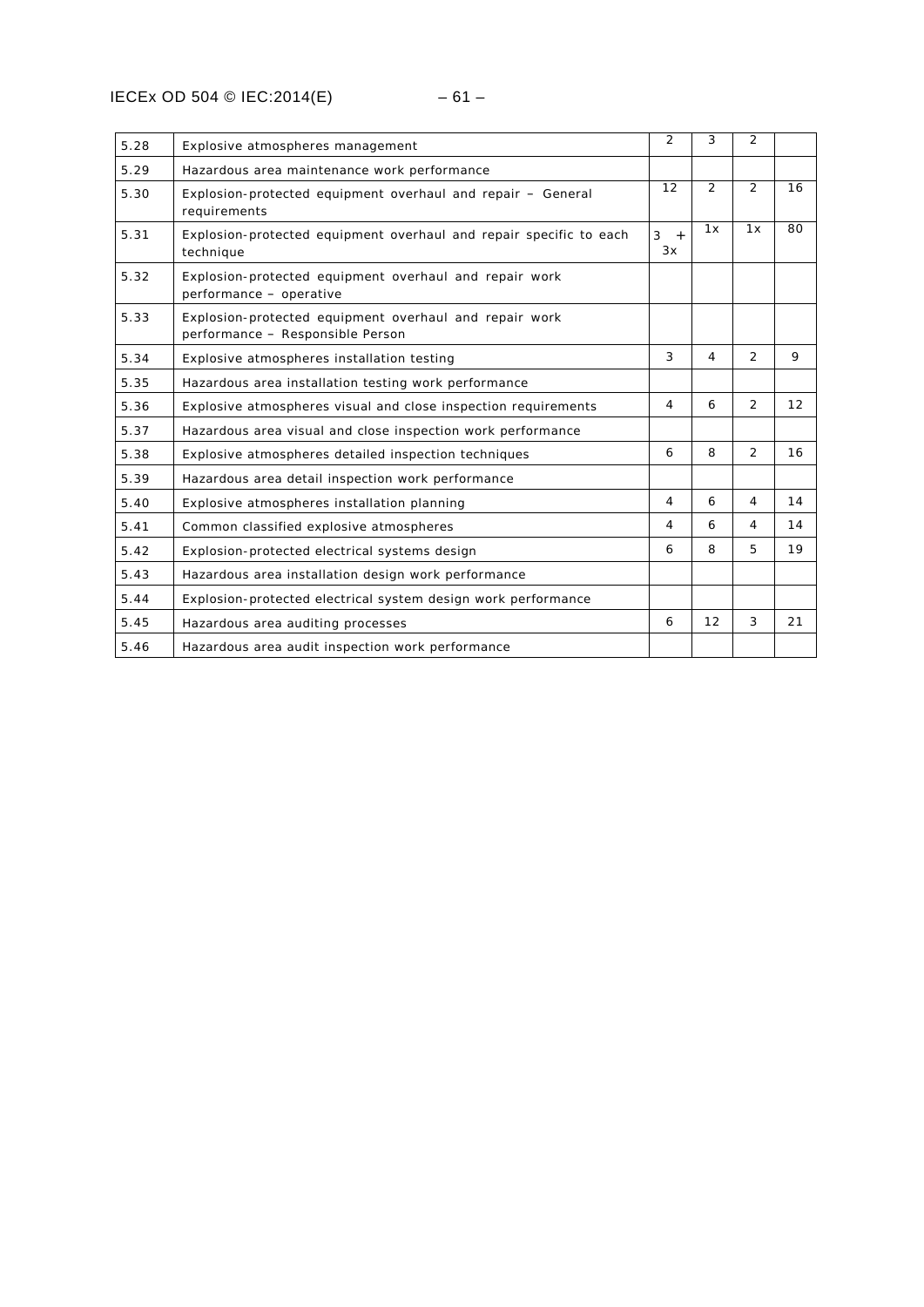| 5.28 | Explosive atmospheres management                                                           | $\overline{2}$       | 3              | $\overline{2}$ |    |
|------|--------------------------------------------------------------------------------------------|----------------------|----------------|----------------|----|
| 5.29 | Hazardous area maintenance work performance                                                |                      |                |                |    |
| 5.30 | Explosion-protected equipment overhaul and repair - General<br>requirements                | 12                   | $\overline{2}$ | 2              | 16 |
| 5.31 | Explosion-protected equipment overhaul and repair specific to each<br>technique            | 3<br>$\ddot{}$<br>3x | 1x             | 1x             | 80 |
| 5.32 | Explosion-protected equipment overhaul and repair work<br>performance - operative          |                      |                |                |    |
| 5.33 | Explosion-protected equipment overhaul and repair work<br>performance - Responsible Person |                      |                |                |    |
| 5.34 | Explosive atmospheres installation testing                                                 | 3                    | 4              | 2              | 9  |
| 5.35 | Hazardous area installation testing work performance                                       |                      |                |                |    |
| 5.36 | Explosive atmospheres visual and close inspection requirements                             | $\overline{4}$       | 6              | 2              | 12 |
| 5.37 | Hazardous area visual and close inspection work performance                                |                      |                |                |    |
| 5.38 | Explosive atmospheres detailed inspection techniques                                       | 6                    | 8              | $\overline{2}$ | 16 |
| 5.39 | Hazardous area detail inspection work performance                                          |                      |                |                |    |
| 5.40 | Explosive atmospheres installation planning                                                | 4                    | 6              | $\overline{4}$ | 14 |
| 5.41 | Common classified explosive atmospheres                                                    | 4                    | 6              | $\overline{4}$ | 14 |
| 5.42 | Explosion-protected electrical systems design                                              | 6                    | 8              | 5              | 19 |
| 5.43 | Hazardous area installation design work performance                                        |                      |                |                |    |
| 5.44 | Explosion-protected electrical system design work performance                              |                      |                |                |    |
| 5.45 | Hazardous area auditing processes                                                          | 6                    | 12             | 3              | 21 |
| 5.46 | Hazardous area audit inspection work performance                                           |                      |                |                |    |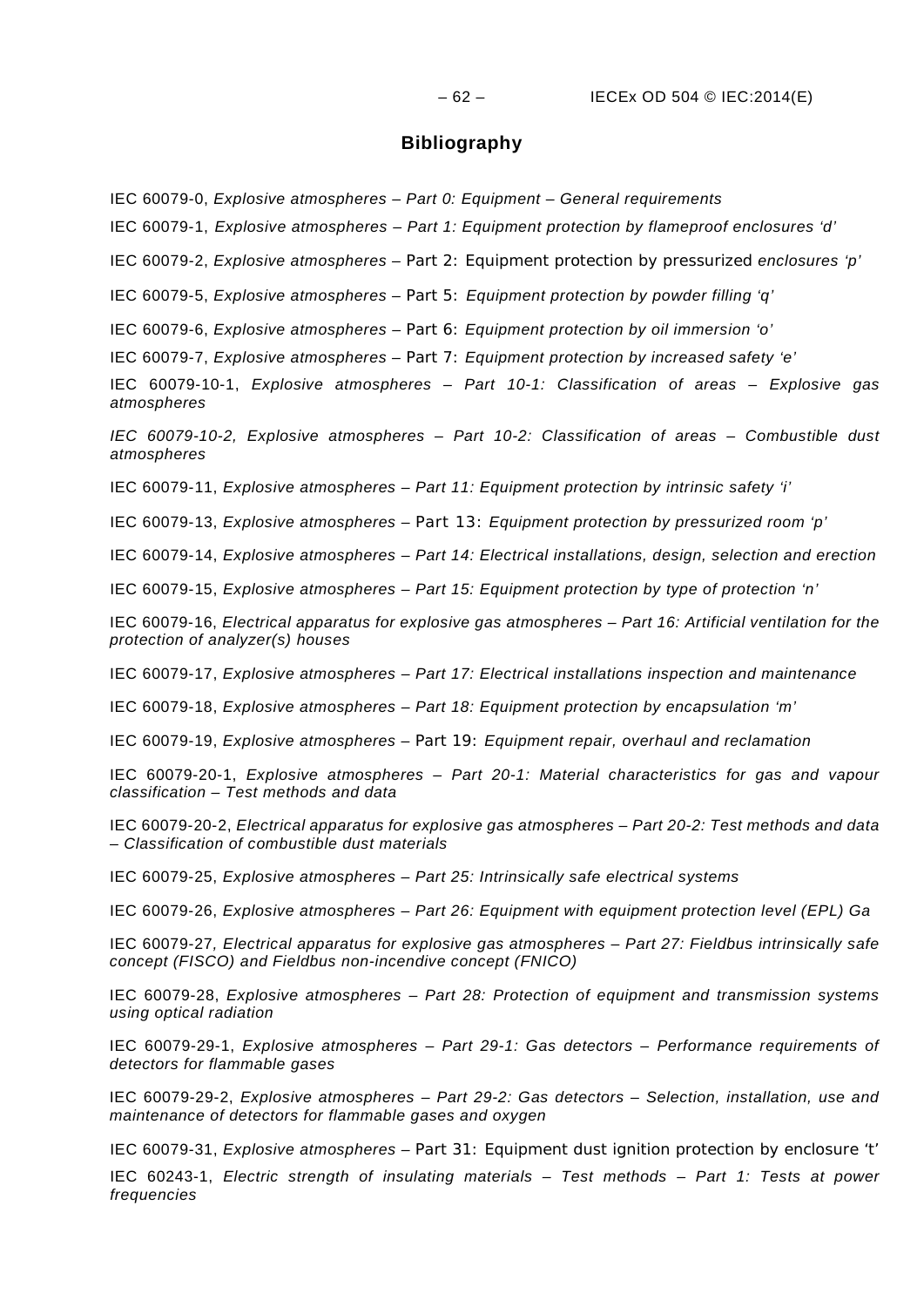### **Bibliography**

IEC 60079-0, *Explosive atmospheres – Part 0: Equipment – General requirements*

IEC 60079-1, *Explosive atmospheres – Part 1: Equipment protection by flameproof enclosures 'd'*

IEC 60079-2, *Explosive atmospheres – Part 2: Equipment protection by pressurized enclosures 'p'*

IEC 60079-5, *Explosive atmospheres – Part 5: Equipment protection by powder filling 'q'*

IEC 60079-6, *Explosive atmospheres – Part 6: Equipment protection by oil immersion 'o'*

IEC 60079-7, *Explosive atmospheres – Part 7: Equipment protection by increased safety 'e'*

IEC 60079-10-1, *Explosive atmospheres – Part 10-1: Classification of areas – Explosive gas atmospheres*

*IEC 60079-10-2, Explosive atmospheres – Part 10-2: Classification of areas – Combustible dust atmospheres* 

IEC 60079-11, *Explosive atmospheres – Part 11: Equipment protection by intrinsic safety 'i'*

IEC 60079-13, *Explosive atmospheres* – *Part 13: Equipment protection by pressurized room 'p'*

IEC 60079-14, *Explosive atmospheres – Part 14: Electrical installations, design, selection and erection*

IEC 60079-15, *Explosive atmospheres – Part 15: Equipment protection by type of protection 'n'*

IEC 60079-16, *Electrical apparatus for explosive gas atmospheres – Part 16: Artificial ventilation for the protection of analyzer(s) houses*

IEC 60079-17, *Explosive atmospheres – Part 17: Electrical installations inspection and maintenance*

IEC 60079-18, *Explosive atmospheres – Part 18: Equipment protection by encapsulation 'm'*

IEC 60079-19, *Explosive atmospheres – Part 19: Equipment repair, overhaul and reclamation*

IEC 60079-20-1, *Explosive atmospheres – Part 20-1: Material characteristics for gas and vapour classification – Test methods and data*

IEC 60079-20-2, *Electrical apparatus for explosive gas atmospheres – Part 20-2: Test methods and data – Classification of combustible dust materials*

IEC 60079-25, *Explosive atmospheres – Part 25: Intrinsically safe electrical systems*

IEC 60079-26, *Explosive atmospheres – Part 26: Equipment with equipment protection level (EPL) Ga*

IEC 60079-27*, Electrical apparatus for explosive gas atmospheres – Part 27: Fieldbus intrinsically safe concept (FISCO) and Fieldbus non-incendive concept (FNICO)*

IEC 60079-28, *Explosive atmospheres – Part 28: Protection of equipment and transmission systems using optical radiation*

IEC 60079-29-1, *Explosive atmospheres – Part 29-1: Gas detectors – Performance requirements of detectors for flammable gases*

IEC 60079-29-2, *Explosive atmospheres – Part 29-2: Gas detectors – Selection, installation, use and maintenance of detectors for flammable gases and oxygen*

IEC 60079-31, *Explosive atmospheres – Part 31: Equipment dust ignition protection by enclosure 't'*

IEC 60243-1, *Electric strength of insulating materials – Test methods – Part 1: Tests at power frequencies*